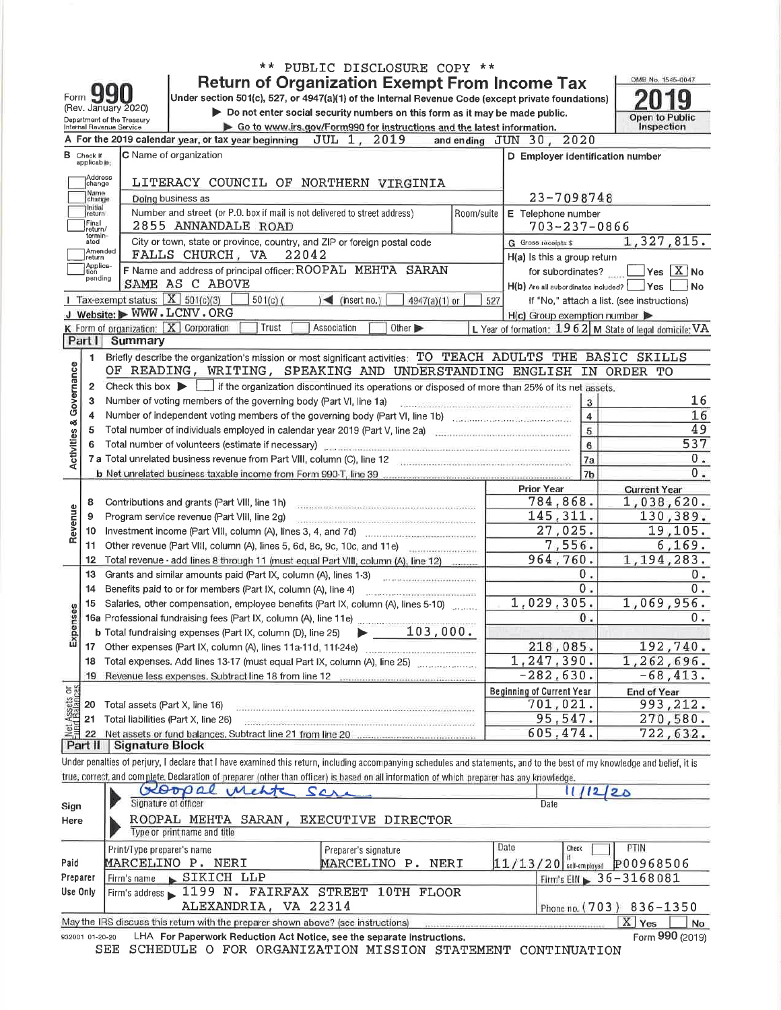|                                |                                     |                            |                                                                                                                                                                                                  | ** PUBLIC DISCLOSURE COPY **                                                                                                                                                                                                                                                                                                                                                                                                                                                                                                    |            |                                                           |                                                   |
|--------------------------------|-------------------------------------|----------------------------|--------------------------------------------------------------------------------------------------------------------------------------------------------------------------------------------------|---------------------------------------------------------------------------------------------------------------------------------------------------------------------------------------------------------------------------------------------------------------------------------------------------------------------------------------------------------------------------------------------------------------------------------------------------------------------------------------------------------------------------------|------------|-----------------------------------------------------------|---------------------------------------------------|
|                                |                                     |                            |                                                                                                                                                                                                  | <b>Return of Organization Exempt From Income Tax</b>                                                                                                                                                                                                                                                                                                                                                                                                                                                                            |            |                                                           | OMB No. 1545-0047                                 |
|                                | Form JJ<br>(Rev. January 2020)      |                            | Under section 501(c), 527, or 4947(a)(1) of the Internal Revenue Code (except private foundations)                                                                                               |                                                                                                                                                                                                                                                                                                                                                                                                                                                                                                                                 |            |                                                           |                                                   |
|                                | Department of the Treasury          |                            |                                                                                                                                                                                                  | Do not enter social security numbers on this form as it may be made public.                                                                                                                                                                                                                                                                                                                                                                                                                                                     |            |                                                           | <b>Open to Public</b>                             |
|                                | Internal Revenue Service            |                            | A For the 2019 calendar year, or tax year beginning $JUL_1$ ,                                                                                                                                    | Go to www.irs.gov/Form990 for instructions and the latest information.<br>2019                                                                                                                                                                                                                                                                                                                                                                                                                                                  |            | and ending JUN 30, 2020                                   | Inspection                                        |
|                                |                                     |                            | C Name of organization                                                                                                                                                                           |                                                                                                                                                                                                                                                                                                                                                                                                                                                                                                                                 |            | D Employer identification number                          |                                                   |
|                                | $\mathbf B$ Check if<br>applicable; |                            |                                                                                                                                                                                                  |                                                                                                                                                                                                                                                                                                                                                                                                                                                                                                                                 |            |                                                           |                                                   |
|                                | Address<br>change                   |                            | LITERACY COUNCIL OF NORTHERN VIRGINIA                                                                                                                                                            |                                                                                                                                                                                                                                                                                                                                                                                                                                                                                                                                 |            |                                                           |                                                   |
|                                | Name<br>change                      |                            | Doing business as                                                                                                                                                                                |                                                                                                                                                                                                                                                                                                                                                                                                                                                                                                                                 |            | 23-7098748                                                |                                                   |
|                                | Initial<br>return                   |                            | Number and street (or P.O. box if mail is not delivered to street address)                                                                                                                       |                                                                                                                                                                                                                                                                                                                                                                                                                                                                                                                                 | Room/suite | E Telephone number                                        |                                                   |
|                                | Final<br>return/<br>termin-         |                            | 2855 ANNANDALE ROAD                                                                                                                                                                              |                                                                                                                                                                                                                                                                                                                                                                                                                                                                                                                                 |            | $703 - 237 - 0866$                                        |                                                   |
|                                | ated<br>Amended                     |                            | City or town, state or province, country, and ZIP or foreign postal code                                                                                                                         |                                                                                                                                                                                                                                                                                                                                                                                                                                                                                                                                 |            | G Gross receipts \$                                       | 1,327,815.                                        |
|                                | return<br>Applica-                  |                            | FALLS CHURCH, VA 22042                                                                                                                                                                           |                                                                                                                                                                                                                                                                                                                                                                                                                                                                                                                                 |            | H(a) is this a group return                               |                                                   |
|                                | tion<br>pending                     |                            | F Name and address of principal officer: ROOPAL MEHTA SARAN<br>SAME AS C ABOVE                                                                                                                   |                                                                                                                                                                                                                                                                                                                                                                                                                                                                                                                                 |            | for subordinates?                                         | $Yes \ X$ No                                      |
|                                |                                     |                            | 1 Tax-exempt status: $X$ 501(c)(3)<br>$501(c)$ (                                                                                                                                                 | $\leq$ (insert no.)<br>$4947(a)(1)$ or                                                                                                                                                                                                                                                                                                                                                                                                                                                                                          | 527        | $H(b)$ Are all subordinates included?                     | Yes<br>If "No," attach a list. (see instructions) |
|                                |                                     |                            | J Website: WWW.LCNV.ORG                                                                                                                                                                          |                                                                                                                                                                                                                                                                                                                                                                                                                                                                                                                                 |            | $H(c)$ Group exemption number                             |                                                   |
|                                |                                     |                            | K Form of organization: $\boxed{\mathbf{X}}$ Corporation<br>Trust                                                                                                                                | Association<br>Other $\blacktriangleright$                                                                                                                                                                                                                                                                                                                                                                                                                                                                                      |            | L Year of formation: $1962$ M State of legal domicile: VA |                                                   |
|                                | Part I                              | Summary                    |                                                                                                                                                                                                  |                                                                                                                                                                                                                                                                                                                                                                                                                                                                                                                                 |            |                                                           |                                                   |
|                                | 1.                                  |                            | Briefly describe the organization's mission or most significant activities: TO TEACH ADULTS THE BASIC SKILLS                                                                                     |                                                                                                                                                                                                                                                                                                                                                                                                                                                                                                                                 |            |                                                           |                                                   |
|                                |                                     |                            | OF READING, WRITING, SPEAKING AND UNDERSTANDING ENGLISH IN ORDER TO                                                                                                                              |                                                                                                                                                                                                                                                                                                                                                                                                                                                                                                                                 |            |                                                           |                                                   |
|                                | $\overline{2}$                      |                            | Check this box $\blacktriangleright$ if the organization discontinued its operations or disposed of more than 25% of its net assets.                                                             |                                                                                                                                                                                                                                                                                                                                                                                                                                                                                                                                 |            |                                                           |                                                   |
| Activities & Governance        | 3                                   |                            | Number of voting members of the governing body (Part VI, line 1a)                                                                                                                                |                                                                                                                                                                                                                                                                                                                                                                                                                                                                                                                                 |            | 3                                                         |                                                   |
|                                | 4                                   |                            |                                                                                                                                                                                                  |                                                                                                                                                                                                                                                                                                                                                                                                                                                                                                                                 |            | $\overline{\mathbf{4}}$                                   |                                                   |
|                                | 5                                   |                            | Total number of individuals employed in calendar year 2019 (Part V, line 2a)                                                                                                                     |                                                                                                                                                                                                                                                                                                                                                                                                                                                                                                                                 |            | 5<br>6                                                    | 537                                               |
|                                |                                     |                            | Total number of volunteers (estimate if necessary) continuous continuous continuous continuous continuous continuous<br>7 a Total unrelated business revenue from Part VIII, column (C), line 12 |                                                                                                                                                                                                                                                                                                                                                                                                                                                                                                                                 |            | 7a                                                        |                                                   |
|                                |                                     |                            |                                                                                                                                                                                                  |                                                                                                                                                                                                                                                                                                                                                                                                                                                                                                                                 |            | 7 <sub>b</sub>                                            |                                                   |
|                                |                                     |                            |                                                                                                                                                                                                  |                                                                                                                                                                                                                                                                                                                                                                                                                                                                                                                                 |            | <b>Prior Year</b>                                         | <b>Current Year</b>                               |
|                                | 8                                   |                            | Contributions and grants (Part VIII, line 1h)                                                                                                                                                    |                                                                                                                                                                                                                                                                                                                                                                                                                                                                                                                                 |            | 784,868.                                                  | 1,038,620.                                        |
|                                | 9                                   |                            | Program service revenue (Part VIII, line 2g)                                                                                                                                                     |                                                                                                                                                                                                                                                                                                                                                                                                                                                                                                                                 |            | 145,311.                                                  | 130,389.                                          |
| Revenue                        | 10                                  |                            |                                                                                                                                                                                                  |                                                                                                                                                                                                                                                                                                                                                                                                                                                                                                                                 |            | 27,025.                                                   | 19, 105.                                          |
|                                |                                     |                            | 11 Other revenue (Part VIII, column (A), lines 5, 6d, 8c, 9c, 10c, and 11e)                                                                                                                      |                                                                                                                                                                                                                                                                                                                                                                                                                                                                                                                                 |            | 7,556.                                                    | 6, 169.                                           |
|                                | 12                                  |                            | Total revenue - add lines 8 through 11 (must equal Part VIII, column (A), line 12)                                                                                                               |                                                                                                                                                                                                                                                                                                                                                                                                                                                                                                                                 |            | 964,760.                                                  | 1,194,283.                                        |
|                                | 13                                  |                            | Grants and similar amounts paid (Part IX, column (A), lines 1-3)                                                                                                                                 |                                                                                                                                                                                                                                                                                                                                                                                                                                                                                                                                 |            | 0.<br>0.1                                                 |                                                   |
|                                | 14<br>15                            |                            | Benefits paid to or for members (Part IX, column (A), line 4)<br>Salaries, other compensation, employee benefits (Part IX, column (A), lines 5-10)                                               | $\label{eq:3.1} \begin{minipage}{0.95\textwidth} \begin{minipage}{0.95\textwidth} \centering \end{minipage} \begin{minipage}{0.95\textwidth} \begin{minipage}{0.95\textwidth} \centering \end{minipage} \begin{minipage}{0.95\textwidth} \centering \end{minipage} \begin{minipage}{0.95\textwidth} \centering \end{minipage} \begin{minipage}{0.95\textwidth} \centering \end{minipage} \begin{minipage}{0.95\textwidth} \centering \end{minipage} \begin{minipage}{0.95\textwidth} \centering \end{minipage} \begin{minipage$ |            | 1,029,305.                                                | 1,069,956.                                        |
| penses                         |                                     |                            |                                                                                                                                                                                                  |                                                                                                                                                                                                                                                                                                                                                                                                                                                                                                                                 |            | 0.                                                        |                                                   |
|                                |                                     |                            | <b>b</b> Total fundraising expenses (Part IX, column (D), line 25) $\rightarrow$ 103, 000.                                                                                                       |                                                                                                                                                                                                                                                                                                                                                                                                                                                                                                                                 |            |                                                           |                                                   |
| 띺                              |                                     |                            |                                                                                                                                                                                                  |                                                                                                                                                                                                                                                                                                                                                                                                                                                                                                                                 |            | 218,085.                                                  | 192,740.                                          |
|                                |                                     |                            | 18 Total expenses. Add lines 13-17 (must equal Part IX, column (A), line 25)                                                                                                                     |                                                                                                                                                                                                                                                                                                                                                                                                                                                                                                                                 |            | 1,247,390.                                                | 1,262,696.                                        |
|                                | 19                                  |                            | Revenue less expenses. Subtract line 18 from line 12 [10] [10] [10] Revenue less expenses.                                                                                                       |                                                                                                                                                                                                                                                                                                                                                                                                                                                                                                                                 |            | $-282,630.$                                               | $-68, 413.$                                       |
| Net Assets or<br>Fund Balances |                                     |                            |                                                                                                                                                                                                  |                                                                                                                                                                                                                                                                                                                                                                                                                                                                                                                                 |            | <b>Beginning of Current Year</b>                          | <b>End of Year</b>                                |
|                                | 20                                  |                            | Total assets (Part X, line 16)                                                                                                                                                                   |                                                                                                                                                                                                                                                                                                                                                                                                                                                                                                                                 |            | 701,021.                                                  | 993, 212.                                         |
|                                | 21                                  |                            | Total liabilities (Part X, line 26)                                                                                                                                                              |                                                                                                                                                                                                                                                                                                                                                                                                                                                                                                                                 |            | 95,547.<br>605,474.                                       | 270,580.                                          |
|                                | 22                                  | Part II Signature Block    | Net assets or fund balances. Subtract line 21 from line 20 [10] [10] [10] Net assets or fund                                                                                                     |                                                                                                                                                                                                                                                                                                                                                                                                                                                                                                                                 |            |                                                           | 722,632.                                          |
|                                |                                     |                            | Under penalties of perjury, I declare that I have examined this return, including accompanying schedules and statements, and to the best of my knowledge and belief, it is                       |                                                                                                                                                                                                                                                                                                                                                                                                                                                                                                                                 |            |                                                           |                                                   |
|                                |                                     |                            | true, correct, and complete. Declaration of preparer (other than officer) is based on all information of which preparer has any knowledge.                                                       |                                                                                                                                                                                                                                                                                                                                                                                                                                                                                                                                 |            |                                                           |                                                   |
|                                |                                     |                            | Goopal<br>Mehte                                                                                                                                                                                  | ره ک                                                                                                                                                                                                                                                                                                                                                                                                                                                                                                                            |            |                                                           | 1220                                              |
| Sign                           |                                     | Signature of officer       |                                                                                                                                                                                                  |                                                                                                                                                                                                                                                                                                                                                                                                                                                                                                                                 |            | Date                                                      |                                                   |
| Here                           |                                     |                            | ROOPAL MEHTA SARAN,                                                                                                                                                                              | EXECUTIVE DIRECTOR                                                                                                                                                                                                                                                                                                                                                                                                                                                                                                              |            |                                                           |                                                   |
|                                |                                     |                            | Type or print name and title                                                                                                                                                                     |                                                                                                                                                                                                                                                                                                                                                                                                                                                                                                                                 |            |                                                           |                                                   |
|                                |                                     | Print/Type preparer's name |                                                                                                                                                                                                  | Preparer's signature                                                                                                                                                                                                                                                                                                                                                                                                                                                                                                            |            | Date<br>Check                                             | PTIN                                              |
| Paid                           |                                     |                            | MARCELINO P. NERI                                                                                                                                                                                | MARCELINO P. NERI                                                                                                                                                                                                                                                                                                                                                                                                                                                                                                               |            | $11/13/20$ self-employed                                  | P00968506                                         |
|                                | Preparer                            |                            | Firm's name SIKICH LLP                                                                                                                                                                           |                                                                                                                                                                                                                                                                                                                                                                                                                                                                                                                                 |            |                                                           | Firm's $EIN \ge 36 - 3168081$                     |
|                                | Use Only                            |                            | Firm's address 1199 N. FAIRFAX STREET 10TH FLOOR<br>ALEXANDRIA, VA 22314                                                                                                                         |                                                                                                                                                                                                                                                                                                                                                                                                                                                                                                                                 |            |                                                           |                                                   |
|                                |                                     |                            |                                                                                                                                                                                                  |                                                                                                                                                                                                                                                                                                                                                                                                                                                                                                                                 |            | Phone no. (703)                                           | 836-1350                                          |
|                                |                                     |                            | May the IRS discuss this return with the preparer shown above? (see instructions)                                                                                                                |                                                                                                                                                                                                                                                                                                                                                                                                                                                                                                                                 |            |                                                           | X Yes                                             |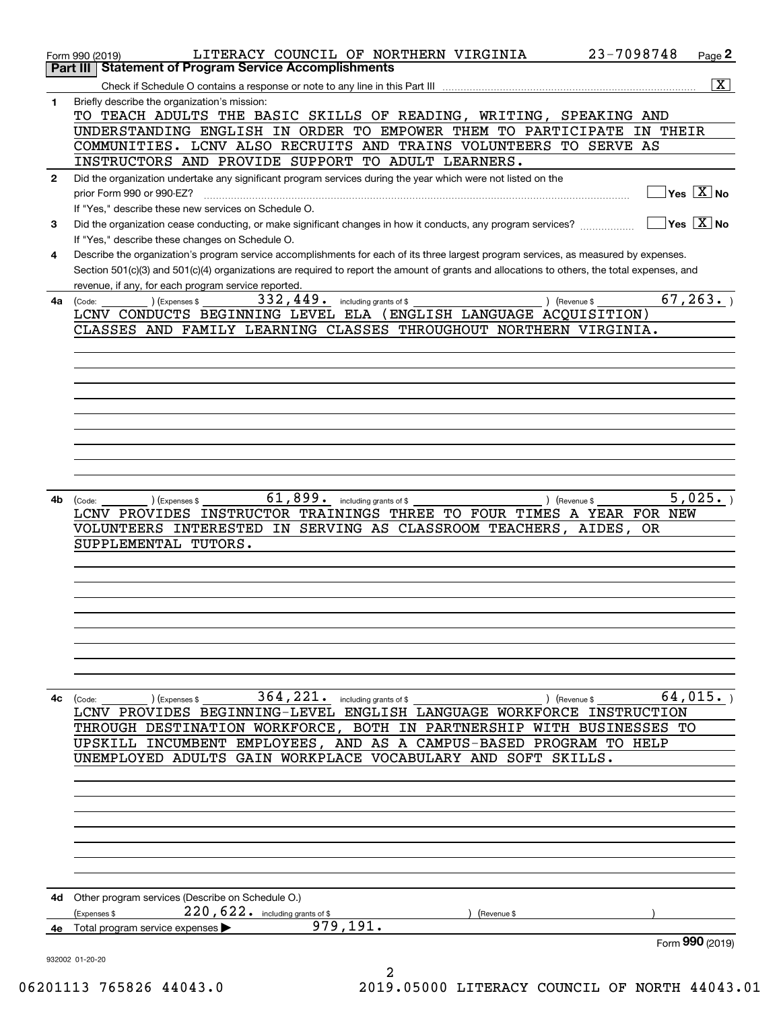|              | 23-7098748<br>LITERACY COUNCIL OF NORTHERN VIRGINIA<br>$Page$ 2<br>Form 990 (2019)                                                                                                                                                                                                   |
|--------------|--------------------------------------------------------------------------------------------------------------------------------------------------------------------------------------------------------------------------------------------------------------------------------------|
|              | Part III   Statement of Program Service Accomplishments                                                                                                                                                                                                                              |
|              | $\overline{\mathbf{x}}$                                                                                                                                                                                                                                                              |
| 1            | Briefly describe the organization's mission:                                                                                                                                                                                                                                         |
|              | TO TEACH ADULTS THE BASIC SKILLS OF READING, WRITING, SPEAKING AND                                                                                                                                                                                                                   |
|              | UNDERSTANDING ENGLISH IN ORDER TO EMPOWER THEM TO PARTICIPATE IN THEIR                                                                                                                                                                                                               |
|              | COMMUNITIES. LCNV ALSO RECRUITS AND TRAINS VOLUNTEERS TO SERVE AS                                                                                                                                                                                                                    |
|              | INSTRUCTORS AND PROVIDE SUPPORT TO ADULT LEARNERS.                                                                                                                                                                                                                                   |
| $\mathbf{2}$ | Did the organization undertake any significant program services during the year which were not listed on the                                                                                                                                                                         |
|              | $\boxed{\phantom{1}}$ Yes $\boxed{\text{X}}$ No                                                                                                                                                                                                                                      |
|              | If "Yes," describe these new services on Schedule O.                                                                                                                                                                                                                                 |
| 3            | $\Box$ Yes $\Box$ No<br>Did the organization cease conducting, or make significant changes in how it conducts, any program services?                                                                                                                                                 |
|              | If "Yes," describe these changes on Schedule O.                                                                                                                                                                                                                                      |
| 4            | Describe the organization's program service accomplishments for each of its three largest program services, as measured by expenses.<br>Section 501(c)(3) and 501(c)(4) organizations are required to report the amount of grants and allocations to others, the total expenses, and |
|              | revenue, if any, for each program service reported.                                                                                                                                                                                                                                  |
| 4a           | 67, 263.<br>332, 449. including grants of \$<br>(Expenses \$<br>) (Revenue \$<br>(Code:                                                                                                                                                                                              |
|              | LCNV CONDUCTS BEGINNING LEVEL ELA (ENGLISH LANGUAGE ACQUISITION)                                                                                                                                                                                                                     |
|              | CLASSES AND FAMILY LEARNING CLASSES THROUGHOUT NORTHERN VIRGINIA.                                                                                                                                                                                                                    |
|              |                                                                                                                                                                                                                                                                                      |
|              |                                                                                                                                                                                                                                                                                      |
|              |                                                                                                                                                                                                                                                                                      |
|              |                                                                                                                                                                                                                                                                                      |
|              |                                                                                                                                                                                                                                                                                      |
|              |                                                                                                                                                                                                                                                                                      |
|              |                                                                                                                                                                                                                                                                                      |
|              |                                                                                                                                                                                                                                                                                      |
|              |                                                                                                                                                                                                                                                                                      |
|              |                                                                                                                                                                                                                                                                                      |
| 4b           | 61,899. including grants of \$<br>5,025.<br>) (Expenses \$<br>) (Revenue \$<br>(Code:                                                                                                                                                                                                |
|              | LCNV PROVIDES INSTRUCTOR TRAININGS THREE TO FOUR TIMES A YEAR FOR NEW                                                                                                                                                                                                                |
|              | VOLUNTEERS INTERESTED IN SERVING AS CLASSROOM TEACHERS, AIDES, OR<br>SUPPLEMENTAL TUTORS.                                                                                                                                                                                            |
|              |                                                                                                                                                                                                                                                                                      |
|              |                                                                                                                                                                                                                                                                                      |
|              |                                                                                                                                                                                                                                                                                      |
|              |                                                                                                                                                                                                                                                                                      |
|              |                                                                                                                                                                                                                                                                                      |
|              |                                                                                                                                                                                                                                                                                      |
|              |                                                                                                                                                                                                                                                                                      |
|              |                                                                                                                                                                                                                                                                                      |
|              |                                                                                                                                                                                                                                                                                      |
| 4с           | $364,221$ and $364$<br>64,015.<br>(Code:<br>) (Expenses \$<br>) (Revenue \$                                                                                                                                                                                                          |
|              | LCNV PROVIDES BEGINNING-LEVEL ENGLISH LANGUAGE WORKFORCE INSTRUCTION                                                                                                                                                                                                                 |
|              | THROUGH DESTINATION WORKFORCE, BOTH IN PARTNERSHIP WITH BUSINESSES TO                                                                                                                                                                                                                |
|              | UPSKILL INCUMBENT EMPLOYEES, AND AS A CAMPUS-BASED PROGRAM TO HELP                                                                                                                                                                                                                   |
|              | UNEMPLOYED ADULTS GAIN WORKPLACE VOCABULARY AND SOFT SKILLS.                                                                                                                                                                                                                         |
|              |                                                                                                                                                                                                                                                                                      |
|              |                                                                                                                                                                                                                                                                                      |
|              |                                                                                                                                                                                                                                                                                      |
|              |                                                                                                                                                                                                                                                                                      |
|              |                                                                                                                                                                                                                                                                                      |
|              |                                                                                                                                                                                                                                                                                      |
|              |                                                                                                                                                                                                                                                                                      |
|              |                                                                                                                                                                                                                                                                                      |
|              | 4d Other program services (Describe on Schedule O.)<br>220, 622. including grants of \$<br>(Expenses \$                                                                                                                                                                              |
| 4е           | (Revenue \$<br>979,191.<br>Total program service expenses >                                                                                                                                                                                                                          |
|              | Form 990 (2019)                                                                                                                                                                                                                                                                      |
|              | 932002 01-20-20                                                                                                                                                                                                                                                                      |
|              | 2                                                                                                                                                                                                                                                                                    |

06201113 765826 44043.0 2019.05000 LITERACY COUNCIL OF NORTH 44043.01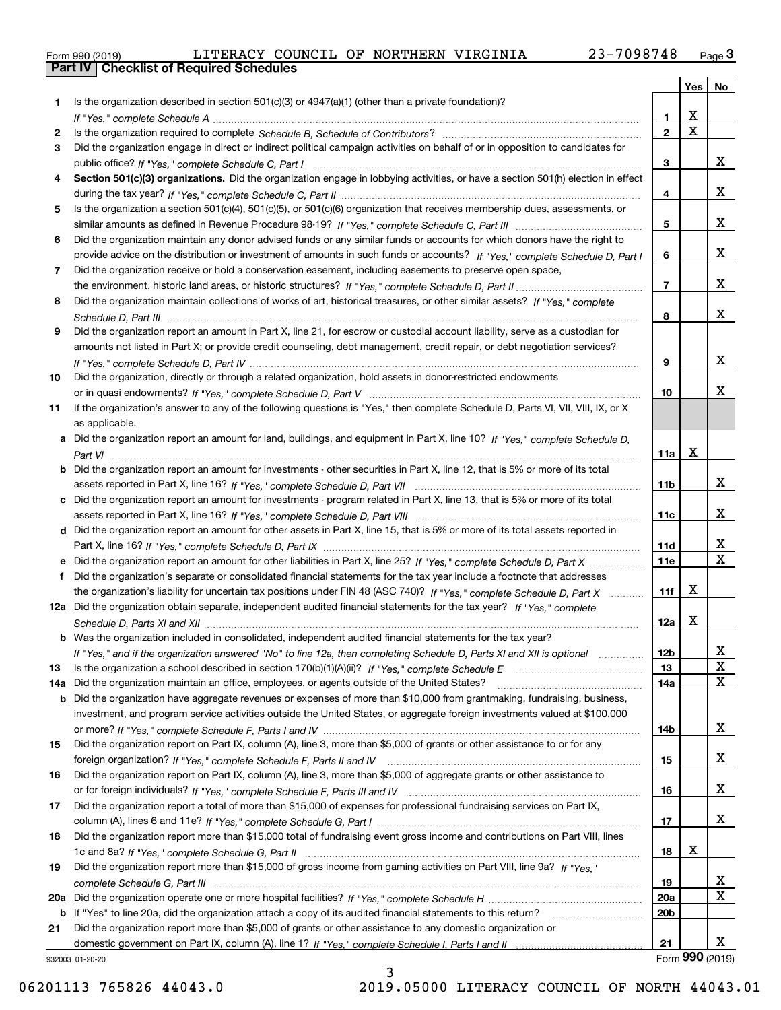|  | Form 990 (2019) |  |
|--|-----------------|--|

| Is the organization described in section $501(c)(3)$ or $4947(a)(1)$ (other than a private foundation)?<br>1<br>x<br>1<br>$\mathbf X$<br>$\overline{2}$<br>2<br>Did the organization engage in direct or indirect political campaign activities on behalf of or in opposition to candidates for<br>3<br>x<br>3<br>Section 501(c)(3) organizations. Did the organization engage in lobbying activities, or have a section 501(h) election in effect<br>4<br>x<br>4<br>Is the organization a section 501(c)(4), 501(c)(5), or 501(c)(6) organization that receives membership dues, assessments, or<br>5<br>x<br>5<br>Did the organization maintain any donor advised funds or any similar funds or accounts for which donors have the right to<br>6<br>x<br>provide advice on the distribution or investment of amounts in such funds or accounts? If "Yes," complete Schedule D, Part I<br>6<br>Did the organization receive or hold a conservation easement, including easements to preserve open space,<br>7<br>x<br>$\overline{7}$<br>Did the organization maintain collections of works of art, historical treasures, or other similar assets? If "Yes," complete<br>8<br>x<br>8<br>Did the organization report an amount in Part X, line 21, for escrow or custodial account liability, serve as a custodian for<br>9<br>amounts not listed in Part X; or provide credit counseling, debt management, credit repair, or debt negotiation services?<br>x<br>9<br>Did the organization, directly or through a related organization, hold assets in donor-restricted endowments<br>10<br>x<br>10<br>If the organization's answer to any of the following questions is "Yes," then complete Schedule D, Parts VI, VII, VIII, IX, or X<br>11<br>as applicable.<br>Did the organization report an amount for land, buildings, and equipment in Part X, line 10? If "Yes." complete Schedule D.<br>a<br>X<br>11a<br>Did the organization report an amount for investments - other securities in Part X, line 12, that is 5% or more of its total<br>x<br>11 <sub>b</sub><br>Did the organization report an amount for investments - program related in Part X, line 13, that is 5% or more of its total<br>x<br>11c<br>d Did the organization report an amount for other assets in Part X, line 15, that is 5% or more of its total assets reported in<br>x<br>11d<br>$\mathbf X$<br><b>11e</b><br>Did the organization's separate or consolidated financial statements for the tax year include a footnote that addresses<br>f<br>х<br>the organization's liability for uncertain tax positions under FIN 48 (ASC 740)? If "Yes," complete Schedule D, Part X<br>11f<br>12a Did the organization obtain separate, independent audited financial statements for the tax year? If "Yes." complete<br>х<br>12a<br><b>b</b> Was the organization included in consolidated, independent audited financial statements for the tax year?<br>12 <sub>b</sub><br>If "Yes," and if the organization answered "No" to line 12a, then completing Schedule D, Parts XI and XII is optional<br>47<br>X<br>13<br>X<br>Did the organization maintain an office, employees, or agents outside of the United States?<br>14a<br>Did the organization have aggregate revenues or expenses of more than \$10,000 from grantmaking, fundraising, business,<br>b<br>investment, and program service activities outside the United States, or aggregate foreign investments valued at \$100,000<br>x<br>14b<br>Did the organization report on Part IX, column (A), line 3, more than \$5,000 of grants or other assistance to or for any<br>x<br>15<br>Did the organization report on Part IX, column (A), line 3, more than \$5,000 of aggregate grants or other assistance to<br>16<br>x<br>16<br>Did the organization report a total of more than \$15,000 of expenses for professional fundraising services on Part IX,<br>x<br>17<br>Did the organization report more than \$15,000 total of fundraising event gross income and contributions on Part VIII, lines<br>18<br>x<br>18<br>Did the organization report more than \$15,000 of gross income from gaming activities on Part VIII, line 9a? If "Yes."<br>19<br>x<br>19<br>X<br><b>20a</b><br>20a<br>20 <sub>b</sub><br>b If "Yes" to line 20a, did the organization attach a copy of its audited financial statements to this return?<br>Did the organization report more than \$5,000 of grants or other assistance to any domestic organization or<br>21<br>X<br>21<br>932003 01-20-20 |     |  | Yes   No |  |
|-----------------------------------------------------------------------------------------------------------------------------------------------------------------------------------------------------------------------------------------------------------------------------------------------------------------------------------------------------------------------------------------------------------------------------------------------------------------------------------------------------------------------------------------------------------------------------------------------------------------------------------------------------------------------------------------------------------------------------------------------------------------------------------------------------------------------------------------------------------------------------------------------------------------------------------------------------------------------------------------------------------------------------------------------------------------------------------------------------------------------------------------------------------------------------------------------------------------------------------------------------------------------------------------------------------------------------------------------------------------------------------------------------------------------------------------------------------------------------------------------------------------------------------------------------------------------------------------------------------------------------------------------------------------------------------------------------------------------------------------------------------------------------------------------------------------------------------------------------------------------------------------------------------------------------------------------------------------------------------------------------------------------------------------------------------------------------------------------------------------------------------------------------------------------------------------------------------------------------------------------------------------------------------------------------------------------------------------------------------------------------------------------------------------------------------------------------------------------------------------------------------------------------------------------------------------------------------------------------------------------------------------------------------------------------------------------------------------------------------------------------------------------------------------------------------------------------------------------------------------------------------------------------------------------------------------------------------------------------------------------------------------------------------------------------------------------------------------------------------------------------------------------------------------------------------------------------------------------------------------------------------------------------------------------------------------------------------------------------------------------------------------------------------------------------------------------------------------------------------------------------------------------------------------------------------------------------------------------------------------------------------------------------------------------------------------------------------------------------------------------------------------------------------------------------------------------------------------------------------------------------------------------------------------------------------------------------------------------------------------------------------------------------------------------------------------------------------------------------------------------------------------------------------------------------------------------------------------------------------------------------------------------------------------------------------------------------------------------------------------------------------------------------------------------------------------------------------------------------------------------------------------------------|-----|--|----------|--|
|                                                                                                                                                                                                                                                                                                                                                                                                                                                                                                                                                                                                                                                                                                                                                                                                                                                                                                                                                                                                                                                                                                                                                                                                                                                                                                                                                                                                                                                                                                                                                                                                                                                                                                                                                                                                                                                                                                                                                                                                                                                                                                                                                                                                                                                                                                                                                                                                                                                                                                                                                                                                                                                                                                                                                                                                                                                                                                                                                                                                                                                                                                                                                                                                                                                                                                                                                                                                                                                                                                                                                                                                                                                                                                                                                                                                                                                                                                                                                                                                                                                                                                                                                                                                                                                                                                                                                                                                                                                                                                                             |     |  |          |  |
|                                                                                                                                                                                                                                                                                                                                                                                                                                                                                                                                                                                                                                                                                                                                                                                                                                                                                                                                                                                                                                                                                                                                                                                                                                                                                                                                                                                                                                                                                                                                                                                                                                                                                                                                                                                                                                                                                                                                                                                                                                                                                                                                                                                                                                                                                                                                                                                                                                                                                                                                                                                                                                                                                                                                                                                                                                                                                                                                                                                                                                                                                                                                                                                                                                                                                                                                                                                                                                                                                                                                                                                                                                                                                                                                                                                                                                                                                                                                                                                                                                                                                                                                                                                                                                                                                                                                                                                                                                                                                                                             |     |  |          |  |
|                                                                                                                                                                                                                                                                                                                                                                                                                                                                                                                                                                                                                                                                                                                                                                                                                                                                                                                                                                                                                                                                                                                                                                                                                                                                                                                                                                                                                                                                                                                                                                                                                                                                                                                                                                                                                                                                                                                                                                                                                                                                                                                                                                                                                                                                                                                                                                                                                                                                                                                                                                                                                                                                                                                                                                                                                                                                                                                                                                                                                                                                                                                                                                                                                                                                                                                                                                                                                                                                                                                                                                                                                                                                                                                                                                                                                                                                                                                                                                                                                                                                                                                                                                                                                                                                                                                                                                                                                                                                                                                             |     |  |          |  |
|                                                                                                                                                                                                                                                                                                                                                                                                                                                                                                                                                                                                                                                                                                                                                                                                                                                                                                                                                                                                                                                                                                                                                                                                                                                                                                                                                                                                                                                                                                                                                                                                                                                                                                                                                                                                                                                                                                                                                                                                                                                                                                                                                                                                                                                                                                                                                                                                                                                                                                                                                                                                                                                                                                                                                                                                                                                                                                                                                                                                                                                                                                                                                                                                                                                                                                                                                                                                                                                                                                                                                                                                                                                                                                                                                                                                                                                                                                                                                                                                                                                                                                                                                                                                                                                                                                                                                                                                                                                                                                                             |     |  |          |  |
|                                                                                                                                                                                                                                                                                                                                                                                                                                                                                                                                                                                                                                                                                                                                                                                                                                                                                                                                                                                                                                                                                                                                                                                                                                                                                                                                                                                                                                                                                                                                                                                                                                                                                                                                                                                                                                                                                                                                                                                                                                                                                                                                                                                                                                                                                                                                                                                                                                                                                                                                                                                                                                                                                                                                                                                                                                                                                                                                                                                                                                                                                                                                                                                                                                                                                                                                                                                                                                                                                                                                                                                                                                                                                                                                                                                                                                                                                                                                                                                                                                                                                                                                                                                                                                                                                                                                                                                                                                                                                                                             |     |  |          |  |
|                                                                                                                                                                                                                                                                                                                                                                                                                                                                                                                                                                                                                                                                                                                                                                                                                                                                                                                                                                                                                                                                                                                                                                                                                                                                                                                                                                                                                                                                                                                                                                                                                                                                                                                                                                                                                                                                                                                                                                                                                                                                                                                                                                                                                                                                                                                                                                                                                                                                                                                                                                                                                                                                                                                                                                                                                                                                                                                                                                                                                                                                                                                                                                                                                                                                                                                                                                                                                                                                                                                                                                                                                                                                                                                                                                                                                                                                                                                                                                                                                                                                                                                                                                                                                                                                                                                                                                                                                                                                                                                             |     |  |          |  |
|                                                                                                                                                                                                                                                                                                                                                                                                                                                                                                                                                                                                                                                                                                                                                                                                                                                                                                                                                                                                                                                                                                                                                                                                                                                                                                                                                                                                                                                                                                                                                                                                                                                                                                                                                                                                                                                                                                                                                                                                                                                                                                                                                                                                                                                                                                                                                                                                                                                                                                                                                                                                                                                                                                                                                                                                                                                                                                                                                                                                                                                                                                                                                                                                                                                                                                                                                                                                                                                                                                                                                                                                                                                                                                                                                                                                                                                                                                                                                                                                                                                                                                                                                                                                                                                                                                                                                                                                                                                                                                                             |     |  |          |  |
|                                                                                                                                                                                                                                                                                                                                                                                                                                                                                                                                                                                                                                                                                                                                                                                                                                                                                                                                                                                                                                                                                                                                                                                                                                                                                                                                                                                                                                                                                                                                                                                                                                                                                                                                                                                                                                                                                                                                                                                                                                                                                                                                                                                                                                                                                                                                                                                                                                                                                                                                                                                                                                                                                                                                                                                                                                                                                                                                                                                                                                                                                                                                                                                                                                                                                                                                                                                                                                                                                                                                                                                                                                                                                                                                                                                                                                                                                                                                                                                                                                                                                                                                                                                                                                                                                                                                                                                                                                                                                                                             |     |  |          |  |
|                                                                                                                                                                                                                                                                                                                                                                                                                                                                                                                                                                                                                                                                                                                                                                                                                                                                                                                                                                                                                                                                                                                                                                                                                                                                                                                                                                                                                                                                                                                                                                                                                                                                                                                                                                                                                                                                                                                                                                                                                                                                                                                                                                                                                                                                                                                                                                                                                                                                                                                                                                                                                                                                                                                                                                                                                                                                                                                                                                                                                                                                                                                                                                                                                                                                                                                                                                                                                                                                                                                                                                                                                                                                                                                                                                                                                                                                                                                                                                                                                                                                                                                                                                                                                                                                                                                                                                                                                                                                                                                             |     |  |          |  |
|                                                                                                                                                                                                                                                                                                                                                                                                                                                                                                                                                                                                                                                                                                                                                                                                                                                                                                                                                                                                                                                                                                                                                                                                                                                                                                                                                                                                                                                                                                                                                                                                                                                                                                                                                                                                                                                                                                                                                                                                                                                                                                                                                                                                                                                                                                                                                                                                                                                                                                                                                                                                                                                                                                                                                                                                                                                                                                                                                                                                                                                                                                                                                                                                                                                                                                                                                                                                                                                                                                                                                                                                                                                                                                                                                                                                                                                                                                                                                                                                                                                                                                                                                                                                                                                                                                                                                                                                                                                                                                                             |     |  |          |  |
|                                                                                                                                                                                                                                                                                                                                                                                                                                                                                                                                                                                                                                                                                                                                                                                                                                                                                                                                                                                                                                                                                                                                                                                                                                                                                                                                                                                                                                                                                                                                                                                                                                                                                                                                                                                                                                                                                                                                                                                                                                                                                                                                                                                                                                                                                                                                                                                                                                                                                                                                                                                                                                                                                                                                                                                                                                                                                                                                                                                                                                                                                                                                                                                                                                                                                                                                                                                                                                                                                                                                                                                                                                                                                                                                                                                                                                                                                                                                                                                                                                                                                                                                                                                                                                                                                                                                                                                                                                                                                                                             |     |  |          |  |
|                                                                                                                                                                                                                                                                                                                                                                                                                                                                                                                                                                                                                                                                                                                                                                                                                                                                                                                                                                                                                                                                                                                                                                                                                                                                                                                                                                                                                                                                                                                                                                                                                                                                                                                                                                                                                                                                                                                                                                                                                                                                                                                                                                                                                                                                                                                                                                                                                                                                                                                                                                                                                                                                                                                                                                                                                                                                                                                                                                                                                                                                                                                                                                                                                                                                                                                                                                                                                                                                                                                                                                                                                                                                                                                                                                                                                                                                                                                                                                                                                                                                                                                                                                                                                                                                                                                                                                                                                                                                                                                             |     |  |          |  |
|                                                                                                                                                                                                                                                                                                                                                                                                                                                                                                                                                                                                                                                                                                                                                                                                                                                                                                                                                                                                                                                                                                                                                                                                                                                                                                                                                                                                                                                                                                                                                                                                                                                                                                                                                                                                                                                                                                                                                                                                                                                                                                                                                                                                                                                                                                                                                                                                                                                                                                                                                                                                                                                                                                                                                                                                                                                                                                                                                                                                                                                                                                                                                                                                                                                                                                                                                                                                                                                                                                                                                                                                                                                                                                                                                                                                                                                                                                                                                                                                                                                                                                                                                                                                                                                                                                                                                                                                                                                                                                                             |     |  |          |  |
|                                                                                                                                                                                                                                                                                                                                                                                                                                                                                                                                                                                                                                                                                                                                                                                                                                                                                                                                                                                                                                                                                                                                                                                                                                                                                                                                                                                                                                                                                                                                                                                                                                                                                                                                                                                                                                                                                                                                                                                                                                                                                                                                                                                                                                                                                                                                                                                                                                                                                                                                                                                                                                                                                                                                                                                                                                                                                                                                                                                                                                                                                                                                                                                                                                                                                                                                                                                                                                                                                                                                                                                                                                                                                                                                                                                                                                                                                                                                                                                                                                                                                                                                                                                                                                                                                                                                                                                                                                                                                                                             |     |  |          |  |
|                                                                                                                                                                                                                                                                                                                                                                                                                                                                                                                                                                                                                                                                                                                                                                                                                                                                                                                                                                                                                                                                                                                                                                                                                                                                                                                                                                                                                                                                                                                                                                                                                                                                                                                                                                                                                                                                                                                                                                                                                                                                                                                                                                                                                                                                                                                                                                                                                                                                                                                                                                                                                                                                                                                                                                                                                                                                                                                                                                                                                                                                                                                                                                                                                                                                                                                                                                                                                                                                                                                                                                                                                                                                                                                                                                                                                                                                                                                                                                                                                                                                                                                                                                                                                                                                                                                                                                                                                                                                                                                             |     |  |          |  |
|                                                                                                                                                                                                                                                                                                                                                                                                                                                                                                                                                                                                                                                                                                                                                                                                                                                                                                                                                                                                                                                                                                                                                                                                                                                                                                                                                                                                                                                                                                                                                                                                                                                                                                                                                                                                                                                                                                                                                                                                                                                                                                                                                                                                                                                                                                                                                                                                                                                                                                                                                                                                                                                                                                                                                                                                                                                                                                                                                                                                                                                                                                                                                                                                                                                                                                                                                                                                                                                                                                                                                                                                                                                                                                                                                                                                                                                                                                                                                                                                                                                                                                                                                                                                                                                                                                                                                                                                                                                                                                                             |     |  |          |  |
|                                                                                                                                                                                                                                                                                                                                                                                                                                                                                                                                                                                                                                                                                                                                                                                                                                                                                                                                                                                                                                                                                                                                                                                                                                                                                                                                                                                                                                                                                                                                                                                                                                                                                                                                                                                                                                                                                                                                                                                                                                                                                                                                                                                                                                                                                                                                                                                                                                                                                                                                                                                                                                                                                                                                                                                                                                                                                                                                                                                                                                                                                                                                                                                                                                                                                                                                                                                                                                                                                                                                                                                                                                                                                                                                                                                                                                                                                                                                                                                                                                                                                                                                                                                                                                                                                                                                                                                                                                                                                                                             |     |  |          |  |
|                                                                                                                                                                                                                                                                                                                                                                                                                                                                                                                                                                                                                                                                                                                                                                                                                                                                                                                                                                                                                                                                                                                                                                                                                                                                                                                                                                                                                                                                                                                                                                                                                                                                                                                                                                                                                                                                                                                                                                                                                                                                                                                                                                                                                                                                                                                                                                                                                                                                                                                                                                                                                                                                                                                                                                                                                                                                                                                                                                                                                                                                                                                                                                                                                                                                                                                                                                                                                                                                                                                                                                                                                                                                                                                                                                                                                                                                                                                                                                                                                                                                                                                                                                                                                                                                                                                                                                                                                                                                                                                             |     |  |          |  |
|                                                                                                                                                                                                                                                                                                                                                                                                                                                                                                                                                                                                                                                                                                                                                                                                                                                                                                                                                                                                                                                                                                                                                                                                                                                                                                                                                                                                                                                                                                                                                                                                                                                                                                                                                                                                                                                                                                                                                                                                                                                                                                                                                                                                                                                                                                                                                                                                                                                                                                                                                                                                                                                                                                                                                                                                                                                                                                                                                                                                                                                                                                                                                                                                                                                                                                                                                                                                                                                                                                                                                                                                                                                                                                                                                                                                                                                                                                                                                                                                                                                                                                                                                                                                                                                                                                                                                                                                                                                                                                                             |     |  |          |  |
|                                                                                                                                                                                                                                                                                                                                                                                                                                                                                                                                                                                                                                                                                                                                                                                                                                                                                                                                                                                                                                                                                                                                                                                                                                                                                                                                                                                                                                                                                                                                                                                                                                                                                                                                                                                                                                                                                                                                                                                                                                                                                                                                                                                                                                                                                                                                                                                                                                                                                                                                                                                                                                                                                                                                                                                                                                                                                                                                                                                                                                                                                                                                                                                                                                                                                                                                                                                                                                                                                                                                                                                                                                                                                                                                                                                                                                                                                                                                                                                                                                                                                                                                                                                                                                                                                                                                                                                                                                                                                                                             |     |  |          |  |
|                                                                                                                                                                                                                                                                                                                                                                                                                                                                                                                                                                                                                                                                                                                                                                                                                                                                                                                                                                                                                                                                                                                                                                                                                                                                                                                                                                                                                                                                                                                                                                                                                                                                                                                                                                                                                                                                                                                                                                                                                                                                                                                                                                                                                                                                                                                                                                                                                                                                                                                                                                                                                                                                                                                                                                                                                                                                                                                                                                                                                                                                                                                                                                                                                                                                                                                                                                                                                                                                                                                                                                                                                                                                                                                                                                                                                                                                                                                                                                                                                                                                                                                                                                                                                                                                                                                                                                                                                                                                                                                             |     |  |          |  |
|                                                                                                                                                                                                                                                                                                                                                                                                                                                                                                                                                                                                                                                                                                                                                                                                                                                                                                                                                                                                                                                                                                                                                                                                                                                                                                                                                                                                                                                                                                                                                                                                                                                                                                                                                                                                                                                                                                                                                                                                                                                                                                                                                                                                                                                                                                                                                                                                                                                                                                                                                                                                                                                                                                                                                                                                                                                                                                                                                                                                                                                                                                                                                                                                                                                                                                                                                                                                                                                                                                                                                                                                                                                                                                                                                                                                                                                                                                                                                                                                                                                                                                                                                                                                                                                                                                                                                                                                                                                                                                                             |     |  |          |  |
|                                                                                                                                                                                                                                                                                                                                                                                                                                                                                                                                                                                                                                                                                                                                                                                                                                                                                                                                                                                                                                                                                                                                                                                                                                                                                                                                                                                                                                                                                                                                                                                                                                                                                                                                                                                                                                                                                                                                                                                                                                                                                                                                                                                                                                                                                                                                                                                                                                                                                                                                                                                                                                                                                                                                                                                                                                                                                                                                                                                                                                                                                                                                                                                                                                                                                                                                                                                                                                                                                                                                                                                                                                                                                                                                                                                                                                                                                                                                                                                                                                                                                                                                                                                                                                                                                                                                                                                                                                                                                                                             |     |  |          |  |
|                                                                                                                                                                                                                                                                                                                                                                                                                                                                                                                                                                                                                                                                                                                                                                                                                                                                                                                                                                                                                                                                                                                                                                                                                                                                                                                                                                                                                                                                                                                                                                                                                                                                                                                                                                                                                                                                                                                                                                                                                                                                                                                                                                                                                                                                                                                                                                                                                                                                                                                                                                                                                                                                                                                                                                                                                                                                                                                                                                                                                                                                                                                                                                                                                                                                                                                                                                                                                                                                                                                                                                                                                                                                                                                                                                                                                                                                                                                                                                                                                                                                                                                                                                                                                                                                                                                                                                                                                                                                                                                             |     |  |          |  |
|                                                                                                                                                                                                                                                                                                                                                                                                                                                                                                                                                                                                                                                                                                                                                                                                                                                                                                                                                                                                                                                                                                                                                                                                                                                                                                                                                                                                                                                                                                                                                                                                                                                                                                                                                                                                                                                                                                                                                                                                                                                                                                                                                                                                                                                                                                                                                                                                                                                                                                                                                                                                                                                                                                                                                                                                                                                                                                                                                                                                                                                                                                                                                                                                                                                                                                                                                                                                                                                                                                                                                                                                                                                                                                                                                                                                                                                                                                                                                                                                                                                                                                                                                                                                                                                                                                                                                                                                                                                                                                                             |     |  |          |  |
|                                                                                                                                                                                                                                                                                                                                                                                                                                                                                                                                                                                                                                                                                                                                                                                                                                                                                                                                                                                                                                                                                                                                                                                                                                                                                                                                                                                                                                                                                                                                                                                                                                                                                                                                                                                                                                                                                                                                                                                                                                                                                                                                                                                                                                                                                                                                                                                                                                                                                                                                                                                                                                                                                                                                                                                                                                                                                                                                                                                                                                                                                                                                                                                                                                                                                                                                                                                                                                                                                                                                                                                                                                                                                                                                                                                                                                                                                                                                                                                                                                                                                                                                                                                                                                                                                                                                                                                                                                                                                                                             |     |  |          |  |
|                                                                                                                                                                                                                                                                                                                                                                                                                                                                                                                                                                                                                                                                                                                                                                                                                                                                                                                                                                                                                                                                                                                                                                                                                                                                                                                                                                                                                                                                                                                                                                                                                                                                                                                                                                                                                                                                                                                                                                                                                                                                                                                                                                                                                                                                                                                                                                                                                                                                                                                                                                                                                                                                                                                                                                                                                                                                                                                                                                                                                                                                                                                                                                                                                                                                                                                                                                                                                                                                                                                                                                                                                                                                                                                                                                                                                                                                                                                                                                                                                                                                                                                                                                                                                                                                                                                                                                                                                                                                                                                             |     |  |          |  |
|                                                                                                                                                                                                                                                                                                                                                                                                                                                                                                                                                                                                                                                                                                                                                                                                                                                                                                                                                                                                                                                                                                                                                                                                                                                                                                                                                                                                                                                                                                                                                                                                                                                                                                                                                                                                                                                                                                                                                                                                                                                                                                                                                                                                                                                                                                                                                                                                                                                                                                                                                                                                                                                                                                                                                                                                                                                                                                                                                                                                                                                                                                                                                                                                                                                                                                                                                                                                                                                                                                                                                                                                                                                                                                                                                                                                                                                                                                                                                                                                                                                                                                                                                                                                                                                                                                                                                                                                                                                                                                                             |     |  |          |  |
|                                                                                                                                                                                                                                                                                                                                                                                                                                                                                                                                                                                                                                                                                                                                                                                                                                                                                                                                                                                                                                                                                                                                                                                                                                                                                                                                                                                                                                                                                                                                                                                                                                                                                                                                                                                                                                                                                                                                                                                                                                                                                                                                                                                                                                                                                                                                                                                                                                                                                                                                                                                                                                                                                                                                                                                                                                                                                                                                                                                                                                                                                                                                                                                                                                                                                                                                                                                                                                                                                                                                                                                                                                                                                                                                                                                                                                                                                                                                                                                                                                                                                                                                                                                                                                                                                                                                                                                                                                                                                                                             |     |  |          |  |
|                                                                                                                                                                                                                                                                                                                                                                                                                                                                                                                                                                                                                                                                                                                                                                                                                                                                                                                                                                                                                                                                                                                                                                                                                                                                                                                                                                                                                                                                                                                                                                                                                                                                                                                                                                                                                                                                                                                                                                                                                                                                                                                                                                                                                                                                                                                                                                                                                                                                                                                                                                                                                                                                                                                                                                                                                                                                                                                                                                                                                                                                                                                                                                                                                                                                                                                                                                                                                                                                                                                                                                                                                                                                                                                                                                                                                                                                                                                                                                                                                                                                                                                                                                                                                                                                                                                                                                                                                                                                                                                             |     |  |          |  |
|                                                                                                                                                                                                                                                                                                                                                                                                                                                                                                                                                                                                                                                                                                                                                                                                                                                                                                                                                                                                                                                                                                                                                                                                                                                                                                                                                                                                                                                                                                                                                                                                                                                                                                                                                                                                                                                                                                                                                                                                                                                                                                                                                                                                                                                                                                                                                                                                                                                                                                                                                                                                                                                                                                                                                                                                                                                                                                                                                                                                                                                                                                                                                                                                                                                                                                                                                                                                                                                                                                                                                                                                                                                                                                                                                                                                                                                                                                                                                                                                                                                                                                                                                                                                                                                                                                                                                                                                                                                                                                                             |     |  |          |  |
|                                                                                                                                                                                                                                                                                                                                                                                                                                                                                                                                                                                                                                                                                                                                                                                                                                                                                                                                                                                                                                                                                                                                                                                                                                                                                                                                                                                                                                                                                                                                                                                                                                                                                                                                                                                                                                                                                                                                                                                                                                                                                                                                                                                                                                                                                                                                                                                                                                                                                                                                                                                                                                                                                                                                                                                                                                                                                                                                                                                                                                                                                                                                                                                                                                                                                                                                                                                                                                                                                                                                                                                                                                                                                                                                                                                                                                                                                                                                                                                                                                                                                                                                                                                                                                                                                                                                                                                                                                                                                                                             |     |  |          |  |
|                                                                                                                                                                                                                                                                                                                                                                                                                                                                                                                                                                                                                                                                                                                                                                                                                                                                                                                                                                                                                                                                                                                                                                                                                                                                                                                                                                                                                                                                                                                                                                                                                                                                                                                                                                                                                                                                                                                                                                                                                                                                                                                                                                                                                                                                                                                                                                                                                                                                                                                                                                                                                                                                                                                                                                                                                                                                                                                                                                                                                                                                                                                                                                                                                                                                                                                                                                                                                                                                                                                                                                                                                                                                                                                                                                                                                                                                                                                                                                                                                                                                                                                                                                                                                                                                                                                                                                                                                                                                                                                             |     |  |          |  |
|                                                                                                                                                                                                                                                                                                                                                                                                                                                                                                                                                                                                                                                                                                                                                                                                                                                                                                                                                                                                                                                                                                                                                                                                                                                                                                                                                                                                                                                                                                                                                                                                                                                                                                                                                                                                                                                                                                                                                                                                                                                                                                                                                                                                                                                                                                                                                                                                                                                                                                                                                                                                                                                                                                                                                                                                                                                                                                                                                                                                                                                                                                                                                                                                                                                                                                                                                                                                                                                                                                                                                                                                                                                                                                                                                                                                                                                                                                                                                                                                                                                                                                                                                                                                                                                                                                                                                                                                                                                                                                                             |     |  |          |  |
|                                                                                                                                                                                                                                                                                                                                                                                                                                                                                                                                                                                                                                                                                                                                                                                                                                                                                                                                                                                                                                                                                                                                                                                                                                                                                                                                                                                                                                                                                                                                                                                                                                                                                                                                                                                                                                                                                                                                                                                                                                                                                                                                                                                                                                                                                                                                                                                                                                                                                                                                                                                                                                                                                                                                                                                                                                                                                                                                                                                                                                                                                                                                                                                                                                                                                                                                                                                                                                                                                                                                                                                                                                                                                                                                                                                                                                                                                                                                                                                                                                                                                                                                                                                                                                                                                                                                                                                                                                                                                                                             |     |  |          |  |
|                                                                                                                                                                                                                                                                                                                                                                                                                                                                                                                                                                                                                                                                                                                                                                                                                                                                                                                                                                                                                                                                                                                                                                                                                                                                                                                                                                                                                                                                                                                                                                                                                                                                                                                                                                                                                                                                                                                                                                                                                                                                                                                                                                                                                                                                                                                                                                                                                                                                                                                                                                                                                                                                                                                                                                                                                                                                                                                                                                                                                                                                                                                                                                                                                                                                                                                                                                                                                                                                                                                                                                                                                                                                                                                                                                                                                                                                                                                                                                                                                                                                                                                                                                                                                                                                                                                                                                                                                                                                                                                             |     |  |          |  |
|                                                                                                                                                                                                                                                                                                                                                                                                                                                                                                                                                                                                                                                                                                                                                                                                                                                                                                                                                                                                                                                                                                                                                                                                                                                                                                                                                                                                                                                                                                                                                                                                                                                                                                                                                                                                                                                                                                                                                                                                                                                                                                                                                                                                                                                                                                                                                                                                                                                                                                                                                                                                                                                                                                                                                                                                                                                                                                                                                                                                                                                                                                                                                                                                                                                                                                                                                                                                                                                                                                                                                                                                                                                                                                                                                                                                                                                                                                                                                                                                                                                                                                                                                                                                                                                                                                                                                                                                                                                                                                                             | 13  |  |          |  |
|                                                                                                                                                                                                                                                                                                                                                                                                                                                                                                                                                                                                                                                                                                                                                                                                                                                                                                                                                                                                                                                                                                                                                                                                                                                                                                                                                                                                                                                                                                                                                                                                                                                                                                                                                                                                                                                                                                                                                                                                                                                                                                                                                                                                                                                                                                                                                                                                                                                                                                                                                                                                                                                                                                                                                                                                                                                                                                                                                                                                                                                                                                                                                                                                                                                                                                                                                                                                                                                                                                                                                                                                                                                                                                                                                                                                                                                                                                                                                                                                                                                                                                                                                                                                                                                                                                                                                                                                                                                                                                                             | 14a |  |          |  |
|                                                                                                                                                                                                                                                                                                                                                                                                                                                                                                                                                                                                                                                                                                                                                                                                                                                                                                                                                                                                                                                                                                                                                                                                                                                                                                                                                                                                                                                                                                                                                                                                                                                                                                                                                                                                                                                                                                                                                                                                                                                                                                                                                                                                                                                                                                                                                                                                                                                                                                                                                                                                                                                                                                                                                                                                                                                                                                                                                                                                                                                                                                                                                                                                                                                                                                                                                                                                                                                                                                                                                                                                                                                                                                                                                                                                                                                                                                                                                                                                                                                                                                                                                                                                                                                                                                                                                                                                                                                                                                                             |     |  |          |  |
|                                                                                                                                                                                                                                                                                                                                                                                                                                                                                                                                                                                                                                                                                                                                                                                                                                                                                                                                                                                                                                                                                                                                                                                                                                                                                                                                                                                                                                                                                                                                                                                                                                                                                                                                                                                                                                                                                                                                                                                                                                                                                                                                                                                                                                                                                                                                                                                                                                                                                                                                                                                                                                                                                                                                                                                                                                                                                                                                                                                                                                                                                                                                                                                                                                                                                                                                                                                                                                                                                                                                                                                                                                                                                                                                                                                                                                                                                                                                                                                                                                                                                                                                                                                                                                                                                                                                                                                                                                                                                                                             |     |  |          |  |
|                                                                                                                                                                                                                                                                                                                                                                                                                                                                                                                                                                                                                                                                                                                                                                                                                                                                                                                                                                                                                                                                                                                                                                                                                                                                                                                                                                                                                                                                                                                                                                                                                                                                                                                                                                                                                                                                                                                                                                                                                                                                                                                                                                                                                                                                                                                                                                                                                                                                                                                                                                                                                                                                                                                                                                                                                                                                                                                                                                                                                                                                                                                                                                                                                                                                                                                                                                                                                                                                                                                                                                                                                                                                                                                                                                                                                                                                                                                                                                                                                                                                                                                                                                                                                                                                                                                                                                                                                                                                                                                             |     |  |          |  |
|                                                                                                                                                                                                                                                                                                                                                                                                                                                                                                                                                                                                                                                                                                                                                                                                                                                                                                                                                                                                                                                                                                                                                                                                                                                                                                                                                                                                                                                                                                                                                                                                                                                                                                                                                                                                                                                                                                                                                                                                                                                                                                                                                                                                                                                                                                                                                                                                                                                                                                                                                                                                                                                                                                                                                                                                                                                                                                                                                                                                                                                                                                                                                                                                                                                                                                                                                                                                                                                                                                                                                                                                                                                                                                                                                                                                                                                                                                                                                                                                                                                                                                                                                                                                                                                                                                                                                                                                                                                                                                                             | 15  |  |          |  |
|                                                                                                                                                                                                                                                                                                                                                                                                                                                                                                                                                                                                                                                                                                                                                                                                                                                                                                                                                                                                                                                                                                                                                                                                                                                                                                                                                                                                                                                                                                                                                                                                                                                                                                                                                                                                                                                                                                                                                                                                                                                                                                                                                                                                                                                                                                                                                                                                                                                                                                                                                                                                                                                                                                                                                                                                                                                                                                                                                                                                                                                                                                                                                                                                                                                                                                                                                                                                                                                                                                                                                                                                                                                                                                                                                                                                                                                                                                                                                                                                                                                                                                                                                                                                                                                                                                                                                                                                                                                                                                                             |     |  |          |  |
|                                                                                                                                                                                                                                                                                                                                                                                                                                                                                                                                                                                                                                                                                                                                                                                                                                                                                                                                                                                                                                                                                                                                                                                                                                                                                                                                                                                                                                                                                                                                                                                                                                                                                                                                                                                                                                                                                                                                                                                                                                                                                                                                                                                                                                                                                                                                                                                                                                                                                                                                                                                                                                                                                                                                                                                                                                                                                                                                                                                                                                                                                                                                                                                                                                                                                                                                                                                                                                                                                                                                                                                                                                                                                                                                                                                                                                                                                                                                                                                                                                                                                                                                                                                                                                                                                                                                                                                                                                                                                                                             |     |  |          |  |
|                                                                                                                                                                                                                                                                                                                                                                                                                                                                                                                                                                                                                                                                                                                                                                                                                                                                                                                                                                                                                                                                                                                                                                                                                                                                                                                                                                                                                                                                                                                                                                                                                                                                                                                                                                                                                                                                                                                                                                                                                                                                                                                                                                                                                                                                                                                                                                                                                                                                                                                                                                                                                                                                                                                                                                                                                                                                                                                                                                                                                                                                                                                                                                                                                                                                                                                                                                                                                                                                                                                                                                                                                                                                                                                                                                                                                                                                                                                                                                                                                                                                                                                                                                                                                                                                                                                                                                                                                                                                                                                             |     |  |          |  |
|                                                                                                                                                                                                                                                                                                                                                                                                                                                                                                                                                                                                                                                                                                                                                                                                                                                                                                                                                                                                                                                                                                                                                                                                                                                                                                                                                                                                                                                                                                                                                                                                                                                                                                                                                                                                                                                                                                                                                                                                                                                                                                                                                                                                                                                                                                                                                                                                                                                                                                                                                                                                                                                                                                                                                                                                                                                                                                                                                                                                                                                                                                                                                                                                                                                                                                                                                                                                                                                                                                                                                                                                                                                                                                                                                                                                                                                                                                                                                                                                                                                                                                                                                                                                                                                                                                                                                                                                                                                                                                                             | 17  |  |          |  |
|                                                                                                                                                                                                                                                                                                                                                                                                                                                                                                                                                                                                                                                                                                                                                                                                                                                                                                                                                                                                                                                                                                                                                                                                                                                                                                                                                                                                                                                                                                                                                                                                                                                                                                                                                                                                                                                                                                                                                                                                                                                                                                                                                                                                                                                                                                                                                                                                                                                                                                                                                                                                                                                                                                                                                                                                                                                                                                                                                                                                                                                                                                                                                                                                                                                                                                                                                                                                                                                                                                                                                                                                                                                                                                                                                                                                                                                                                                                                                                                                                                                                                                                                                                                                                                                                                                                                                                                                                                                                                                                             |     |  |          |  |
|                                                                                                                                                                                                                                                                                                                                                                                                                                                                                                                                                                                                                                                                                                                                                                                                                                                                                                                                                                                                                                                                                                                                                                                                                                                                                                                                                                                                                                                                                                                                                                                                                                                                                                                                                                                                                                                                                                                                                                                                                                                                                                                                                                                                                                                                                                                                                                                                                                                                                                                                                                                                                                                                                                                                                                                                                                                                                                                                                                                                                                                                                                                                                                                                                                                                                                                                                                                                                                                                                                                                                                                                                                                                                                                                                                                                                                                                                                                                                                                                                                                                                                                                                                                                                                                                                                                                                                                                                                                                                                                             |     |  |          |  |
|                                                                                                                                                                                                                                                                                                                                                                                                                                                                                                                                                                                                                                                                                                                                                                                                                                                                                                                                                                                                                                                                                                                                                                                                                                                                                                                                                                                                                                                                                                                                                                                                                                                                                                                                                                                                                                                                                                                                                                                                                                                                                                                                                                                                                                                                                                                                                                                                                                                                                                                                                                                                                                                                                                                                                                                                                                                                                                                                                                                                                                                                                                                                                                                                                                                                                                                                                                                                                                                                                                                                                                                                                                                                                                                                                                                                                                                                                                                                                                                                                                                                                                                                                                                                                                                                                                                                                                                                                                                                                                                             |     |  |          |  |
|                                                                                                                                                                                                                                                                                                                                                                                                                                                                                                                                                                                                                                                                                                                                                                                                                                                                                                                                                                                                                                                                                                                                                                                                                                                                                                                                                                                                                                                                                                                                                                                                                                                                                                                                                                                                                                                                                                                                                                                                                                                                                                                                                                                                                                                                                                                                                                                                                                                                                                                                                                                                                                                                                                                                                                                                                                                                                                                                                                                                                                                                                                                                                                                                                                                                                                                                                                                                                                                                                                                                                                                                                                                                                                                                                                                                                                                                                                                                                                                                                                                                                                                                                                                                                                                                                                                                                                                                                                                                                                                             |     |  |          |  |
|                                                                                                                                                                                                                                                                                                                                                                                                                                                                                                                                                                                                                                                                                                                                                                                                                                                                                                                                                                                                                                                                                                                                                                                                                                                                                                                                                                                                                                                                                                                                                                                                                                                                                                                                                                                                                                                                                                                                                                                                                                                                                                                                                                                                                                                                                                                                                                                                                                                                                                                                                                                                                                                                                                                                                                                                                                                                                                                                                                                                                                                                                                                                                                                                                                                                                                                                                                                                                                                                                                                                                                                                                                                                                                                                                                                                                                                                                                                                                                                                                                                                                                                                                                                                                                                                                                                                                                                                                                                                                                                             |     |  |          |  |
|                                                                                                                                                                                                                                                                                                                                                                                                                                                                                                                                                                                                                                                                                                                                                                                                                                                                                                                                                                                                                                                                                                                                                                                                                                                                                                                                                                                                                                                                                                                                                                                                                                                                                                                                                                                                                                                                                                                                                                                                                                                                                                                                                                                                                                                                                                                                                                                                                                                                                                                                                                                                                                                                                                                                                                                                                                                                                                                                                                                                                                                                                                                                                                                                                                                                                                                                                                                                                                                                                                                                                                                                                                                                                                                                                                                                                                                                                                                                                                                                                                                                                                                                                                                                                                                                                                                                                                                                                                                                                                                             |     |  |          |  |
|                                                                                                                                                                                                                                                                                                                                                                                                                                                                                                                                                                                                                                                                                                                                                                                                                                                                                                                                                                                                                                                                                                                                                                                                                                                                                                                                                                                                                                                                                                                                                                                                                                                                                                                                                                                                                                                                                                                                                                                                                                                                                                                                                                                                                                                                                                                                                                                                                                                                                                                                                                                                                                                                                                                                                                                                                                                                                                                                                                                                                                                                                                                                                                                                                                                                                                                                                                                                                                                                                                                                                                                                                                                                                                                                                                                                                                                                                                                                                                                                                                                                                                                                                                                                                                                                                                                                                                                                                                                                                                                             |     |  |          |  |
| Form 990 (2019)                                                                                                                                                                                                                                                                                                                                                                                                                                                                                                                                                                                                                                                                                                                                                                                                                                                                                                                                                                                                                                                                                                                                                                                                                                                                                                                                                                                                                                                                                                                                                                                                                                                                                                                                                                                                                                                                                                                                                                                                                                                                                                                                                                                                                                                                                                                                                                                                                                                                                                                                                                                                                                                                                                                                                                                                                                                                                                                                                                                                                                                                                                                                                                                                                                                                                                                                                                                                                                                                                                                                                                                                                                                                                                                                                                                                                                                                                                                                                                                                                                                                                                                                                                                                                                                                                                                                                                                                                                                                                                             |     |  |          |  |
|                                                                                                                                                                                                                                                                                                                                                                                                                                                                                                                                                                                                                                                                                                                                                                                                                                                                                                                                                                                                                                                                                                                                                                                                                                                                                                                                                                                                                                                                                                                                                                                                                                                                                                                                                                                                                                                                                                                                                                                                                                                                                                                                                                                                                                                                                                                                                                                                                                                                                                                                                                                                                                                                                                                                                                                                                                                                                                                                                                                                                                                                                                                                                                                                                                                                                                                                                                                                                                                                                                                                                                                                                                                                                                                                                                                                                                                                                                                                                                                                                                                                                                                                                                                                                                                                                                                                                                                                                                                                                                                             |     |  |          |  |

932003 01-20-20

3 06201113 765826 44043.0 2019.05000 LITERACY COUNCIL OF NORTH 44043.01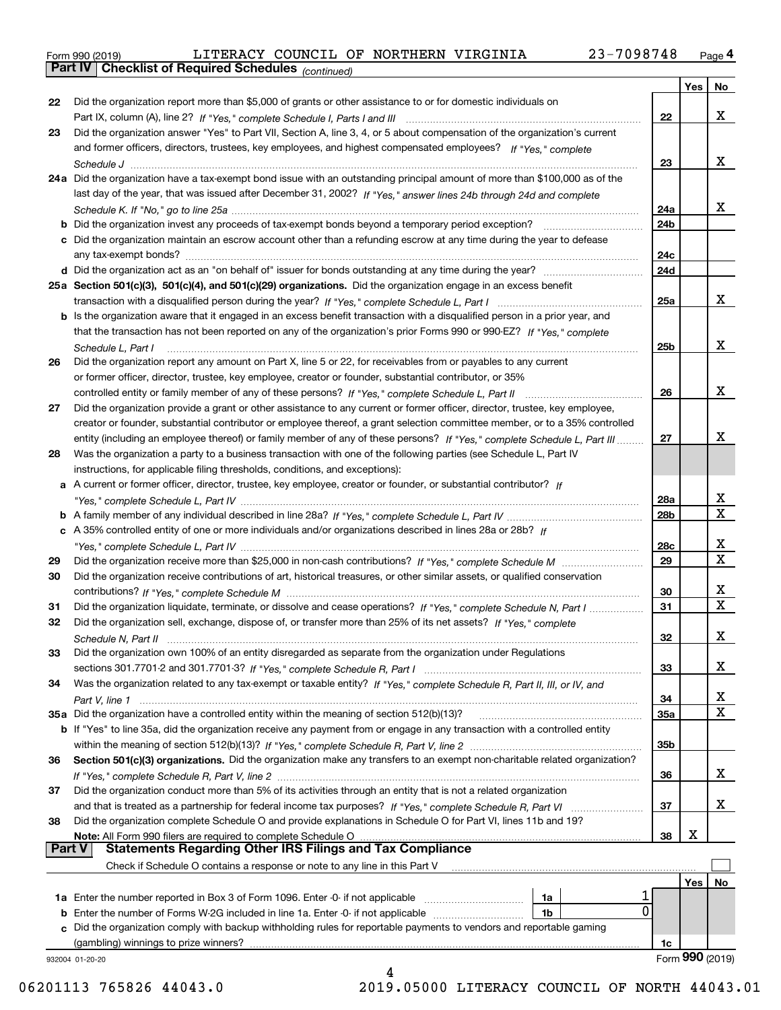|  | Form 990 (2019) |  |
|--|-----------------|--|
|  |                 |  |

*(continued)*

|               |                                                                                                                              |     | Yes | No               |
|---------------|------------------------------------------------------------------------------------------------------------------------------|-----|-----|------------------|
| 22            | Did the organization report more than \$5,000 of grants or other assistance to or for domestic individuals on                |     |     |                  |
|               |                                                                                                                              | 22  |     | x                |
| 23            | Did the organization answer "Yes" to Part VII, Section A, line 3, 4, or 5 about compensation of the organization's current   |     |     |                  |
|               | and former officers, directors, trustees, key employees, and highest compensated employees? If "Yes," complete               |     |     |                  |
|               |                                                                                                                              | 23  |     | x                |
|               | 24a Did the organization have a tax-exempt bond issue with an outstanding principal amount of more than \$100,000 as of the  |     |     |                  |
|               | last day of the year, that was issued after December 31, 2002? If "Yes," answer lines 24b through 24d and complete           |     |     |                  |
|               |                                                                                                                              | 24a |     | x                |
|               | <b>b</b> Did the organization invest any proceeds of tax-exempt bonds beyond a temporary period exception?                   | 24b |     |                  |
|               | c Did the organization maintain an escrow account other than a refunding escrow at any time during the year to defease       |     |     |                  |
|               |                                                                                                                              |     |     |                  |
|               |                                                                                                                              | 24c |     |                  |
|               |                                                                                                                              | 24d |     |                  |
|               | 25a Section 501(c)(3), 501(c)(4), and 501(c)(29) organizations. Did the organization engage in an excess benefit             |     |     |                  |
|               |                                                                                                                              | 25a |     | х                |
|               | b Is the organization aware that it engaged in an excess benefit transaction with a disqualified person in a prior year, and |     |     |                  |
|               | that the transaction has not been reported on any of the organization's prior Forms 990 or 990-EZ? If "Yes," complete        |     |     |                  |
|               | Schedule L, Part I                                                                                                           | 25b |     | х                |
| 26            | Did the organization report any amount on Part X, line 5 or 22, for receivables from or payables to any current              |     |     |                  |
|               | or former officer, director, trustee, key employee, creator or founder, substantial contributor, or 35%                      |     |     |                  |
|               |                                                                                                                              | 26  |     | х                |
| 27            | Did the organization provide a grant or other assistance to any current or former officer, director, trustee, key employee,  |     |     |                  |
|               | creator or founder, substantial contributor or employee thereof, a grant selection committee member, or to a 35% controlled  |     |     |                  |
|               | entity (including an employee thereof) or family member of any of these persons? If "Yes," complete Schedule L, Part III     | 27  |     | x                |
| 28            | Was the organization a party to a business transaction with one of the following parties (see Schedule L, Part IV            |     |     |                  |
|               | instructions, for applicable filing thresholds, conditions, and exceptions):                                                 |     |     |                  |
|               | a A current or former officer, director, trustee, key employee, creator or founder, or substantial contributor? If           |     |     |                  |
|               |                                                                                                                              | 28a |     | x                |
|               |                                                                                                                              | 28b |     | $\mathbf x$      |
|               | c A 35% controlled entity of one or more individuals and/or organizations described in lines 28a or 28b? If                  |     |     |                  |
|               |                                                                                                                              | 28c |     | x                |
|               |                                                                                                                              |     |     | X                |
| 29            |                                                                                                                              | 29  |     |                  |
| 30            | Did the organization receive contributions of art, historical treasures, or other similar assets, or qualified conservation  |     |     |                  |
|               |                                                                                                                              | 30  |     | х<br>$\mathbf X$ |
| 31            | Did the organization liquidate, terminate, or dissolve and cease operations? If "Yes," complete Schedule N, Part I           | 31  |     |                  |
| 32            | Did the organization sell, exchange, dispose of, or transfer more than 25% of its net assets? If "Yes," complete             |     |     |                  |
|               | Schedule N, Part II                                                                                                          | 32  |     | х                |
| 33            | Did the organization own 100% of an entity disregarded as separate from the organization under Regulations                   |     |     |                  |
|               |                                                                                                                              | 33  |     | х                |
| 34            | Was the organization related to any tax-exempt or taxable entity? If "Yes," complete Schedule R, Part II, III, or IV, and    |     |     |                  |
|               |                                                                                                                              | 34  |     | х                |
|               | 35a Did the organization have a controlled entity within the meaning of section 512(b)(13)?                                  | 35a |     | X                |
|               | b If "Yes" to line 35a, did the organization receive any payment from or engage in any transaction with a controlled entity  |     |     |                  |
|               |                                                                                                                              | 35b |     |                  |
| 36            | Section 501(c)(3) organizations. Did the organization make any transfers to an exempt non-charitable related organization?   |     |     |                  |
|               |                                                                                                                              | 36  |     | х                |
| 37            | Did the organization conduct more than 5% of its activities through an entity that is not a related organization             |     |     |                  |
|               | and that is treated as a partnership for federal income tax purposes? If "Yes," complete Schedule R, Part VI                 | 37  |     | х                |
| 38            | Did the organization complete Schedule O and provide explanations in Schedule O for Part VI, lines 11b and 19?               |     |     |                  |
|               | Note: All Form 990 filers are required to complete Schedule O                                                                | 38  | X   |                  |
| <b>Part V</b> | <b>Statements Regarding Other IRS Filings and Tax Compliance</b>                                                             |     |     |                  |
|               | Check if Schedule O contains a response or note to any line in this Part V                                                   |     |     |                  |
|               |                                                                                                                              |     | Yes | No               |
|               | 1a                                                                                                                           |     |     |                  |
|               | 0<br><b>b</b> Enter the number of Forms W-2G included in line 1a. Enter -0- if not applicable<br>1b                          |     |     |                  |
|               | c Did the organization comply with backup withholding rules for reportable payments to vendors and reportable gaming         |     |     |                  |
|               | (gambling) winnings to prize winners?                                                                                        |     |     |                  |
|               |                                                                                                                              | 1c  |     | Form 990 (2019)  |
|               | 932004 01-20-20                                                                                                              |     |     |                  |

06201113 765826 44043.0 2019.05000 LITERACY COUNCIL OF NORTH 44043.01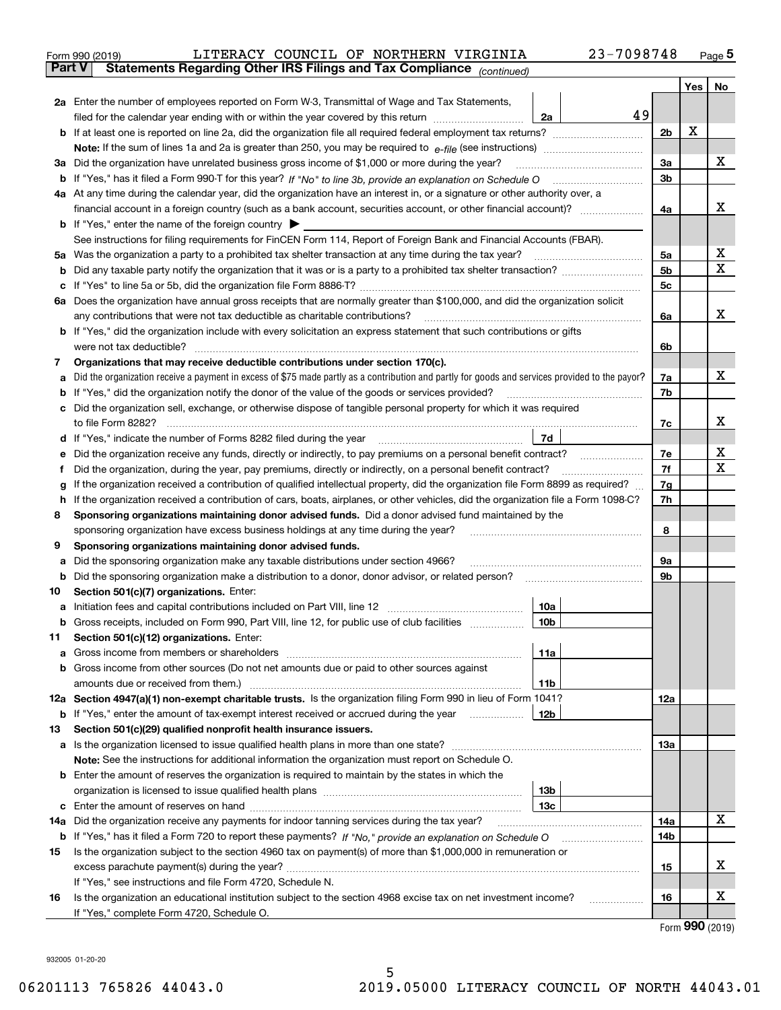|               | 23-7098748<br>LITERACY COUNCIL OF NORTHERN VIRGINIA<br>Form 990 (2019)                                                                                                                  |          |     | $_{\text{Page}}$ 5 |
|---------------|-----------------------------------------------------------------------------------------------------------------------------------------------------------------------------------------|----------|-----|--------------------|
| <b>Part V</b> | Statements Regarding Other IRS Filings and Tax Compliance (continued)                                                                                                                   |          |     |                    |
|               |                                                                                                                                                                                         |          | Yes | No                 |
|               | 2a Enter the number of employees reported on Form W-3, Transmittal of Wage and Tax Statements,                                                                                          |          |     |                    |
|               | 49<br>filed for the calendar year ending with or within the year covered by this return<br>2a                                                                                           |          |     |                    |
|               |                                                                                                                                                                                         | 2b       | х   |                    |
|               |                                                                                                                                                                                         |          |     |                    |
|               | 3a Did the organization have unrelated business gross income of \$1,000 or more during the year?                                                                                        | 3a       |     | х                  |
|               |                                                                                                                                                                                         | 3b       |     |                    |
|               | 4a At any time during the calendar year, did the organization have an interest in, or a signature or other authority over, a                                                            |          |     |                    |
|               | financial account in a foreign country (such as a bank account, securities account, or other financial account)?                                                                        | 4a       |     | x                  |
|               | <b>b</b> If "Yes," enter the name of the foreign country $\blacktriangleright$                                                                                                          |          |     |                    |
|               | See instructions for filing requirements for FinCEN Form 114, Report of Foreign Bank and Financial Accounts (FBAR).                                                                     |          |     |                    |
|               |                                                                                                                                                                                         | 5a       |     | х                  |
| b             |                                                                                                                                                                                         | 5b       |     | X                  |
| c             |                                                                                                                                                                                         | 5c       |     |                    |
|               | 6a Does the organization have annual gross receipts that are normally greater than \$100,000, and did the organization solicit                                                          |          |     |                    |
|               |                                                                                                                                                                                         | 6a       |     | х                  |
|               | <b>b</b> If "Yes," did the organization include with every solicitation an express statement that such contributions or gifts                                                           |          |     |                    |
|               | were not tax deductible?                                                                                                                                                                | 6b       |     |                    |
| 7             | Organizations that may receive deductible contributions under section 170(c).                                                                                                           |          |     |                    |
| а             | Did the organization receive a payment in excess of \$75 made partly as a contribution and partly for goods and services provided to the payor?                                         | 7a       |     | х                  |
|               | <b>b</b> If "Yes," did the organization notify the donor of the value of the goods or services provided?                                                                                | 7b       |     |                    |
|               | c Did the organization sell, exchange, or otherwise dispose of tangible personal property for which it was required                                                                     |          |     |                    |
|               |                                                                                                                                                                                         | 7c       |     | х                  |
|               | 7d                                                                                                                                                                                      |          |     |                    |
| е             |                                                                                                                                                                                         | 7е       |     | х                  |
| f             | Did the organization, during the year, pay premiums, directly or indirectly, on a personal benefit contract?                                                                            | 7f       |     | х                  |
| g             | If the organization received a contribution of qualified intellectual property, did the organization file Form 8899 as required?                                                        | 7g       |     |                    |
| h.            | If the organization received a contribution of cars, boats, airplanes, or other vehicles, did the organization file a Form 1098-C?                                                      | 7h       |     |                    |
| 8             | Sponsoring organizations maintaining donor advised funds. Did a donor advised fund maintained by the                                                                                    |          |     |                    |
|               | sponsoring organization have excess business holdings at any time during the year?                                                                                                      | 8        |     |                    |
| 9             | Sponsoring organizations maintaining donor advised funds.                                                                                                                               |          |     |                    |
| а             | Did the sponsoring organization make any taxable distributions under section 4966?<br>Did the sponsoring organization make a distribution to a donor, donor advisor, or related person? | 9а<br>9b |     |                    |
| b<br>10       | Section 501(c)(7) organizations. Enter:                                                                                                                                                 |          |     |                    |
|               | 10a<br>a Initiation fees and capital contributions included on Part VIII, line 12 [111] [11] [11] Initiation fees and capital contributions included on Part VIII, line 12              |          |     |                    |
|               | 10 <sub>b</sub>  <br>Gross receipts, included on Form 990, Part VIII, line 12, for public use of club facilities                                                                        |          |     |                    |
| 11            | Section 501(c)(12) organizations. Enter:                                                                                                                                                |          |     |                    |
| a             | 11a                                                                                                                                                                                     |          |     |                    |
|               | b Gross income from other sources (Do not net amounts due or paid to other sources against                                                                                              |          |     |                    |
|               | <b>11b</b>                                                                                                                                                                              |          |     |                    |
|               | 12a Section 4947(a)(1) non-exempt charitable trusts. Is the organization filing Form 990 in lieu of Form 1041?                                                                          | 12a      |     |                    |
|               | 12b<br><b>b</b> If "Yes," enter the amount of tax-exempt interest received or accrued during the year <i>manument</i>                                                                   |          |     |                    |
| 13            | Section 501(c)(29) qualified nonprofit health insurance issuers.                                                                                                                        |          |     |                    |
|               | a Is the organization licensed to issue qualified health plans in more than one state?                                                                                                  | 13a      |     |                    |
|               | Note: See the instructions for additional information the organization must report on Schedule O.                                                                                       |          |     |                    |
|               | <b>b</b> Enter the amount of reserves the organization is required to maintain by the states in which the                                                                               |          |     |                    |
|               | 13b                                                                                                                                                                                     |          |     |                    |
|               | 13с                                                                                                                                                                                     |          |     |                    |
| 14a           | Did the organization receive any payments for indoor tanning services during the tax year?                                                                                              | 14a      |     | х                  |
|               | <b>b</b> If "Yes," has it filed a Form 720 to report these payments? If "No," provide an explanation on Schedule O                                                                      | 14b      |     |                    |
| 15            | Is the organization subject to the section 4960 tax on payment(s) of more than \$1,000,000 in remuneration or                                                                           |          |     |                    |
|               |                                                                                                                                                                                         | 15       |     | x                  |
|               | If "Yes," see instructions and file Form 4720, Schedule N.                                                                                                                              |          |     |                    |
| 16            | Is the organization an educational institution subject to the section 4968 excise tax on net investment income?                                                                         | 16       |     | х                  |
|               | If "Yes," complete Form 4720, Schedule O.                                                                                                                                               |          |     |                    |

Form (2019) **990**

932005 01-20-20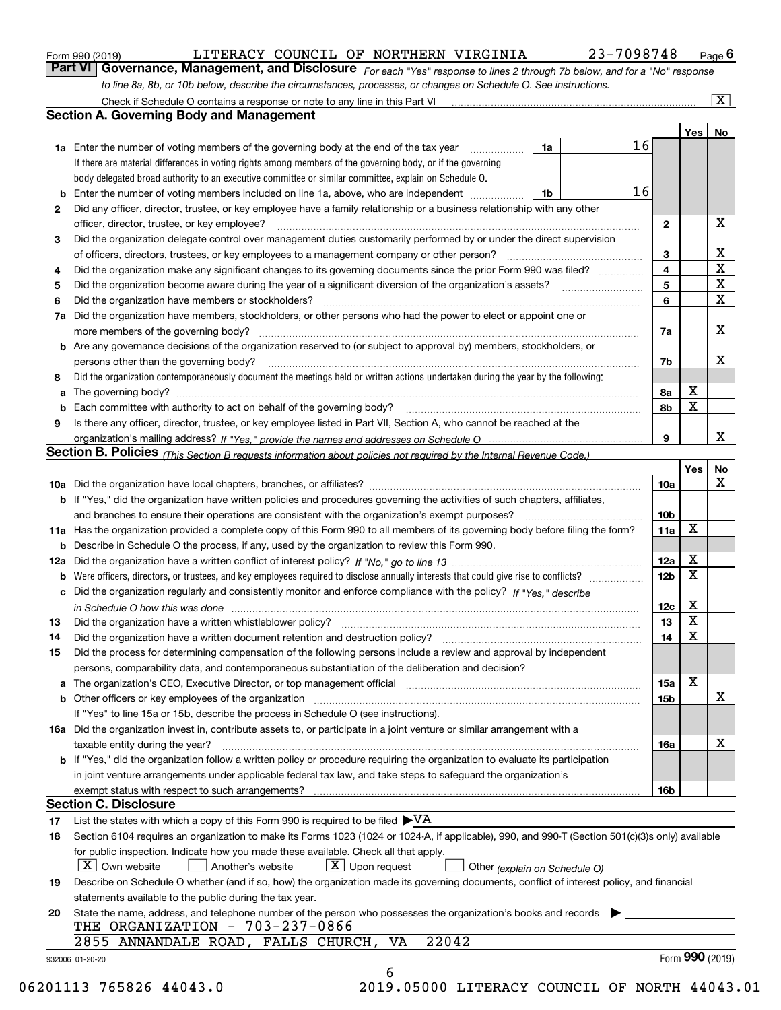|  | Form 990 (2019) |
|--|-----------------|
|  |                 |

| Form 990 (2019) |  |  | LITERACY COUNCIL OF NORTHERN VIRGINIA |                                                                                                                  | 23-7098748                                                                                                                    | $P_{\text{aqe}}$ 6 |
|-----------------|--|--|---------------------------------------|------------------------------------------------------------------------------------------------------------------|-------------------------------------------------------------------------------------------------------------------------------|--------------------|
|                 |  |  |                                       |                                                                                                                  | Part VI   Governance, Management, and Disclosure For each "Yes" response to lines 2 through 7b below, and for a "No" response |                    |
|                 |  |  |                                       | to line 8a, 8b, or 10b below, describe the circumstances, processes, or changes on Schedule O. See instructions. |                                                                                                                               |                    |

|              |                                                                                                                                                                               |    |    |                         | Yes | No                      |
|--------------|-------------------------------------------------------------------------------------------------------------------------------------------------------------------------------|----|----|-------------------------|-----|-------------------------|
|              | <b>1a</b> Enter the number of voting members of the governing body at the end of the tax year                                                                                 | 1a | 16 |                         |     |                         |
|              | If there are material differences in voting rights among members of the governing body, or if the governing                                                                   |    |    |                         |     |                         |
|              | body delegated broad authority to an executive committee or similar committee, explain on Schedule O.                                                                         |    |    |                         |     |                         |
|              |                                                                                                                                                                               | 1b | 16 |                         |     |                         |
| $\mathbf{2}$ | Did any officer, director, trustee, or key employee have a family relationship or a business relationship with any other                                                      |    |    |                         |     |                         |
|              | officer, director, trustee, or key employee?                                                                                                                                  |    |    | $\mathbf{2}$            |     | X                       |
| 3            | Did the organization delegate control over management duties customarily performed by or under the direct supervision                                                         |    |    |                         |     |                         |
|              |                                                                                                                                                                               |    |    | 3                       |     | X                       |
| 4            | Did the organization make any significant changes to its governing documents since the prior Form 990 was filed?                                                              |    |    | $\overline{\mathbf{4}}$ |     | $\overline{\textbf{X}}$ |
| 5            |                                                                                                                                                                               |    |    | 5                       |     | $\mathbf X$             |
| 6            | Did the organization have members or stockholders?                                                                                                                            |    |    | 6                       |     | $\mathbf x$             |
|              | 7a Did the organization have members, stockholders, or other persons who had the power to elect or appoint one or                                                             |    |    |                         |     |                         |
|              |                                                                                                                                                                               |    |    | 7a                      |     | x                       |
|              | <b>b</b> Are any governance decisions of the organization reserved to (or subject to approval by) members, stockholders, or                                                   |    |    |                         |     |                         |
|              | persons other than the governing body?                                                                                                                                        |    |    | 7b                      |     | х                       |
| 8            | Did the organization contemporaneously document the meetings held or written actions undertaken during the year by the following:                                             |    |    |                         |     |                         |
| a            |                                                                                                                                                                               |    |    | 8a                      | X   |                         |
|              |                                                                                                                                                                               |    |    | 8b                      | X   |                         |
| 9            | Is there any officer, director, trustee, or key employee listed in Part VII, Section A, who cannot be reached at the                                                          |    |    |                         |     |                         |
|              |                                                                                                                                                                               |    |    | 9                       |     | х                       |
|              | Section B. Policies (This Section B requests information about policies not required by the Internal Revenue Code.)                                                           |    |    |                         |     |                         |
|              |                                                                                                                                                                               |    |    |                         | Yes | No                      |
|              |                                                                                                                                                                               |    |    | 10a                     |     | X                       |
|              | <b>b</b> If "Yes," did the organization have written policies and procedures governing the activities of such chapters, affiliates,                                           |    |    |                         |     |                         |
|              |                                                                                                                                                                               |    |    |                         |     |                         |
|              |                                                                                                                                                                               |    |    | 10 <sub>b</sub>         | X   |                         |
|              | 11a Has the organization provided a complete copy of this Form 990 to all members of its governing body before filing the form?                                               |    |    | 11a                     |     |                         |
|              | <b>b</b> Describe in Schedule O the process, if any, used by the organization to review this Form 990.                                                                        |    |    |                         |     |                         |
|              |                                                                                                                                                                               |    |    | 12a                     | X   |                         |
| b            |                                                                                                                                                                               |    |    | 12b                     | X   |                         |
|              | c Did the organization regularly and consistently monitor and enforce compliance with the policy? If "Yes," describe                                                          |    |    |                         |     |                         |
|              | in Schedule O how this was done manufactured and continuum control of the Schedule O how this was done manufactured and continuum control of the Schedule O how this was done |    |    | 12c                     | х   |                         |
| 13           |                                                                                                                                                                               |    |    | 13                      | X   |                         |
| 14           | Did the organization have a written document retention and destruction policy? manufactured and the organization have a written document retention and destruction policy?    |    |    | 14                      | X   |                         |
| 15           | Did the process for determining compensation of the following persons include a review and approval by independent                                                            |    |    |                         |     |                         |
|              | persons, comparability data, and contemporaneous substantiation of the deliberation and decision?                                                                             |    |    |                         |     |                         |
|              |                                                                                                                                                                               |    |    | 15a                     | X   |                         |
|              |                                                                                                                                                                               |    |    | 15 <sub>b</sub>         |     | X                       |
|              | If "Yes" to line 15a or 15b, describe the process in Schedule O (see instructions).                                                                                           |    |    |                         |     |                         |
|              | 16a Did the organization invest in, contribute assets to, or participate in a joint venture or similar arrangement with a                                                     |    |    |                         |     |                         |
|              | taxable entity during the year?                                                                                                                                               |    |    | 16a                     |     | X                       |
|              | b If "Yes," did the organization follow a written policy or procedure requiring the organization to evaluate its participation                                                |    |    |                         |     |                         |
|              | in joint venture arrangements under applicable federal tax law, and take steps to safeguard the organization's                                                                |    |    |                         |     |                         |
|              |                                                                                                                                                                               |    |    | 16b                     |     |                         |
|              | <b>Section C. Disclosure</b>                                                                                                                                                  |    |    |                         |     |                         |
| 17           | List the states with which a copy of this Form 990 is required to be filed $\blacktriangleright\text{VA}$                                                                     |    |    |                         |     |                         |
| 18           | Section 6104 requires an organization to make its Forms 1023 (1024 or 1024-A, if applicable), 990, and 990-T (Section 501(c)(3)s only) available                              |    |    |                         |     |                         |
|              | for public inspection. Indicate how you made these available. Check all that apply.                                                                                           |    |    |                         |     |                         |
|              | $\lfloor X \rfloor$ Own website<br>$\lfloor x \rfloor$ Upon request<br>Another's website<br>Other (explain on Schedule O)                                                     |    |    |                         |     |                         |
| 19           | Describe on Schedule O whether (and if so, how) the organization made its governing documents, conflict of interest policy, and financial                                     |    |    |                         |     |                         |
|              | statements available to the public during the tax year.                                                                                                                       |    |    |                         |     |                         |
| 20           | State the name, address, and telephone number of the person who possesses the organization's books and records                                                                |    |    |                         |     |                         |
|              | THE ORGANIZATION - 703-237-0866                                                                                                                                               |    |    |                         |     |                         |
|              | 22042<br>2855 ANNANDALE ROAD, FALLS CHURCH, VA                                                                                                                                |    |    |                         |     |                         |
|              |                                                                                                                                                                               |    |    |                         |     | Form 990 (2019)         |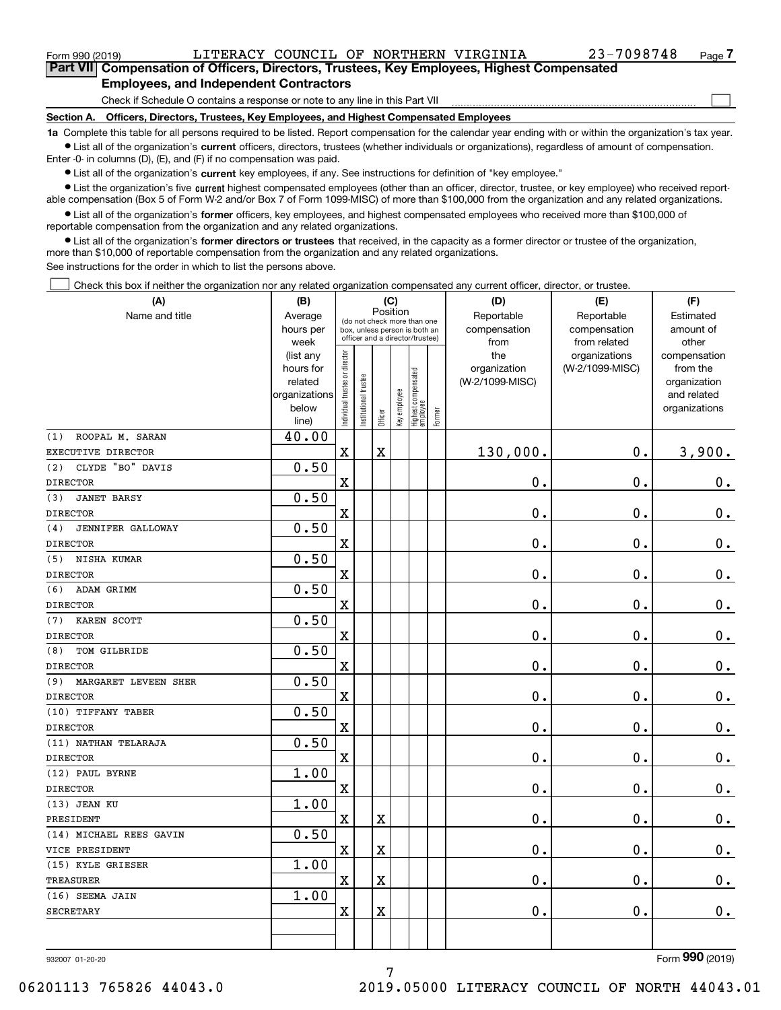$\mathcal{L}^{\text{max}}$ 

| Form 990 (2019) |                                                                                            |  | LITERACY COUNCIL OF NORTHERN VIRGINIA | 23-7098748 | Page 7 |
|-----------------|--------------------------------------------------------------------------------------------|--|---------------------------------------|------------|--------|
|                 | Part VII Compensation of Officers, Directors, Trustees, Key Employees, Highest Compensated |  |                                       |            |        |
|                 | <b>Employees, and Independent Contractors</b>                                              |  |                                       |            |        |

Check if Schedule O contains a response or note to any line in this Part VII

**Section A. Officers, Directors, Trustees, Key Employees, and Highest Compensated Employees**

**1a**  Complete this table for all persons required to be listed. Report compensation for the calendar year ending with or within the organization's tax year. **•** List all of the organization's current officers, directors, trustees (whether individuals or organizations), regardless of amount of compensation.

Enter -0- in columns (D), (E), and (F) if no compensation was paid.

 $\bullet$  List all of the organization's  $\,$ current key employees, if any. See instructions for definition of "key employee."

**•** List the organization's five current highest compensated employees (other than an officer, director, trustee, or key employee) who received reportable compensation (Box 5 of Form W-2 and/or Box 7 of Form 1099-MISC) of more than \$100,000 from the organization and any related organizations.

**•** List all of the organization's former officers, key employees, and highest compensated employees who received more than \$100,000 of reportable compensation from the organization and any related organizations.

**former directors or trustees**  ¥ List all of the organization's that received, in the capacity as a former director or trustee of the organization, more than \$10,000 of reportable compensation from the organization and any related organizations.

See instructions for the order in which to list the persons above.

Check this box if neither the organization nor any related organization compensated any current officer, director, or trustee.  $\mathcal{L}^{\text{max}}$ 

| (A)                         | (B)                    |                               |                                                                  | (C)<br>Position |              |                                  |        | (D)             | (E)             | (F)                          |
|-----------------------------|------------------------|-------------------------------|------------------------------------------------------------------|-----------------|--------------|----------------------------------|--------|-----------------|-----------------|------------------------------|
| Name and title              | Average                | (do not check more than one   |                                                                  |                 |              |                                  |        | Reportable      | Reportable      | Estimated                    |
|                             | hours per              |                               | box, unless person is both an<br>officer and a director/trustee) |                 |              |                                  |        | compensation    | compensation    | amount of                    |
|                             | week                   |                               |                                                                  |                 |              |                                  |        | from            | from related    | other                        |
|                             | (list any              |                               |                                                                  |                 |              |                                  |        | the             | organizations   | compensation                 |
|                             | hours for              |                               |                                                                  |                 |              |                                  |        | organization    | (W-2/1099-MISC) | from the                     |
|                             | related                |                               |                                                                  |                 |              |                                  |        | (W-2/1099-MISC) |                 | organization                 |
|                             | organizations<br>below |                               |                                                                  |                 |              |                                  |        |                 |                 | and related<br>organizations |
|                             | line)                  | ndividual trustee or director | nstitutional trustee                                             | Officer         | Key employee | Highest compensated<br> employee | Former |                 |                 |                              |
| (1)<br>ROOPAL M. SARAN      | 40.00                  |                               |                                                                  |                 |              |                                  |        |                 |                 |                              |
| EXECUTIVE DIRECTOR          |                        | $\rm X$                       |                                                                  | $\mathbf X$     |              |                                  |        | 130,000.        | $\mathbf{0}$ .  | 3,900.                       |
| CLYDE "BO" DAVIS<br>(2)     | 0.50                   |                               |                                                                  |                 |              |                                  |        |                 |                 |                              |
| <b>DIRECTOR</b>             |                        | $\bar{\mathbf{X}}$            |                                                                  |                 |              |                                  |        | 0.              | $\mathbf 0$ .   | $\mathbf 0$ .                |
| <b>JANET BARSY</b><br>(3)   | 0.50                   |                               |                                                                  |                 |              |                                  |        |                 |                 |                              |
| <b>DIRECTOR</b>             |                        | $\rm X$                       |                                                                  |                 |              |                                  |        | $\mathbf 0$ .   | $\mathbf 0$ .   | $0_{.}$                      |
| JENNIFER GALLOWAY<br>(4)    | 0.50                   |                               |                                                                  |                 |              |                                  |        |                 |                 |                              |
| <b>DIRECTOR</b>             |                        | $\overline{\mathbf{X}}$       |                                                                  |                 |              |                                  |        | 0.              | 0.              | $\mathbf 0$ .                |
| (5)<br>NISHA KUMAR          | 0.50                   |                               |                                                                  |                 |              |                                  |        |                 |                 |                              |
| <b>DIRECTOR</b>             |                        | $\rm X$                       |                                                                  |                 |              |                                  |        | 0.              | $\mathbf 0$ .   | $0_{.}$                      |
| (6)<br>ADAM GRIMM           | 0.50                   |                               |                                                                  |                 |              |                                  |        |                 |                 |                              |
| <b>DIRECTOR</b>             |                        | $\overline{\textbf{X}}$       |                                                                  |                 |              |                                  |        | $\mathbf 0$ .   | $\mathbf 0$ .   | $\mathbf 0$ .                |
| KAREN SCOTT<br>(7)          | 0.50                   |                               |                                                                  |                 |              |                                  |        |                 |                 |                              |
| <b>DIRECTOR</b>             |                        | $\mathbf X$                   |                                                                  |                 |              |                                  |        | $\mathbf 0$ .   | $\mathbf 0$ .   | $\mathbf 0$ .                |
| TOM GILBRIDE<br>(8)         | 0.50                   |                               |                                                                  |                 |              |                                  |        |                 |                 |                              |
| <b>DIRECTOR</b>             |                        | $\mathbf X$                   |                                                                  |                 |              |                                  |        | 0.              | 0.              | $\mathbf 0$ .                |
| (9)<br>MARGARET LEVEEN SHER | 0.50                   |                               |                                                                  |                 |              |                                  |        |                 |                 |                              |
| <b>DIRECTOR</b>             |                        | $\mathbf X$                   |                                                                  |                 |              |                                  |        | 0.              | $\mathbf 0$ .   | $0_{.}$                      |
| (10) TIFFANY TABER          | 0.50                   |                               |                                                                  |                 |              |                                  |        |                 |                 |                              |
| <b>DIRECTOR</b>             |                        | $\overline{\textbf{X}}$       |                                                                  |                 |              |                                  |        | 0.              | $\mathbf 0$ .   | 0.                           |
| (11) NATHAN TELARAJA        | 0.50                   |                               |                                                                  |                 |              |                                  |        |                 |                 |                              |
| <b>DIRECTOR</b>             |                        | $\rm X$                       |                                                                  |                 |              |                                  |        | 0.              | $\mathbf 0$ .   | $0$ .                        |
| (12) PAUL BYRNE             | 1.00                   |                               |                                                                  |                 |              |                                  |        |                 |                 |                              |
| <b>DIRECTOR</b>             |                        | $\mathbf X$                   |                                                                  |                 |              |                                  |        | 0.              | $\mathbf 0$ .   | $\mathbf 0$ .                |
| (13) JEAN KU                | 1.00                   |                               |                                                                  |                 |              |                                  |        |                 |                 |                              |
| PRESIDENT                   |                        | $\rm X$                       |                                                                  | $\mathbf X$     |              |                                  |        | 0.              | $\mathbf 0$ .   | 0.                           |
| (14) MICHAEL REES GAVIN     | 0.50                   |                               |                                                                  |                 |              |                                  |        |                 |                 |                              |
| VICE PRESIDENT              |                        | $\rm X$                       |                                                                  | $\mathbf X$     |              |                                  |        | 0.              | 0.              | 0.                           |
| (15) KYLE GRIESER           | 1.00                   |                               |                                                                  |                 |              |                                  |        |                 |                 |                              |
| TREASURER                   |                        | $\overline{\textbf{X}}$       |                                                                  | $\mathbf X$     |              |                                  |        | 0.              | $\mathbf 0$ .   | 0.                           |
| (16) SEEMA JAIN             | 1.00                   |                               |                                                                  |                 |              |                                  |        |                 |                 |                              |
| <b>SECRETARY</b>            |                        | $\rm X$                       |                                                                  | $\rm X$         |              |                                  |        | 0.              | $\mathbf 0$ .   | 0.                           |
|                             |                        |                               |                                                                  |                 |              |                                  |        |                 |                 |                              |
|                             |                        |                               |                                                                  |                 |              |                                  |        |                 |                 |                              |

7

932007 01-20-20

Form (2019) **990**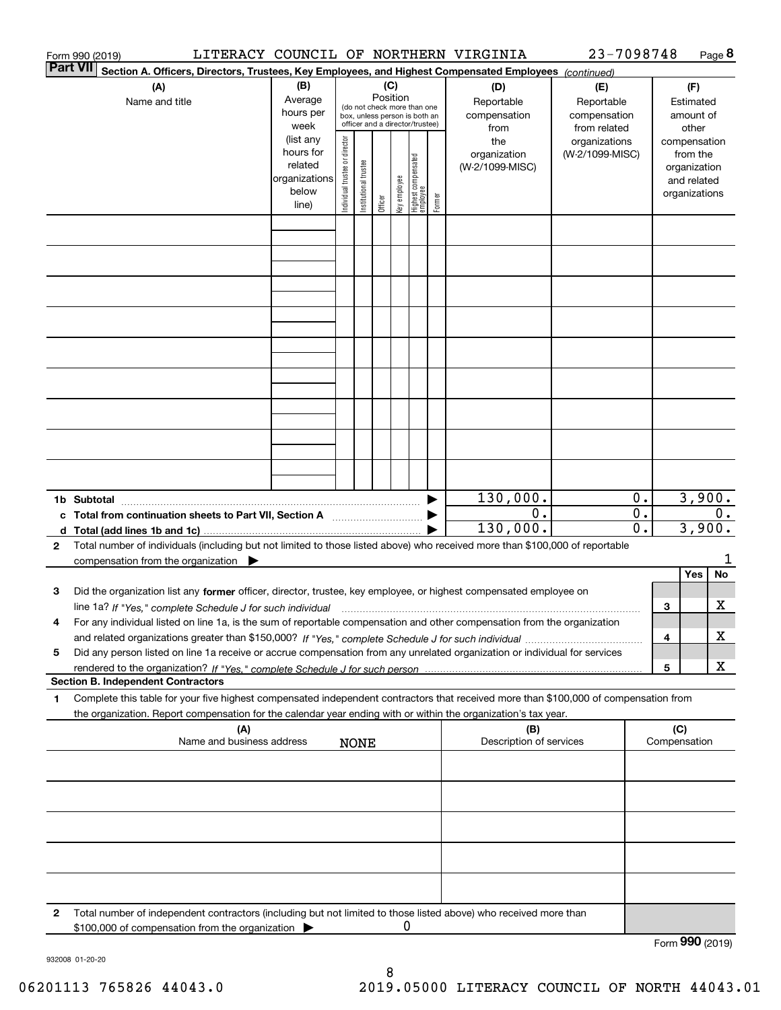|                 | Form 990 (2019)                                                                                                                                                                                                                                                      |                                                                      |                                |                       |                 |              |                                                                                                 |        | LITERACY COUNCIL OF NORTHERN VIRGINIA                                                          | 23-7098748                       |                   |                                      |                                                                          | Page 8  |
|-----------------|----------------------------------------------------------------------------------------------------------------------------------------------------------------------------------------------------------------------------------------------------------------------|----------------------------------------------------------------------|--------------------------------|-----------------------|-----------------|--------------|-------------------------------------------------------------------------------------------------|--------|------------------------------------------------------------------------------------------------|----------------------------------|-------------------|--------------------------------------|--------------------------------------------------------------------------|---------|
| <b>Part VII</b> | Section A. Officers, Directors, Trustees, Key Employees, and Highest Compensated Employees (continued)                                                                                                                                                               |                                                                      |                                |                       |                 |              |                                                                                                 |        |                                                                                                |                                  |                   |                                      |                                                                          |         |
|                 | (A)<br>Name and title                                                                                                                                                                                                                                                | (B)<br>Average<br>hours per<br>week                                  |                                |                       | (C)<br>Position |              | (do not check more than one<br>box, unless person is both an<br>officer and a director/trustee) |        | (D)<br>(E)<br>Reportable<br>Reportable<br>compensation<br>compensation<br>from related<br>from |                                  |                   |                                      | (F)<br>Estimated<br>amount of<br>other                                   |         |
|                 |                                                                                                                                                                                                                                                                      | (list any<br>hours for<br>related<br>organizations<br>below<br>line) | Individual trustee or director | Institutional trustee | Officer         | Key employee | Highest compensated<br> employee                                                                | Former | the<br>organization<br>(W-2/1099-MISC)                                                         | organizations<br>(W-2/1099-MISC) |                   |                                      | compensation<br>from the<br>organization<br>and related<br>organizations |         |
|                 |                                                                                                                                                                                                                                                                      |                                                                      |                                |                       |                 |              |                                                                                                 |        |                                                                                                |                                  |                   |                                      |                                                                          |         |
|                 |                                                                                                                                                                                                                                                                      |                                                                      |                                |                       |                 |              |                                                                                                 |        |                                                                                                |                                  |                   |                                      |                                                                          |         |
|                 |                                                                                                                                                                                                                                                                      |                                                                      |                                |                       |                 |              |                                                                                                 |        |                                                                                                |                                  |                   |                                      |                                                                          |         |
|                 |                                                                                                                                                                                                                                                                      |                                                                      |                                |                       |                 |              |                                                                                                 |        |                                                                                                |                                  |                   |                                      |                                                                          |         |
|                 |                                                                                                                                                                                                                                                                      |                                                                      |                                |                       |                 |              |                                                                                                 |        |                                                                                                |                                  |                   |                                      |                                                                          |         |
|                 |                                                                                                                                                                                                                                                                      |                                                                      |                                |                       |                 |              |                                                                                                 |        |                                                                                                |                                  |                   |                                      |                                                                          |         |
|                 | c Total from continuation sheets to Part VII, Section A                                                                                                                                                                                                              |                                                                      |                                |                       |                 |              |                                                                                                 |        | 130,000.<br>0.<br>130,000.                                                                     |                                  | 0.<br>$0$ .<br>0. | 3,900.<br>$\overline{0}$ .<br>3,900. |                                                                          |         |
| $\mathbf{2}$    | Total number of individuals (including but not limited to those listed above) who received more than \$100,000 of reportable                                                                                                                                         |                                                                      |                                |                       |                 |              |                                                                                                 |        |                                                                                                |                                  |                   |                                      |                                                                          |         |
|                 | compensation from the organization $\blacktriangleright$                                                                                                                                                                                                             |                                                                      |                                |                       |                 |              |                                                                                                 |        |                                                                                                |                                  |                   |                                      | Yes                                                                      | 1<br>No |
| 3               | Did the organization list any former officer, director, trustee, key employee, or highest compensated employee on<br>line 1a? If "Yes," complete Schedule J for such individual manufactured contained and the 1a? If "Yes," complete Schedule J for such individual |                                                                      |                                |                       |                 |              |                                                                                                 |        |                                                                                                |                                  |                   | 3                                    |                                                                          | X       |
|                 | For any individual listed on line 1a, is the sum of reportable compensation and other compensation from the organization                                                                                                                                             |                                                                      |                                |                       |                 |              |                                                                                                 |        |                                                                                                |                                  |                   | 4                                    |                                                                          | х       |
| 5               | Did any person listed on line 1a receive or accrue compensation from any unrelated organization or individual for services                                                                                                                                           |                                                                      |                                |                       |                 |              |                                                                                                 |        |                                                                                                |                                  |                   |                                      |                                                                          | х       |
|                 | <b>Section B. Independent Contractors</b>                                                                                                                                                                                                                            |                                                                      |                                |                       |                 |              |                                                                                                 |        |                                                                                                |                                  |                   | 5                                    |                                                                          |         |
| 1               | Complete this table for your five highest compensated independent contractors that received more than \$100,000 of compensation from<br>the organization. Report compensation for the calendar year ending with or within the organization's tax year.               |                                                                      |                                |                       |                 |              |                                                                                                 |        |                                                                                                |                                  |                   |                                      |                                                                          |         |
|                 | (A)<br>Name and business address                                                                                                                                                                                                                                     |                                                                      |                                | <b>NONE</b>           |                 |              |                                                                                                 |        | (B)<br>Description of services                                                                 |                                  |                   | (C)<br>Compensation                  |                                                                          |         |
|                 |                                                                                                                                                                                                                                                                      |                                                                      |                                |                       |                 |              |                                                                                                 |        |                                                                                                |                                  |                   |                                      |                                                                          |         |
|                 |                                                                                                                                                                                                                                                                      |                                                                      |                                |                       |                 |              |                                                                                                 |        |                                                                                                |                                  |                   |                                      |                                                                          |         |
|                 |                                                                                                                                                                                                                                                                      |                                                                      |                                |                       |                 |              |                                                                                                 |        |                                                                                                |                                  |                   |                                      |                                                                          |         |
|                 |                                                                                                                                                                                                                                                                      |                                                                      |                                |                       |                 |              |                                                                                                 |        |                                                                                                |                                  |                   |                                      |                                                                          |         |
| $\mathbf{2}$    | Total number of independent contractors (including but not limited to those listed above) who received more than<br>\$100,000 of compensation from the organization                                                                                                  |                                                                      |                                |                       |                 | 0            |                                                                                                 |        |                                                                                                |                                  |                   |                                      | $000 \times 20$                                                          |         |

Form (2019) **990**

932008 01-20-20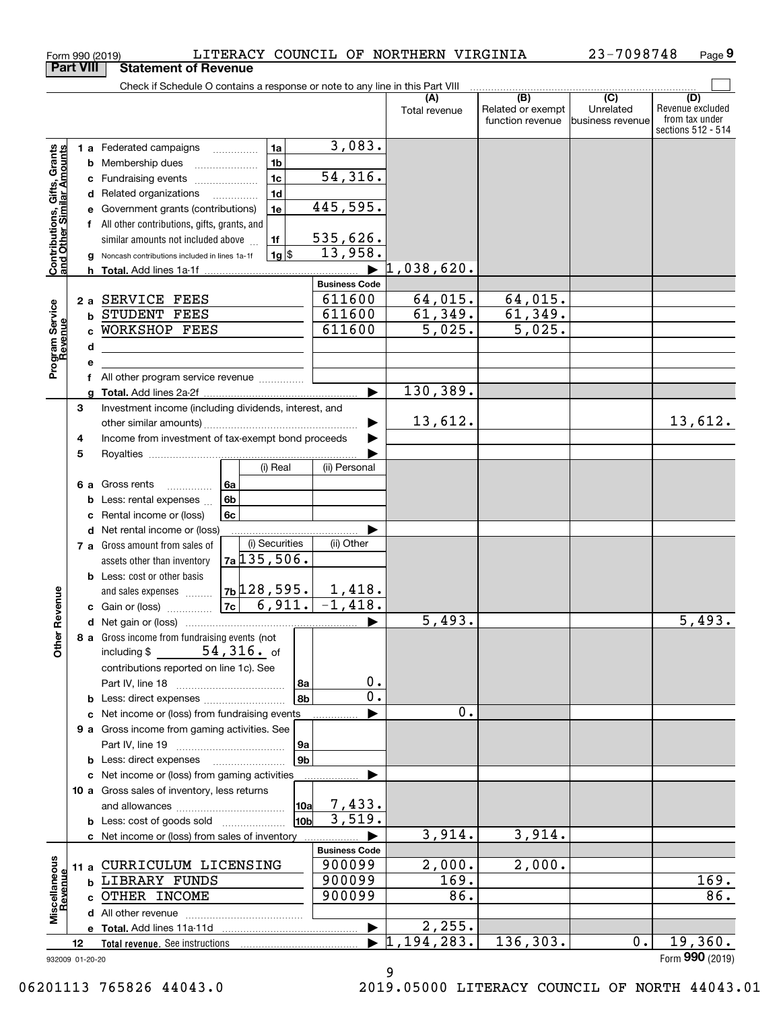|                                                           |                  | Form 990 (2019)                                                               |                        |                       | LITERACY COUNCIL OF NORTHERN VIRGINIA |                                       | 23-7098748                    | Page 9                                                   |
|-----------------------------------------------------------|------------------|-------------------------------------------------------------------------------|------------------------|-----------------------|---------------------------------------|---------------------------------------|-------------------------------|----------------------------------------------------------|
|                                                           | <b>Part VIII</b> | <b>Statement of Revenue</b>                                                   |                        |                       |                                       |                                       |                               |                                                          |
|                                                           |                  | Check if Schedule O contains a response or note to any line in this Part VIII |                        |                       | (A)                                   | (B)                                   | $\overline{(C)}$              | (D)                                                      |
|                                                           |                  |                                                                               |                        |                       | Total revenue                         | Related or exempt<br>function revenue | Unrelated<br>business revenue | Revenue excluded<br>from tax under<br>sections 512 - 514 |
|                                                           |                  | 1 a Federated campaigns                                                       | 1a                     | 3,083.                |                                       |                                       |                               |                                                          |
|                                                           | b                | Membership dues                                                               | 1 <sub>b</sub>         |                       |                                       |                                       |                               |                                                          |
| Contributions, Gifts, Grants<br>and Other Similar Amounts | с                | Fundraising events                                                            | 1 <sub>c</sub>         | 54,316.               |                                       |                                       |                               |                                                          |
|                                                           |                  | d Related organizations                                                       | 1 <sub>d</sub>         |                       |                                       |                                       |                               |                                                          |
|                                                           | е                | Government grants (contributions)                                             | 1e                     | 445,595.              |                                       |                                       |                               |                                                          |
|                                                           |                  | f All other contributions, gifts, grants, and                                 |                        |                       |                                       |                                       |                               |                                                          |
|                                                           |                  | similar amounts not included above                                            | 1f                     | 535,626.<br>13,958.   |                                       |                                       |                               |                                                          |
|                                                           | g                | Noncash contributions included in lines 1a-1f                                 | $1g$ \$                |                       | $1,038,620$ .                         |                                       |                               |                                                          |
|                                                           |                  |                                                                               |                        | <b>Business Code</b>  |                                       |                                       |                               |                                                          |
|                                                           |                  | 2 a SERVICE FEES                                                              |                        | 611600                | 64,015.                               | 64,015.                               |                               |                                                          |
| Program Service<br>Revenue                                | b                | STUDENT FEES                                                                  |                        | 611600                | 61,349.                               | 61,349.                               |                               |                                                          |
|                                                           | C                | WORKSHOP FEES                                                                 |                        | 611600                | 5,025.                                | 5,025.                                |                               |                                                          |
|                                                           | d                |                                                                               |                        |                       |                                       |                                       |                               |                                                          |
|                                                           | е                |                                                                               |                        |                       |                                       |                                       |                               |                                                          |
|                                                           | f                | All other program service revenue                                             |                        |                       |                                       |                                       |                               |                                                          |
|                                                           | a                |                                                                               |                        | ь                     | 130,389.                              |                                       |                               |                                                          |
|                                                           | 3                | Investment income (including dividends, interest, and                         |                        |                       |                                       |                                       |                               |                                                          |
|                                                           |                  |                                                                               |                        |                       | 13,612.                               |                                       |                               | 13,612.                                                  |
|                                                           | 4                | Income from investment of tax-exempt bond proceeds                            |                        |                       |                                       |                                       |                               |                                                          |
|                                                           | 5                |                                                                               |                        |                       |                                       |                                       |                               |                                                          |
|                                                           |                  |                                                                               | (i) Real               | (ii) Personal         |                                       |                                       |                               |                                                          |
|                                                           |                  | 6a<br>6 a Gross rents<br>.                                                    |                        |                       |                                       |                                       |                               |                                                          |
|                                                           | b                | 6b<br>Less: rental expenses                                                   |                        |                       |                                       |                                       |                               |                                                          |
|                                                           | c                | Rental income or (loss)<br>6c<br>Net rental income or (loss)                  |                        |                       |                                       |                                       |                               |                                                          |
|                                                           | d                | 7 a Gross amount from sales of                                                | (i) Securities         | (ii) Other            |                                       |                                       |                               |                                                          |
|                                                           |                  | $7a$ 135, 506.<br>assets other than inventory                                 |                        |                       |                                       |                                       |                               |                                                          |
|                                                           |                  | <b>b</b> Less: cost or other basis                                            |                        |                       |                                       |                                       |                               |                                                          |
|                                                           |                  | $7b$ 128, 595.<br>and sales expenses                                          |                        | $1,418$ .             |                                       |                                       |                               |                                                          |
| evenue                                                    |                  | 7c<br>c Gain or (loss)                                                        | 6,911.                 | $\overline{-1,418}$ . |                                       |                                       |                               |                                                          |
|                                                           |                  |                                                                               |                        |                       | 5,493.                                |                                       |                               | $\overline{5,493}$ .                                     |
| Other <sub>R</sub>                                        |                  | 8 a Gross income from fundraising events (not                                 |                        |                       |                                       |                                       |                               |                                                          |
|                                                           |                  | including $$54,316.$ of                                                       |                        |                       |                                       |                                       |                               |                                                          |
|                                                           |                  | contributions reported on line 1c). See                                       |                        |                       |                                       |                                       |                               |                                                          |
|                                                           |                  |                                                                               | 8a                     | 0.                    |                                       |                                       |                               |                                                          |
|                                                           |                  |                                                                               | 8b                     | $0$ .                 |                                       |                                       |                               |                                                          |
|                                                           |                  | c Net income or (loss) from fundraising events                                |                        |                       | 0.                                    |                                       |                               |                                                          |
|                                                           |                  | 9 a Gross income from gaming activities. See                                  |                        |                       |                                       |                                       |                               |                                                          |
|                                                           |                  |                                                                               | 9a                     |                       |                                       |                                       |                               |                                                          |
|                                                           |                  | <b>b</b> Less: direct expenses <b>manually</b>                                | 9 <sub>b</sub>         |                       |                                       |                                       |                               |                                                          |
|                                                           |                  | c Net income or (loss) from gaming activities                                 |                        |                       |                                       |                                       |                               |                                                          |
|                                                           |                  | 10 a Gross sales of inventory, less returns                                   |                        | 7,433.                |                                       |                                       |                               |                                                          |
|                                                           |                  | <b>b</b> Less: cost of goods sold                                             | 10a<br>10 <sub>b</sub> | 3,519.                |                                       |                                       |                               |                                                          |
|                                                           |                  | c Net income or (loss) from sales of inventory                                |                        |                       | 3,914.                                | 3,914.                                |                               |                                                          |
|                                                           |                  |                                                                               |                        | <b>Business Code</b>  |                                       |                                       |                               |                                                          |
|                                                           |                  | 11 a CURRICULUM LICENSING                                                     |                        | 900099                | 2,000.                                | 2,000.                                |                               |                                                          |
|                                                           |                  | <b>b LIBRARY FUNDS</b>                                                        |                        | 900099                | $\overline{169}$ .                    |                                       |                               | 169.                                                     |
|                                                           |                  | c OTHER INCOME                                                                |                        | 900099                | 86.                                   |                                       |                               | 86.                                                      |
| Miscellaneous<br>Revenue                                  |                  |                                                                               |                        |                       |                                       |                                       |                               |                                                          |
|                                                           |                  |                                                                               |                        | ▶                     | 2,255.                                |                                       |                               |                                                          |
|                                                           | 12               | Total revenue. See instructions                                               |                        |                       | $\overline{1,194,283}$ .              | 136,303.                              | 0.                            | 19,360.                                                  |
|                                                           | 932009 01-20-20  |                                                                               |                        |                       |                                       |                                       |                               | Form 990 (2019)                                          |

9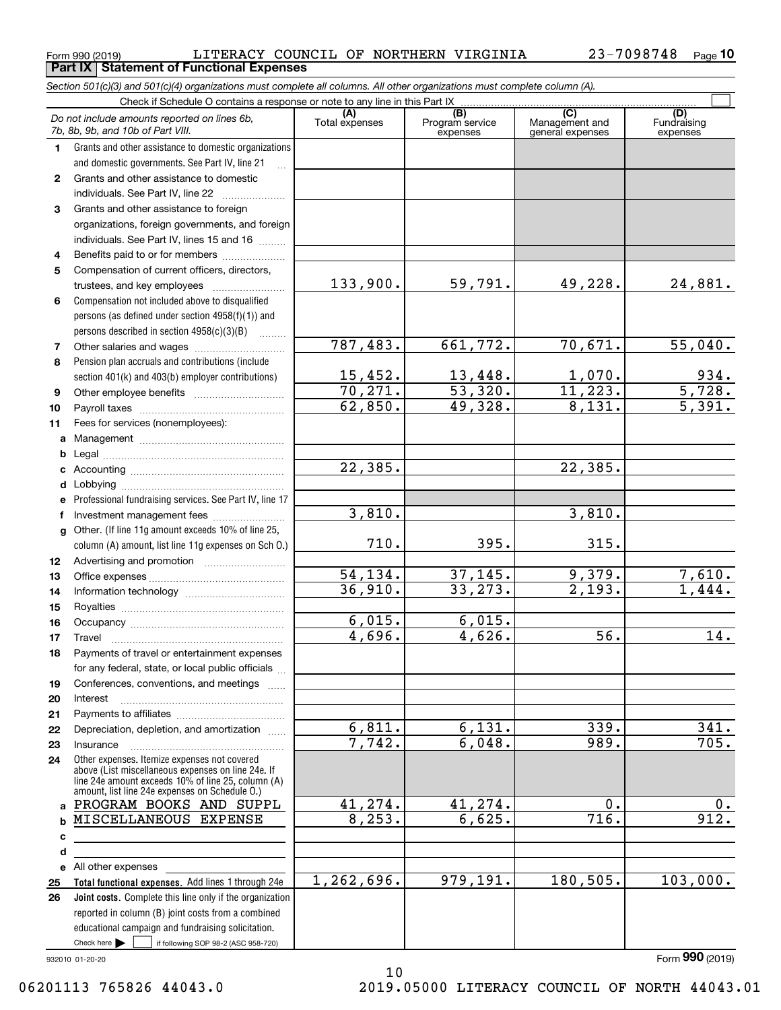$_{\rm Form}$   $_{990}$  (2019) <code>LITERACY COUNCIL OF NORTHERN VIRGINIA</code>  $_{\rm 23-7098748$   $_{\rm Page}$ **Part IX Statement of Functional Expenses**

|                  | Section 501(c)(3) and 501(c)(4) organizations must complete all columns. All other organizations must complete column (A).                                                                                 |                       |                                    |                                           |                                |
|------------------|------------------------------------------------------------------------------------------------------------------------------------------------------------------------------------------------------------|-----------------------|------------------------------------|-------------------------------------------|--------------------------------|
|                  | Check if Schedule O contains a response or note to any line in this Part IX                                                                                                                                |                       |                                    |                                           |                                |
|                  | Do not include amounts reported on lines 6b,<br>7b, 8b, 9b, and 10b of Part VIII.                                                                                                                          | (A)<br>Total expenses | (B)<br>Program service<br>expenses | (C)<br>Management and<br>general expenses | (D)<br>Fundraising<br>expenses |
| 1.               | Grants and other assistance to domestic organizations                                                                                                                                                      |                       |                                    |                                           |                                |
|                  | and domestic governments. See Part IV, line 21                                                                                                                                                             |                       |                                    |                                           |                                |
| $\mathbf{2}$     | Grants and other assistance to domestic                                                                                                                                                                    |                       |                                    |                                           |                                |
|                  | individuals. See Part IV, line 22                                                                                                                                                                          |                       |                                    |                                           |                                |
| 3                | Grants and other assistance to foreign                                                                                                                                                                     |                       |                                    |                                           |                                |
|                  | organizations, foreign governments, and foreign                                                                                                                                                            |                       |                                    |                                           |                                |
|                  | individuals. See Part IV, lines 15 and 16                                                                                                                                                                  |                       |                                    |                                           |                                |
| 4                | Benefits paid to or for members                                                                                                                                                                            |                       |                                    |                                           |                                |
| 5                | Compensation of current officers, directors,                                                                                                                                                               |                       |                                    |                                           |                                |
|                  |                                                                                                                                                                                                            | 133,900.              | 59,791.                            | 49,228.                                   | 24,881.                        |
| 6                | Compensation not included above to disqualified                                                                                                                                                            |                       |                                    |                                           |                                |
|                  | persons (as defined under section 4958(f)(1)) and                                                                                                                                                          |                       |                                    |                                           |                                |
|                  | persons described in section 4958(c)(3)(B)                                                                                                                                                                 |                       |                                    |                                           |                                |
| 7                |                                                                                                                                                                                                            | 787,483.              | 661,772.                           | 70,671.                                   | 55,040.                        |
| 8                | Pension plan accruals and contributions (include                                                                                                                                                           |                       |                                    |                                           |                                |
|                  | section 401(k) and 403(b) employer contributions)                                                                                                                                                          | 15,452.               | 13,448.                            | 1,070.                                    | $\frac{934}{5,728}$            |
| 9                |                                                                                                                                                                                                            | 70, 271.              | 53,320.                            | 11,223.                                   |                                |
| 10               |                                                                                                                                                                                                            | 62,850.               | 49,328.                            | 8,131.                                    | $\overline{5,391}$ .           |
| 11               | Fees for services (nonemployees):                                                                                                                                                                          |                       |                                    |                                           |                                |
| a                |                                                                                                                                                                                                            |                       |                                    |                                           |                                |
| b                |                                                                                                                                                                                                            |                       |                                    |                                           |                                |
| c                |                                                                                                                                                                                                            | 22, 385.              |                                    | 22,385.                                   |                                |
| d                |                                                                                                                                                                                                            |                       |                                    |                                           |                                |
| е                | Professional fundraising services. See Part IV, line 17                                                                                                                                                    |                       |                                    |                                           |                                |
| f                | Investment management fees                                                                                                                                                                                 | 3,810.                |                                    | 3,810.                                    |                                |
| g                | Other. (If line 11g amount exceeds 10% of line 25,                                                                                                                                                         |                       |                                    |                                           |                                |
|                  | column (A) amount, list line 11g expenses on Sch 0.)                                                                                                                                                       | 710.                  | 395.                               | 315.                                      |                                |
| 12 <sup>12</sup> |                                                                                                                                                                                                            |                       |                                    |                                           |                                |
| 13               |                                                                                                                                                                                                            | 54,134.               | 37, 145.                           | 9,379.                                    | 7,610.                         |
| 14               |                                                                                                                                                                                                            | 36,910.               | 33, 273.                           | $\overline{2,193}$ .                      | 1,444.                         |
| 15               |                                                                                                                                                                                                            |                       |                                    |                                           |                                |
| 16               |                                                                                                                                                                                                            | 6,015.                | 6,015.                             |                                           |                                |
| 17               |                                                                                                                                                                                                            | 4,696.                | 4,626.                             | 56.                                       | 14.                            |
| 18               | Payments of travel or entertainment expenses                                                                                                                                                               |                       |                                    |                                           |                                |
|                  | for any federal, state, or local public officials                                                                                                                                                          |                       |                                    |                                           |                                |
| 19               | Conferences, conventions, and meetings                                                                                                                                                                     |                       |                                    |                                           |                                |
| 20               | Interest                                                                                                                                                                                                   |                       |                                    |                                           |                                |
| 21               |                                                                                                                                                                                                            |                       |                                    |                                           |                                |
| 22               | Depreciation, depletion, and amortization                                                                                                                                                                  | 6,811.                | 6,131.                             | 339.                                      | 341.                           |
| 23               | Insurance                                                                                                                                                                                                  | 7,742.                | 6,048.                             | 989.                                      | 705.                           |
| 24               | Other expenses. Itemize expenses not covered<br>above (List miscellaneous expenses on line 24e. If<br>line 24e amount exceeds 10% of line 25, column (A)<br>amount, list line 24e expenses on Schedule O.) |                       |                                    |                                           |                                |
|                  | a PROGRAM BOOKS AND SUPPL                                                                                                                                                                                  | 41,274.               | 41,274.                            | 0.                                        | 0.                             |
| b                | MISCELLANEOUS EXPENSE                                                                                                                                                                                      | 8, 253.               | 6,625.                             | 716.                                      | 912.                           |
| с                |                                                                                                                                                                                                            |                       |                                    |                                           |                                |
| d                |                                                                                                                                                                                                            |                       |                                    |                                           |                                |
|                  | e All other expenses                                                                                                                                                                                       |                       |                                    |                                           |                                |
| 25               | Total functional expenses. Add lines 1 through 24e                                                                                                                                                         | 1,262,696.            | 979,191.                           | 180, 505.                                 | 103,000.                       |
| 26               | <b>Joint costs.</b> Complete this line only if the organization                                                                                                                                            |                       |                                    |                                           |                                |
|                  | reported in column (B) joint costs from a combined                                                                                                                                                         |                       |                                    |                                           |                                |
|                  | educational campaign and fundraising solicitation.                                                                                                                                                         |                       |                                    |                                           |                                |
|                  | Check here $\blacktriangleright$<br>if following SOP 98-2 (ASC 958-720)                                                                                                                                    |                       |                                    |                                           |                                |

10

932010 01-20-20

Form (2019) **990**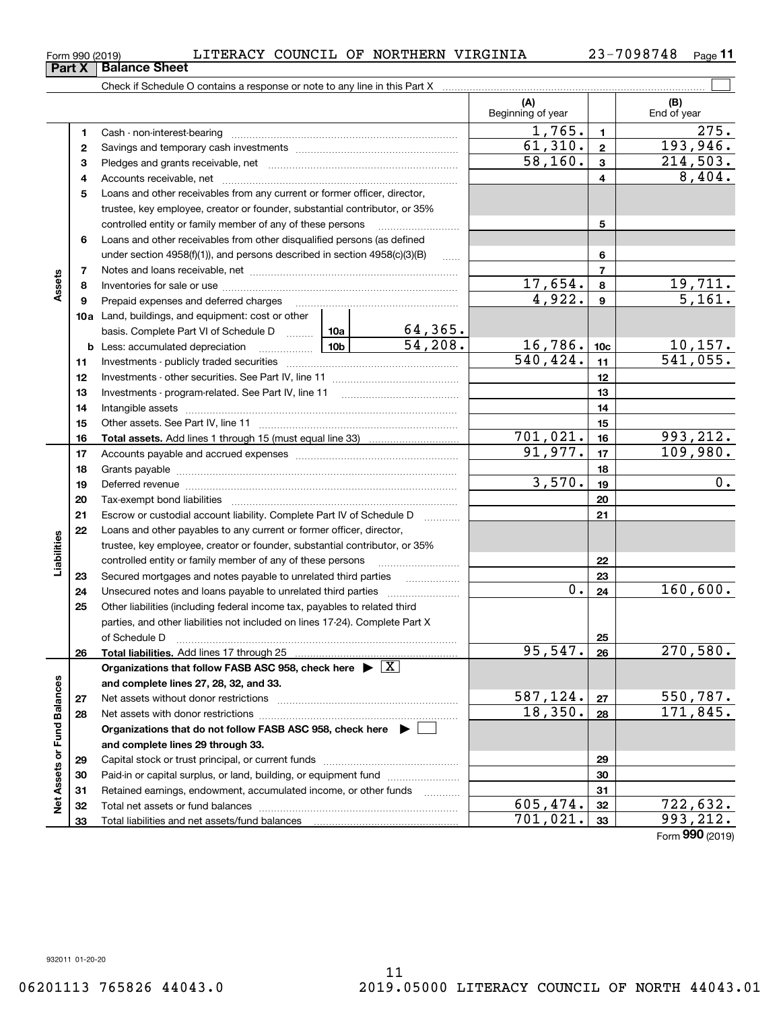$_{\rm Form}$   $_{990}$  (2019) <code>LITERACY COUNCIL OF NORTHERN VIRGINIA</code>  $_{\rm 23-7098748$   $_{\rm Page}$ **Part X** | Balance Sheet

**1**Cash - non-interest-bearing ~~~~~~~~~~~~~~~~~~~~~~~~~ **2**Savings and temporary cash investments ~~~~~~~~~~~~~~~~~~ **3** Pledges and grants receivable, net  $\ldots$  **multimes contained and grants receivable**, net **multimes contained and grants receivable**, net **multimes contained and grants receivable** 

Check if Schedule O contains a response or note to any line in this Part X

| Loans and other receivables from any current or former officer, director,<br>5<br>trustee, key employee, creator or founder, substantial contributor, or 35%<br>5<br>controlled entity or family member of any of these persons<br>Loans and other receivables from other disqualified persons (as defined<br>6<br>6<br>under section 4958(f)(1)), and persons described in section 4958(c)(3)(B)<br>$\ldots$<br>$\overline{7}$<br>7<br>Assets<br>17,654.<br>$\frac{19,711.}{5,161.}$<br>8<br>8<br>4,922.<br>$\boldsymbol{9}$<br>9<br>Prepaid expenses and deferred charges<br><b>10a</b> Land, buildings, and equipment: cost or other<br>$\frac{64,365}{54,208}$<br>basis. Complete Part VI of Schedule D  10a<br><u>16,786.</u><br>$\frac{10,157.}{541,055.}$<br>$\frac{10b}{2}$<br>10 <sub>c</sub><br>Less: accumulated depreciation<br>b<br>540, 424.<br>11<br>11<br>12<br>12<br>13<br>13<br>14<br>14<br>Intangible assets<br>15<br>15<br>701,021.<br>993,212.<br>16<br>16<br>109,980.<br>91,977.<br>17<br>17<br>18<br>18<br>3,570.<br>0.<br>19<br>19<br>20<br>20<br>Escrow or custodial account liability. Complete Part IV of Schedule D<br>21<br>21<br>Loans and other payables to any current or former officer, director,<br>22<br>Liabilities<br>trustee, key employee, creator or founder, substantial contributor, or 35%<br>controlled entity or family member of any of these persons<br>22<br>23<br>Secured mortgages and notes payable to unrelated third parties<br>23<br>.<br>160,600.<br>0.<br>24<br>Unsecured notes and loans payable to unrelated third parties<br>24<br>Other liabilities (including federal income tax, payables to related third<br>25<br>parties, and other liabilities not included on lines 17-24). Complete Part X<br>25<br>of Schedule D<br>95,547.<br>270,580.<br>26<br>Total liabilities. Add lines 17 through 25<br>26<br>Organizations that follow FASB ASC 958, check here $\blacktriangleright \lfloor X \rfloor$<br>und Balances<br>and complete lines 27, 28, 32, and 33.<br>587,124.<br><u>550,787.</u><br>27<br>27<br>18,350.<br>171,845.<br>28<br>28<br>Net assets with donor restrictions<br>Organizations that do not follow FASB ASC 958, check here $\blacktriangleright$<br>щ<br>and complete lines 29 through 33.<br>Net Assets or<br>29<br>29<br>Paid-in or capital surplus, or land, building, or equipment fund<br>30<br>30<br>Retained earnings, endowment, accumulated income, or other funds<br>31<br>31<br>605, 474.<br><u>722,632.</u><br>32<br>Total net assets or fund balances<br>32<br>701,021.<br>993, 212.<br>33<br>Total liabilities and net assets/fund balances<br>33<br>Form 990 (2019) |  | 4 |  |  |  | 4 | 8,404. |
|--------------------------------------------------------------------------------------------------------------------------------------------------------------------------------------------------------------------------------------------------------------------------------------------------------------------------------------------------------------------------------------------------------------------------------------------------------------------------------------------------------------------------------------------------------------------------------------------------------------------------------------------------------------------------------------------------------------------------------------------------------------------------------------------------------------------------------------------------------------------------------------------------------------------------------------------------------------------------------------------------------------------------------------------------------------------------------------------------------------------------------------------------------------------------------------------------------------------------------------------------------------------------------------------------------------------------------------------------------------------------------------------------------------------------------------------------------------------------------------------------------------------------------------------------------------------------------------------------------------------------------------------------------------------------------------------------------------------------------------------------------------------------------------------------------------------------------------------------------------------------------------------------------------------------------------------------------------------------------------------------------------------------------------------------------------------------------------------------------------------------------------------------------------------------------------------------------------------------------------------------------------------------------------------------------------------------------------------------------------------------------------------------------------------------------------------------------------------------------------------------------------------------------------------------------------------------------------------------------------------------------------------------------------------------|--|---|--|--|--|---|--------|
|                                                                                                                                                                                                                                                                                                                                                                                                                                                                                                                                                                                                                                                                                                                                                                                                                                                                                                                                                                                                                                                                                                                                                                                                                                                                                                                                                                                                                                                                                                                                                                                                                                                                                                                                                                                                                                                                                                                                                                                                                                                                                                                                                                                                                                                                                                                                                                                                                                                                                                                                                                                                                                                                          |  |   |  |  |  |   |        |
|                                                                                                                                                                                                                                                                                                                                                                                                                                                                                                                                                                                                                                                                                                                                                                                                                                                                                                                                                                                                                                                                                                                                                                                                                                                                                                                                                                                                                                                                                                                                                                                                                                                                                                                                                                                                                                                                                                                                                                                                                                                                                                                                                                                                                                                                                                                                                                                                                                                                                                                                                                                                                                                                          |  |   |  |  |  |   |        |
|                                                                                                                                                                                                                                                                                                                                                                                                                                                                                                                                                                                                                                                                                                                                                                                                                                                                                                                                                                                                                                                                                                                                                                                                                                                                                                                                                                                                                                                                                                                                                                                                                                                                                                                                                                                                                                                                                                                                                                                                                                                                                                                                                                                                                                                                                                                                                                                                                                                                                                                                                                                                                                                                          |  |   |  |  |  |   |        |
|                                                                                                                                                                                                                                                                                                                                                                                                                                                                                                                                                                                                                                                                                                                                                                                                                                                                                                                                                                                                                                                                                                                                                                                                                                                                                                                                                                                                                                                                                                                                                                                                                                                                                                                                                                                                                                                                                                                                                                                                                                                                                                                                                                                                                                                                                                                                                                                                                                                                                                                                                                                                                                                                          |  |   |  |  |  |   |        |
|                                                                                                                                                                                                                                                                                                                                                                                                                                                                                                                                                                                                                                                                                                                                                                                                                                                                                                                                                                                                                                                                                                                                                                                                                                                                                                                                                                                                                                                                                                                                                                                                                                                                                                                                                                                                                                                                                                                                                                                                                                                                                                                                                                                                                                                                                                                                                                                                                                                                                                                                                                                                                                                                          |  |   |  |  |  |   |        |
|                                                                                                                                                                                                                                                                                                                                                                                                                                                                                                                                                                                                                                                                                                                                                                                                                                                                                                                                                                                                                                                                                                                                                                                                                                                                                                                                                                                                                                                                                                                                                                                                                                                                                                                                                                                                                                                                                                                                                                                                                                                                                                                                                                                                                                                                                                                                                                                                                                                                                                                                                                                                                                                                          |  |   |  |  |  |   |        |
|                                                                                                                                                                                                                                                                                                                                                                                                                                                                                                                                                                                                                                                                                                                                                                                                                                                                                                                                                                                                                                                                                                                                                                                                                                                                                                                                                                                                                                                                                                                                                                                                                                                                                                                                                                                                                                                                                                                                                                                                                                                                                                                                                                                                                                                                                                                                                                                                                                                                                                                                                                                                                                                                          |  |   |  |  |  |   |        |
|                                                                                                                                                                                                                                                                                                                                                                                                                                                                                                                                                                                                                                                                                                                                                                                                                                                                                                                                                                                                                                                                                                                                                                                                                                                                                                                                                                                                                                                                                                                                                                                                                                                                                                                                                                                                                                                                                                                                                                                                                                                                                                                                                                                                                                                                                                                                                                                                                                                                                                                                                                                                                                                                          |  |   |  |  |  |   |        |
|                                                                                                                                                                                                                                                                                                                                                                                                                                                                                                                                                                                                                                                                                                                                                                                                                                                                                                                                                                                                                                                                                                                                                                                                                                                                                                                                                                                                                                                                                                                                                                                                                                                                                                                                                                                                                                                                                                                                                                                                                                                                                                                                                                                                                                                                                                                                                                                                                                                                                                                                                                                                                                                                          |  |   |  |  |  |   |        |
|                                                                                                                                                                                                                                                                                                                                                                                                                                                                                                                                                                                                                                                                                                                                                                                                                                                                                                                                                                                                                                                                                                                                                                                                                                                                                                                                                                                                                                                                                                                                                                                                                                                                                                                                                                                                                                                                                                                                                                                                                                                                                                                                                                                                                                                                                                                                                                                                                                                                                                                                                                                                                                                                          |  |   |  |  |  |   |        |
|                                                                                                                                                                                                                                                                                                                                                                                                                                                                                                                                                                                                                                                                                                                                                                                                                                                                                                                                                                                                                                                                                                                                                                                                                                                                                                                                                                                                                                                                                                                                                                                                                                                                                                                                                                                                                                                                                                                                                                                                                                                                                                                                                                                                                                                                                                                                                                                                                                                                                                                                                                                                                                                                          |  |   |  |  |  |   |        |
|                                                                                                                                                                                                                                                                                                                                                                                                                                                                                                                                                                                                                                                                                                                                                                                                                                                                                                                                                                                                                                                                                                                                                                                                                                                                                                                                                                                                                                                                                                                                                                                                                                                                                                                                                                                                                                                                                                                                                                                                                                                                                                                                                                                                                                                                                                                                                                                                                                                                                                                                                                                                                                                                          |  |   |  |  |  |   |        |
|                                                                                                                                                                                                                                                                                                                                                                                                                                                                                                                                                                                                                                                                                                                                                                                                                                                                                                                                                                                                                                                                                                                                                                                                                                                                                                                                                                                                                                                                                                                                                                                                                                                                                                                                                                                                                                                                                                                                                                                                                                                                                                                                                                                                                                                                                                                                                                                                                                                                                                                                                                                                                                                                          |  |   |  |  |  |   |        |
|                                                                                                                                                                                                                                                                                                                                                                                                                                                                                                                                                                                                                                                                                                                                                                                                                                                                                                                                                                                                                                                                                                                                                                                                                                                                                                                                                                                                                                                                                                                                                                                                                                                                                                                                                                                                                                                                                                                                                                                                                                                                                                                                                                                                                                                                                                                                                                                                                                                                                                                                                                                                                                                                          |  |   |  |  |  |   |        |
|                                                                                                                                                                                                                                                                                                                                                                                                                                                                                                                                                                                                                                                                                                                                                                                                                                                                                                                                                                                                                                                                                                                                                                                                                                                                                                                                                                                                                                                                                                                                                                                                                                                                                                                                                                                                                                                                                                                                                                                                                                                                                                                                                                                                                                                                                                                                                                                                                                                                                                                                                                                                                                                                          |  |   |  |  |  |   |        |
|                                                                                                                                                                                                                                                                                                                                                                                                                                                                                                                                                                                                                                                                                                                                                                                                                                                                                                                                                                                                                                                                                                                                                                                                                                                                                                                                                                                                                                                                                                                                                                                                                                                                                                                                                                                                                                                                                                                                                                                                                                                                                                                                                                                                                                                                                                                                                                                                                                                                                                                                                                                                                                                                          |  |   |  |  |  |   |        |
|                                                                                                                                                                                                                                                                                                                                                                                                                                                                                                                                                                                                                                                                                                                                                                                                                                                                                                                                                                                                                                                                                                                                                                                                                                                                                                                                                                                                                                                                                                                                                                                                                                                                                                                                                                                                                                                                                                                                                                                                                                                                                                                                                                                                                                                                                                                                                                                                                                                                                                                                                                                                                                                                          |  |   |  |  |  |   |        |
|                                                                                                                                                                                                                                                                                                                                                                                                                                                                                                                                                                                                                                                                                                                                                                                                                                                                                                                                                                                                                                                                                                                                                                                                                                                                                                                                                                                                                                                                                                                                                                                                                                                                                                                                                                                                                                                                                                                                                                                                                                                                                                                                                                                                                                                                                                                                                                                                                                                                                                                                                                                                                                                                          |  |   |  |  |  |   |        |
|                                                                                                                                                                                                                                                                                                                                                                                                                                                                                                                                                                                                                                                                                                                                                                                                                                                                                                                                                                                                                                                                                                                                                                                                                                                                                                                                                                                                                                                                                                                                                                                                                                                                                                                                                                                                                                                                                                                                                                                                                                                                                                                                                                                                                                                                                                                                                                                                                                                                                                                                                                                                                                                                          |  |   |  |  |  |   |        |
|                                                                                                                                                                                                                                                                                                                                                                                                                                                                                                                                                                                                                                                                                                                                                                                                                                                                                                                                                                                                                                                                                                                                                                                                                                                                                                                                                                                                                                                                                                                                                                                                                                                                                                                                                                                                                                                                                                                                                                                                                                                                                                                                                                                                                                                                                                                                                                                                                                                                                                                                                                                                                                                                          |  |   |  |  |  |   |        |
|                                                                                                                                                                                                                                                                                                                                                                                                                                                                                                                                                                                                                                                                                                                                                                                                                                                                                                                                                                                                                                                                                                                                                                                                                                                                                                                                                                                                                                                                                                                                                                                                                                                                                                                                                                                                                                                                                                                                                                                                                                                                                                                                                                                                                                                                                                                                                                                                                                                                                                                                                                                                                                                                          |  |   |  |  |  |   |        |
|                                                                                                                                                                                                                                                                                                                                                                                                                                                                                                                                                                                                                                                                                                                                                                                                                                                                                                                                                                                                                                                                                                                                                                                                                                                                                                                                                                                                                                                                                                                                                                                                                                                                                                                                                                                                                                                                                                                                                                                                                                                                                                                                                                                                                                                                                                                                                                                                                                                                                                                                                                                                                                                                          |  |   |  |  |  |   |        |
|                                                                                                                                                                                                                                                                                                                                                                                                                                                                                                                                                                                                                                                                                                                                                                                                                                                                                                                                                                                                                                                                                                                                                                                                                                                                                                                                                                                                                                                                                                                                                                                                                                                                                                                                                                                                                                                                                                                                                                                                                                                                                                                                                                                                                                                                                                                                                                                                                                                                                                                                                                                                                                                                          |  |   |  |  |  |   |        |
|                                                                                                                                                                                                                                                                                                                                                                                                                                                                                                                                                                                                                                                                                                                                                                                                                                                                                                                                                                                                                                                                                                                                                                                                                                                                                                                                                                                                                                                                                                                                                                                                                                                                                                                                                                                                                                                                                                                                                                                                                                                                                                                                                                                                                                                                                                                                                                                                                                                                                                                                                                                                                                                                          |  |   |  |  |  |   |        |
|                                                                                                                                                                                                                                                                                                                                                                                                                                                                                                                                                                                                                                                                                                                                                                                                                                                                                                                                                                                                                                                                                                                                                                                                                                                                                                                                                                                                                                                                                                                                                                                                                                                                                                                                                                                                                                                                                                                                                                                                                                                                                                                                                                                                                                                                                                                                                                                                                                                                                                                                                                                                                                                                          |  |   |  |  |  |   |        |
|                                                                                                                                                                                                                                                                                                                                                                                                                                                                                                                                                                                                                                                                                                                                                                                                                                                                                                                                                                                                                                                                                                                                                                                                                                                                                                                                                                                                                                                                                                                                                                                                                                                                                                                                                                                                                                                                                                                                                                                                                                                                                                                                                                                                                                                                                                                                                                                                                                                                                                                                                                                                                                                                          |  |   |  |  |  |   |        |
|                                                                                                                                                                                                                                                                                                                                                                                                                                                                                                                                                                                                                                                                                                                                                                                                                                                                                                                                                                                                                                                                                                                                                                                                                                                                                                                                                                                                                                                                                                                                                                                                                                                                                                                                                                                                                                                                                                                                                                                                                                                                                                                                                                                                                                                                                                                                                                                                                                                                                                                                                                                                                                                                          |  |   |  |  |  |   |        |
|                                                                                                                                                                                                                                                                                                                                                                                                                                                                                                                                                                                                                                                                                                                                                                                                                                                                                                                                                                                                                                                                                                                                                                                                                                                                                                                                                                                                                                                                                                                                                                                                                                                                                                                                                                                                                                                                                                                                                                                                                                                                                                                                                                                                                                                                                                                                                                                                                                                                                                                                                                                                                                                                          |  |   |  |  |  |   |        |
|                                                                                                                                                                                                                                                                                                                                                                                                                                                                                                                                                                                                                                                                                                                                                                                                                                                                                                                                                                                                                                                                                                                                                                                                                                                                                                                                                                                                                                                                                                                                                                                                                                                                                                                                                                                                                                                                                                                                                                                                                                                                                                                                                                                                                                                                                                                                                                                                                                                                                                                                                                                                                                                                          |  |   |  |  |  |   |        |
|                                                                                                                                                                                                                                                                                                                                                                                                                                                                                                                                                                                                                                                                                                                                                                                                                                                                                                                                                                                                                                                                                                                                                                                                                                                                                                                                                                                                                                                                                                                                                                                                                                                                                                                                                                                                                                                                                                                                                                                                                                                                                                                                                                                                                                                                                                                                                                                                                                                                                                                                                                                                                                                                          |  |   |  |  |  |   |        |
|                                                                                                                                                                                                                                                                                                                                                                                                                                                                                                                                                                                                                                                                                                                                                                                                                                                                                                                                                                                                                                                                                                                                                                                                                                                                                                                                                                                                                                                                                                                                                                                                                                                                                                                                                                                                                                                                                                                                                                                                                                                                                                                                                                                                                                                                                                                                                                                                                                                                                                                                                                                                                                                                          |  |   |  |  |  |   |        |
|                                                                                                                                                                                                                                                                                                                                                                                                                                                                                                                                                                                                                                                                                                                                                                                                                                                                                                                                                                                                                                                                                                                                                                                                                                                                                                                                                                                                                                                                                                                                                                                                                                                                                                                                                                                                                                                                                                                                                                                                                                                                                                                                                                                                                                                                                                                                                                                                                                                                                                                                                                                                                                                                          |  |   |  |  |  |   |        |
|                                                                                                                                                                                                                                                                                                                                                                                                                                                                                                                                                                                                                                                                                                                                                                                                                                                                                                                                                                                                                                                                                                                                                                                                                                                                                                                                                                                                                                                                                                                                                                                                                                                                                                                                                                                                                                                                                                                                                                                                                                                                                                                                                                                                                                                                                                                                                                                                                                                                                                                                                                                                                                                                          |  |   |  |  |  |   |        |
|                                                                                                                                                                                                                                                                                                                                                                                                                                                                                                                                                                                                                                                                                                                                                                                                                                                                                                                                                                                                                                                                                                                                                                                                                                                                                                                                                                                                                                                                                                                                                                                                                                                                                                                                                                                                                                                                                                                                                                                                                                                                                                                                                                                                                                                                                                                                                                                                                                                                                                                                                                                                                                                                          |  |   |  |  |  |   |        |
|                                                                                                                                                                                                                                                                                                                                                                                                                                                                                                                                                                                                                                                                                                                                                                                                                                                                                                                                                                                                                                                                                                                                                                                                                                                                                                                                                                                                                                                                                                                                                                                                                                                                                                                                                                                                                                                                                                                                                                                                                                                                                                                                                                                                                                                                                                                                                                                                                                                                                                                                                                                                                                                                          |  |   |  |  |  |   |        |
|                                                                                                                                                                                                                                                                                                                                                                                                                                                                                                                                                                                                                                                                                                                                                                                                                                                                                                                                                                                                                                                                                                                                                                                                                                                                                                                                                                                                                                                                                                                                                                                                                                                                                                                                                                                                                                                                                                                                                                                                                                                                                                                                                                                                                                                                                                                                                                                                                                                                                                                                                                                                                                                                          |  |   |  |  |  |   |        |
|                                                                                                                                                                                                                                                                                                                                                                                                                                                                                                                                                                                                                                                                                                                                                                                                                                                                                                                                                                                                                                                                                                                                                                                                                                                                                                                                                                                                                                                                                                                                                                                                                                                                                                                                                                                                                                                                                                                                                                                                                                                                                                                                                                                                                                                                                                                                                                                                                                                                                                                                                                                                                                                                          |  |   |  |  |  |   |        |
|                                                                                                                                                                                                                                                                                                                                                                                                                                                                                                                                                                                                                                                                                                                                                                                                                                                                                                                                                                                                                                                                                                                                                                                                                                                                                                                                                                                                                                                                                                                                                                                                                                                                                                                                                                                                                                                                                                                                                                                                                                                                                                                                                                                                                                                                                                                                                                                                                                                                                                                                                                                                                                                                          |  |   |  |  |  |   |        |
|                                                                                                                                                                                                                                                                                                                                                                                                                                                                                                                                                                                                                                                                                                                                                                                                                                                                                                                                                                                                                                                                                                                                                                                                                                                                                                                                                                                                                                                                                                                                                                                                                                                                                                                                                                                                                                                                                                                                                                                                                                                                                                                                                                                                                                                                                                                                                                                                                                                                                                                                                                                                                                                                          |  |   |  |  |  |   |        |
|                                                                                                                                                                                                                                                                                                                                                                                                                                                                                                                                                                                                                                                                                                                                                                                                                                                                                                                                                                                                                                                                                                                                                                                                                                                                                                                                                                                                                                                                                                                                                                                                                                                                                                                                                                                                                                                                                                                                                                                                                                                                                                                                                                                                                                                                                                                                                                                                                                                                                                                                                                                                                                                                          |  |   |  |  |  |   |        |
|                                                                                                                                                                                                                                                                                                                                                                                                                                                                                                                                                                                                                                                                                                                                                                                                                                                                                                                                                                                                                                                                                                                                                                                                                                                                                                                                                                                                                                                                                                                                                                                                                                                                                                                                                                                                                                                                                                                                                                                                                                                                                                                                                                                                                                                                                                                                                                                                                                                                                                                                                                                                                                                                          |  |   |  |  |  |   |        |
|                                                                                                                                                                                                                                                                                                                                                                                                                                                                                                                                                                                                                                                                                                                                                                                                                                                                                                                                                                                                                                                                                                                                                                                                                                                                                                                                                                                                                                                                                                                                                                                                                                                                                                                                                                                                                                                                                                                                                                                                                                                                                                                                                                                                                                                                                                                                                                                                                                                                                                                                                                                                                                                                          |  |   |  |  |  |   |        |

 $(B)$ <br>End of year

 $\mathcal{L}^{\text{max}}$ 

**(A) (B)**

Beginning of year | | End of year

**123**

 $1,765.$   $1$  275.

58,160. 214,503.

 $61,310. | 2 | 193,946.$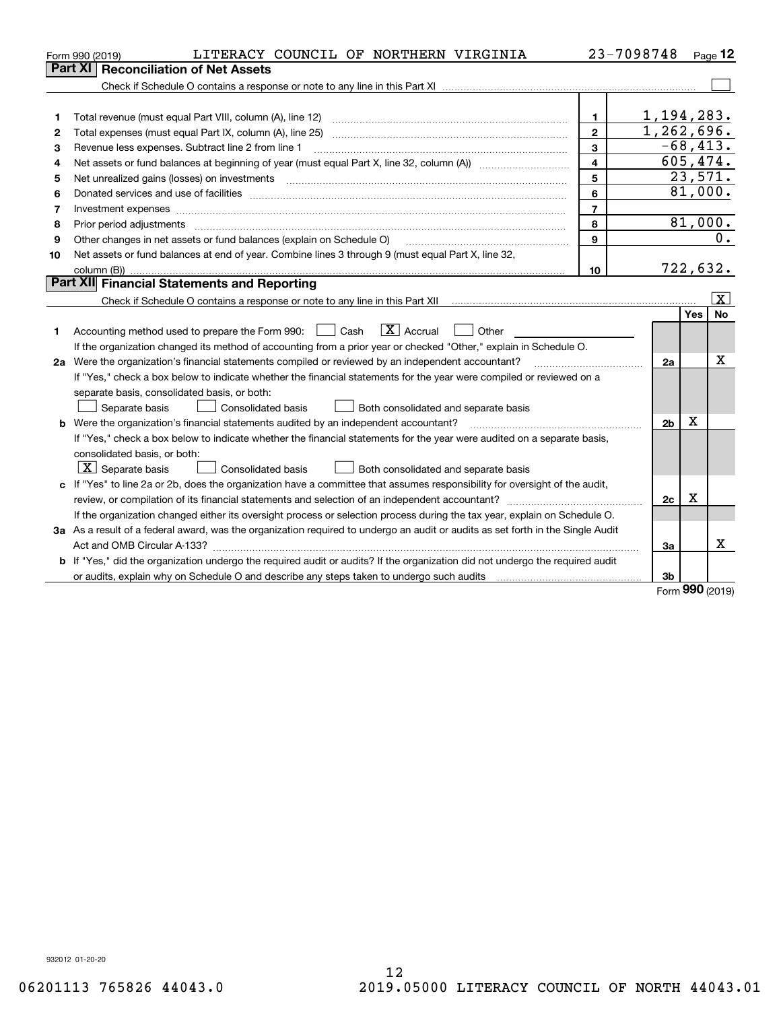|    | LITERACY COUNCIL OF NORTHERN VIRGINIA<br>Form 990 (2019)                                                                        |                         | 23-7098748     |     | Page 12     |
|----|---------------------------------------------------------------------------------------------------------------------------------|-------------------------|----------------|-----|-------------|
|    | Part XI<br><b>Reconciliation of Net Assets</b>                                                                                  |                         |                |     |             |
|    |                                                                                                                                 |                         |                |     |             |
|    |                                                                                                                                 |                         |                |     |             |
| 1  | Total revenue (must equal Part VIII, column (A), line 12)                                                                       | $\mathbf 1$             | 1,194,283.     |     |             |
| 2  |                                                                                                                                 | $\mathbf{2}$            | 1,262,696.     |     |             |
| 3  | Revenue less expenses. Subtract line 2 from line 1                                                                              | 3                       |                |     | $-68, 413.$ |
| 4  |                                                                                                                                 | $\overline{\mathbf{4}}$ |                |     | 605,474.    |
| 5  |                                                                                                                                 | 5                       |                |     | 23,571.     |
| 6  |                                                                                                                                 | 6                       |                |     | 81,000.     |
| 7  |                                                                                                                                 | $\overline{7}$          |                |     |             |
| 8  | Prior period adjustments                                                                                                        | 8                       |                |     | 81,000.     |
| 9  | Other changes in net assets or fund balances (explain on Schedule O)                                                            | 9                       |                |     | 0.          |
| 10 | Net assets or fund balances at end of year. Combine lines 3 through 9 (must equal Part X, line 32,                              |                         |                |     |             |
|    |                                                                                                                                 | 10                      |                |     | 722,632.    |
|    | Part XII Financial Statements and Reporting                                                                                     |                         |                |     |             |
|    |                                                                                                                                 |                         |                |     | <u>x</u>    |
|    |                                                                                                                                 |                         |                | Yes | <b>No</b>   |
| 1. | $\boxed{\mathbf{X}}$ Accrual<br>Accounting method used to prepare the Form 990: <u>June</u> Cash<br>Other                       |                         |                |     |             |
|    | If the organization changed its method of accounting from a prior year or checked "Other," explain in Schedule O.               |                         |                |     |             |
|    | 2a Were the organization's financial statements compiled or reviewed by an independent accountant?                              |                         | 2a             |     | x           |
|    | If "Yes," check a box below to indicate whether the financial statements for the year were compiled or reviewed on a            |                         |                |     |             |
|    | separate basis, consolidated basis, or both:                                                                                    |                         |                |     |             |
|    | Separate basis<br>Consolidated basis<br>Both consolidated and separate basis                                                    |                         |                |     |             |
|    | <b>b</b> Were the organization's financial statements audited by an independent accountant?                                     |                         | 2 <sub>b</sub> | x   |             |
|    | If "Yes," check a box below to indicate whether the financial statements for the year were audited on a separate basis,         |                         |                |     |             |
|    | consolidated basis, or both:                                                                                                    |                         |                |     |             |
|    | $ \mathbf{X} $ Separate basis<br>Consolidated basis<br>Both consolidated and separate basis                                     |                         |                |     |             |
|    | c If "Yes" to line 2a or 2b, does the organization have a committee that assumes responsibility for oversight of the audit,     |                         |                |     |             |
|    |                                                                                                                                 |                         | 2c             | х   |             |
|    | If the organization changed either its oversight process or selection process during the tax year, explain on Schedule O.       |                         |                |     |             |
|    | 3a As a result of a federal award, was the organization required to undergo an audit or audits as set forth in the Single Audit |                         |                |     |             |
|    |                                                                                                                                 |                         | За             |     | Χ           |
|    | b If "Yes," did the organization undergo the required audit or audits? If the organization did not undergo the required audit   |                         |                |     |             |
|    |                                                                                                                                 |                         | 3 <sub>b</sub> |     |             |

Form (2019) **990**

932012 01-20-20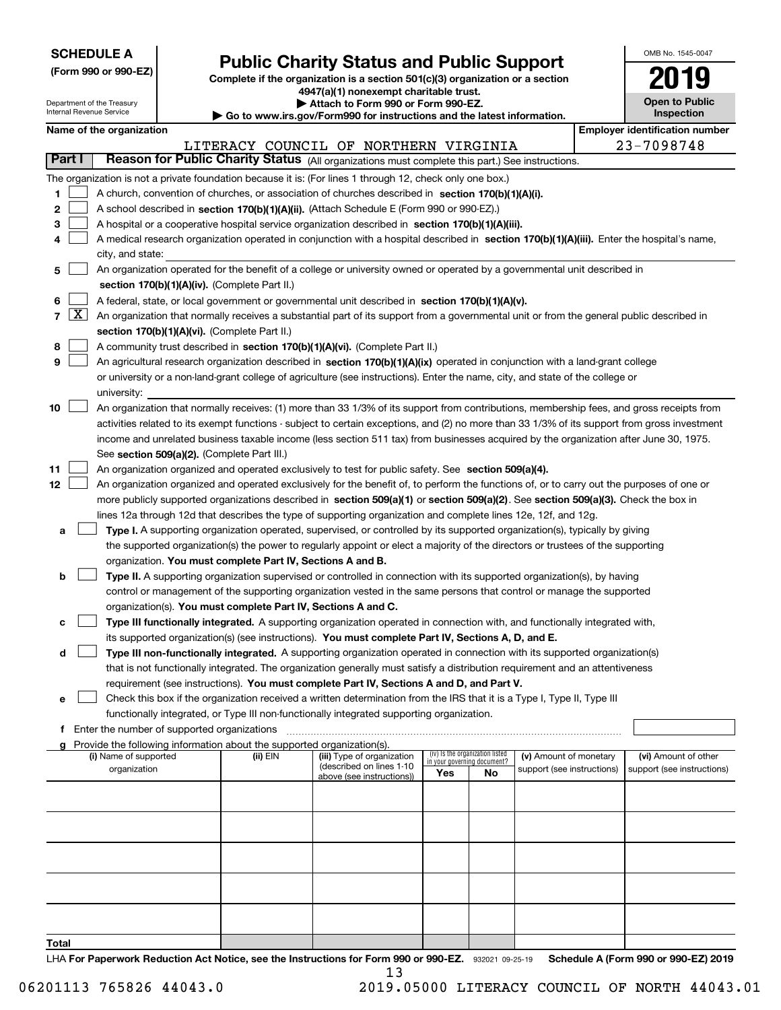| <b>SCHEDULE A</b> |
|-------------------|
|-------------------|

Department of the Treasury

**(Form 990 or 990-EZ)**

# **Public Charity Status and Public Support**

**Complete if the organization is a section 501(c)(3) organization or a section 4947(a)(1) nonexempt charitable trust. | Attach to Form 990 or Form 990-EZ.** 

| OMB No. 1545-0047            |
|------------------------------|
| 2019                         |
| Open to Public<br>Inspection |

|                                           | Internal Revenue Service |                                             |                                                                                    | Go to www.irs.gov/Form990 for instructions and the latest information.                                                                        |     |                                 |                            |            | Inspection                            |
|-------------------------------------------|--------------------------|---------------------------------------------|------------------------------------------------------------------------------------|-----------------------------------------------------------------------------------------------------------------------------------------------|-----|---------------------------------|----------------------------|------------|---------------------------------------|
|                                           | Name of the organization |                                             |                                                                                    |                                                                                                                                               |     |                                 |                            |            | <b>Employer identification number</b> |
|                                           |                          |                                             |                                                                                    | LITERACY COUNCIL OF NORTHERN VIRGINIA                                                                                                         |     |                                 |                            | 23-7098748 |                                       |
| Part I                                    |                          |                                             |                                                                                    | Reason for Public Charity Status (All organizations must complete this part.) See instructions.                                               |     |                                 |                            |            |                                       |
|                                           |                          |                                             |                                                                                    | The organization is not a private foundation because it is: (For lines 1 through 12, check only one box.)                                     |     |                                 |                            |            |                                       |
| 1                                         |                          |                                             |                                                                                    | A church, convention of churches, or association of churches described in section 170(b)(1)(A)(i).                                            |     |                                 |                            |            |                                       |
| 2                                         |                          |                                             |                                                                                    | A school described in section 170(b)(1)(A)(ii). (Attach Schedule E (Form 990 or 990-EZ).)                                                     |     |                                 |                            |            |                                       |
| з                                         |                          |                                             |                                                                                    | A hospital or a cooperative hospital service organization described in section 170(b)(1)(A)(iii).                                             |     |                                 |                            |            |                                       |
|                                           |                          |                                             |                                                                                    | A medical research organization operated in conjunction with a hospital described in section 170(b)(1)(A)(iii). Enter the hospital's name,    |     |                                 |                            |            |                                       |
|                                           | city, and state:         |                                             |                                                                                    |                                                                                                                                               |     |                                 |                            |            |                                       |
| 5                                         |                          |                                             |                                                                                    | An organization operated for the benefit of a college or university owned or operated by a governmental unit described in                     |     |                                 |                            |            |                                       |
|                                           |                          |                                             | section 170(b)(1)(A)(iv). (Complete Part II.)                                      |                                                                                                                                               |     |                                 |                            |            |                                       |
| 6                                         |                          |                                             |                                                                                    | A federal, state, or local government or governmental unit described in section 170(b)(1)(A)(v).                                              |     |                                 |                            |            |                                       |
| $7\left[\frac{\text{X}}{\text{A}}\right]$ |                          |                                             |                                                                                    | An organization that normally receives a substantial part of its support from a governmental unit or from the general public described in     |     |                                 |                            |            |                                       |
|                                           |                          |                                             | section 170(b)(1)(A)(vi). (Complete Part II.)                                      |                                                                                                                                               |     |                                 |                            |            |                                       |
| 8                                         |                          |                                             |                                                                                    | A community trust described in section 170(b)(1)(A)(vi). (Complete Part II.)                                                                  |     |                                 |                            |            |                                       |
| 9                                         |                          |                                             |                                                                                    | An agricultural research organization described in section 170(b)(1)(A)(ix) operated in conjunction with a land-grant college                 |     |                                 |                            |            |                                       |
|                                           |                          |                                             |                                                                                    | or university or a non-land-grant college of agriculture (see instructions). Enter the name, city, and state of the college or                |     |                                 |                            |            |                                       |
|                                           | university:              |                                             |                                                                                    |                                                                                                                                               |     |                                 |                            |            |                                       |
| 10                                        |                          |                                             |                                                                                    | An organization that normally receives: (1) more than 33 1/3% of its support from contributions, membership fees, and gross receipts from     |     |                                 |                            |            |                                       |
|                                           |                          |                                             |                                                                                    | activities related to its exempt functions - subject to certain exceptions, and (2) no more than 33 1/3% of its support from gross investment |     |                                 |                            |            |                                       |
|                                           |                          |                                             |                                                                                    | income and unrelated business taxable income (less section 511 tax) from businesses acquired by the organization after June 30, 1975.         |     |                                 |                            |            |                                       |
|                                           |                          |                                             | See section 509(a)(2). (Complete Part III.)                                        |                                                                                                                                               |     |                                 |                            |            |                                       |
| 11                                        |                          |                                             |                                                                                    | An organization organized and operated exclusively to test for public safety. See section 509(a)(4).                                          |     |                                 |                            |            |                                       |
| 12                                        |                          |                                             |                                                                                    | An organization organized and operated exclusively for the benefit of, to perform the functions of, or to carry out the purposes of one or    |     |                                 |                            |            |                                       |
|                                           |                          |                                             |                                                                                    | more publicly supported organizations described in section 509(a)(1) or section 509(a)(2). See section 509(a)(3). Check the box in            |     |                                 |                            |            |                                       |
|                                           |                          |                                             |                                                                                    | lines 12a through 12d that describes the type of supporting organization and complete lines 12e, 12f, and 12g.                                |     |                                 |                            |            |                                       |
| а                                         |                          |                                             |                                                                                    | Type I. A supporting organization operated, supervised, or controlled by its supported organization(s), typically by giving                   |     |                                 |                            |            |                                       |
|                                           |                          |                                             |                                                                                    | the supported organization(s) the power to regularly appoint or elect a majority of the directors or trustees of the supporting               |     |                                 |                            |            |                                       |
|                                           |                          |                                             | organization. You must complete Part IV, Sections A and B.                         |                                                                                                                                               |     |                                 |                            |            |                                       |
| b                                         |                          |                                             |                                                                                    | Type II. A supporting organization supervised or controlled in connection with its supported organization(s), by having                       |     |                                 |                            |            |                                       |
|                                           |                          |                                             |                                                                                    | control or management of the supporting organization vested in the same persons that control or manage the supported                          |     |                                 |                            |            |                                       |
|                                           |                          |                                             | organization(s). You must complete Part IV, Sections A and C.                      |                                                                                                                                               |     |                                 |                            |            |                                       |
| с                                         |                          |                                             |                                                                                    | Type III functionally integrated. A supporting organization operated in connection with, and functionally integrated with,                    |     |                                 |                            |            |                                       |
|                                           |                          |                                             |                                                                                    | its supported organization(s) (see instructions). You must complete Part IV, Sections A, D, and E.                                            |     |                                 |                            |            |                                       |
| d                                         |                          |                                             |                                                                                    | Type III non-functionally integrated. A supporting organization operated in connection with its supported organization(s)                     |     |                                 |                            |            |                                       |
|                                           |                          |                                             |                                                                                    | that is not functionally integrated. The organization generally must satisfy a distribution requirement and an attentiveness                  |     |                                 |                            |            |                                       |
|                                           |                          |                                             |                                                                                    | requirement (see instructions). You must complete Part IV, Sections A and D, and Part V.                                                      |     |                                 |                            |            |                                       |
| е                                         |                          |                                             |                                                                                    | Check this box if the organization received a written determination from the IRS that it is a Type I, Type II, Type III                       |     |                                 |                            |            |                                       |
|                                           |                          |                                             |                                                                                    | functionally integrated, or Type III non-functionally integrated supporting organization.                                                     |     |                                 |                            |            |                                       |
| f                                         |                          | Enter the number of supported organizations |                                                                                    |                                                                                                                                               |     |                                 |                            |            |                                       |
|                                           | (i) Name of supported    |                                             | Provide the following information about the supported organization(s).<br>(ii) EIN | (iii) Type of organization                                                                                                                    |     | (iv) Is the organization listed | (v) Amount of monetary     |            | (vi) Amount of other                  |
|                                           | organization             |                                             |                                                                                    | (described on lines 1-10                                                                                                                      |     | in your governing document?     | support (see instructions) |            | support (see instructions)            |
|                                           |                          |                                             |                                                                                    | above (see instructions))                                                                                                                     | Yes | No                              |                            |            |                                       |
|                                           |                          |                                             |                                                                                    |                                                                                                                                               |     |                                 |                            |            |                                       |
|                                           |                          |                                             |                                                                                    |                                                                                                                                               |     |                                 |                            |            |                                       |
|                                           |                          |                                             |                                                                                    |                                                                                                                                               |     |                                 |                            |            |                                       |
|                                           |                          |                                             |                                                                                    |                                                                                                                                               |     |                                 |                            |            |                                       |
|                                           |                          |                                             |                                                                                    |                                                                                                                                               |     |                                 |                            |            |                                       |
|                                           |                          |                                             |                                                                                    |                                                                                                                                               |     |                                 |                            |            |                                       |
|                                           |                          |                                             |                                                                                    |                                                                                                                                               |     |                                 |                            |            |                                       |
|                                           |                          |                                             |                                                                                    |                                                                                                                                               |     |                                 |                            |            |                                       |
|                                           |                          |                                             |                                                                                    |                                                                                                                                               |     |                                 |                            |            |                                       |
|                                           |                          |                                             |                                                                                    |                                                                                                                                               |     |                                 |                            |            |                                       |
| Total                                     |                          |                                             |                                                                                    |                                                                                                                                               |     |                                 |                            |            |                                       |

13

LHA For Paperwork Reduction Act Notice, see the Instructions for Form 990 or 990-EZ. 932021 09-25-19 Schedule A (Form 990 or 990-EZ) 2019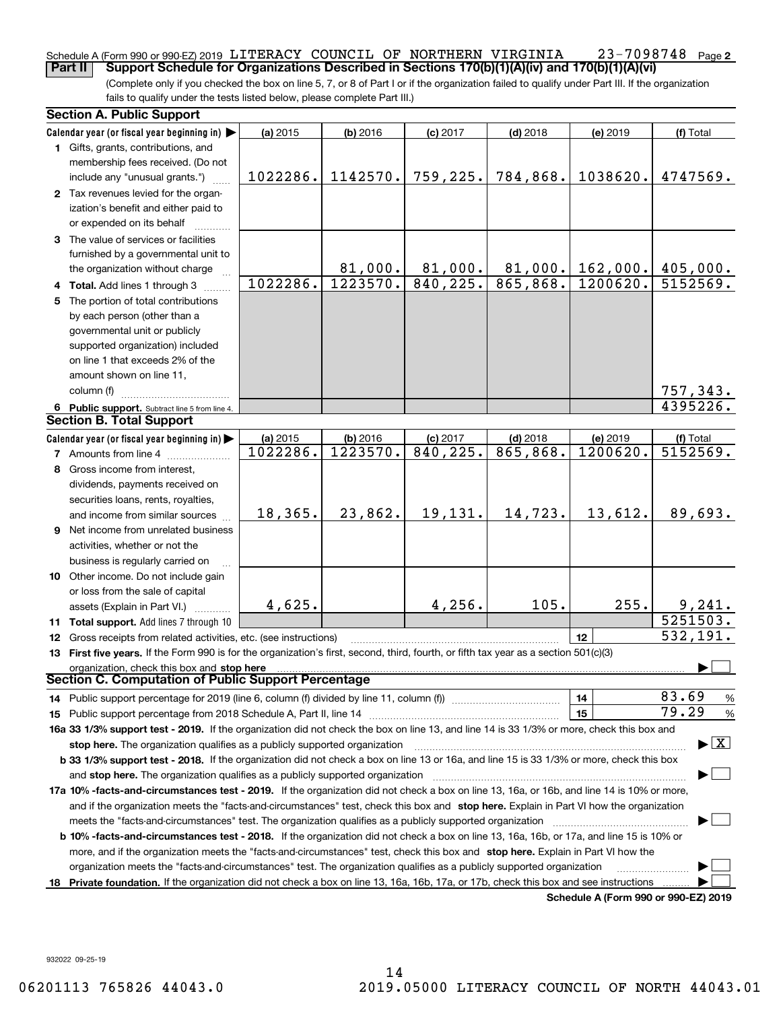#### **2** Schedule A (Form 990 or 990-EZ) 2019 <code>LITERACY COUNCIL OF NORTHERN VIRGINIA  $23$ – $7098748$  Page</code> **Part II Support Schedule for Organizations Described in Sections 170(b)(1)(A)(iv) and 170(b)(1)(A)(vi)**

(Complete only if you checked the box on line 5, 7, or 8 of Part I or if the organization failed to qualify under Part III. If the organization fails to qualify under the tests listed below, please complete Part III.)

|    | <b>Section A. Public Support</b>                                                                                                               |          |            |            |            |                                      |                                          |  |  |  |  |
|----|------------------------------------------------------------------------------------------------------------------------------------------------|----------|------------|------------|------------|--------------------------------------|------------------------------------------|--|--|--|--|
|    | Calendar year (or fiscal year beginning in) $\blacktriangleright$                                                                              | (a) 2015 | $(b)$ 2016 | $(c)$ 2017 | $(d)$ 2018 | (e) 2019                             | (f) Total                                |  |  |  |  |
|    | 1 Gifts, grants, contributions, and                                                                                                            |          |            |            |            |                                      |                                          |  |  |  |  |
|    | membership fees received. (Do not                                                                                                              |          |            |            |            |                                      |                                          |  |  |  |  |
|    | include any "unusual grants.")                                                                                                                 | 1022286. | 1142570.   | 759,225.   | 784,868.   | 1038620.                             | 4747569.                                 |  |  |  |  |
|    | 2 Tax revenues levied for the organ-                                                                                                           |          |            |            |            |                                      |                                          |  |  |  |  |
|    | ization's benefit and either paid to                                                                                                           |          |            |            |            |                                      |                                          |  |  |  |  |
|    | or expended on its behalf                                                                                                                      |          |            |            |            |                                      |                                          |  |  |  |  |
|    | 3 The value of services or facilities                                                                                                          |          |            |            |            |                                      |                                          |  |  |  |  |
|    | furnished by a governmental unit to                                                                                                            |          |            |            |            |                                      |                                          |  |  |  |  |
|    | the organization without charge                                                                                                                |          | 81,000.    | 81,000.    | 81,000.    | 162,000.                             | 405,000.                                 |  |  |  |  |
|    | 4 Total. Add lines 1 through 3                                                                                                                 | 1022286. | 1223570.   | 840, 225.  | 865,868.   | 1200620.                             | 5152569.                                 |  |  |  |  |
|    | 5 The portion of total contributions                                                                                                           |          |            |            |            |                                      |                                          |  |  |  |  |
|    | by each person (other than a                                                                                                                   |          |            |            |            |                                      |                                          |  |  |  |  |
|    | governmental unit or publicly                                                                                                                  |          |            |            |            |                                      |                                          |  |  |  |  |
|    | supported organization) included                                                                                                               |          |            |            |            |                                      |                                          |  |  |  |  |
|    | on line 1 that exceeds 2% of the                                                                                                               |          |            |            |            |                                      |                                          |  |  |  |  |
|    | amount shown on line 11,                                                                                                                       |          |            |            |            |                                      |                                          |  |  |  |  |
|    | column (f)                                                                                                                                     |          |            |            |            |                                      | 757,343.                                 |  |  |  |  |
|    | 6 Public support. Subtract line 5 from line 4.                                                                                                 |          |            |            |            |                                      | 4395226.                                 |  |  |  |  |
|    | <b>Section B. Total Support</b>                                                                                                                |          |            |            |            |                                      |                                          |  |  |  |  |
|    | Calendar year (or fiscal year beginning in) $\blacktriangleright$                                                                              | (a) 2015 | (b) 2016   | $(c)$ 2017 | $(d)$ 2018 | (e) 2019                             | (f) Total                                |  |  |  |  |
|    | <b>7</b> Amounts from line 4                                                                                                                   | 1022286. | 1223570.   | 840, 225.  | 865,868.   | 1200620.                             | 5152569.                                 |  |  |  |  |
|    | 8 Gross income from interest,                                                                                                                  |          |            |            |            |                                      |                                          |  |  |  |  |
|    | dividends, payments received on                                                                                                                |          |            |            |            |                                      |                                          |  |  |  |  |
|    | securities loans, rents, royalties,                                                                                                            |          |            |            |            |                                      |                                          |  |  |  |  |
|    | and income from similar sources                                                                                                                | 18,365.  | 23,862.    | 19,131.    | 14,723.    | 13,612.                              | 89,693.                                  |  |  |  |  |
|    | 9 Net income from unrelated business                                                                                                           |          |            |            |            |                                      |                                          |  |  |  |  |
|    | activities, whether or not the                                                                                                                 |          |            |            |            |                                      |                                          |  |  |  |  |
|    | business is regularly carried on                                                                                                               |          |            |            |            |                                      |                                          |  |  |  |  |
|    | 10 Other income. Do not include gain                                                                                                           |          |            |            |            |                                      |                                          |  |  |  |  |
|    | or loss from the sale of capital                                                                                                               |          |            |            |            |                                      |                                          |  |  |  |  |
|    | assets (Explain in Part VI.)                                                                                                                   | 4,625.   |            | 4,256.     | 105.       | 255.                                 | 9,241.                                   |  |  |  |  |
|    | 11 Total support. Add lines 7 through 10                                                                                                       |          |            |            |            |                                      | 5251503.                                 |  |  |  |  |
|    | 12 Gross receipts from related activities, etc. (see instructions)                                                                             |          |            |            |            | 12                                   | 532, 191.                                |  |  |  |  |
|    | 13 First five years. If the Form 990 is for the organization's first, second, third, fourth, or fifth tax year as a section 501(c)(3)          |          |            |            |            |                                      |                                          |  |  |  |  |
|    | organization, check this box and stop here                                                                                                     |          |            |            |            |                                      |                                          |  |  |  |  |
|    | Section C. Computation of Public Support Percentage                                                                                            |          |            |            |            |                                      |                                          |  |  |  |  |
|    | 14 Public support percentage for 2019 (line 6, column (f) divided by line 11, column (f) <i></i>                                               |          |            |            |            | 14                                   | 83.69<br>%                               |  |  |  |  |
|    |                                                                                                                                                |          |            |            |            | 15                                   | 79.29<br>$\%$                            |  |  |  |  |
|    | 16a 33 1/3% support test - 2019. If the organization did not check the box on line 13, and line 14 is 33 1/3% or more, check this box and      |          |            |            |            |                                      |                                          |  |  |  |  |
|    | stop here. The organization qualifies as a publicly supported organization                                                                     |          |            |            |            |                                      | $\blacktriangleright$ $\boxed{\text{X}}$ |  |  |  |  |
|    | b 33 1/3% support test - 2018. If the organization did not check a box on line 13 or 16a, and line 15 is 33 1/3% or more, check this box       |          |            |            |            |                                      |                                          |  |  |  |  |
|    |                                                                                                                                                |          |            |            |            |                                      |                                          |  |  |  |  |
|    | 17a 10% -facts-and-circumstances test - 2019. If the organization did not check a box on line 13, 16a, or 16b, and line 14 is 10% or more,     |          |            |            |            |                                      |                                          |  |  |  |  |
|    |                                                                                                                                                |          |            |            |            |                                      |                                          |  |  |  |  |
|    | and if the organization meets the "facts-and-circumstances" test, check this box and stop here. Explain in Part VI how the organization        |          |            |            |            |                                      |                                          |  |  |  |  |
|    | <b>b 10% -facts-and-circumstances test - 2018.</b> If the organization did not check a box on line 13, 16a, 16b, or 17a, and line 15 is 10% or |          |            |            |            |                                      |                                          |  |  |  |  |
|    | more, and if the organization meets the "facts-and-circumstances" test, check this box and stop here. Explain in Part VI how the               |          |            |            |            |                                      |                                          |  |  |  |  |
|    | organization meets the "facts-and-circumstances" test. The organization qualifies as a publicly supported organization                         |          |            |            |            |                                      |                                          |  |  |  |  |
| 18 | Private foundation. If the organization did not check a box on line 13, 16a, 16b, 17a, or 17b, check this box and see instructions             |          |            |            |            |                                      |                                          |  |  |  |  |
|    |                                                                                                                                                |          |            |            |            | Schodule A (Form 000 or 000 F7) 2010 |                                          |  |  |  |  |

**Schedule A (Form 990 or 990-EZ) 2019**

932022 09-25-19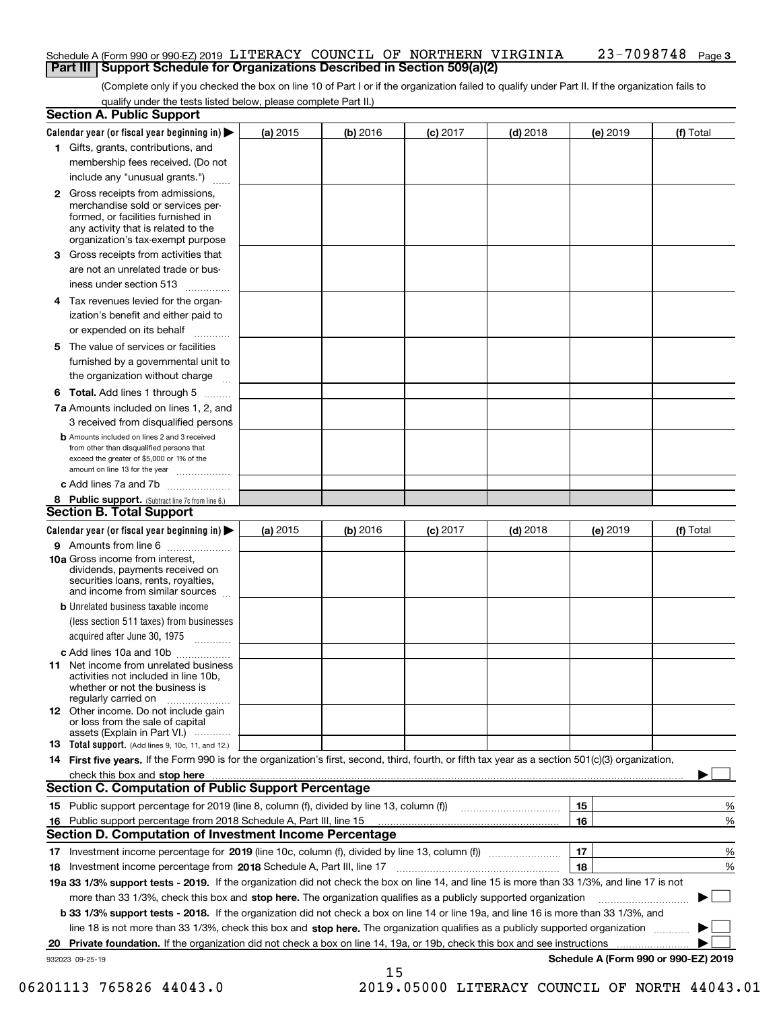#### **3** Schedule A (Form 990 or 990-EZ) 2019 <code>LITERACY COUNCIL OF NORTHERN VIRGINIA  $23$ – $7098748$  Page</code> **Part III Support Schedule for Organizations Described in Section 509(a)(2)**

(Complete only if you checked the box on line 10 of Part I or if the organization failed to qualify under Part II. If the organization fails to qualify under the tests listed below, please complete Part II.)

|    | <b>Section A. Public Support</b>                                                                                                                                                         |          |            |            |            |                                           |           |
|----|------------------------------------------------------------------------------------------------------------------------------------------------------------------------------------------|----------|------------|------------|------------|-------------------------------------------|-----------|
|    | Calendar year (or fiscal year beginning in) $\blacktriangleright$                                                                                                                        | (a) 2015 | $(b)$ 2016 | $(c)$ 2017 | $(d)$ 2018 | (e) 2019                                  | (f) Total |
|    | 1 Gifts, grants, contributions, and                                                                                                                                                      |          |            |            |            |                                           |           |
|    | membership fees received. (Do not                                                                                                                                                        |          |            |            |            |                                           |           |
|    | include any "unusual grants.")                                                                                                                                                           |          |            |            |            |                                           |           |
|    | 2 Gross receipts from admissions,<br>merchandise sold or services per-<br>formed, or facilities furnished in<br>any activity that is related to the<br>organization's tax-exempt purpose |          |            |            |            |                                           |           |
|    | 3 Gross receipts from activities that<br>are not an unrelated trade or bus-<br>iness under section 513                                                                                   |          |            |            |            |                                           |           |
|    | 4 Tax revenues levied for the organ-                                                                                                                                                     |          |            |            |            |                                           |           |
|    | ization's benefit and either paid to                                                                                                                                                     |          |            |            |            |                                           |           |
|    | or expended on its behalf<br>.                                                                                                                                                           |          |            |            |            |                                           |           |
|    | 5 The value of services or facilities<br>furnished by a governmental unit to<br>the organization without charge                                                                          |          |            |            |            |                                           |           |
|    | <b>6 Total.</b> Add lines 1 through 5                                                                                                                                                    |          |            |            |            |                                           |           |
|    | 7a Amounts included on lines 1, 2, and                                                                                                                                                   |          |            |            |            |                                           |           |
|    | 3 received from disqualified persons<br><b>b</b> Amounts included on lines 2 and 3 received                                                                                              |          |            |            |            |                                           |           |
|    | from other than disqualified persons that                                                                                                                                                |          |            |            |            |                                           |           |
|    | exceed the greater of \$5,000 or 1% of the<br>amount on line 13 for the year                                                                                                             |          |            |            |            |                                           |           |
|    | c Add lines 7a and 7b                                                                                                                                                                    |          |            |            |            |                                           |           |
|    | 8 Public support. (Subtract line 7c from line 6.)                                                                                                                                        |          |            |            |            |                                           |           |
|    | <b>Section B. Total Support</b>                                                                                                                                                          |          |            |            |            |                                           |           |
|    | Calendar year (or fiscal year beginning in) $\blacktriangleright$                                                                                                                        | (a) 2015 | (b) 2016   | $(c)$ 2017 | $(d)$ 2018 | (e) 2019                                  | (f) Total |
|    | 9 Amounts from line 6                                                                                                                                                                    |          |            |            |            |                                           |           |
|    | 10a Gross income from interest,<br>dividends, payments received on<br>securities loans, rents, royalties,<br>and income from similar sources                                             |          |            |            |            |                                           |           |
|    | <b>b</b> Unrelated business taxable income                                                                                                                                               |          |            |            |            |                                           |           |
|    | (less section 511 taxes) from businesses                                                                                                                                                 |          |            |            |            |                                           |           |
|    | acquired after June 30, 1975                                                                                                                                                             |          |            |            |            |                                           |           |
|    | c Add lines 10a and 10b<br>11 Net income from unrelated business<br>activities not included in line 10b,<br>whether or not the business is<br>regularly carried on                       |          |            |            |            |                                           |           |
|    | <b>12</b> Other income. Do not include gain<br>or loss from the sale of capital<br>assets (Explain in Part VI.)                                                                          |          |            |            |            |                                           |           |
|    | 13 Total support. (Add lines 9, 10c, 11, and 12.)                                                                                                                                        |          |            |            |            |                                           |           |
|    | 14 First five years. If the Form 990 is for the organization's first, second, third, fourth, or fifth tax year as a section 501(c)(3) organization,                                      |          |            |            |            |                                           |           |
|    | check this box and stop here measurements are constructed as the state of the state of the state of the state o                                                                          |          |            |            |            |                                           |           |
|    | <b>Section C. Computation of Public Support Percentage</b>                                                                                                                               |          |            |            |            |                                           |           |
|    | 15 Public support percentage for 2019 (line 8, column (f), divided by line 13, column (f))                                                                                               |          |            |            |            | 15                                        | %         |
|    | 16 Public support percentage from 2018 Schedule A, Part III, line 15                                                                                                                     |          |            |            |            | 16                                        | %         |
|    | <b>Section D. Computation of Investment Income Percentage</b>                                                                                                                            |          |            |            |            |                                           |           |
|    | 17 Investment income percentage for 2019 (line 10c, column (f), divided by line 13, column (f))                                                                                          |          |            |            |            | 17                                        | %         |
|    | <b>18</b> Investment income percentage from <b>2018</b> Schedule A, Part III, line 17                                                                                                    |          |            |            |            | 18                                        | %         |
|    | 19a 33 1/3% support tests - 2019. If the organization did not check the box on line 14, and line 15 is more than 33 1/3%, and line 17 is not                                             |          |            |            |            |                                           |           |
|    | more than 33 1/3%, check this box and stop here. The organization qualifies as a publicly supported organization                                                                         |          |            |            |            |                                           | ▶         |
|    | b 33 1/3% support tests - 2018. If the organization did not check a box on line 14 or line 19a, and line 16 is more than 33 1/3%, and                                                    |          |            |            |            |                                           |           |
|    | line 18 is not more than 33 1/3%, check this box and stop here. The organization qualifies as a publicly supported organization                                                          |          |            |            |            |                                           |           |
| 20 | Private foundation. If the organization did not check a box on line 14, 19a, or 19b, check this box and see instructions                                                                 |          |            |            |            | .<br>Schedule A (Form 990 or 990-EZ) 2019 |           |
|    | 932023 09-25-19                                                                                                                                                                          |          |            |            |            |                                           |           |

15

 <sup>06201113 765826 44043.0 2019.05000</sup> LITERACY COUNCIL OF NORTH 44043.01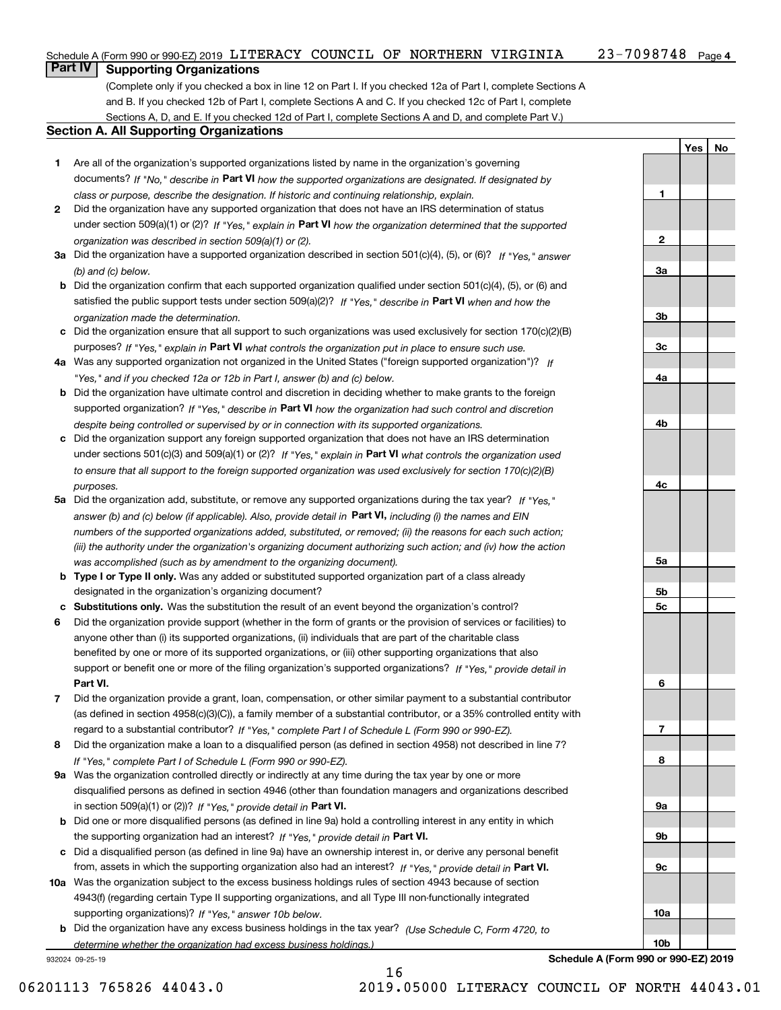|                                            |  |  |  |  | Schedule A (Form 990 or 990-EZ) 2019 LITERACY COUNCIL OF NORTHERN VIRGINIA | 23-7098748 | Page $4$ |
|--------------------------------------------|--|--|--|--|----------------------------------------------------------------------------|------------|----------|
| $\overline{B}$ . The set of $\overline{B}$ |  |  |  |  |                                                                            |            |          |

### **Part IV Supporting Organizations**

(Complete only if you checked a box in line 12 on Part I. If you checked 12a of Part I, complete Sections A and B. If you checked 12b of Part I, complete Sections A and C. If you checked 12c of Part I, complete Sections A, D, and E. If you checked 12d of Part I, complete Sections A and D, and complete Part V.)

### **Section A. All Supporting Organizations**

- **1** Are all of the organization's supported organizations listed by name in the organization's governing documents? If "No," describe in **Part VI** how the supported organizations are designated. If designated by *class or purpose, describe the designation. If historic and continuing relationship, explain.*
- **2** Did the organization have any supported organization that does not have an IRS determination of status under section 509(a)(1) or (2)? If "Yes," explain in Part VI how the organization determined that the supported *organization was described in section 509(a)(1) or (2).*
- **3a** Did the organization have a supported organization described in section 501(c)(4), (5), or (6)? If "Yes," answer *(b) and (c) below.*
- **b** Did the organization confirm that each supported organization qualified under section 501(c)(4), (5), or (6) and satisfied the public support tests under section 509(a)(2)? If "Yes," describe in **Part VI** when and how the *organization made the determination.*
- **c**Did the organization ensure that all support to such organizations was used exclusively for section 170(c)(2)(B) purposes? If "Yes," explain in **Part VI** what controls the organization put in place to ensure such use.
- **4a***If* Was any supported organization not organized in the United States ("foreign supported organization")? *"Yes," and if you checked 12a or 12b in Part I, answer (b) and (c) below.*
- **b** Did the organization have ultimate control and discretion in deciding whether to make grants to the foreign supported organization? If "Yes," describe in **Part VI** how the organization had such control and discretion *despite being controlled or supervised by or in connection with its supported organizations.*
- **c** Did the organization support any foreign supported organization that does not have an IRS determination under sections 501(c)(3) and 509(a)(1) or (2)? If "Yes," explain in **Part VI** what controls the organization used *to ensure that all support to the foreign supported organization was used exclusively for section 170(c)(2)(B) purposes.*
- **5a** Did the organization add, substitute, or remove any supported organizations during the tax year? If "Yes," answer (b) and (c) below (if applicable). Also, provide detail in **Part VI,** including (i) the names and EIN *numbers of the supported organizations added, substituted, or removed; (ii) the reasons for each such action; (iii) the authority under the organization's organizing document authorizing such action; and (iv) how the action was accomplished (such as by amendment to the organizing document).*
- **b** Type I or Type II only. Was any added or substituted supported organization part of a class already designated in the organization's organizing document?
- **cSubstitutions only.**  Was the substitution the result of an event beyond the organization's control?
- **6** Did the organization provide support (whether in the form of grants or the provision of services or facilities) to **Part VI.** *If "Yes," provide detail in* support or benefit one or more of the filing organization's supported organizations? anyone other than (i) its supported organizations, (ii) individuals that are part of the charitable class benefited by one or more of its supported organizations, or (iii) other supporting organizations that also
- **7**Did the organization provide a grant, loan, compensation, or other similar payment to a substantial contributor *If "Yes," complete Part I of Schedule L (Form 990 or 990-EZ).* regard to a substantial contributor? (as defined in section 4958(c)(3)(C)), a family member of a substantial contributor, or a 35% controlled entity with
- **8** Did the organization make a loan to a disqualified person (as defined in section 4958) not described in line 7? *If "Yes," complete Part I of Schedule L (Form 990 or 990-EZ).*
- **9a** Was the organization controlled directly or indirectly at any time during the tax year by one or more in section 509(a)(1) or (2))? If "Yes," *provide detail in* <code>Part VI.</code> disqualified persons as defined in section 4946 (other than foundation managers and organizations described
- **b**the supporting organization had an interest? If "Yes," provide detail in P**art VI**. Did one or more disqualified persons (as defined in line 9a) hold a controlling interest in any entity in which
- **c**Did a disqualified person (as defined in line 9a) have an ownership interest in, or derive any personal benefit from, assets in which the supporting organization also had an interest? If "Yes," provide detail in P**art VI.**
- **10a** Was the organization subject to the excess business holdings rules of section 4943 because of section supporting organizations)? If "Yes," answer 10b below. 4943(f) (regarding certain Type II supporting organizations, and all Type III non-functionally integrated
- **b** Did the organization have any excess business holdings in the tax year? (Use Schedule C, Form 4720, to *determine whether the organization had excess business holdings.)*

932024 09-25-19

**YesNo**

**1**

**2**

**Schedule A (Form 990 or 990-EZ) 2019**

**10b**

16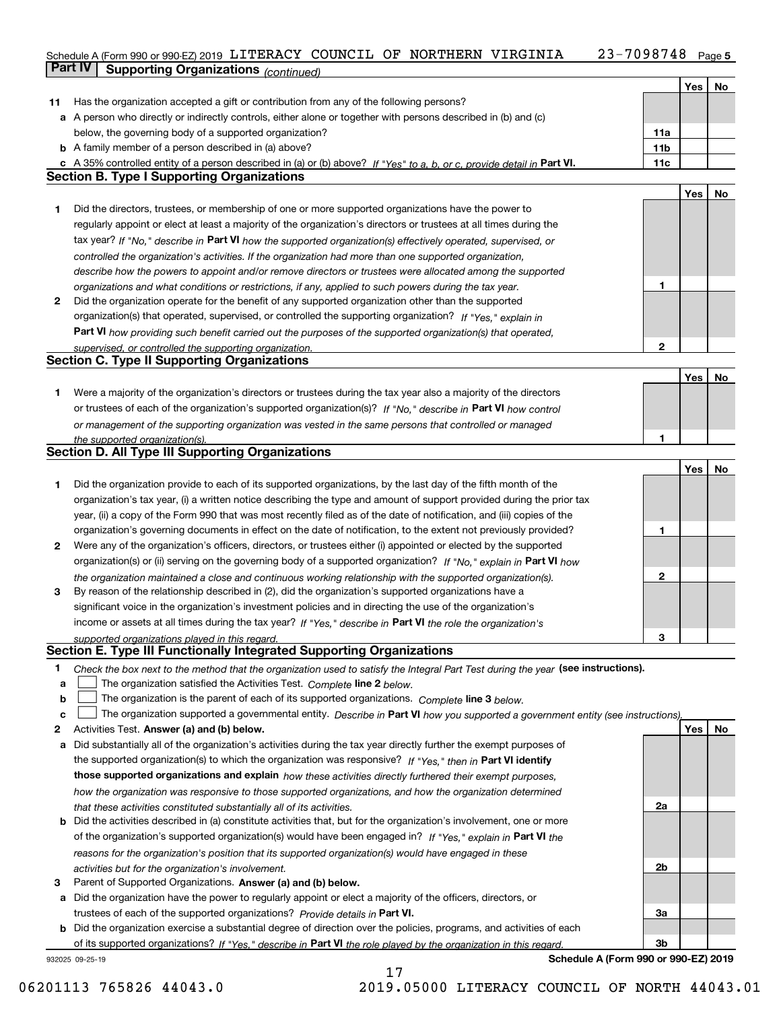#### Schedule A (Form 990 or 990-EZ) 2019 LITERACY COUNCIL OF NORTHERN VIRGINIA 23-7098748 Page 5 LITERACY COUNCIL OF NORTHERN VIRGINIA 23-7098748

|    | <b>Part IV</b>  | Supporting Organizations (continued)                                                                                              |                 |     |    |
|----|-----------------|-----------------------------------------------------------------------------------------------------------------------------------|-----------------|-----|----|
|    |                 |                                                                                                                                   |                 | Yes | No |
| 11 |                 | Has the organization accepted a gift or contribution from any of the following persons?                                           |                 |     |    |
|    |                 | a A person who directly or indirectly controls, either alone or together with persons described in (b) and (c)                    |                 |     |    |
|    |                 | below, the governing body of a supported organization?                                                                            | 11a             |     |    |
|    |                 | <b>b</b> A family member of a person described in (a) above?                                                                      | 11 <sub>b</sub> |     |    |
|    |                 | c A 35% controlled entity of a person described in (a) or (b) above? If "Yes" to a, b, or c, provide detail in Part VI.           | 11c             |     |    |
|    |                 | <b>Section B. Type I Supporting Organizations</b>                                                                                 |                 |     |    |
|    |                 |                                                                                                                                   |                 | Yes | No |
| 1. |                 | Did the directors, trustees, or membership of one or more supported organizations have the power to                               |                 |     |    |
|    |                 | regularly appoint or elect at least a majority of the organization's directors or trustees at all times during the                |                 |     |    |
|    |                 | tax year? If "No," describe in Part VI how the supported organization(s) effectively operated, supervised, or                     |                 |     |    |
|    |                 | controlled the organization's activities. If the organization had more than one supported organization,                           |                 |     |    |
|    |                 | describe how the powers to appoint and/or remove directors or trustees were allocated among the supported                         |                 |     |    |
|    |                 | organizations and what conditions or restrictions, if any, applied to such powers during the tax year.                            | 1               |     |    |
| 2  |                 | Did the organization operate for the benefit of any supported organization other than the supported                               |                 |     |    |
|    |                 | organization(s) that operated, supervised, or controlled the supporting organization? If "Yes," explain in                        |                 |     |    |
|    |                 | Part VI how providing such benefit carried out the purposes of the supported organization(s) that operated,                       |                 |     |    |
|    |                 | supervised, or controlled the supporting organization.                                                                            | 2               |     |    |
|    |                 | <b>Section C. Type II Supporting Organizations</b>                                                                                |                 |     |    |
|    |                 |                                                                                                                                   |                 | Yes | No |
| 1  |                 | Were a majority of the organization's directors or trustees during the tax year also a majority of the directors                  |                 |     |    |
|    |                 | or trustees of each of the organization's supported organization(s)? If "No," describe in Part VI how control                     |                 |     |    |
|    |                 |                                                                                                                                   |                 |     |    |
|    |                 | or management of the supporting organization was vested in the same persons that controlled or managed                            | 1               |     |    |
|    |                 | the supported organization(s).<br><b>Section D. All Type III Supporting Organizations</b>                                         |                 |     |    |
|    |                 |                                                                                                                                   |                 | Yes | No |
| 1  |                 | Did the organization provide to each of its supported organizations, by the last day of the fifth month of the                    |                 |     |    |
|    |                 |                                                                                                                                   |                 |     |    |
|    |                 | organization's tax year, (i) a written notice describing the type and amount of support provided during the prior tax             |                 |     |    |
|    |                 | year, (ii) a copy of the Form 990 that was most recently filed as of the date of notification, and (iii) copies of the            |                 |     |    |
|    |                 | organization's governing documents in effect on the date of notification, to the extent not previously provided?                  | 1               |     |    |
| 2  |                 | Were any of the organization's officers, directors, or trustees either (i) appointed or elected by the supported                  |                 |     |    |
|    |                 | organization(s) or (ii) serving on the governing body of a supported organization? If "No," explain in Part VI how                |                 |     |    |
|    |                 | the organization maintained a close and continuous working relationship with the supported organization(s).                       | 2               |     |    |
| 3  |                 | By reason of the relationship described in (2), did the organization's supported organizations have a                             |                 |     |    |
|    |                 | significant voice in the organization's investment policies and in directing the use of the organization's                        |                 |     |    |
|    |                 | income or assets at all times during the tax year? If "Yes," describe in Part VI the role the organization's                      |                 |     |    |
|    |                 | supported organizations played in this regard.                                                                                    | 3               |     |    |
|    |                 | Section E. Type III Functionally Integrated Supporting Organizations                                                              |                 |     |    |
| 1  |                 | Check the box next to the method that the organization used to satisfy the Integral Part Test during the year (see instructions). |                 |     |    |
| a  |                 | The organization satisfied the Activities Test. Complete line 2 below.                                                            |                 |     |    |
| b  |                 | The organization is the parent of each of its supported organizations. Complete line 3 below.                                     |                 |     |    |
| c  |                 | The organization supported a governmental entity. Describe in Part VI how you supported a government entity (see instructions),   |                 |     |    |
| 2  |                 | Activities Test. Answer (a) and (b) below.                                                                                        |                 | Yes | No |
| а  |                 | Did substantially all of the organization's activities during the tax year directly further the exempt purposes of                |                 |     |    |
|    |                 | the supported organization(s) to which the organization was responsive? If "Yes," then in Part VI identify                        |                 |     |    |
|    |                 | those supported organizations and explain how these activities directly furthered their exempt purposes,                          |                 |     |    |
|    |                 | how the organization was responsive to those supported organizations, and how the organization determined                         |                 |     |    |
|    |                 | that these activities constituted substantially all of its activities.                                                            | 2a              |     |    |
| b  |                 | Did the activities described in (a) constitute activities that, but for the organization's involvement, one or more               |                 |     |    |
|    |                 | of the organization's supported organization(s) would have been engaged in? If "Yes," explain in Part VI the                      |                 |     |    |
|    |                 | reasons for the organization's position that its supported organization(s) would have engaged in these                            |                 |     |    |
|    |                 | activities but for the organization's involvement.                                                                                | 2b              |     |    |
| З  |                 | Parent of Supported Organizations. Answer (a) and (b) below.                                                                      |                 |     |    |
| а  |                 | Did the organization have the power to regularly appoint or elect a majority of the officers, directors, or                       |                 |     |    |
|    |                 | trustees of each of the supported organizations? Provide details in Part VI.                                                      | За              |     |    |
|    |                 | <b>b</b> Did the organization exercise a substantial degree of direction over the policies, programs, and activities of each      |                 |     |    |
|    |                 | of its supported organizations? If "Yes," describe in Part VI the role played by the organization in this regard.                 | 3b              |     |    |
|    | 932025 09-25-19 | Schedule A (Form 990 or 990-EZ) 2019                                                                                              |                 |     |    |

17

06201113 765826 44043.0 2019.05000 LITERACY COUNCIL OF NORTH 44043.01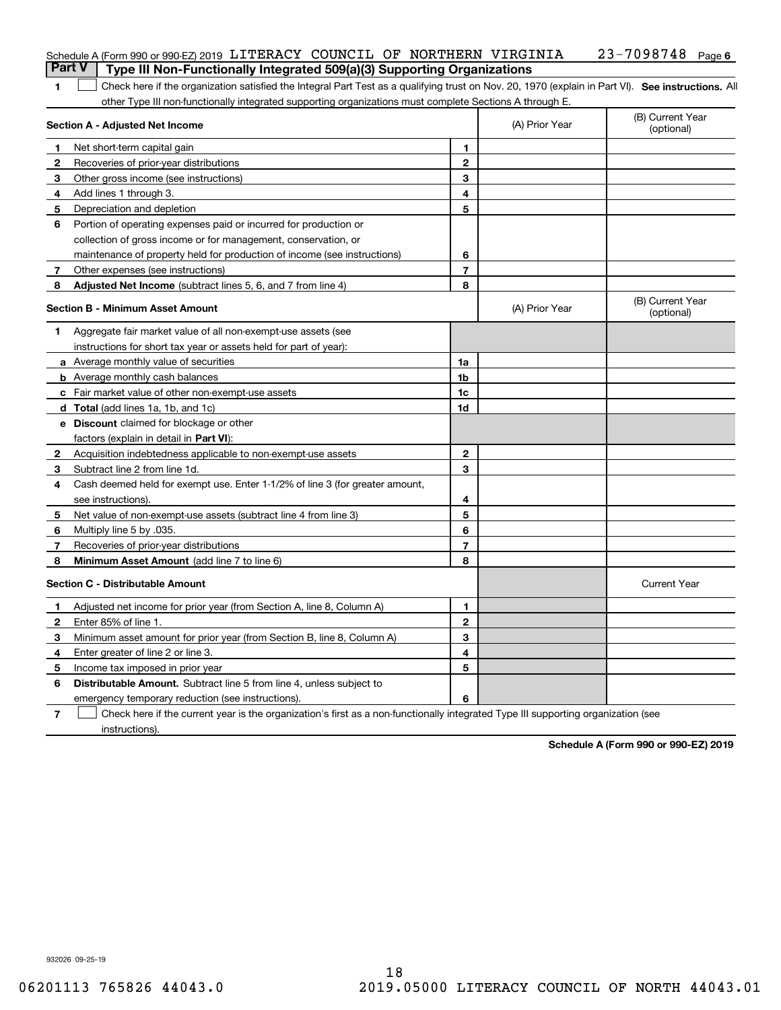| <b>Part V</b> | Schedule A (Form 990 or 990-EZ) 2019 LITERACY COUNCIL OF NORTHERN VIRGINIA<br>Type III Non-Functionally Integrated 509(a)(3) Supporting Organizations |                |                | 23-7098748<br>Page 6           |
|---------------|-------------------------------------------------------------------------------------------------------------------------------------------------------|----------------|----------------|--------------------------------|
| 1             | Check here if the organization satisfied the Integral Part Test as a qualifying trust on Nov. 20, 1970 (explain in Part VI). See instructions. Al     |                |                |                                |
|               | other Type III non-functionally integrated supporting organizations must complete Sections A through E.                                               |                |                |                                |
|               | Section A - Adjusted Net Income                                                                                                                       |                | (A) Prior Year | (B) Current Year<br>(optional) |
| 1             | Net short-term capital gain                                                                                                                           | 1              |                |                                |
| 2             | Recoveries of prior-year distributions                                                                                                                | $\mathbf{2}$   |                |                                |
| з             | Other gross income (see instructions)                                                                                                                 | 3              |                |                                |
| 4             | Add lines 1 through 3.                                                                                                                                | 4              |                |                                |
| 5             | Depreciation and depletion                                                                                                                            | 5              |                |                                |
| 6             | Portion of operating expenses paid or incurred for production or                                                                                      |                |                |                                |
|               | collection of gross income or for management, conservation, or                                                                                        |                |                |                                |
|               | maintenance of property held for production of income (see instructions)                                                                              | 6              |                |                                |
| 7             | Other expenses (see instructions)                                                                                                                     | $\overline{7}$ |                |                                |
| 8             | Adjusted Net Income (subtract lines 5, 6, and 7 from line 4)                                                                                          | 8              |                |                                |
|               | <b>Section B - Minimum Asset Amount</b>                                                                                                               |                | (A) Prior Year | (B) Current Year<br>(optional) |
| 1.            | Aggregate fair market value of all non-exempt-use assets (see                                                                                         |                |                |                                |
|               | instructions for short tax year or assets held for part of year):                                                                                     |                |                |                                |
|               | a Average monthly value of securities                                                                                                                 | 1a             |                |                                |
|               | <b>b</b> Average monthly cash balances                                                                                                                | 1b             |                |                                |
|               | c Fair market value of other non-exempt-use assets                                                                                                    | 1c             |                |                                |
|               | d Total (add lines 1a, 1b, and 1c)                                                                                                                    | 1d             |                |                                |
|               | <b>e</b> Discount claimed for blockage or other                                                                                                       |                |                |                                |
|               | factors (explain in detail in Part VI):                                                                                                               |                |                |                                |
| 2             | Acquisition indebtedness applicable to non-exempt-use assets                                                                                          | $\mathbf{2}$   |                |                                |
| з             | Subtract line 2 from line 1d.                                                                                                                         | 3              |                |                                |
| 4             | Cash deemed held for exempt use. Enter 1-1/2% of line 3 (for greater amount,                                                                          |                |                |                                |
|               | see instructions).                                                                                                                                    | 4              |                |                                |
| 5             | Net value of non-exempt-use assets (subtract line 4 from line 3)                                                                                      | 5              |                |                                |
| 6             | Multiply line 5 by .035.                                                                                                                              | 6              |                |                                |
| 7             | Recoveries of prior-year distributions                                                                                                                | $\overline{7}$ |                |                                |
| 8             | Minimum Asset Amount (add line 7 to line 6)                                                                                                           | 8              |                |                                |
|               | <b>Section C - Distributable Amount</b>                                                                                                               |                |                | <b>Current Year</b>            |
|               | Adjusted net income for prior year (from Section A, line 8, Column A)                                                                                 | 1              |                |                                |
| 2             | Enter 85% of line 1.                                                                                                                                  | 2              |                |                                |
| 3             | Minimum asset amount for prior year (from Section B, line 8, Column A)                                                                                | 3              |                |                                |
| 4             | Enter greater of line 2 or line 3.                                                                                                                    | 4              |                |                                |
| 5             | Income tax imposed in prior year                                                                                                                      | 5              |                |                                |
| 6             | <b>Distributable Amount.</b> Subtract line 5 from line 4, unless subject to                                                                           |                |                |                                |
|               | emergency temporary reduction (see instructions).                                                                                                     | 6              |                |                                |
| 7             | Check here if the current year is the organization's first as a non-functionally integrated Type III supporting organization (see                     |                |                |                                |

instructions).

**Schedule A (Form 990 or 990-EZ) 2019**

932026 09-25-19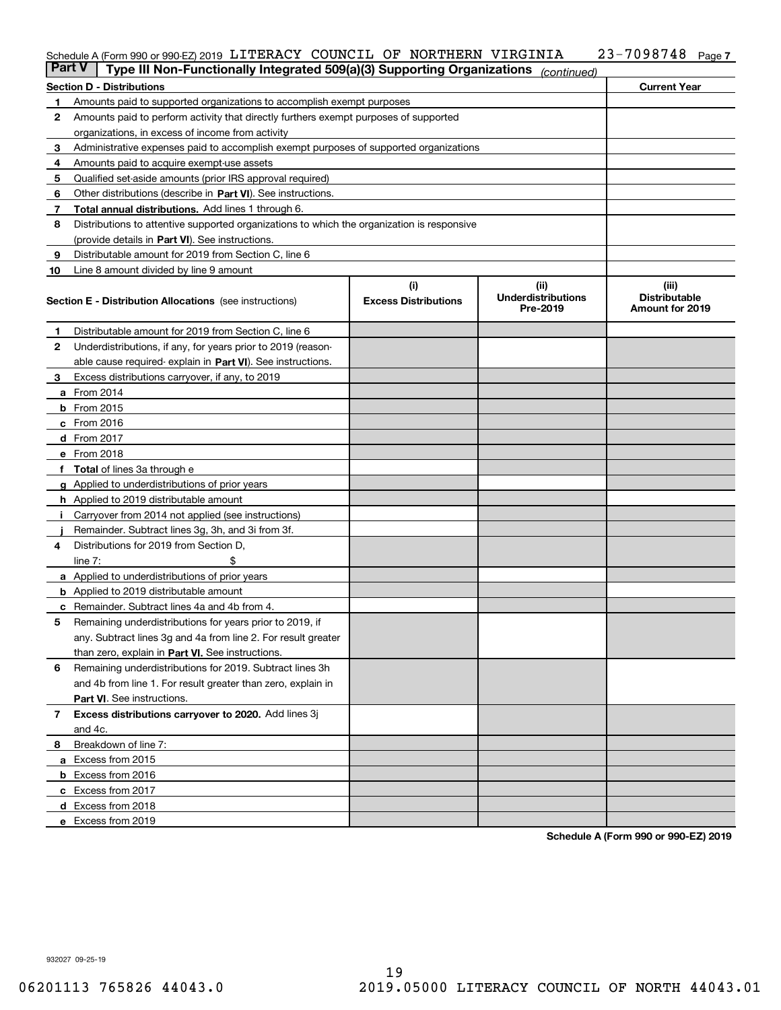## Schedule A (Form 990 or 990-EZ) 2019 <code>LITERACY COUNCIL OF NORTHERN VIRGINIA  $23$ – $7098748$  Page</code>

| <b>Part V</b> | Type III Non-Functionally Integrated 509(a)(3) Supporting Organizations                    |                                    | (continued)                                   |                                                         |
|---------------|--------------------------------------------------------------------------------------------|------------------------------------|-----------------------------------------------|---------------------------------------------------------|
|               | <b>Section D - Distributions</b>                                                           |                                    |                                               | <b>Current Year</b>                                     |
| 1             | Amounts paid to supported organizations to accomplish exempt purposes                      |                                    |                                               |                                                         |
| 2             | Amounts paid to perform activity that directly furthers exempt purposes of supported       |                                    |                                               |                                                         |
|               | organizations, in excess of income from activity                                           |                                    |                                               |                                                         |
| 3             | Administrative expenses paid to accomplish exempt purposes of supported organizations      |                                    |                                               |                                                         |
| 4             | Amounts paid to acquire exempt-use assets                                                  |                                    |                                               |                                                         |
| 5             | Qualified set-aside amounts (prior IRS approval required)                                  |                                    |                                               |                                                         |
| 6             | Other distributions (describe in Part VI). See instructions.                               |                                    |                                               |                                                         |
| 7             | <b>Total annual distributions.</b> Add lines 1 through 6.                                  |                                    |                                               |                                                         |
| 8             | Distributions to attentive supported organizations to which the organization is responsive |                                    |                                               |                                                         |
|               | (provide details in Part VI). See instructions.                                            |                                    |                                               |                                                         |
| 9             | Distributable amount for 2019 from Section C, line 6                                       |                                    |                                               |                                                         |
| 10            | Line 8 amount divided by line 9 amount                                                     |                                    |                                               |                                                         |
|               | <b>Section E - Distribution Allocations</b> (see instructions)                             | (i)<br><b>Excess Distributions</b> | (ii)<br><b>Underdistributions</b><br>Pre-2019 | (iii)<br><b>Distributable</b><br><b>Amount for 2019</b> |
| 1             | Distributable amount for 2019 from Section C, line 6                                       |                                    |                                               |                                                         |
| 2             | Underdistributions, if any, for years prior to 2019 (reason-                               |                                    |                                               |                                                         |
|               | able cause required- explain in Part VI). See instructions.                                |                                    |                                               |                                                         |
| З             | Excess distributions carryover, if any, to 2019                                            |                                    |                                               |                                                         |
|               | <b>a</b> From 2014                                                                         |                                    |                                               |                                                         |
|               | <b>b</b> From $2015$                                                                       |                                    |                                               |                                                         |
|               | $c$ From 2016                                                                              |                                    |                                               |                                                         |
|               | d From 2017                                                                                |                                    |                                               |                                                         |
|               | e From 2018                                                                                |                                    |                                               |                                                         |
|               | Total of lines 3a through e                                                                |                                    |                                               |                                                         |
| g             | Applied to underdistributions of prior years                                               |                                    |                                               |                                                         |
|               | h Applied to 2019 distributable amount                                                     |                                    |                                               |                                                         |
|               | Carryover from 2014 not applied (see instructions)                                         |                                    |                                               |                                                         |
|               | Remainder. Subtract lines 3g, 3h, and 3i from 3f.                                          |                                    |                                               |                                                         |
| 4             | Distributions for 2019 from Section D,                                                     |                                    |                                               |                                                         |
|               | line $7:$                                                                                  |                                    |                                               |                                                         |
|               | <b>a</b> Applied to underdistributions of prior years                                      |                                    |                                               |                                                         |
|               | <b>b</b> Applied to 2019 distributable amount                                              |                                    |                                               |                                                         |
|               | c Remainder. Subtract lines 4a and 4b from 4.                                              |                                    |                                               |                                                         |
| 5             | Remaining underdistributions for years prior to 2019, if                                   |                                    |                                               |                                                         |
|               | any. Subtract lines 3g and 4a from line 2. For result greater                              |                                    |                                               |                                                         |
|               | than zero, explain in Part VI. See instructions.                                           |                                    |                                               |                                                         |
| 6             | Remaining underdistributions for 2019. Subtract lines 3h                                   |                                    |                                               |                                                         |
|               | and 4b from line 1. For result greater than zero, explain in                               |                                    |                                               |                                                         |
|               | Part VI. See instructions.                                                                 |                                    |                                               |                                                         |
| 7             | Excess distributions carryover to 2020. Add lines 3j                                       |                                    |                                               |                                                         |
|               | and 4c.                                                                                    |                                    |                                               |                                                         |
| 8             | Breakdown of line 7:                                                                       |                                    |                                               |                                                         |
|               | a Excess from 2015                                                                         |                                    |                                               |                                                         |
|               | <b>b</b> Excess from 2016                                                                  |                                    |                                               |                                                         |
|               | c Excess from 2017                                                                         |                                    |                                               |                                                         |
|               | d Excess from 2018                                                                         |                                    |                                               |                                                         |
|               | e Excess from 2019                                                                         |                                    |                                               |                                                         |

**Schedule A (Form 990 or 990-EZ) 2019**

**7**

932027 09-25-19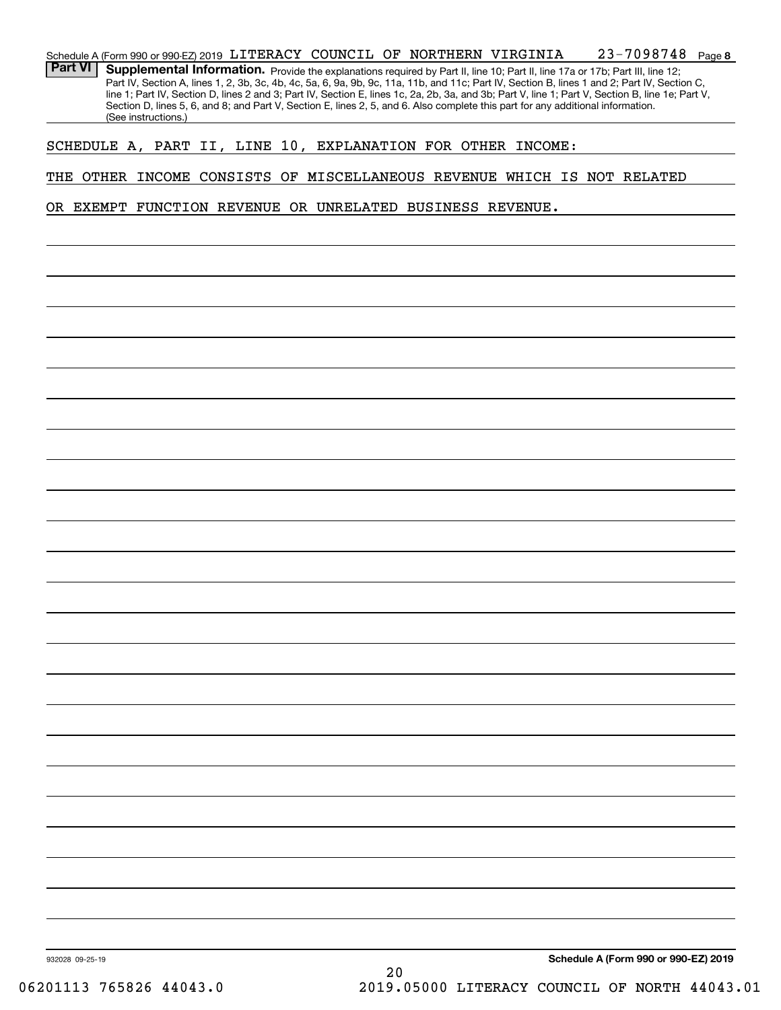|                 |                     |  |  |  | Schedule A (Form 990 or 990-EZ) 2019 LITERACY COUNCIL OF NORTHERN VIRGINIA                                                      | 23-7098748                                                                                                                                                                                                                                                                                       | Page 8 |
|-----------------|---------------------|--|--|--|---------------------------------------------------------------------------------------------------------------------------------|--------------------------------------------------------------------------------------------------------------------------------------------------------------------------------------------------------------------------------------------------------------------------------------------------|--------|
| <b>Part VI</b>  |                     |  |  |  | Supplemental Information. Provide the explanations required by Part II, line 10; Part II, line 17a or 17b; Part III, line 12;   |                                                                                                                                                                                                                                                                                                  |        |
|                 |                     |  |  |  |                                                                                                                                 | Part IV, Section A, lines 1, 2, 3b, 3c, 4b, 4c, 5a, 6, 9a, 9b, 9c, 11a, 11b, and 11c; Part IV, Section B, lines 1 and 2; Part IV, Section C,<br>line 1; Part IV, Section D, lines 2 and 3; Part IV, Section E, lines 1c, 2a, 2b, 3a, and 3b; Part V, line 1; Part V, Section B, line 1e; Part V, |        |
|                 |                     |  |  |  | Section D, lines 5, 6, and 8; and Part V, Section E, lines 2, 5, and 6. Also complete this part for any additional information. |                                                                                                                                                                                                                                                                                                  |        |
|                 | (See instructions.) |  |  |  |                                                                                                                                 |                                                                                                                                                                                                                                                                                                  |        |
|                 |                     |  |  |  | SCHEDULE A, PART II, LINE 10, EXPLANATION FOR OTHER INCOME:                                                                     |                                                                                                                                                                                                                                                                                                  |        |
|                 |                     |  |  |  |                                                                                                                                 |                                                                                                                                                                                                                                                                                                  |        |
|                 |                     |  |  |  |                                                                                                                                 | THE OTHER INCOME CONSISTS OF MISCELLANEOUS REVENUE WHICH IS NOT RELATED                                                                                                                                                                                                                          |        |
|                 |                     |  |  |  |                                                                                                                                 |                                                                                                                                                                                                                                                                                                  |        |
|                 |                     |  |  |  | OR EXEMPT FUNCTION REVENUE OR UNRELATED BUSINESS REVENUE.                                                                       |                                                                                                                                                                                                                                                                                                  |        |
|                 |                     |  |  |  |                                                                                                                                 |                                                                                                                                                                                                                                                                                                  |        |
|                 |                     |  |  |  |                                                                                                                                 |                                                                                                                                                                                                                                                                                                  |        |
|                 |                     |  |  |  |                                                                                                                                 |                                                                                                                                                                                                                                                                                                  |        |
|                 |                     |  |  |  |                                                                                                                                 |                                                                                                                                                                                                                                                                                                  |        |
|                 |                     |  |  |  |                                                                                                                                 |                                                                                                                                                                                                                                                                                                  |        |
|                 |                     |  |  |  |                                                                                                                                 |                                                                                                                                                                                                                                                                                                  |        |
|                 |                     |  |  |  |                                                                                                                                 |                                                                                                                                                                                                                                                                                                  |        |
|                 |                     |  |  |  |                                                                                                                                 |                                                                                                                                                                                                                                                                                                  |        |
|                 |                     |  |  |  |                                                                                                                                 |                                                                                                                                                                                                                                                                                                  |        |
|                 |                     |  |  |  |                                                                                                                                 |                                                                                                                                                                                                                                                                                                  |        |
|                 |                     |  |  |  |                                                                                                                                 |                                                                                                                                                                                                                                                                                                  |        |
|                 |                     |  |  |  |                                                                                                                                 |                                                                                                                                                                                                                                                                                                  |        |
|                 |                     |  |  |  |                                                                                                                                 |                                                                                                                                                                                                                                                                                                  |        |
|                 |                     |  |  |  |                                                                                                                                 |                                                                                                                                                                                                                                                                                                  |        |
|                 |                     |  |  |  |                                                                                                                                 |                                                                                                                                                                                                                                                                                                  |        |
|                 |                     |  |  |  |                                                                                                                                 |                                                                                                                                                                                                                                                                                                  |        |
|                 |                     |  |  |  |                                                                                                                                 |                                                                                                                                                                                                                                                                                                  |        |
|                 |                     |  |  |  |                                                                                                                                 |                                                                                                                                                                                                                                                                                                  |        |
|                 |                     |  |  |  |                                                                                                                                 |                                                                                                                                                                                                                                                                                                  |        |
|                 |                     |  |  |  |                                                                                                                                 |                                                                                                                                                                                                                                                                                                  |        |
|                 |                     |  |  |  |                                                                                                                                 |                                                                                                                                                                                                                                                                                                  |        |
|                 |                     |  |  |  |                                                                                                                                 |                                                                                                                                                                                                                                                                                                  |        |
|                 |                     |  |  |  |                                                                                                                                 |                                                                                                                                                                                                                                                                                                  |        |
|                 |                     |  |  |  |                                                                                                                                 |                                                                                                                                                                                                                                                                                                  |        |
|                 |                     |  |  |  |                                                                                                                                 |                                                                                                                                                                                                                                                                                                  |        |
|                 |                     |  |  |  |                                                                                                                                 |                                                                                                                                                                                                                                                                                                  |        |
|                 |                     |  |  |  |                                                                                                                                 |                                                                                                                                                                                                                                                                                                  |        |
|                 |                     |  |  |  |                                                                                                                                 |                                                                                                                                                                                                                                                                                                  |        |
|                 |                     |  |  |  |                                                                                                                                 |                                                                                                                                                                                                                                                                                                  |        |
|                 |                     |  |  |  |                                                                                                                                 |                                                                                                                                                                                                                                                                                                  |        |
|                 |                     |  |  |  |                                                                                                                                 |                                                                                                                                                                                                                                                                                                  |        |
|                 |                     |  |  |  |                                                                                                                                 |                                                                                                                                                                                                                                                                                                  |        |
|                 |                     |  |  |  |                                                                                                                                 |                                                                                                                                                                                                                                                                                                  |        |
|                 |                     |  |  |  |                                                                                                                                 |                                                                                                                                                                                                                                                                                                  |        |
|                 |                     |  |  |  |                                                                                                                                 |                                                                                                                                                                                                                                                                                                  |        |
|                 |                     |  |  |  |                                                                                                                                 |                                                                                                                                                                                                                                                                                                  |        |
|                 |                     |  |  |  |                                                                                                                                 |                                                                                                                                                                                                                                                                                                  |        |
|                 |                     |  |  |  |                                                                                                                                 |                                                                                                                                                                                                                                                                                                  |        |
|                 |                     |  |  |  |                                                                                                                                 |                                                                                                                                                                                                                                                                                                  |        |
|                 |                     |  |  |  |                                                                                                                                 |                                                                                                                                                                                                                                                                                                  |        |
|                 |                     |  |  |  |                                                                                                                                 |                                                                                                                                                                                                                                                                                                  |        |
|                 |                     |  |  |  |                                                                                                                                 |                                                                                                                                                                                                                                                                                                  |        |
| 932028 09-25-19 |                     |  |  |  |                                                                                                                                 | Schedule A (Form 990 or 990-EZ) 2019                                                                                                                                                                                                                                                             |        |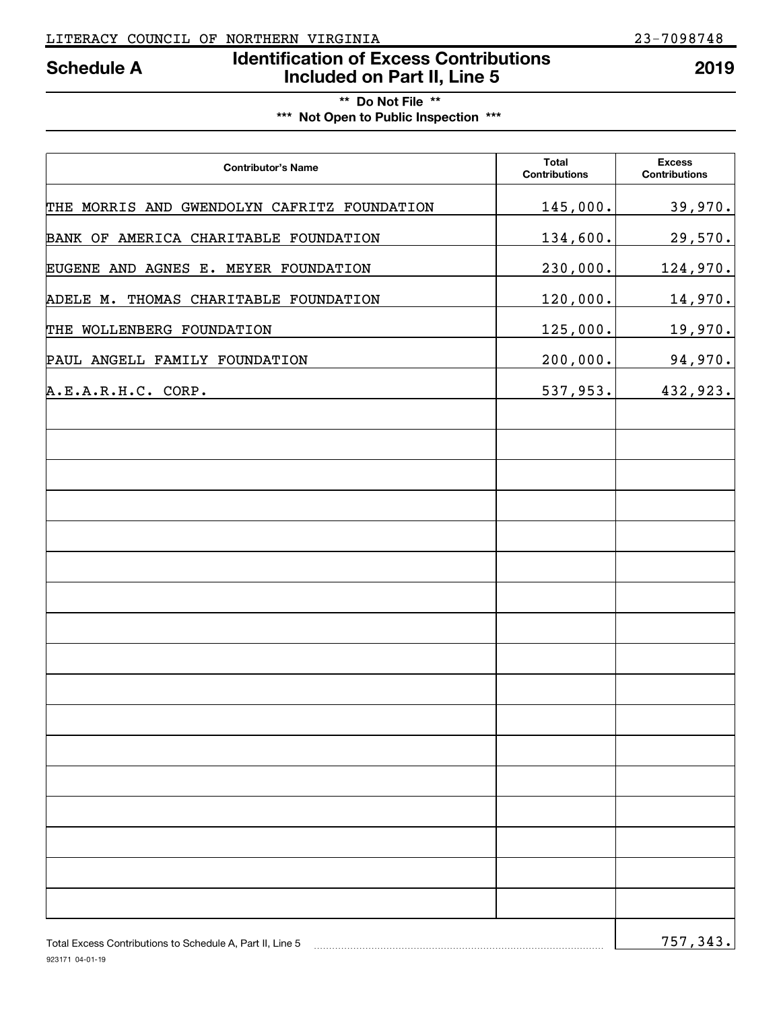# **Identification of Excess Contributions Included on Part II, Line 5 Schedule A 2019**

# **\*\* Do Not File \*\* \*\*\* Not Open to Public Inspection \*\*\***

| <b>Contributor's Name</b>                                 | <b>Total</b><br><b>Contributions</b> | <b>Excess</b><br><b>Contributions</b> |
|-----------------------------------------------------------|--------------------------------------|---------------------------------------|
| THE MORRIS AND GWENDOLYN CAFRITZ FOUNDATION               | 145,000.                             | 39,970.                               |
| BANK OF AMERICA CHARITABLE FOUNDATION                     | 134,600.                             | 29,570.                               |
| EUGENE AND AGNES E. MEYER FOUNDATION                      | 230,000.                             | <u>124,970.</u>                       |
| ADELE M. THOMAS CHARITABLE FOUNDATION                     | 120,000.                             | <u>14,970.</u>                        |
| THE WOLLENBERG FOUNDATION                                 | 125,000.                             | 19,970.                               |
| PAUL ANGELL FAMILY FOUNDATION                             | 200,000.                             | 94,970.                               |
| A.E.A.R.H.C. CORP.                                        | 537,953.                             | 432,923.                              |
|                                                           |                                      |                                       |
|                                                           |                                      |                                       |
|                                                           |                                      |                                       |
|                                                           |                                      |                                       |
|                                                           |                                      |                                       |
|                                                           |                                      |                                       |
|                                                           |                                      |                                       |
|                                                           |                                      |                                       |
|                                                           |                                      |                                       |
|                                                           |                                      |                                       |
|                                                           |                                      |                                       |
|                                                           |                                      |                                       |
|                                                           |                                      |                                       |
|                                                           |                                      |                                       |
|                                                           |                                      |                                       |
|                                                           |                                      |                                       |
| Total Excess Contributions to Schedule A, Part II, Line 5 |                                      | 757, 343.                             |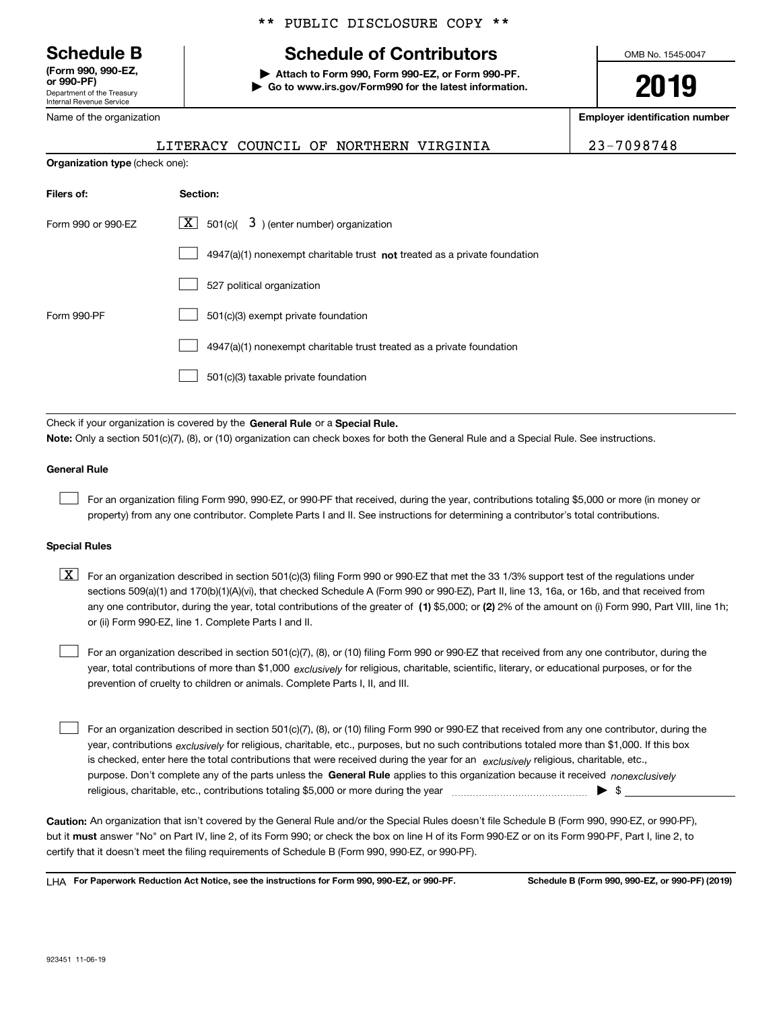Department of the Treasury Internal Revenue Service **(Form 990, 990-EZ, or 990-PF)**

\*\* PUBLIC DISCLOSURE COPY \*\*

# **Schedule B Schedule of Contributors**

**| Attach to Form 990, Form 990-EZ, or Form 990-PF. | Go to www.irs.gov/Form990 for the latest information.** OMB No. 1545-0047

**2019**

**Employer identification number**

| LITERACY COUNCIL OF NORTHERN VIRGINIA | 23-7098748 |
|---------------------------------------|------------|
|---------------------------------------|------------|

|  | Name of the organization |
|--|--------------------------|
|--|--------------------------|

**Organization type** (check one):

| Filers of:         | Section:                                                                           |
|--------------------|------------------------------------------------------------------------------------|
| Form 990 or 990-FZ | $ \mathbf{X} $ 501(c)( 3) (enter number) organization                              |
|                    | $4947(a)(1)$ nonexempt charitable trust <b>not</b> treated as a private foundation |
|                    | 527 political organization                                                         |
| Form 990-PF        | 501(c)(3) exempt private foundation                                                |
|                    | 4947(a)(1) nonexempt charitable trust treated as a private foundation              |
|                    | 501(c)(3) taxable private foundation                                               |

Check if your organization is covered by the **General Rule** or a **Special Rule. Note:**  Only a section 501(c)(7), (8), or (10) organization can check boxes for both the General Rule and a Special Rule. See instructions.

### **General Rule**

 $\mathcal{L}^{\text{max}}$ 

For an organization filing Form 990, 990-EZ, or 990-PF that received, during the year, contributions totaling \$5,000 or more (in money or property) from any one contributor. Complete Parts I and II. See instructions for determining a contributor's total contributions.

#### **Special Rules**

any one contributor, during the year, total contributions of the greater of  $\,$  (1) \$5,000; or **(2)** 2% of the amount on (i) Form 990, Part VIII, line 1h;  $\boxed{\textbf{X}}$  For an organization described in section 501(c)(3) filing Form 990 or 990-EZ that met the 33 1/3% support test of the regulations under sections 509(a)(1) and 170(b)(1)(A)(vi), that checked Schedule A (Form 990 or 990-EZ), Part II, line 13, 16a, or 16b, and that received from or (ii) Form 990-EZ, line 1. Complete Parts I and II.

year, total contributions of more than \$1,000 *exclusively* for religious, charitable, scientific, literary, or educational purposes, or for the For an organization described in section 501(c)(7), (8), or (10) filing Form 990 or 990-EZ that received from any one contributor, during the prevention of cruelty to children or animals. Complete Parts I, II, and III.  $\mathcal{L}^{\text{max}}$ 

purpose. Don't complete any of the parts unless the **General Rule** applies to this organization because it received *nonexclusively* year, contributions <sub>exclusively</sub> for religious, charitable, etc., purposes, but no such contributions totaled more than \$1,000. If this box is checked, enter here the total contributions that were received during the year for an  $\;$ exclusively religious, charitable, etc., For an organization described in section 501(c)(7), (8), or (10) filing Form 990 or 990-EZ that received from any one contributor, during the religious, charitable, etc., contributions totaling \$5,000 or more during the year  $\Box$ — $\Box$   $\Box$  $\mathcal{L}^{\text{max}}$ 

**Caution:**  An organization that isn't covered by the General Rule and/or the Special Rules doesn't file Schedule B (Form 990, 990-EZ, or 990-PF),  **must** but it answer "No" on Part IV, line 2, of its Form 990; or check the box on line H of its Form 990-EZ or on its Form 990-PF, Part I, line 2, to certify that it doesn't meet the filing requirements of Schedule B (Form 990, 990-EZ, or 990-PF).

**For Paperwork Reduction Act Notice, see the instructions for Form 990, 990-EZ, or 990-PF. Schedule B (Form 990, 990-EZ, or 990-PF) (2019)** LHA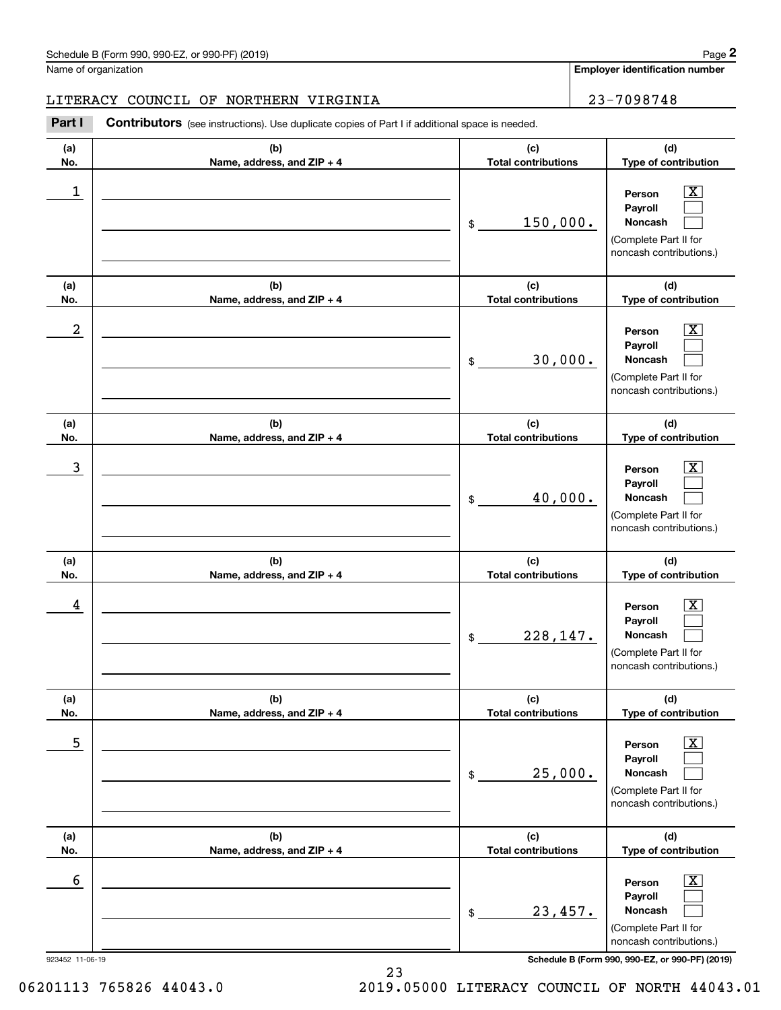**Employer identification number**

### LITERACY COUNCIL OF NORTHERN VIRGINIA 23-7098748

**(a)No.(b)Name, address, and ZIP + 4 (c)Total contributions (d)Type of contribution PersonPayrollNoncash (a)No.(b)Name, address, and ZIP + 4 (c)Total contributions (d)Type of contribution PersonPayrollNoncash (a)No.(b)Name, address, and ZIP + 4 (c)Total contributions (d)Type of contribution PersonPayrollNoncash (a) No.(b) Name, address, and ZIP + 4 (c) Total contributions (d) Type of contribution PersonPayrollNoncash (a) No.(b) Name, address, and ZIP + 4 (c) Total contributions (d) Type of contribution PersonPayrollNoncash(a) No.(b)Name, address, and ZIP + 4 (c) Total contributions (d)Type of contribution PersonPayrollNoncash** Contributors (see instructions). Use duplicate copies of Part I if additional space is needed. \$(Complete Part II for noncash contributions.) \$(Complete Part II for noncash contributions.) \$(Complete Part II for noncash contributions.) \$(Complete Part II for noncash contributions.) \$(Complete Part II for noncash contributions.) \$(Complete Part II for noncash contributions.) Chedule B (Form 990, 990-EZ, or 990-PF) (2019)<br>Iame of organization<br>**2Part I 2Part I Contributors** (see instructions). Use duplicate copies of Part I if additional space is needed.  $|X|$  $\mathcal{L}^{\text{max}}$  $\mathcal{L}^{\text{max}}$  $\boxed{\text{X}}$  $\mathcal{L}^{\text{max}}$  $\mathcal{L}^{\text{max}}$  $|X|$  $\mathcal{L}^{\text{max}}$  $\mathcal{L}^{\text{max}}$  $\boxed{\text{X}}$  $\mathcal{L}^{\text{max}}$  $\mathcal{L}^{\text{max}}$  $\boxed{\text{X}}$  $\mathcal{L}^{\text{max}}$  $\mathcal{L}^{\text{max}}$  $\boxed{\text{X}}$  $\mathcal{L}^{\text{max}}$  $\mathcal{L}^{\text{max}}$  $\begin{array}{c|c|c|c|c|c} 1 & \hspace{1.5cm} & \hspace{1.5cm} & \hspace{1.5cm} & \hspace{1.5cm} & \hspace{1.5cm} & \hspace{1.5cm} & \hspace{1.5cm} & \hspace{1.5cm} & \hspace{1.5cm} & \hspace{1.5cm} & \hspace{1.5cm} & \hspace{1.5cm} & \hspace{1.5cm} & \hspace{1.5cm} & \hspace{1.5cm} & \hspace{1.5cm} & \hspace{1.5cm} & \hspace{1.5cm} & \hspace{1.5cm} & \hspace{1.5cm} &$ 150,000.  $2$  | Person  $\overline{\text{X}}$ 30,000.  $\overline{3}$  | Person  $\overline{X}$ 40,000.  $4$  | Person  $\overline{\text{X}}$ 228,147.  $\sim$  5 | Person X 25,000.  $\sim$  6 | Person X 23,457.

923452 11-06-19 **Schedule B (Form 990, 990-EZ, or 990-PF) (2019)**

06201113 765826 44043.0 2019.05000 LITERACY COUNCIL OF NORTH 44043.01

23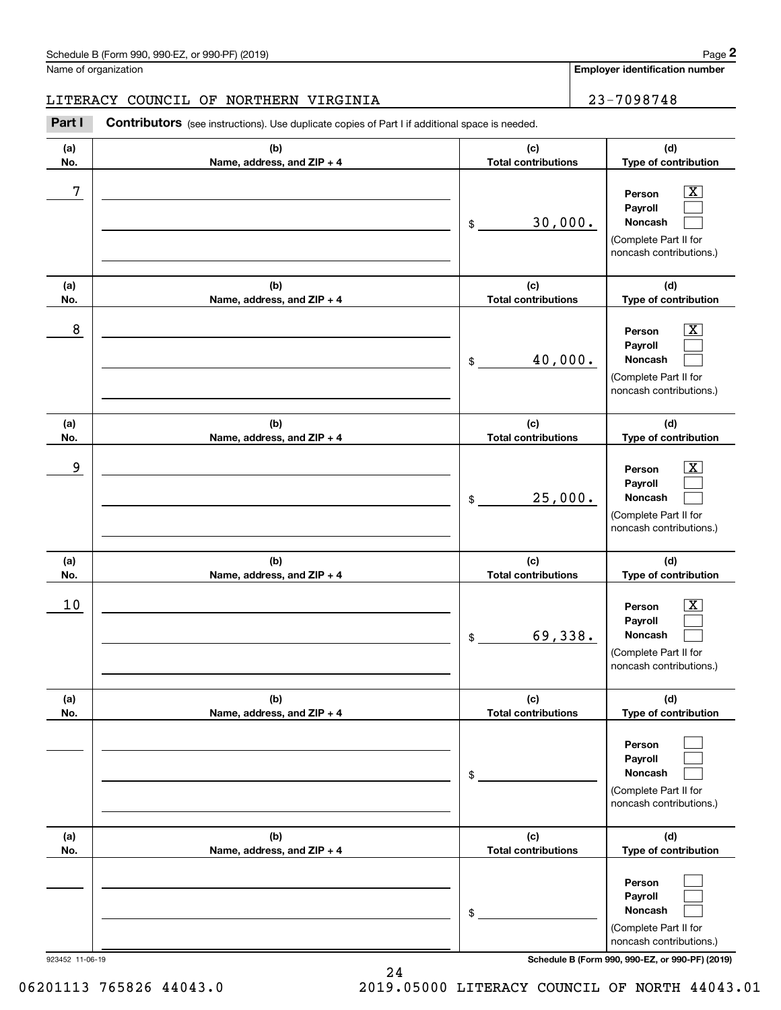**Employer identification number**

### LITERACY COUNCIL OF NORTHERN VIRGINIA 23-7098748

**(a)No.(b)Name, address, and ZIP + 4 (c)Total contributions (d)Type of contribution PersonPayrollNoncash (a)No.(b)Name, address, and ZIP + 4 (c)Total contributions (d)Type of contribution PersonPayrollNoncash (a)No.(b)Name, address, and ZIP + 4 (c)Total contributions (d)Type of contribution PersonPayrollNoncash (a) No.(b) Name, address, and ZIP + 4 (c) Total contributions (d) Type of contribution PersonPayrollNoncash (a) No.(b)Name, address, and ZIP + 4 (c) Total contributions (d) Type of contribution PersonPayrollNoncash(a) No.(b)Name, address, and ZIP + 4 (c) Total contributions (d)Type of contribution PersonPayrollNoncash** Contributors (see instructions). Use duplicate copies of Part I if additional space is needed. \$(Complete Part II for noncash contributions.) \$(Complete Part II for noncash contributions.) \$(Complete Part II for noncash contributions.) \$(Complete Part II for noncash contributions.) \$(Complete Part II for noncash contributions.) \$(Complete Part II for noncash contributions.) Chedule B (Form 990, 990-EZ, or 990-PF) (2019)<br>Iame of organization<br>**2Part I 2Part I Contributors** (see instructions). Use duplicate copies of Part I if additional space is needed.  $|X|$  $\mathcal{L}^{\text{max}}$  $\mathcal{L}^{\text{max}}$  $\boxed{\text{X}}$  $\mathcal{L}^{\text{max}}$  $\mathcal{L}^{\text{max}}$  $|X|$  $\mathcal{L}^{\text{max}}$  $\mathcal{L}^{\text{max}}$  $|X|$  $\mathcal{L}^{\text{max}}$  $\mathcal{L}^{\text{max}}$  $\mathcal{L}^{\text{max}}$  $\mathcal{L}^{\text{max}}$  $\mathcal{L}^{\text{max}}$  $\mathcal{L}^{\text{max}}$  $\mathcal{L}^{\text{max}}$  $\mathcal{L}^{\text{max}}$ 7 X 30,000. 8 X 40,000. example and the set of the set of the set of the set of the set of the set of the set of the set of the set of 25,000.  $10$  Person  $\overline{\text{X}}$ 69,338.

923452 11-06-19 **Schedule B (Form 990, 990-EZ, or 990-PF) (2019)**

06201113 765826 44043.0 2019.05000 LITERACY COUNCIL OF NORTH 44043.01

24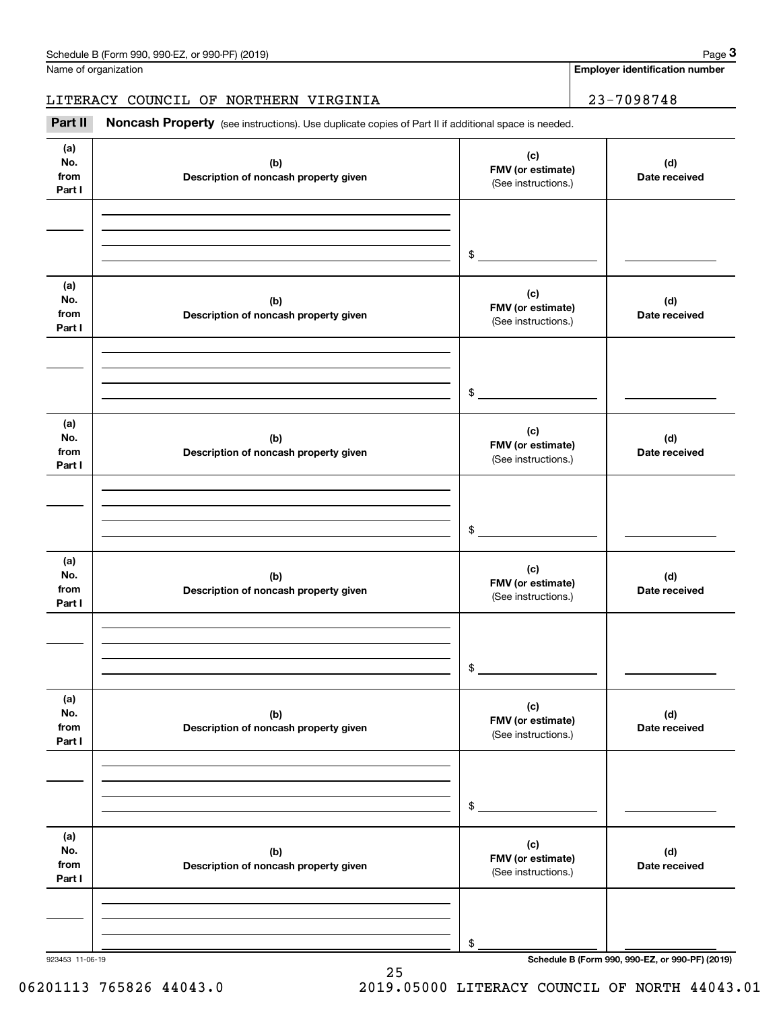Name of organization

**Employer identification number**

## LITERACY COUNCIL OF NORTHERN VIRGINIA | 23-7098748

(see instructions). Use duplicate copies of Part II if additional space is needed.<br> **1998/1999 | Employer identification number**<br> **Part II Noncash Property** (see instructions). Use duplicate copies of Part II if addition

| (a)<br>No.<br>from<br>Part I | (b)<br>Description of noncash property given | (c)<br>FMV (or estimate)<br>(See instructions.) | (d)<br>Date received                            |
|------------------------------|----------------------------------------------|-------------------------------------------------|-------------------------------------------------|
|                              |                                              | $\sim$                                          |                                                 |
| (a)<br>No.<br>from<br>Part I | (b)<br>Description of noncash property given | (c)<br>FMV (or estimate)<br>(See instructions.) | (d)<br>Date received                            |
|                              |                                              | $\sim$                                          |                                                 |
| (a)<br>No.<br>from<br>Part I | (b)<br>Description of noncash property given | (c)<br>FMV (or estimate)<br>(See instructions.) | (d)<br>Date received                            |
|                              |                                              | $\frac{1}{2}$                                   |                                                 |
| (a)<br>No.<br>from<br>Part I | (b)<br>Description of noncash property given | (c)<br>FMV (or estimate)<br>(See instructions.) | (d)<br>Date received                            |
|                              |                                              | \$                                              |                                                 |
| (a)<br>No.<br>from<br>Part I | (b)<br>Description of noncash property given | (c)<br>FMV (or estimate)<br>(See instructions.) | (d)<br>Date received                            |
|                              |                                              | \$                                              |                                                 |
| (a)<br>No.<br>from<br>Part I | (b)<br>Description of noncash property given | (c)<br>FMV (or estimate)<br>(See instructions.) | (d)<br>Date received                            |
| 923453 11-06-19              |                                              | \$                                              | Schedule B (Form 990, 990-EZ, or 990-PF) (2019) |

25

06201113 765826 44043.0 2019.05000 LITERACY COUNCIL OF NORTH 44043.01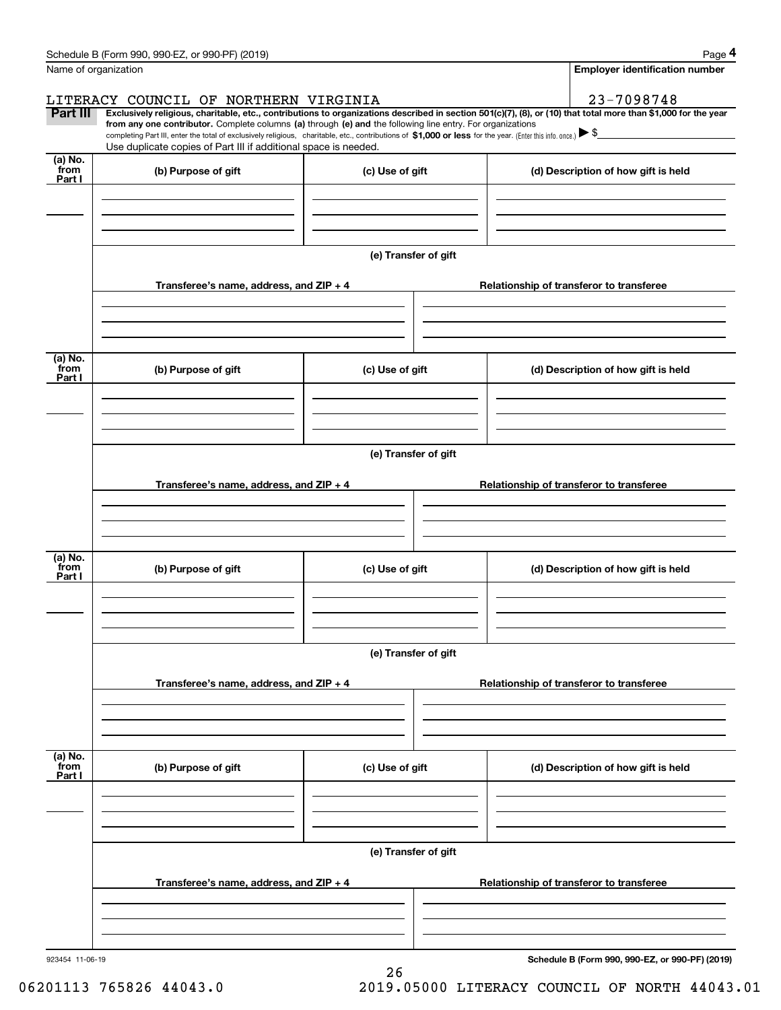|                           | Schedule B (Form 990, 990-EZ, or 990-PF) (2019)                                                                                                                                                                                                                              |                      |  | Page 4                                          |
|---------------------------|------------------------------------------------------------------------------------------------------------------------------------------------------------------------------------------------------------------------------------------------------------------------------|----------------------|--|-------------------------------------------------|
| Name of organization      |                                                                                                                                                                                                                                                                              |                      |  | <b>Employer identification number</b>           |
|                           | LITERACY COUNCIL OF NORTHERN VIRGINIA                                                                                                                                                                                                                                        |                      |  | 23-7098748                                      |
| Part III                  | Exclusively religious, charitable, etc., contributions to organizations described in section 501(c)(7), (8), or (10) that total more than \$1,000 for the year<br>from any one contributor. Complete columns (a) through (e) and the following line entry. For organizations |                      |  |                                                 |
|                           | completing Part III, enter the total of exclusively religious, charitable, etc., contributions of \$1,000 or less for the year. (Enter this info. once.) $\blacktriangleright$ \$<br>Use duplicate copies of Part III if additional space is needed.                         |                      |  |                                                 |
| (a) No.                   |                                                                                                                                                                                                                                                                              |                      |  |                                                 |
| from<br>Part I            | (b) Purpose of gift                                                                                                                                                                                                                                                          | (c) Use of gift      |  | (d) Description of how gift is held             |
|                           |                                                                                                                                                                                                                                                                              |                      |  |                                                 |
|                           |                                                                                                                                                                                                                                                                              |                      |  |                                                 |
|                           |                                                                                                                                                                                                                                                                              |                      |  |                                                 |
|                           |                                                                                                                                                                                                                                                                              | (e) Transfer of gift |  |                                                 |
|                           | Transferee's name, address, and ZIP + 4                                                                                                                                                                                                                                      |                      |  | Relationship of transferor to transferee        |
|                           |                                                                                                                                                                                                                                                                              |                      |  |                                                 |
|                           |                                                                                                                                                                                                                                                                              |                      |  |                                                 |
|                           |                                                                                                                                                                                                                                                                              |                      |  |                                                 |
| (a) No.<br>from           | (b) Purpose of gift                                                                                                                                                                                                                                                          | (c) Use of gift      |  | (d) Description of how gift is held             |
| Part I                    |                                                                                                                                                                                                                                                                              |                      |  |                                                 |
|                           |                                                                                                                                                                                                                                                                              |                      |  |                                                 |
|                           |                                                                                                                                                                                                                                                                              |                      |  |                                                 |
|                           |                                                                                                                                                                                                                                                                              | (e) Transfer of gift |  |                                                 |
|                           |                                                                                                                                                                                                                                                                              |                      |  |                                                 |
|                           | Transferee's name, address, and ZIP + 4                                                                                                                                                                                                                                      |                      |  | Relationship of transferor to transferee        |
|                           |                                                                                                                                                                                                                                                                              |                      |  |                                                 |
|                           |                                                                                                                                                                                                                                                                              |                      |  |                                                 |
| (a) No.                   |                                                                                                                                                                                                                                                                              |                      |  |                                                 |
| from<br>Part I            | (b) Purpose of gift                                                                                                                                                                                                                                                          | (c) Use of gift      |  | (d) Description of how gift is held             |
|                           |                                                                                                                                                                                                                                                                              |                      |  |                                                 |
|                           |                                                                                                                                                                                                                                                                              |                      |  |                                                 |
|                           |                                                                                                                                                                                                                                                                              |                      |  |                                                 |
|                           |                                                                                                                                                                                                                                                                              | (e) Transfer of gift |  |                                                 |
|                           | Transferee's name, address, and $ZIP + 4$                                                                                                                                                                                                                                    |                      |  | Relationship of transferor to transferee        |
|                           |                                                                                                                                                                                                                                                                              |                      |  |                                                 |
|                           |                                                                                                                                                                                                                                                                              |                      |  |                                                 |
|                           |                                                                                                                                                                                                                                                                              |                      |  |                                                 |
| (a) No.<br>from<br>Part I | (b) Purpose of gift                                                                                                                                                                                                                                                          | (c) Use of gift      |  | (d) Description of how gift is held             |
|                           |                                                                                                                                                                                                                                                                              |                      |  |                                                 |
|                           |                                                                                                                                                                                                                                                                              |                      |  |                                                 |
|                           |                                                                                                                                                                                                                                                                              |                      |  |                                                 |
|                           |                                                                                                                                                                                                                                                                              | (e) Transfer of gift |  |                                                 |
|                           |                                                                                                                                                                                                                                                                              |                      |  |                                                 |
|                           | Transferee's name, address, and $ZIP + 4$                                                                                                                                                                                                                                    |                      |  | Relationship of transferor to transferee        |
|                           |                                                                                                                                                                                                                                                                              |                      |  |                                                 |
|                           |                                                                                                                                                                                                                                                                              |                      |  |                                                 |
| 923454 11-06-19           |                                                                                                                                                                                                                                                                              |                      |  | Schedule B (Form 990, 990-EZ, or 990-PF) (2019) |

26

**Schedule B (Form 990, 990-EZ, or 990-PF) (2019)**

06201113 765826 44043.0 2019.05000 LITERACY COUNCIL OF NORTH 44043.01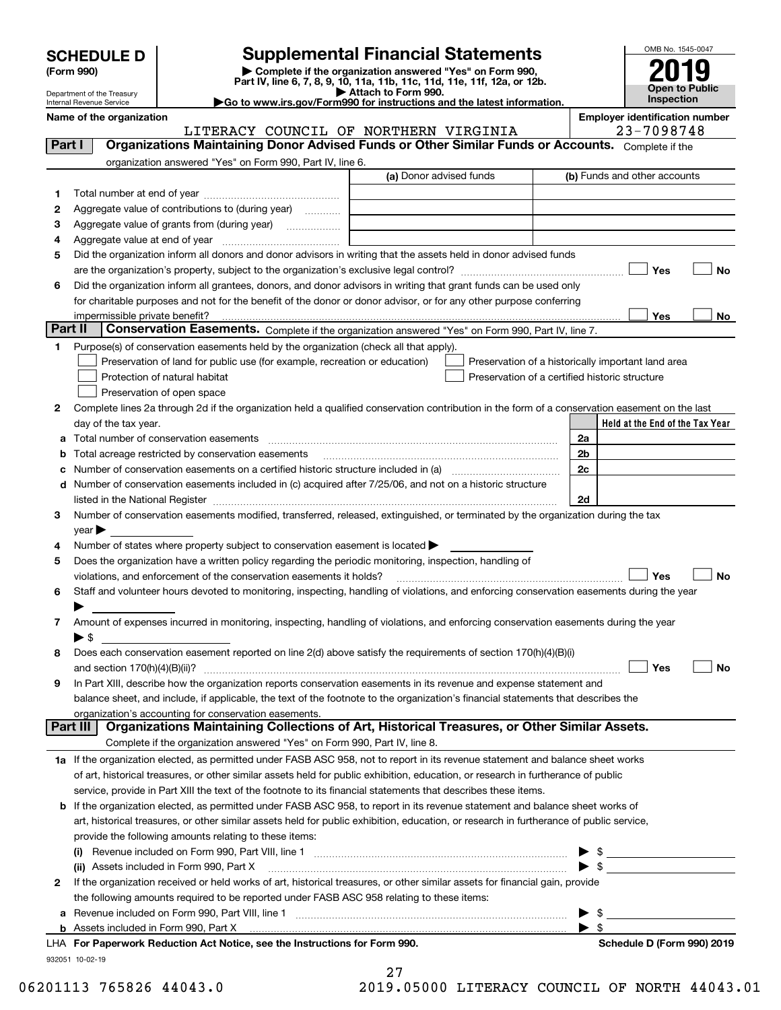| <b>SCHEDULE D</b> |  |
|-------------------|--|
|-------------------|--|

Department of the Treasury Internal Revenue Service

| (Form 990) |  |  |
|------------|--|--|
|------------|--|--|

# **Supplemental Financial Statements**

(Form 990)<br>
Pepartment of the Treasury<br>
Department of the Treasury<br>
Department of the Treasury<br>
Department of the Treasury<br> **Co to www.irs.gov/Form990 for instructions and the latest information.**<br> **Co to www.irs.gov/Form9** 

|--|



**Name of the oriental conducts of the oriental conducts of the oriental conducts of the oriental conducts of the oriental conducts of**  $\blacksquare$ LITERACY COUNCIL OF NORTHERN VIRGINIA | 23-7098748

| Part I       | Organizations Maintaining Donor Advised Funds or Other Similar Funds or Accounts. Complete if the                                                                 |                         |                                                                                                                                                                                                                                              |
|--------------|-------------------------------------------------------------------------------------------------------------------------------------------------------------------|-------------------------|----------------------------------------------------------------------------------------------------------------------------------------------------------------------------------------------------------------------------------------------|
|              | organization answered "Yes" on Form 990, Part IV, line 6.                                                                                                         |                         |                                                                                                                                                                                                                                              |
|              |                                                                                                                                                                   | (a) Donor advised funds | (b) Funds and other accounts                                                                                                                                                                                                                 |
| 1.           |                                                                                                                                                                   |                         |                                                                                                                                                                                                                                              |
| 2            | Aggregate value of contributions to (during year)                                                                                                                 |                         |                                                                                                                                                                                                                                              |
| з            | Aggregate value of grants from (during year)                                                                                                                      |                         |                                                                                                                                                                                                                                              |
| 4            |                                                                                                                                                                   |                         |                                                                                                                                                                                                                                              |
| 5            | Did the organization inform all donors and donor advisors in writing that the assets held in donor advised funds                                                  |                         |                                                                                                                                                                                                                                              |
|              |                                                                                                                                                                   |                         | Yes<br>No                                                                                                                                                                                                                                    |
| 6            | Did the organization inform all grantees, donors, and donor advisors in writing that grant funds can be used only                                                 |                         |                                                                                                                                                                                                                                              |
|              | for charitable purposes and not for the benefit of the donor or donor advisor, or for any other purpose conferring                                                |                         |                                                                                                                                                                                                                                              |
| Part II      |                                                                                                                                                                   |                         | Yes<br>No                                                                                                                                                                                                                                    |
|              | Conservation Easements. Complete if the organization answered "Yes" on Form 990, Part IV, line 7.                                                                 |                         |                                                                                                                                                                                                                                              |
| 1            | Purpose(s) of conservation easements held by the organization (check all that apply).                                                                             |                         |                                                                                                                                                                                                                                              |
|              | Preservation of land for public use (for example, recreation or education)                                                                                        |                         | Preservation of a historically important land area                                                                                                                                                                                           |
|              | Protection of natural habitat                                                                                                                                     |                         | Preservation of a certified historic structure                                                                                                                                                                                               |
|              | Preservation of open space                                                                                                                                        |                         |                                                                                                                                                                                                                                              |
| 2            | Complete lines 2a through 2d if the organization held a qualified conservation contribution in the form of a conservation easement on the last                    |                         |                                                                                                                                                                                                                                              |
|              | day of the tax year.                                                                                                                                              |                         | Held at the End of the Tax Year                                                                                                                                                                                                              |
| а            | Total number of conservation easements                                                                                                                            |                         | 2a                                                                                                                                                                                                                                           |
|              | Total acreage restricted by conservation easements                                                                                                                |                         | 2b                                                                                                                                                                                                                                           |
| c            |                                                                                                                                                                   |                         | 2c                                                                                                                                                                                                                                           |
| d            | Number of conservation easements included in (c) acquired after 7/25/06, and not on a historic structure                                                          |                         |                                                                                                                                                                                                                                              |
|              |                                                                                                                                                                   |                         | 2d                                                                                                                                                                                                                                           |
| З.           | Number of conservation easements modified, transferred, released, extinguished, or terminated by the organization during the tax                                  |                         |                                                                                                                                                                                                                                              |
|              | $year \blacktriangleright$                                                                                                                                        |                         |                                                                                                                                                                                                                                              |
| 4            | Number of states where property subject to conservation easement is located $\blacktriangleright$                                                                 |                         |                                                                                                                                                                                                                                              |
| 5            | Does the organization have a written policy regarding the periodic monitoring, inspection, handling of                                                            |                         |                                                                                                                                                                                                                                              |
|              | violations, and enforcement of the conservation easements it holds?                                                                                               |                         | Yes<br><b>No</b>                                                                                                                                                                                                                             |
| 6            | Staff and volunteer hours devoted to monitoring, inspecting, handling of violations, and enforcing conservation easements during the year                         |                         |                                                                                                                                                                                                                                              |
|              |                                                                                                                                                                   |                         |                                                                                                                                                                                                                                              |
| 7            | Amount of expenses incurred in monitoring, inspecting, handling of violations, and enforcing conservation easements during the year                               |                         |                                                                                                                                                                                                                                              |
|              | $\blacktriangleright$ \$                                                                                                                                          |                         |                                                                                                                                                                                                                                              |
| 8            | Does each conservation easement reported on line 2(d) above satisfy the requirements of section 170(h)(4)(B)(i)                                                   |                         |                                                                                                                                                                                                                                              |
|              |                                                                                                                                                                   |                         | Yes<br>No                                                                                                                                                                                                                                    |
| 9            | In Part XIII, describe how the organization reports conservation easements in its revenue and expense statement and                                               |                         |                                                                                                                                                                                                                                              |
|              | balance sheet, and include, if applicable, the text of the footnote to the organization's financial statements that describes the                                 |                         |                                                                                                                                                                                                                                              |
|              | organization's accounting for conservation easements.<br>Organizations Maintaining Collections of Art, Historical Treasures, or Other Similar Assets.<br>Part III |                         |                                                                                                                                                                                                                                              |
|              | Complete if the organization answered "Yes" on Form 990, Part IV, line 8.                                                                                         |                         |                                                                                                                                                                                                                                              |
|              | 1a If the organization elected, as permitted under FASB ASC 958, not to report in its revenue statement and balance sheet works                                   |                         |                                                                                                                                                                                                                                              |
|              | of art, historical treasures, or other similar assets held for public exhibition, education, or research in furtherance of public                                 |                         |                                                                                                                                                                                                                                              |
|              | service, provide in Part XIII the text of the footnote to its financial statements that describes these items.                                                    |                         |                                                                                                                                                                                                                                              |
| b            | If the organization elected, as permitted under FASB ASC 958, to report in its revenue statement and balance sheet works of                                       |                         |                                                                                                                                                                                                                                              |
|              | art, historical treasures, or other similar assets held for public exhibition, education, or research in furtherance of public service,                           |                         |                                                                                                                                                                                                                                              |
|              | provide the following amounts relating to these items:                                                                                                            |                         |                                                                                                                                                                                                                                              |
|              |                                                                                                                                                                   |                         |                                                                                                                                                                                                                                              |
|              | (ii) Assets included in Form 990, Part X                                                                                                                          |                         | $\frac{1}{2}$<br>$\triangleright$ \$                                                                                                                                                                                                         |
| $\mathbf{2}$ | If the organization received or held works of art, historical treasures, or other similar assets for financial gain, provide                                      |                         |                                                                                                                                                                                                                                              |
|              | the following amounts required to be reported under FASB ASC 958 relating to these items:                                                                         |                         |                                                                                                                                                                                                                                              |
| а            |                                                                                                                                                                   |                         | - \$<br><u>and the state of the state of the state of the state of the state of the state of the state of the state of the state of the state of the state of the state of the state of the state of the state of the state of the state</u> |
|              |                                                                                                                                                                   |                         | $\blacktriangleright$ \$                                                                                                                                                                                                                     |
|              | LHA For Paperwork Reduction Act Notice, see the Instructions for Form 990.                                                                                        |                         | Schedule D (Form 990) 2019                                                                                                                                                                                                                   |
|              | 932051 10-02-19                                                                                                                                                   |                         |                                                                                                                                                                                                                                              |

27 06201113 765826 44043.0 2019.05000 LITERACY COUNCIL OF NORTH 44043.01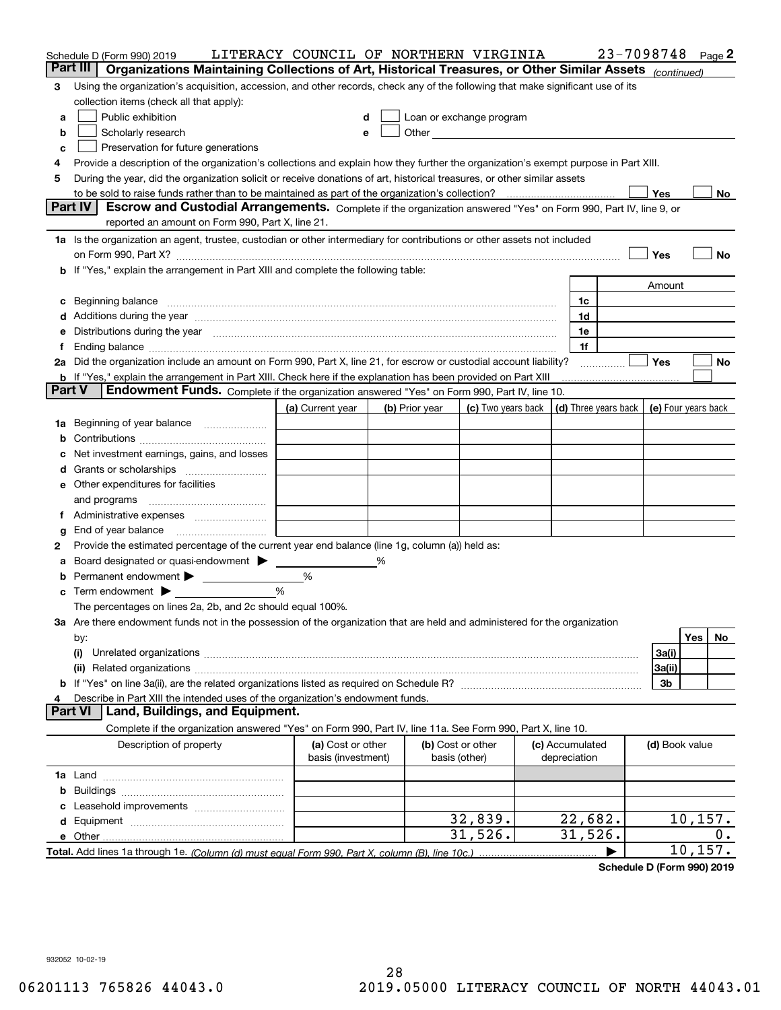|    | Schedule D (Form 990) 2019                                                                                                                                                                                                     | LITERACY COUNCIL OF NORTHERN VIRGINIA   |   |                |                                                      |                                 | 23-7098748           |                     |          | Page 2 |
|----|--------------------------------------------------------------------------------------------------------------------------------------------------------------------------------------------------------------------------------|-----------------------------------------|---|----------------|------------------------------------------------------|---------------------------------|----------------------|---------------------|----------|--------|
|    | Part III<br>Organizations Maintaining Collections of Art, Historical Treasures, or Other Similar Assets (continued)                                                                                                            |                                         |   |                |                                                      |                                 |                      |                     |          |        |
| 3  | Using the organization's acquisition, accession, and other records, check any of the following that make significant use of its                                                                                                |                                         |   |                |                                                      |                                 |                      |                     |          |        |
|    | collection items (check all that apply):                                                                                                                                                                                       |                                         |   |                |                                                      |                                 |                      |                     |          |        |
| a  | Public exhibition                                                                                                                                                                                                              | d                                       |   |                | Loan or exchange program                             |                                 |                      |                     |          |        |
| b  | Scholarly research                                                                                                                                                                                                             | e                                       |   |                | Other <b>Committee Committee Committee Committee</b> |                                 |                      |                     |          |        |
| c  | Preservation for future generations                                                                                                                                                                                            |                                         |   |                |                                                      |                                 |                      |                     |          |        |
| 4  | Provide a description of the organization's collections and explain how they further the organization's exempt purpose in Part XIII.                                                                                           |                                         |   |                |                                                      |                                 |                      |                     |          |        |
| 5  | During the year, did the organization solicit or receive donations of art, historical treasures, or other similar assets                                                                                                       |                                         |   |                |                                                      |                                 |                      |                     |          |        |
|    | to be sold to raise funds rather than to be maintained as part of the organization's collection?                                                                                                                               |                                         |   |                |                                                      |                                 |                      | Yes                 |          | No     |
|    | Part IV<br>Escrow and Custodial Arrangements. Complete if the organization answered "Yes" on Form 990, Part IV, line 9, or                                                                                                     |                                         |   |                |                                                      |                                 |                      |                     |          |        |
|    | reported an amount on Form 990, Part X, line 21.                                                                                                                                                                               |                                         |   |                |                                                      |                                 |                      |                     |          |        |
|    | 1a Is the organization an agent, trustee, custodian or other intermediary for contributions or other assets not included                                                                                                       |                                         |   |                |                                                      |                                 |                      |                     |          |        |
|    | on Form 990, Part X? [11] matter and the contract of the contract of the contract of the contract of the contract of the contract of the contract of the contract of the contract of the contract of the contract of the contr |                                         |   |                |                                                      |                                 |                      | Yes                 |          | No     |
|    | If "Yes," explain the arrangement in Part XIII and complete the following table:                                                                                                                                               |                                         |   |                |                                                      |                                 |                      |                     |          |        |
|    |                                                                                                                                                                                                                                |                                         |   |                |                                                      |                                 |                      | Amount              |          |        |
| c  | Beginning balance                                                                                                                                                                                                              |                                         |   |                |                                                      | 1c                              |                      |                     |          |        |
| d  | Additions during the year manufactured and an annual contract of the year manufactured and a set of the year manufactured and a set of the year manufactured and a set of the year manufactured and a set of the set of the se |                                         |   |                |                                                      | 1d                              |                      |                     |          |        |
| е  | Distributions during the year measurement contains and all the state of the state of the state of the state of                                                                                                                 |                                         |   |                |                                                      | 1e                              |                      |                     |          |        |
|    | Ending balance manufactured and contact the contract of the contract of the contract of the contract of the contract of the contract of the contract of the contract of the contract of the contract of the contract of the co |                                         |   |                |                                                      | 1f                              |                      |                     |          |        |
|    | 2a Did the organization include an amount on Form 990, Part X, line 21, for escrow or custodial account liability?                                                                                                             |                                         |   |                |                                                      |                                 |                      | Yes                 |          | No     |
|    | <b>b</b> If "Yes," explain the arrangement in Part XIII. Check here if the explanation has been provided on Part XIII<br>Endowment Funds. Complete if the organization answered "Yes" on Form 990, Part IV, line 10.<br>Part V |                                         |   |                |                                                      |                                 |                      |                     |          |        |
|    |                                                                                                                                                                                                                                | (a) Current year                        |   | (b) Prior year | (c) Two years back                                   |                                 | (d) Three years back | (e) Four years back |          |        |
| 1a | Beginning of year balance                                                                                                                                                                                                      |                                         |   |                |                                                      |                                 |                      |                     |          |        |
| b  |                                                                                                                                                                                                                                |                                         |   |                |                                                      |                                 |                      |                     |          |        |
|    | Net investment earnings, gains, and losses                                                                                                                                                                                     |                                         |   |                |                                                      |                                 |                      |                     |          |        |
| a  |                                                                                                                                                                                                                                |                                         |   |                |                                                      |                                 |                      |                     |          |        |
| е  | Other expenditures for facilities                                                                                                                                                                                              |                                         |   |                |                                                      |                                 |                      |                     |          |        |
|    | and programs                                                                                                                                                                                                                   |                                         |   |                |                                                      |                                 |                      |                     |          |        |
| 1. | Administrative expenses                                                                                                                                                                                                        |                                         |   |                |                                                      |                                 |                      |                     |          |        |
| g  | End of year balance                                                                                                                                                                                                            |                                         |   |                |                                                      |                                 |                      |                     |          |        |
| 2  | Provide the estimated percentage of the current year end balance (line 1g, column (a)) held as:                                                                                                                                |                                         |   |                |                                                      |                                 |                      |                     |          |        |
|    | Board designated or quasi-endowment > ____                                                                                                                                                                                     |                                         | % |                |                                                      |                                 |                      |                     |          |        |
| b  |                                                                                                                                                                                                                                | %                                       |   |                |                                                      |                                 |                      |                     |          |        |
| c  | Term endowment $\blacktriangleright$                                                                                                                                                                                           | %                                       |   |                |                                                      |                                 |                      |                     |          |        |
|    | The percentages on lines 2a, 2b, and 2c should equal 100%.                                                                                                                                                                     |                                         |   |                |                                                      |                                 |                      |                     |          |        |
|    | 3a Are there endowment funds not in the possession of the organization that are held and administered for the organization                                                                                                     |                                         |   |                |                                                      |                                 |                      |                     |          |        |
|    | by:                                                                                                                                                                                                                            |                                         |   |                |                                                      |                                 |                      |                     | Yes      | No     |
|    | (i)                                                                                                                                                                                                                            |                                         |   |                |                                                      |                                 |                      | 3a(i)               |          |        |
|    |                                                                                                                                                                                                                                |                                         |   |                |                                                      |                                 |                      | 3a(ii)              |          |        |
|    |                                                                                                                                                                                                                                |                                         |   |                |                                                      |                                 |                      | 3b                  |          |        |
|    | Describe in Part XIII the intended uses of the organization's endowment funds.                                                                                                                                                 |                                         |   |                |                                                      |                                 |                      |                     |          |        |
|    | Land, Buildings, and Equipment.<br><b>Part VI</b>                                                                                                                                                                              |                                         |   |                |                                                      |                                 |                      |                     |          |        |
|    | Complete if the organization answered "Yes" on Form 990, Part IV, line 11a. See Form 990, Part X, line 10.                                                                                                                     |                                         |   |                |                                                      |                                 |                      |                     |          |        |
|    | Description of property                                                                                                                                                                                                        | (a) Cost or other<br>basis (investment) |   |                | (b) Cost or other<br>basis (other)                   | (c) Accumulated<br>depreciation |                      | (d) Book value      |          |        |
|    |                                                                                                                                                                                                                                |                                         |   |                |                                                      |                                 |                      |                     |          |        |
| b  |                                                                                                                                                                                                                                |                                         |   |                |                                                      |                                 |                      |                     |          |        |
|    |                                                                                                                                                                                                                                |                                         |   |                |                                                      |                                 |                      |                     |          |        |
| d  |                                                                                                                                                                                                                                |                                         |   |                | 32,839.                                              | 22,682.                         |                      |                     | 10, 157. |        |
|    | e Other                                                                                                                                                                                                                        |                                         |   |                | 31,526.                                              | 31,526.                         |                      |                     |          | 0.     |
|    |                                                                                                                                                                                                                                |                                         |   |                |                                                      |                                 |                      |                     | 10, 157. |        |

**Schedule D (Form 990) 2019**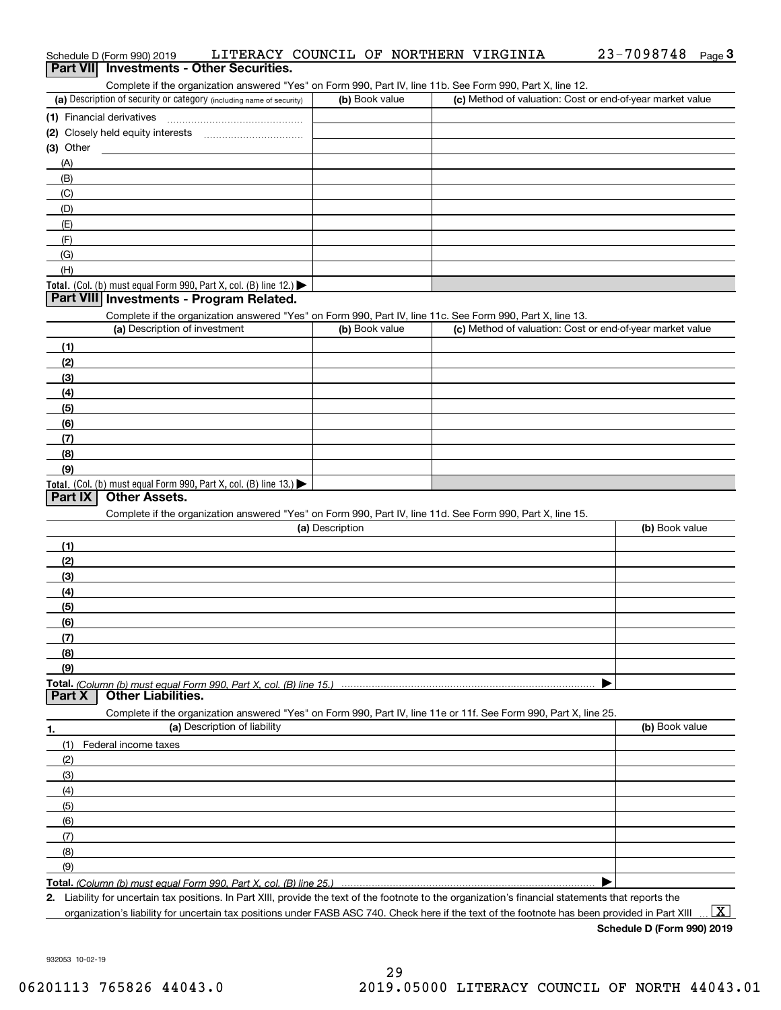| Schedule D (Form 990) 2019                                                                                                                           | LITERACY COUNCIL OF NORTHERN VIRGINIA | 23-7098748<br>Page $3$                                    |
|------------------------------------------------------------------------------------------------------------------------------------------------------|---------------------------------------|-----------------------------------------------------------|
| Part VII Investments - Other Securities.                                                                                                             |                                       |                                                           |
| Complete if the organization answered "Yes" on Form 990, Part IV, line 11b. See Form 990, Part X, line 12.                                           |                                       |                                                           |
| (a) Description of security or category (including name of security)                                                                                 | (b) Book value                        | (c) Method of valuation: Cost or end-of-year market value |
| (1) Financial derivatives                                                                                                                            |                                       |                                                           |
|                                                                                                                                                      |                                       |                                                           |
| (3) Other                                                                                                                                            |                                       |                                                           |
| (A)                                                                                                                                                  |                                       |                                                           |
| (B)                                                                                                                                                  |                                       |                                                           |
| (C)                                                                                                                                                  |                                       |                                                           |
| (D)                                                                                                                                                  |                                       |                                                           |
| (E)                                                                                                                                                  |                                       |                                                           |
| (F)                                                                                                                                                  |                                       |                                                           |
| (G)<br>(H)                                                                                                                                           |                                       |                                                           |
| Total. (Col. (b) must equal Form 990, Part X, col. (B) line 12.)                                                                                     |                                       |                                                           |
| Part VIII Investments - Program Related.                                                                                                             |                                       |                                                           |
| Complete if the organization answered "Yes" on Form 990, Part IV, line 11c. See Form 990, Part X, line 13.                                           |                                       |                                                           |
| (a) Description of investment                                                                                                                        | (b) Book value                        | (c) Method of valuation: Cost or end-of-year market value |
| (1)                                                                                                                                                  |                                       |                                                           |
| (2)                                                                                                                                                  |                                       |                                                           |
| (3)                                                                                                                                                  |                                       |                                                           |
| (4)                                                                                                                                                  |                                       |                                                           |
| (5)                                                                                                                                                  |                                       |                                                           |
| (6)                                                                                                                                                  |                                       |                                                           |
| (7)                                                                                                                                                  |                                       |                                                           |
| (8)                                                                                                                                                  |                                       |                                                           |
| (9)                                                                                                                                                  |                                       |                                                           |
| Total. (Col. (b) must equal Form 990, Part X, col. (B) line 13.)                                                                                     |                                       |                                                           |
| Part IX<br><b>Other Assets.</b>                                                                                                                      |                                       |                                                           |
| Complete if the organization answered "Yes" on Form 990, Part IV, line 11d. See Form 990, Part X, line 15.                                           |                                       |                                                           |
|                                                                                                                                                      | (a) Description                       | (b) Book value                                            |
| (1)                                                                                                                                                  |                                       |                                                           |
| (2)                                                                                                                                                  |                                       |                                                           |
| (3)                                                                                                                                                  |                                       |                                                           |
| (4)                                                                                                                                                  |                                       |                                                           |
| (5)                                                                                                                                                  |                                       |                                                           |
| (6)                                                                                                                                                  |                                       |                                                           |
| (7)                                                                                                                                                  |                                       |                                                           |
| (8)                                                                                                                                                  |                                       |                                                           |
| (9)                                                                                                                                                  |                                       |                                                           |
| Total. (Column (b) must equal Form 990. Part X, col. (B) line 15.)<br><b>Other Liabilities.</b><br>Part X                                            |                                       |                                                           |
|                                                                                                                                                      |                                       |                                                           |
| Complete if the organization answered "Yes" on Form 990, Part IV, line 11e or 11f. See Form 990, Part X, line 25.<br>(a) Description of liability    |                                       | (b) Book value                                            |
| 1.                                                                                                                                                   |                                       |                                                           |
| (1)<br>Federal income taxes                                                                                                                          |                                       |                                                           |
| (2)                                                                                                                                                  |                                       |                                                           |
| (3)                                                                                                                                                  |                                       |                                                           |
| (4)<br>(5)                                                                                                                                           |                                       |                                                           |
| (6)                                                                                                                                                  |                                       |                                                           |
| (7)                                                                                                                                                  |                                       |                                                           |
| (8)                                                                                                                                                  |                                       |                                                           |
| (9)                                                                                                                                                  |                                       |                                                           |
| Total. (Column (b) must equal Form 990, Part X, col. (B) line 25.)                                                                                   |                                       |                                                           |
| 2. Liability for uncertain tax positions. In Part XIII, provide the text of the footnote to the organization's financial statements that reports the |                                       |                                                           |
|                                                                                                                                                      |                                       |                                                           |

organization's liability for uncertain tax positions under FASB ASC 740. Check here if the text of the footnote has been provided in Part XIII  $\,$  ...  $\overline{\rm X}$ 

**Schedule D (Form 990) 2019**

932053 10-02-19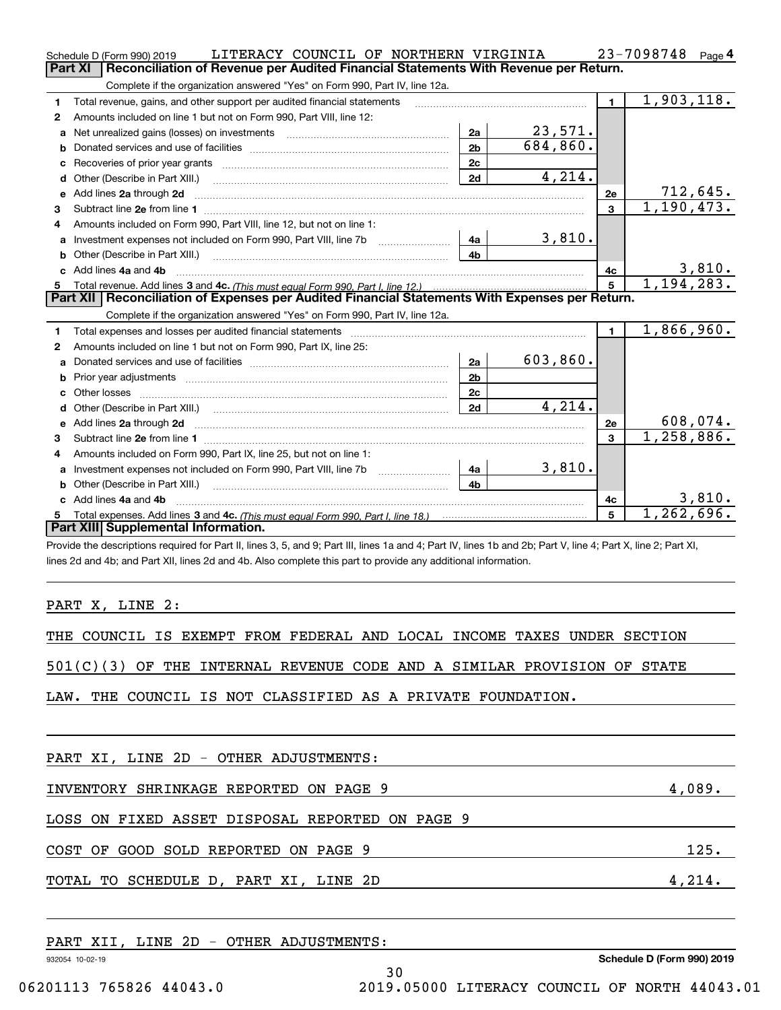|              | LITERACY COUNCIL OF NORTHERN VIRGINIA<br>Schedule D (Form 990) 2019                                                                                              |                |          |                | $23 - 7098748$ Page 4      |
|--------------|------------------------------------------------------------------------------------------------------------------------------------------------------------------|----------------|----------|----------------|----------------------------|
|              | <b>Part XI</b><br>Reconciliation of Revenue per Audited Financial Statements With Revenue per Return.                                                            |                |          |                |                            |
|              | Complete if the organization answered "Yes" on Form 990, Part IV, line 12a.                                                                                      |                |          |                |                            |
| 1            | Total revenue, gains, and other support per audited financial statements                                                                                         |                |          | $\blacksquare$ | 1,903,118.                 |
| 2            | Amounts included on line 1 but not on Form 990, Part VIII, line 12:                                                                                              |                |          |                |                            |
| a            | Net unrealized gains (losses) on investments [11] matter contracts and the unrealized gains (losses) on investments                                              | 2a             | 23,571.  |                |                            |
| b            |                                                                                                                                                                  | 2 <sub>b</sub> | 684,860. |                |                            |
|              |                                                                                                                                                                  | 2c             |          |                |                            |
|              |                                                                                                                                                                  | 2d             | 4,214.   |                |                            |
| e            | Add lines 2a through 2d                                                                                                                                          |                |          | 2e             | 712,645.                   |
| 3            |                                                                                                                                                                  |                |          | 3              | 1, 190, 473.               |
| 4            | Amounts included on Form 990, Part VIII, line 12, but not on line 1:                                                                                             |                |          |                |                            |
| a            |                                                                                                                                                                  | 4a             | 3,810.   |                |                            |
| b            | Other (Describe in Part XIII.) <b>Construction Contract Construction</b> Chemistry Chemistry Chemistry Chemistry Chemistry                                       | 4h             |          |                |                            |
|              | Add lines 4a and 4b                                                                                                                                              |                |          | 4с             | 3,810.                     |
| 5            |                                                                                                                                                                  |                |          | 5              | $\overline{1}$ , 194, 283. |
|              | Part XII   Reconciliation of Expenses per Audited Financial Statements With Expenses per Return.                                                                 |                |          |                |                            |
|              | Complete if the organization answered "Yes" on Form 990, Part IV, line 12a.                                                                                      |                |          |                |                            |
| 1            |                                                                                                                                                                  |                |          | $\mathbf{1}$   | 1,866,960.                 |
| $\mathbf{2}$ | Amounts included on line 1 but not on Form 990, Part IX, line 25:                                                                                                |                |          |                |                            |
| a            |                                                                                                                                                                  | 2a             | 603,860. |                |                            |
| b            |                                                                                                                                                                  | 2 <sub>b</sub> |          |                |                            |
| c.           |                                                                                                                                                                  | 2c             |          |                |                            |
| d            |                                                                                                                                                                  | 2d             | 4,214.   |                |                            |
| е            |                                                                                                                                                                  |                |          | 2e             | 608,074.                   |
| 3            |                                                                                                                                                                  |                |          | 3              | 1,258,886.                 |
| 4            | Amounts included on Form 990, Part IX, line 25, but not on line 1:                                                                                               |                |          |                |                            |
|              | Investment expenses not included on Form 990, Part VIII, line 7b [1000000000000000000000000000000000                                                             | - 4a l         | 3,810.   |                |                            |
|              |                                                                                                                                                                  | 4 <sub>b</sub> |          |                |                            |
|              | c Add lines 4a and 4b                                                                                                                                            |                |          | 4c             | 3,810.                     |
| 5            |                                                                                                                                                                  |                |          | 5              | 1,262,696.                 |
|              | Part XIII Supplemental Information.                                                                                                                              |                |          |                |                            |
|              | Drovide the descriptions required for Dart II, lines 3, 5, and Q: Dart III, lines 1a and 4: Dart IV, lines 1b and 2b: Dart V, line 4: Dart Y, line 2: Dart YI, I |                |          |                |                            |

de the descriptions required for Part II, lines 3, 5, and 9; Part III, lines 1a and 4; Part IV, lines 1b and 2b; Part V, line 4; Part X, line 2; Part XI, lines 2d and 4b; and Part XII, lines 2d and 4b. Also complete this part to provide any additional information.

### PART X, LINE 2:

|  | THE COUNCIL IS EXEMPT FROM FEDERAL AND LOCAL INCOME TAXES UNDER SECTION |  |  |  |  |  |  |  |  |  |  |
|--|-------------------------------------------------------------------------|--|--|--|--|--|--|--|--|--|--|
|--|-------------------------------------------------------------------------|--|--|--|--|--|--|--|--|--|--|

501(C)(3) OF THE INTERNAL REVENUE CODE AND A SIMILAR PROVISION OF STATE

LAW. THE COUNCIL IS NOT CLASSIFIED AS A PRIVATE FOUNDATION.

| 4,089. |
|--------|
|        |
| 125.   |
| 4,214. |
|        |
|        |

932054 10-02-19 **Schedule D (Form 990) 2019** PART XII, LINE 2D - OTHER ADJUSTMENTS: 30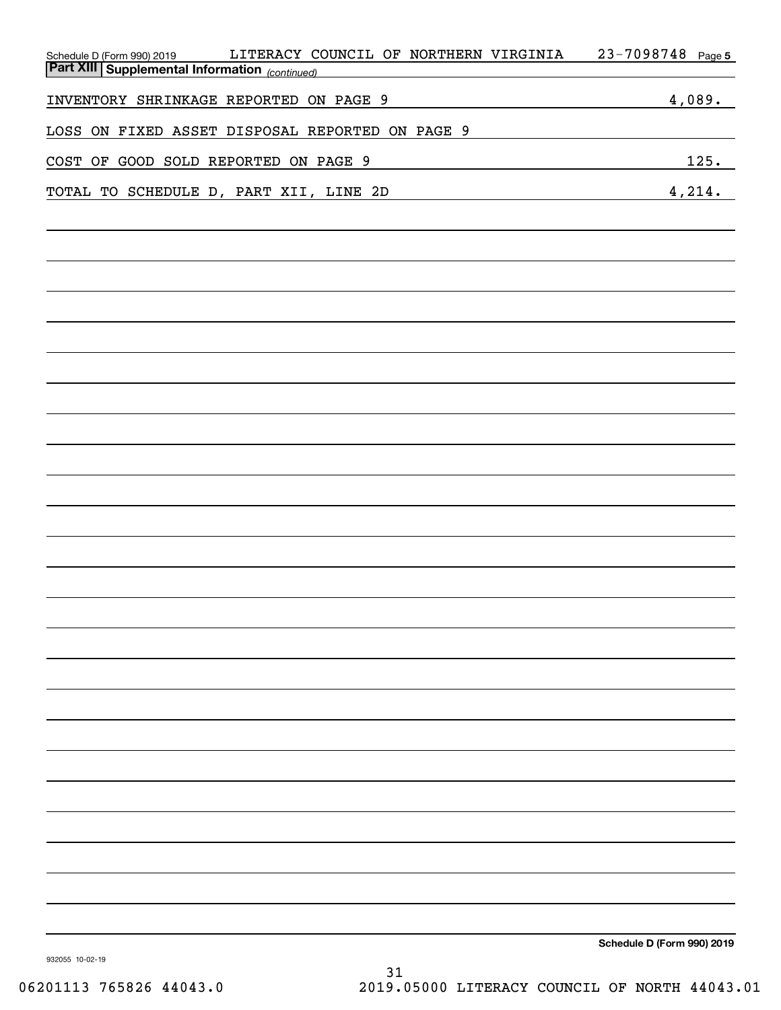| LITERACY COUNCIL OF NORTHERN VIRGINIA<br>Schedule D (Form 990) 2019<br><b>Part XIII   Supplemental Information</b> <sub>(continued)</sub> | $23 - 7098748$ Page 5      |
|-------------------------------------------------------------------------------------------------------------------------------------------|----------------------------|
|                                                                                                                                           |                            |
| INVENTORY SHRINKAGE REPORTED ON PAGE 9                                                                                                    | 4,089.                     |
| LOSS ON FIXED ASSET DISPOSAL REPORTED ON PAGE 9                                                                                           |                            |
| COST OF GOOD SOLD REPORTED ON PAGE 9                                                                                                      | 125.                       |
| TOTAL TO SCHEDULE D, PART XII, LINE 2D                                                                                                    | 4,214.                     |
|                                                                                                                                           |                            |
|                                                                                                                                           |                            |
|                                                                                                                                           |                            |
|                                                                                                                                           |                            |
|                                                                                                                                           |                            |
|                                                                                                                                           |                            |
|                                                                                                                                           |                            |
|                                                                                                                                           |                            |
|                                                                                                                                           |                            |
|                                                                                                                                           |                            |
|                                                                                                                                           |                            |
|                                                                                                                                           |                            |
|                                                                                                                                           |                            |
|                                                                                                                                           |                            |
|                                                                                                                                           |                            |
|                                                                                                                                           |                            |
|                                                                                                                                           |                            |
|                                                                                                                                           |                            |
|                                                                                                                                           |                            |
|                                                                                                                                           |                            |
|                                                                                                                                           |                            |
|                                                                                                                                           |                            |
|                                                                                                                                           |                            |
|                                                                                                                                           |                            |
|                                                                                                                                           |                            |
|                                                                                                                                           |                            |
|                                                                                                                                           |                            |
|                                                                                                                                           |                            |
|                                                                                                                                           |                            |
|                                                                                                                                           | Schedule D (Form 990) 2019 |

932055 10-02-19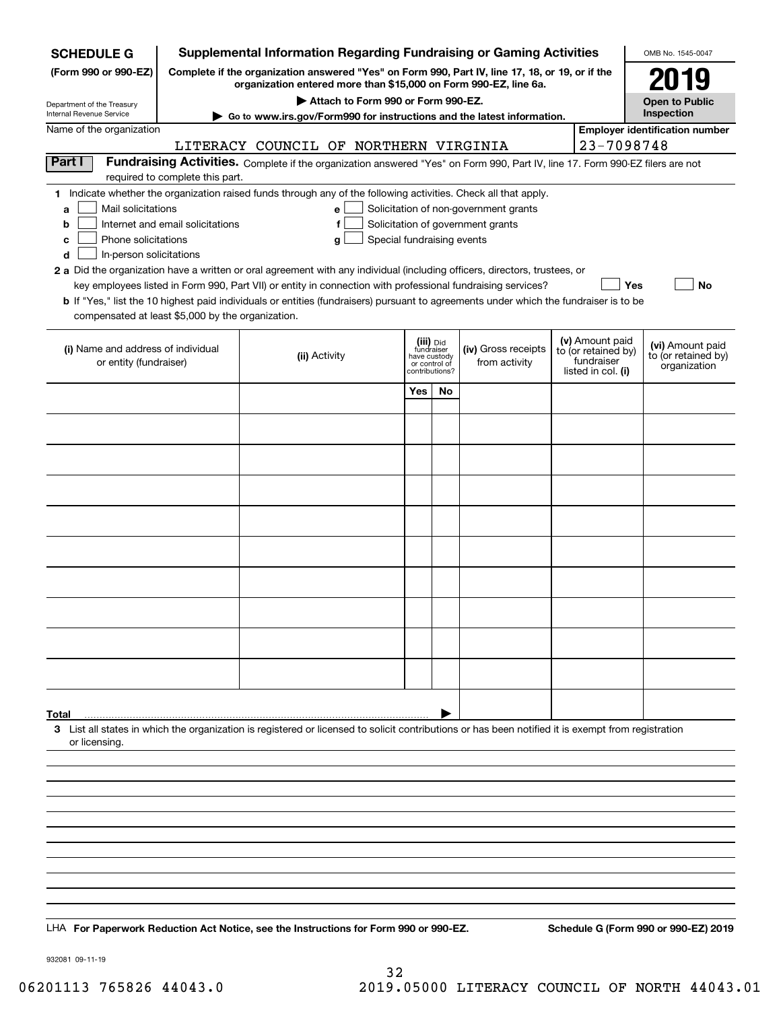| <b>SCHEDULE G</b>                                            |                                                                                                                                                                     | <b>Supplemental Information Regarding Fundraising or Gaming Activities</b>                                                                                                                                                                |                                             |    |                                       |  |                                   | OMB No. 1545-0047                     |  |
|--------------------------------------------------------------|---------------------------------------------------------------------------------------------------------------------------------------------------------------------|-------------------------------------------------------------------------------------------------------------------------------------------------------------------------------------------------------------------------------------------|---------------------------------------------|----|---------------------------------------|--|-----------------------------------|---------------------------------------|--|
| (Form 990 or 990-EZ)                                         | Complete if the organization answered "Yes" on Form 990, Part IV, line 17, 18, or 19, or if the<br>organization entered more than \$15,000 on Form 990-EZ, line 6a. |                                                                                                                                                                                                                                           |                                             |    |                                       |  |                                   |                                       |  |
| Department of the Treasury<br>Internal Revenue Service       |                                                                                                                                                                     | Attach to Form 990 or Form 990-EZ.                                                                                                                                                                                                        |                                             |    |                                       |  |                                   | <b>Open to Public</b><br>Inspection   |  |
| Name of the organization                                     |                                                                                                                                                                     | Go to www.irs.gov/Form990 for instructions and the latest information.                                                                                                                                                                    |                                             |    |                                       |  |                                   | <b>Employer identification number</b> |  |
|                                                              |                                                                                                                                                                     | LITERACY COUNCIL OF NORTHERN VIRGINIA                                                                                                                                                                                                     |                                             |    |                                       |  | 23-7098748                        |                                       |  |
| Part I                                                       |                                                                                                                                                                     | Fundraising Activities. Complete if the organization answered "Yes" on Form 990, Part IV, line 17. Form 990-EZ filers are not                                                                                                             |                                             |    |                                       |  |                                   |                                       |  |
|                                                              | required to complete this part.                                                                                                                                     |                                                                                                                                                                                                                                           |                                             |    |                                       |  |                                   |                                       |  |
| Mail solicitations<br>a                                      |                                                                                                                                                                     | 1 Indicate whether the organization raised funds through any of the following activities. Check all that apply.<br>e                                                                                                                      |                                             |    | Solicitation of non-government grants |  |                                   |                                       |  |
| b                                                            | Internet and email solicitations                                                                                                                                    | f                                                                                                                                                                                                                                         |                                             |    | Solicitation of government grants     |  |                                   |                                       |  |
| Phone solicitations<br>c                                     |                                                                                                                                                                     | Special fundraising events<br>g                                                                                                                                                                                                           |                                             |    |                                       |  |                                   |                                       |  |
| In-person solicitations<br>d                                 |                                                                                                                                                                     |                                                                                                                                                                                                                                           |                                             |    |                                       |  |                                   |                                       |  |
|                                                              |                                                                                                                                                                     | 2 a Did the organization have a written or oral agreement with any individual (including officers, directors, trustees, or<br>key employees listed in Form 990, Part VII) or entity in connection with professional fundraising services? |                                             |    |                                       |  | Yes                               | No                                    |  |
|                                                              |                                                                                                                                                                     | <b>b</b> If "Yes," list the 10 highest paid individuals or entities (fundraisers) pursuant to agreements under which the fundraiser is to be                                                                                              |                                             |    |                                       |  |                                   |                                       |  |
| compensated at least \$5,000 by the organization.            |                                                                                                                                                                     |                                                                                                                                                                                                                                           |                                             |    |                                       |  |                                   |                                       |  |
|                                                              |                                                                                                                                                                     |                                                                                                                                                                                                                                           | (iii) Did                                   |    |                                       |  | (v) Amount paid                   | (vi) Amount paid                      |  |
| (i) Name and address of individual<br>or entity (fundraiser) |                                                                                                                                                                     | (ii) Activity                                                                                                                                                                                                                             | fundraiser<br>have custody<br>or control of |    | (iv) Gross receipts<br>from activity  |  | to (or retained by)<br>fundraiser | to (or retained by)                   |  |
|                                                              |                                                                                                                                                                     |                                                                                                                                                                                                                                           | contributions?                              |    |                                       |  | listed in col. (i)                | organization                          |  |
|                                                              |                                                                                                                                                                     |                                                                                                                                                                                                                                           | Yes                                         | No |                                       |  |                                   |                                       |  |
|                                                              |                                                                                                                                                                     |                                                                                                                                                                                                                                           |                                             |    |                                       |  |                                   |                                       |  |
|                                                              |                                                                                                                                                                     |                                                                                                                                                                                                                                           |                                             |    |                                       |  |                                   |                                       |  |
|                                                              |                                                                                                                                                                     |                                                                                                                                                                                                                                           |                                             |    |                                       |  |                                   |                                       |  |
|                                                              |                                                                                                                                                                     |                                                                                                                                                                                                                                           |                                             |    |                                       |  |                                   |                                       |  |
|                                                              |                                                                                                                                                                     |                                                                                                                                                                                                                                           |                                             |    |                                       |  |                                   |                                       |  |
|                                                              |                                                                                                                                                                     |                                                                                                                                                                                                                                           |                                             |    |                                       |  |                                   |                                       |  |
|                                                              |                                                                                                                                                                     |                                                                                                                                                                                                                                           |                                             |    |                                       |  |                                   |                                       |  |
|                                                              |                                                                                                                                                                     |                                                                                                                                                                                                                                           |                                             |    |                                       |  |                                   |                                       |  |
|                                                              |                                                                                                                                                                     |                                                                                                                                                                                                                                           |                                             |    |                                       |  |                                   |                                       |  |
|                                                              |                                                                                                                                                                     |                                                                                                                                                                                                                                           |                                             |    |                                       |  |                                   |                                       |  |
|                                                              |                                                                                                                                                                     |                                                                                                                                                                                                                                           |                                             |    |                                       |  |                                   |                                       |  |
|                                                              |                                                                                                                                                                     |                                                                                                                                                                                                                                           |                                             |    |                                       |  |                                   |                                       |  |
|                                                              |                                                                                                                                                                     |                                                                                                                                                                                                                                           |                                             |    |                                       |  |                                   |                                       |  |
|                                                              |                                                                                                                                                                     |                                                                                                                                                                                                                                           |                                             |    |                                       |  |                                   |                                       |  |
|                                                              |                                                                                                                                                                     |                                                                                                                                                                                                                                           |                                             |    |                                       |  |                                   |                                       |  |
|                                                              |                                                                                                                                                                     |                                                                                                                                                                                                                                           |                                             |    |                                       |  |                                   |                                       |  |
| Total                                                        |                                                                                                                                                                     | 3 List all states in which the organization is registered or licensed to solicit contributions or has been notified it is exempt from registration                                                                                        |                                             |    |                                       |  |                                   |                                       |  |
| or licensing.                                                |                                                                                                                                                                     |                                                                                                                                                                                                                                           |                                             |    |                                       |  |                                   |                                       |  |
|                                                              |                                                                                                                                                                     |                                                                                                                                                                                                                                           |                                             |    |                                       |  |                                   |                                       |  |
|                                                              |                                                                                                                                                                     |                                                                                                                                                                                                                                           |                                             |    |                                       |  |                                   |                                       |  |
|                                                              |                                                                                                                                                                     |                                                                                                                                                                                                                                           |                                             |    |                                       |  |                                   |                                       |  |
|                                                              |                                                                                                                                                                     |                                                                                                                                                                                                                                           |                                             |    |                                       |  |                                   |                                       |  |
|                                                              |                                                                                                                                                                     |                                                                                                                                                                                                                                           |                                             |    |                                       |  |                                   |                                       |  |
|                                                              |                                                                                                                                                                     |                                                                                                                                                                                                                                           |                                             |    |                                       |  |                                   |                                       |  |
|                                                              |                                                                                                                                                                     |                                                                                                                                                                                                                                           |                                             |    |                                       |  |                                   |                                       |  |
|                                                              |                                                                                                                                                                     |                                                                                                                                                                                                                                           |                                             |    |                                       |  |                                   |                                       |  |
|                                                              |                                                                                                                                                                     |                                                                                                                                                                                                                                           |                                             |    |                                       |  |                                   |                                       |  |
|                                                              |                                                                                                                                                                     | LHA For Paperwork Reduction Act Notice, see the Instructions for Form 990 or 990-EZ.                                                                                                                                                      |                                             |    |                                       |  |                                   | Schedule G (Form 990 or 990-EZ) 2019  |  |

932081 09-11-19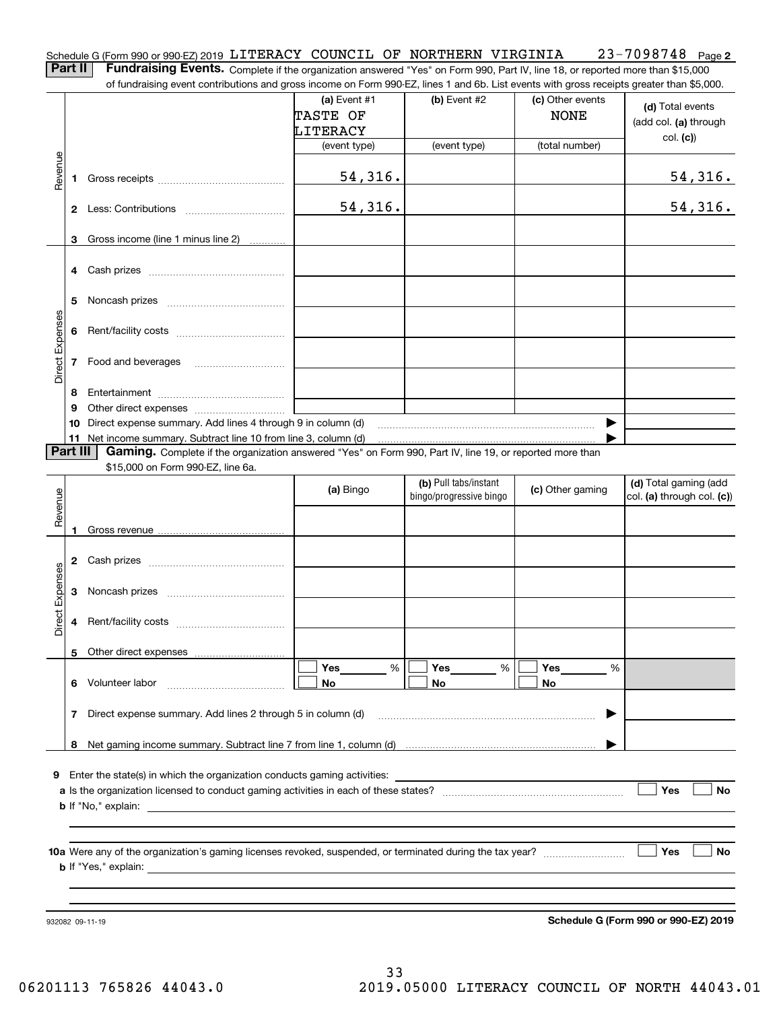| Schedule G (Form 990 or 990-EZ) 2019 LITERACY COUNCIL OF NORTHERN VIRGINIA                                                                   |  |  | 23-7098748 <sub>Page 2</sub> |  |
|----------------------------------------------------------------------------------------------------------------------------------------------|--|--|------------------------------|--|
| <b>Part II</b> Fundraising Events. Complete if the organization answered "Yes" on Form 990, Part IV, line 18, or reported more than \$15,000 |  |  |                              |  |

Complete if the organization answered "Yes" on Form 990, Part IV, line 18, or reported more than \$15,000

|                 |          | of fundraising event contributions and gross income on Form 990-EZ, lines 1 and 6b. List events with gross receipts greater than \$5,000. |                |                         |                  |                            |
|-----------------|----------|-------------------------------------------------------------------------------------------------------------------------------------------|----------------|-------------------------|------------------|----------------------------|
|                 |          |                                                                                                                                           | (a) Event $#1$ | (b) Event #2            | (c) Other events | (d) Total events           |
|                 |          |                                                                                                                                           | TASTE OF       |                         | <b>NONE</b>      |                            |
|                 |          |                                                                                                                                           | LITERACY       |                         |                  | (add col. (a) through      |
|                 |          |                                                                                                                                           | (event type)   | (event type)            | (total number)   | col. (c)                   |
|                 |          |                                                                                                                                           |                |                         |                  |                            |
| Revenue         |          |                                                                                                                                           |                |                         |                  |                            |
|                 | 1.       |                                                                                                                                           | 54,316.        |                         |                  | <u>54,316.</u>             |
|                 |          |                                                                                                                                           |                |                         |                  |                            |
|                 |          |                                                                                                                                           | 54,316.        |                         |                  | 54, 316.                   |
|                 |          |                                                                                                                                           |                |                         |                  |                            |
|                 | 3        | Gross income (line 1 minus line 2)                                                                                                        |                |                         |                  |                            |
|                 |          |                                                                                                                                           |                |                         |                  |                            |
|                 |          |                                                                                                                                           |                |                         |                  |                            |
|                 |          |                                                                                                                                           |                |                         |                  |                            |
|                 |          |                                                                                                                                           |                |                         |                  |                            |
|                 | 5        |                                                                                                                                           |                |                         |                  |                            |
|                 |          |                                                                                                                                           |                |                         |                  |                            |
|                 |          |                                                                                                                                           |                |                         |                  |                            |
| Direct Expenses |          |                                                                                                                                           |                |                         |                  |                            |
|                 |          | 7 Food and beverages                                                                                                                      |                |                         |                  |                            |
|                 |          |                                                                                                                                           |                |                         |                  |                            |
|                 | 8        |                                                                                                                                           |                |                         |                  |                            |
|                 |          |                                                                                                                                           |                |                         |                  |                            |
|                 | 9        |                                                                                                                                           |                |                         |                  |                            |
|                 | 10       | Direct expense summary. Add lines 4 through 9 in column (d)                                                                               |                |                         |                  |                            |
|                 |          | 11 Net income summary. Subtract line 10 from line 3, column (d)                                                                           |                |                         |                  |                            |
|                 | Part III | Gaming. Complete if the organization answered "Yes" on Form 990, Part IV, line 19, or reported more than                                  |                |                         |                  |                            |
|                 |          | \$15,000 on Form 990-EZ, line 6a.                                                                                                         |                |                         |                  |                            |
|                 |          |                                                                                                                                           | (a) Bingo      | (b) Pull tabs/instant   | (c) Other gaming | (d) Total gaming (add      |
| Revenue         |          |                                                                                                                                           |                | bingo/progressive bingo |                  | col. (a) through col. (c)) |
|                 |          |                                                                                                                                           |                |                         |                  |                            |
|                 |          |                                                                                                                                           |                |                         |                  |                            |
|                 |          |                                                                                                                                           |                |                         |                  |                            |
|                 |          |                                                                                                                                           |                |                         |                  |                            |
| Expenses        |          |                                                                                                                                           |                |                         |                  |                            |
|                 |          |                                                                                                                                           |                |                         |                  |                            |
|                 | 3        |                                                                                                                                           |                |                         |                  |                            |
|                 |          |                                                                                                                                           |                |                         |                  |                            |
| <b>Direct</b>   |          |                                                                                                                                           |                |                         |                  |                            |
|                 |          |                                                                                                                                           |                |                         |                  |                            |
|                 |          | 5 Other direct expenses                                                                                                                   |                |                         |                  |                            |
|                 |          |                                                                                                                                           | Yes<br>%       | Yes<br>%                | Yes<br>%         |                            |
|                 |          | 6 Volunteer labor                                                                                                                         | No             | No                      | No               |                            |
|                 |          |                                                                                                                                           |                |                         |                  |                            |
|                 |          | 7 Direct expense summary. Add lines 2 through 5 in column (d)                                                                             |                |                         |                  |                            |
|                 |          |                                                                                                                                           |                |                         |                  |                            |
|                 |          |                                                                                                                                           |                |                         |                  |                            |
|                 |          |                                                                                                                                           |                |                         |                  |                            |
|                 |          |                                                                                                                                           |                |                         |                  |                            |
|                 |          | <b>9</b> Enter the state(s) in which the organization conducts gaming activities:                                                         |                |                         |                  |                            |
|                 |          |                                                                                                                                           |                |                         |                  | Yes<br>No                  |
|                 |          |                                                                                                                                           |                |                         |                  |                            |
|                 |          |                                                                                                                                           |                |                         |                  |                            |
|                 |          |                                                                                                                                           |                |                         |                  |                            |
|                 |          |                                                                                                                                           |                |                         |                  | Yes<br>No                  |
|                 |          |                                                                                                                                           |                |                         |                  |                            |
|                 |          |                                                                                                                                           |                |                         |                  |                            |
|                 |          |                                                                                                                                           |                |                         |                  |                            |
|                 |          |                                                                                                                                           |                |                         |                  |                            |

932082 09-11-19

**Schedule G (Form 990 or 990-EZ) 2019**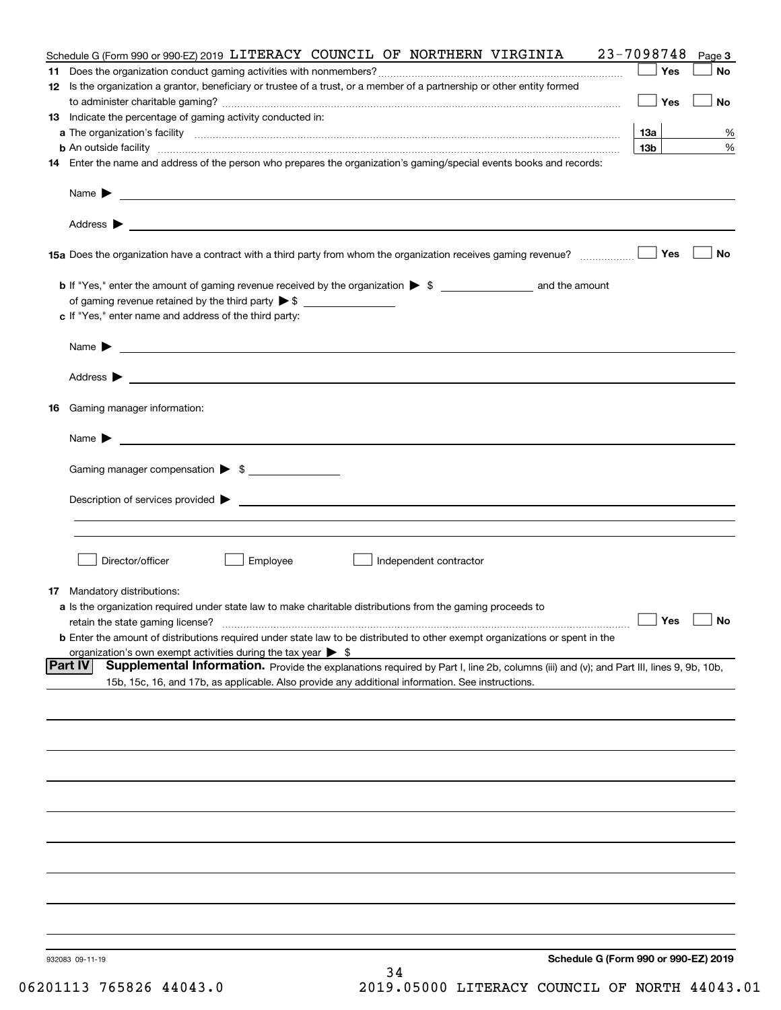|    | Schedule G (Form 990 or 990-EZ) 2019 LITERACY COUNCIL OF NORTHERN VIRGINIA                                                                                              | 23-7098748      | Page 3    |
|----|-------------------------------------------------------------------------------------------------------------------------------------------------------------------------|-----------------|-----------|
| 11 |                                                                                                                                                                         | Yes             | No        |
|    | 12 Is the organization a grantor, beneficiary or trustee of a trust, or a member of a partnership or other entity formed                                                |                 |           |
|    |                                                                                                                                                                         | Yes             | No        |
|    | 13 Indicate the percentage of gaming activity conducted in:                                                                                                             |                 |           |
|    |                                                                                                                                                                         | 1За             | %         |
|    |                                                                                                                                                                         | 13 <sub>b</sub> | %         |
|    | 14 Enter the name and address of the person who prepares the organization's gaming/special events books and records:                                                    |                 |           |
|    |                                                                                                                                                                         |                 |           |
|    |                                                                                                                                                                         |                 |           |
|    |                                                                                                                                                                         | Yes             | No        |
|    |                                                                                                                                                                         |                 |           |
|    | of gaming revenue retained by the third party $\triangleright$ \$                                                                                                       |                 |           |
|    | c If "Yes," enter name and address of the third party:                                                                                                                  |                 |           |
|    |                                                                                                                                                                         |                 |           |
|    | Name $\blacktriangleright$ $\bot$                                                                                                                                       |                 |           |
|    |                                                                                                                                                                         |                 |           |
|    |                                                                                                                                                                         |                 |           |
|    |                                                                                                                                                                         |                 |           |
|    | 16 Gaming manager information:                                                                                                                                          |                 |           |
|    | Name $\blacktriangleright$                                                                                                                                              |                 |           |
|    |                                                                                                                                                                         |                 |           |
|    | Gaming manager compensation > \$                                                                                                                                        |                 |           |
|    |                                                                                                                                                                         |                 |           |
|    |                                                                                                                                                                         |                 |           |
|    |                                                                                                                                                                         |                 |           |
|    |                                                                                                                                                                         |                 |           |
|    |                                                                                                                                                                         |                 |           |
|    | Employee<br>Director/officer<br>Independent contractor                                                                                                                  |                 |           |
|    |                                                                                                                                                                         |                 |           |
|    | 17 Mandatory distributions:                                                                                                                                             |                 |           |
|    | a Is the organization required under state law to make charitable distributions from the gaming proceeds to                                                             | $\Box$ Yes      | $\Box$ No |
|    | retain the state gaming license?<br><b>b</b> Enter the amount of distributions required under state law to be distributed to other exempt organizations or spent in the |                 |           |
|    | organization's own exempt activities during the tax year $\triangleright$ \$                                                                                            |                 |           |
|    | <b>Part IV</b><br>Supplemental Information. Provide the explanations required by Part I, line 2b, columns (iii) and (v); and Part III, lines 9, 9b, 10b,                |                 |           |
|    | 15b, 15c, 16, and 17b, as applicable. Also provide any additional information. See instructions.                                                                        |                 |           |
|    |                                                                                                                                                                         |                 |           |
|    |                                                                                                                                                                         |                 |           |
|    |                                                                                                                                                                         |                 |           |
|    |                                                                                                                                                                         |                 |           |
|    |                                                                                                                                                                         |                 |           |
|    |                                                                                                                                                                         |                 |           |
|    |                                                                                                                                                                         |                 |           |
|    |                                                                                                                                                                         |                 |           |
|    |                                                                                                                                                                         |                 |           |
|    |                                                                                                                                                                         |                 |           |
|    |                                                                                                                                                                         |                 |           |
|    |                                                                                                                                                                         |                 |           |
|    |                                                                                                                                                                         |                 |           |
|    |                                                                                                                                                                         |                 |           |
|    |                                                                                                                                                                         |                 |           |
|    |                                                                                                                                                                         |                 |           |
|    | Schedule G (Form 990 or 990-EZ) 2019<br>932083 09-11-19<br>34                                                                                                           |                 |           |
|    |                                                                                                                                                                         |                 |           |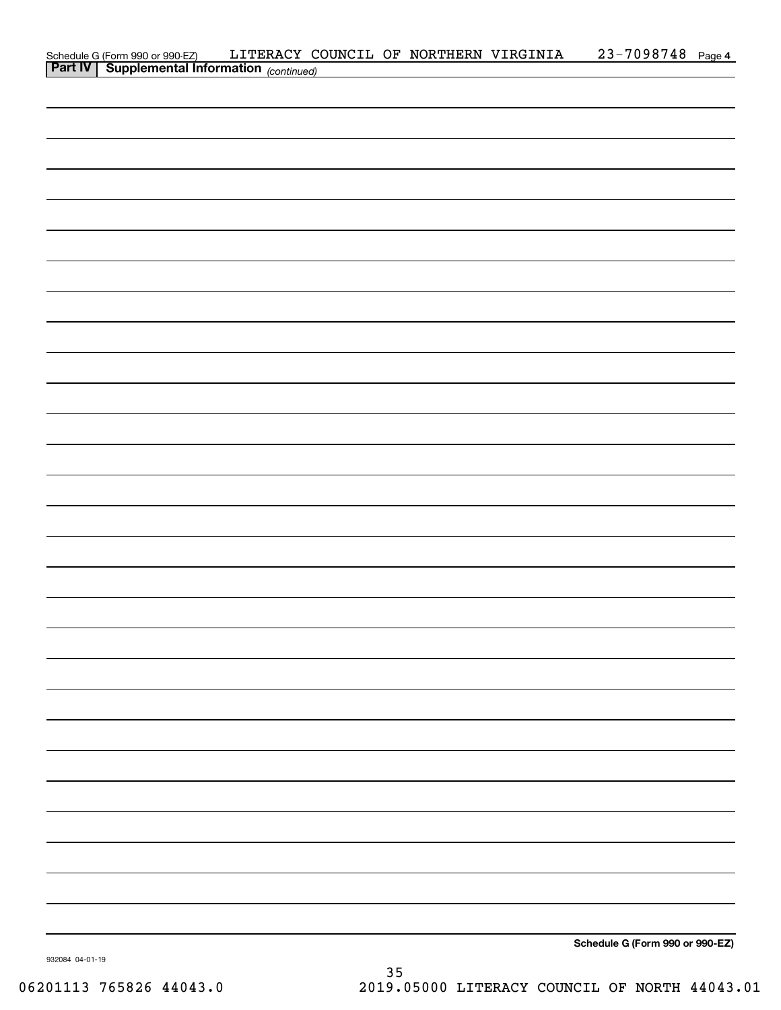|                                                                                            |  | LITERACY COUNCIL OF NORTHERN VIRGINIA | 23-7098748 Page 4               |  |
|--------------------------------------------------------------------------------------------|--|---------------------------------------|---------------------------------|--|
| Schedule G (Form 990 or 990-EZ) LITERACY C<br>Part IV Supplemental Information (continued) |  |                                       |                                 |  |
|                                                                                            |  |                                       |                                 |  |
|                                                                                            |  |                                       |                                 |  |
|                                                                                            |  |                                       |                                 |  |
|                                                                                            |  |                                       |                                 |  |
|                                                                                            |  |                                       |                                 |  |
|                                                                                            |  |                                       |                                 |  |
|                                                                                            |  |                                       |                                 |  |
|                                                                                            |  |                                       |                                 |  |
|                                                                                            |  |                                       |                                 |  |
|                                                                                            |  |                                       |                                 |  |
|                                                                                            |  |                                       |                                 |  |
|                                                                                            |  |                                       |                                 |  |
|                                                                                            |  |                                       |                                 |  |
|                                                                                            |  |                                       |                                 |  |
|                                                                                            |  |                                       |                                 |  |
|                                                                                            |  |                                       |                                 |  |
|                                                                                            |  |                                       |                                 |  |
|                                                                                            |  |                                       |                                 |  |
|                                                                                            |  |                                       |                                 |  |
|                                                                                            |  |                                       |                                 |  |
|                                                                                            |  |                                       |                                 |  |
|                                                                                            |  |                                       |                                 |  |
|                                                                                            |  |                                       |                                 |  |
|                                                                                            |  |                                       |                                 |  |
|                                                                                            |  |                                       |                                 |  |
|                                                                                            |  |                                       |                                 |  |
|                                                                                            |  |                                       |                                 |  |
|                                                                                            |  |                                       |                                 |  |
|                                                                                            |  |                                       |                                 |  |
|                                                                                            |  |                                       |                                 |  |
|                                                                                            |  |                                       |                                 |  |
|                                                                                            |  |                                       |                                 |  |
|                                                                                            |  |                                       |                                 |  |
|                                                                                            |  |                                       |                                 |  |
|                                                                                            |  |                                       |                                 |  |
|                                                                                            |  |                                       |                                 |  |
|                                                                                            |  |                                       |                                 |  |
|                                                                                            |  |                                       |                                 |  |
|                                                                                            |  |                                       |                                 |  |
|                                                                                            |  |                                       |                                 |  |
|                                                                                            |  |                                       |                                 |  |
|                                                                                            |  |                                       |                                 |  |
|                                                                                            |  |                                       |                                 |  |
|                                                                                            |  |                                       |                                 |  |
|                                                                                            |  |                                       |                                 |  |
|                                                                                            |  |                                       |                                 |  |
|                                                                                            |  |                                       |                                 |  |
|                                                                                            |  |                                       |                                 |  |
|                                                                                            |  |                                       |                                 |  |
|                                                                                            |  |                                       |                                 |  |
|                                                                                            |  |                                       |                                 |  |
|                                                                                            |  |                                       | Schedule G (Form 990 or 990-EZ) |  |
|                                                                                            |  |                                       |                                 |  |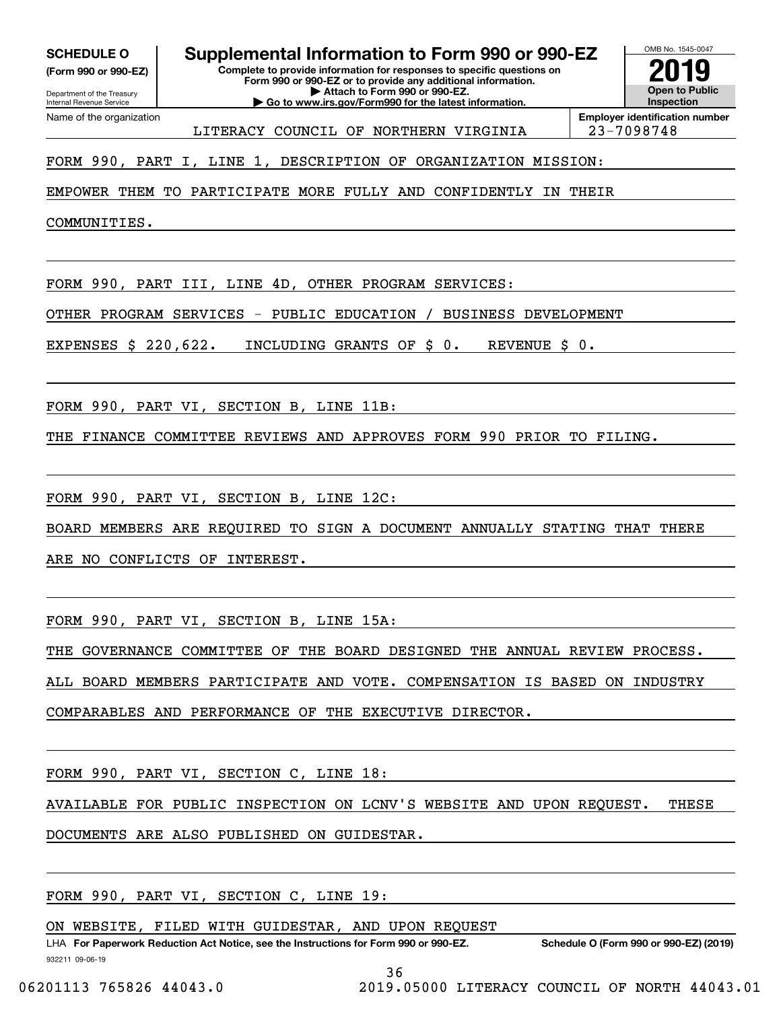**(Form 990 or 990-EZ)**

Department of the Treasury Internal Revenue Service Name of the organization

**Complete to provide information for responses to specific questions on SCHEDULE O Supplemental Information to Form 990 or 990-EZ**

**Form 990 or 990-EZ or to provide any additional information. | Attach to Form 990 or 990-EZ. | Go to www.irs.gov/Form990 for the latest information.**

**Open to Public InspectionEmployer identification number 2019**

OMB No. 1545-0047

LITERACY COUNCIL OF NORTHERN VIRGINIA | 23-7098748

FORM 990, PART I, LINE 1, DESCRIPTION OF ORGANIZATION MISSION:

EMPOWER THEM TO PARTICIPATE MORE FULLY AND CONFIDENTLY IN THEIR

COMMUNITIES.

FORM 990, PART III, LINE 4D, OTHER PROGRAM SERVICES:

OTHER PROGRAM SERVICES - PUBLIC EDUCATION / BUSINESS DEVELOPMENT

EXPENSES \$ 220,622. INCLUDING GRANTS OF \$ 0. REVENUE \$ 0.

FORM 990, PART VI, SECTION B, LINE 11B:

THE FINANCE COMMITTEE REVIEWS AND APPROVES FORM 990 PRIOR TO FILING.

FORM 990, PART VI, SECTION B, LINE 12C:

BOARD MEMBERS ARE REQUIRED TO SIGN A DOCUMENT ANNUALLY STATING THAT THERE

ARE NO CONFLICTS OF INTEREST.

FORM 990, PART VI, SECTION B, LINE 15A:

THE GOVERNANCE COMMITTEE OF THE BOARD DESIGNED THE ANNUAL REVIEW PROCESS.

ALL BOARD MEMBERS PARTICIPATE AND VOTE. COMPENSATION IS BASED ON INDUSTRY

COMPARABLES AND PERFORMANCE OF THE EXECUTIVE DIRECTOR.

FORM 990, PART VI, SECTION C, LINE 18:

AVAILABLE FOR PUBLIC INSPECTION ON LCNV'S WEBSITE AND UPON REQUEST. THESE

DOCUMENTS ARE ALSO PUBLISHED ON GUIDESTAR.

FORM 990, PART VI, SECTION C, LINE 19:

ON WEBSITE, FILED WITH GUIDESTAR, AND UPON REQUEST

932211 09-06-19 LHA For Paperwork Reduction Act Notice, see the Instructions for Form 990 or 990-EZ. Schedule O (Form 990 or 990-EZ) (2019)

36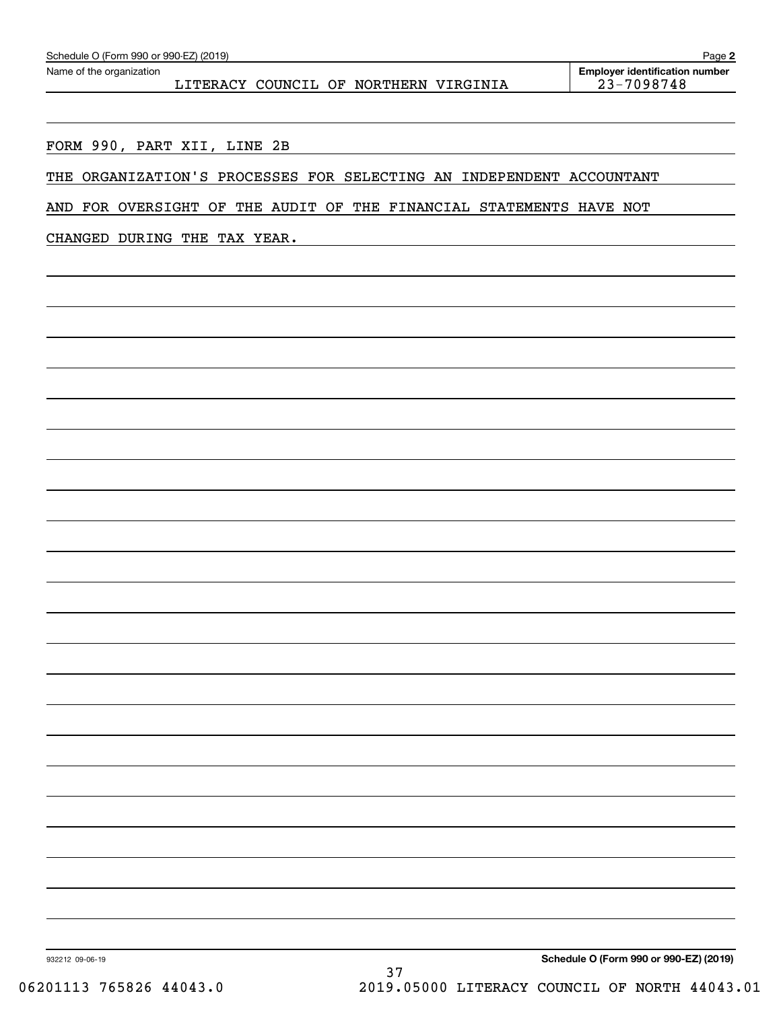LITERACY COUNCIL OF NORTHERN VIRGINIA | 23-7098748

FORM 990, PART XII, LINE 2B

THE ORGANIZATION'S PROCESSES FOR SELECTING AN INDEPENDENT ACCOUNTANT

AND FOR OVERSIGHT OF THE AUDIT OF THE FINANCIAL STATEMENTS HAVE NOT

CHANGED DURING THE TAX YEAR.

932212 09-06-19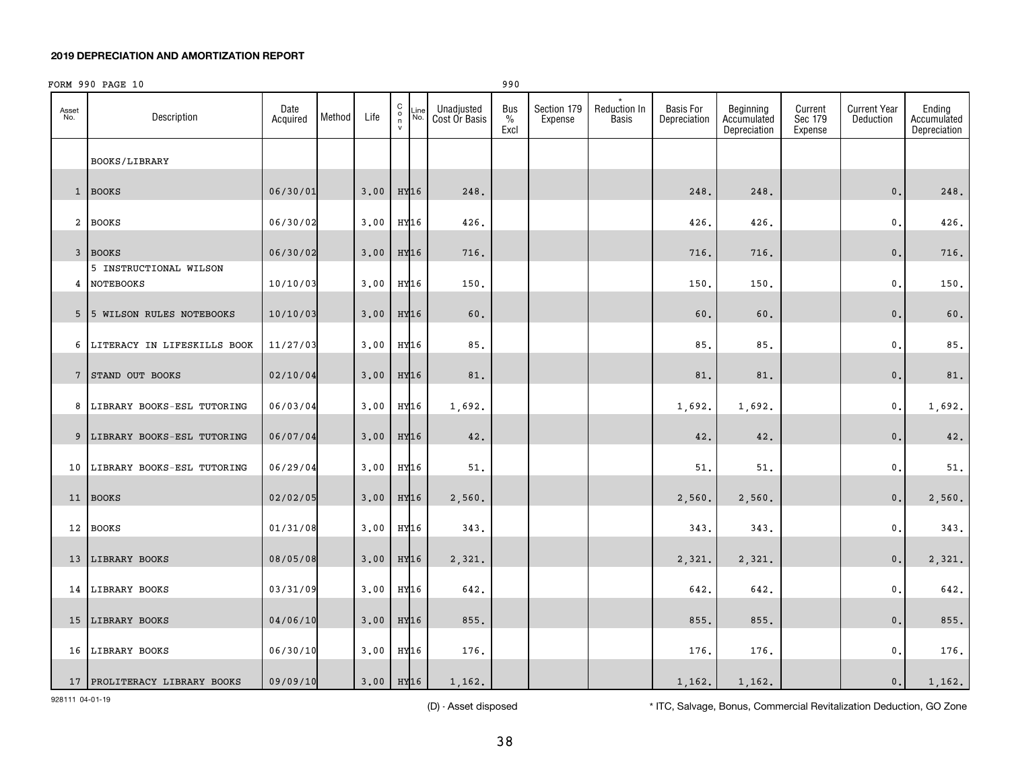|              | FORM 990 PAGE 10                      |                  |        |                         |                                                        |             |                             | 990                 |                        |                       |                           |                                          |                               |                                  |                                       |
|--------------|---------------------------------------|------------------|--------|-------------------------|--------------------------------------------------------|-------------|-----------------------------|---------------------|------------------------|-----------------------|---------------------------|------------------------------------------|-------------------------------|----------------------------------|---------------------------------------|
| Asset<br>No. | Description                           | Date<br>Acquired | Method | Life                    | ${\rm C}$<br>$\begin{matrix} 0 \\ n \\ v \end{matrix}$ | Line<br>No. | Unadjusted<br>Cost Or Basis | Bus<br>$\%$<br>Excl | Section 179<br>Expense | Reduction In<br>Basis | Basis For<br>Depreciation | Beginning<br>Accumulated<br>Depreciation | Current<br>Sec 179<br>Expense | <b>Current Year</b><br>Deduction | Ending<br>Accumulated<br>Depreciation |
|              | BOOKS/LIBRARY                         |                  |        |                         |                                                        |             |                             |                     |                        |                       |                           |                                          |                               |                                  |                                       |
|              | 1 BOOKS                               | 06/30/01         |        | 3,00                    | HY16                                                   |             | 248.                        |                     |                        |                       | 248.                      | 248.                                     |                               | 0.                               | 248.                                  |
|              | 2 BOOKS                               | 06/30/02         |        | 3.00                    | HY16                                                   |             | 426.                        |                     |                        |                       | 426.                      | 426.                                     |                               | 0.                               | 426.                                  |
|              | 3 BOOKS                               | 06/30/02         |        | 3.00                    | HY16                                                   |             | 716.                        |                     |                        |                       | 716.                      | 716.                                     |                               | $\mathbf{0}$ .                   | 716.                                  |
|              | 5 INSTRUCTIONAL WILSON<br>4 NOTEBOOKS | 10/10/03         |        | 3,00                    | HY16                                                   |             | 150.                        |                     |                        |                       | 150.                      | 150.                                     |                               | 0.                               | 150.                                  |
|              | 5 5 WILSON RULES NOTEBOOKS            | 10/10/03         |        | 3.00                    | HY16                                                   |             | 60.                         |                     |                        |                       | 60.                       | 60.                                      |                               | 0.                               | 60.                                   |
|              | 6 LITERACY IN LIFESKILLS BOOK         | 11/27/03         |        | 3.00                    |                                                        | HY16        | 85.                         |                     |                        |                       | 85.                       | 85.                                      |                               | 0.                               | 85.                                   |
|              | 7 STAND OUT BOOKS                     | 02/10/04         |        | 3,00                    | HY <sub>16</sub>                                       |             | 81.                         |                     |                        |                       | 81.                       | 81.                                      |                               | 0.                               | 81.                                   |
|              | 8 LIBRARY BOOKS-ESL TUTORING          | 06/03/04         |        | 3,00                    |                                                        | HY16        | 1,692.                      |                     |                        |                       | 1,692.                    | 1,692.                                   |                               | $\mathbf{0}$ .                   | 1,692.                                |
|              | 9 LIBRARY BOOKS-ESL TUTORING          | 06/07/04         |        | 3.00                    |                                                        | HY16        | 42.                         |                     |                        |                       | 42.                       | 42.                                      |                               | $\mathsf{0}\,.$                  | 42.                                   |
| 10           | LIBRARY BOOKS-ESL TUTORING            | 06/29/04         |        | 3,00                    | HY16                                                   |             | 51.                         |                     |                        |                       | 51                        | 51.                                      |                               | 0.                               | 51.                                   |
|              | 11 BOOKS                              | 02/02/05         |        | 3.00                    |                                                        | HY16        | 2,560.                      |                     |                        |                       | 2,560.                    | 2,560.                                   |                               | $\mathbf{0}$ .                   | 2,560.                                |
|              | 12 BOOKS                              | 01/31/08         |        | 3,00                    | HY16                                                   |             | 343.                        |                     |                        |                       | 343.                      | 343.                                     |                               | $\mathfrak{o}$ .                 | 343.                                  |
|              | 13 LIBRARY BOOKS                      | 08/05/08         |        | 3.00                    |                                                        | HY16        | 2,321.                      |                     |                        |                       | 2,321.                    | 2,321.                                   |                               | 0.                               | 2,321.                                |
|              | 14 LIBRARY BOOKS                      | 03/31/09         |        | 3,00                    | HY16                                                   |             | 642.                        |                     |                        |                       | 642.                      | 642.                                     |                               | $\mathfrak{o}$ .                 | 642.                                  |
|              | 15 LIBRARY BOOKS                      | 04/06/10         |        | 3.00                    | HY16                                                   |             | 855.                        |                     |                        |                       | 855.                      | 855.                                     |                               | 0.                               | 855.                                  |
|              | 16 LIBRARY BOOKS                      | 06/30/10         |        | 3,00                    | HY16                                                   |             | 176.                        |                     |                        |                       | 176.                      | 176.                                     |                               | $^{\circ}$ .                     | 176.                                  |
|              | 17 PROLITERACY LIBRARY BOOKS          | 09/09/10         |        | $3.00$ HY <sub>16</sub> |                                                        |             | 1,162.                      |                     |                        |                       | 1,162.                    | 1,162.                                   |                               | 0.                               | 1,162.                                |

928111 04-01-19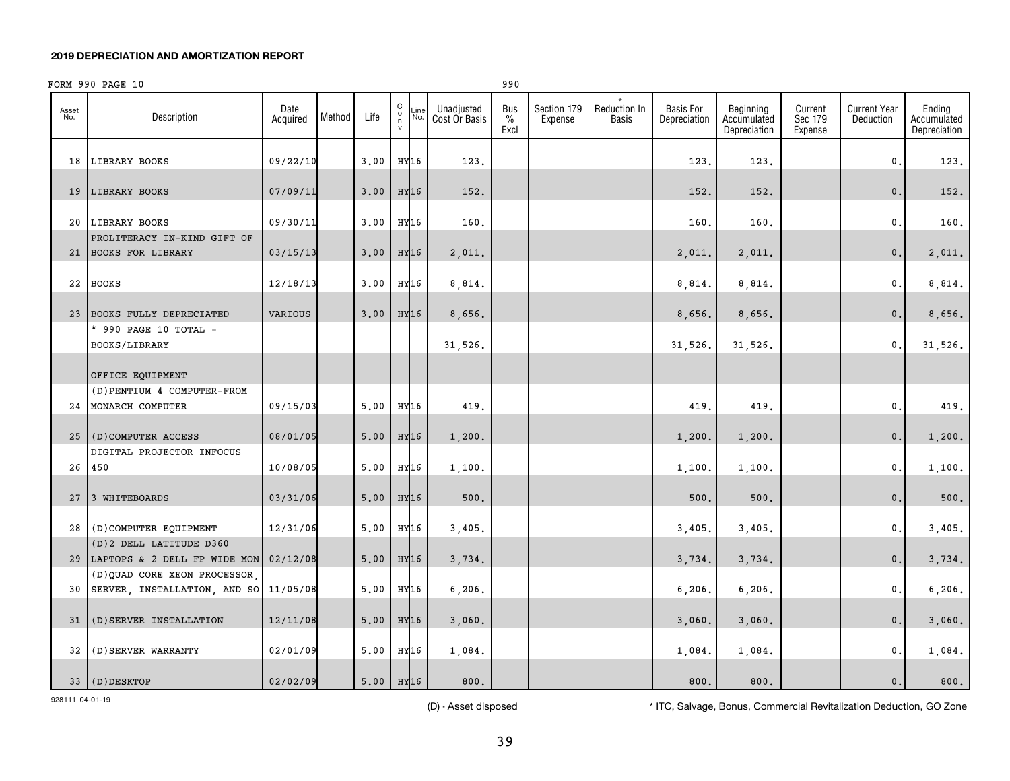|              | FORM 990 PAGE 10                                                         |                  |        |             |                                                     |                  |                             | 990                 |                        |                       |                                  |                                          |                               |                                  |                                       |
|--------------|--------------------------------------------------------------------------|------------------|--------|-------------|-----------------------------------------------------|------------------|-----------------------------|---------------------|------------------------|-----------------------|----------------------------------|------------------------------------------|-------------------------------|----------------------------------|---------------------------------------|
| Asset<br>No. | Description                                                              | Date<br>Acquired | Method | Life        | $\begin{smallmatrix} 0 \\ 0 \\ 7 \end{smallmatrix}$ | Line<br>No.      | Unadjusted<br>Cost Or Basis | Bus<br>$\%$<br>Excl | Section 179<br>Expense | Reduction In<br>Basis | <b>Basis For</b><br>Depreciation | Beginning<br>Accumulated<br>Depreciation | Current<br>Sec 179<br>Expense | <b>Current Year</b><br>Deduction | Ending<br>Accumulated<br>Depreciation |
|              | 18 LIBRARY BOOKS                                                         | 09/22/10         |        | 3.00        | HY16                                                |                  | 123.                        |                     |                        |                       | 123.                             | 123.                                     |                               | $\mathfrak{o}$ .                 | 123.                                  |
|              | 19 LIBRARY BOOKS                                                         | 07/09/11         |        | 3,00        | HY16                                                |                  | 152.                        |                     |                        |                       | 152.                             | 152.                                     |                               | 0.                               | 152.                                  |
|              | 20 LIBRARY BOOKS                                                         | 09/30/11         |        | 3,00        |                                                     | HY16             | 160.                        |                     |                        |                       | 160.                             | 160.                                     |                               | $\mathfrak{o}$ .                 | 160.                                  |
|              | PROLITERACY IN-KIND GIFT OF<br>21 BOOKS FOR LIBRARY                      | 03/15/13         |        | 3,00        | HY16                                                |                  | 2,011.                      |                     |                        |                       | 2,011.                           | 2,011.                                   |                               | 0.                               | 2,011.                                |
|              | 22 BOOKS                                                                 | 12/18/13         |        | 3.00        |                                                     | HY16             | 8,814.                      |                     |                        |                       | 8,814.                           | 8,814.                                   |                               | $\mathbf{0}$ .                   | 8,814.                                |
|              | 23 BOOKS FULLY DEPRECIATED                                               | <b>VARIOUS</b>   |        | 3,00        |                                                     | HY16             | 8,656.                      |                     |                        |                       | 8,656.                           | 8,656.                                   |                               | 0.                               | 8,656.                                |
|              | * 990 PAGE 10 TOTAL -<br>BOOKS/LIBRARY                                   |                  |        |             |                                                     |                  | 31,526.                     |                     |                        |                       | 31,526.                          | 31,526.                                  |                               | $\mathbf{0}$ .                   | 31,526.                               |
|              | OFFICE EQUIPMENT                                                         |                  |        |             |                                                     |                  |                             |                     |                        |                       |                                  |                                          |                               |                                  |                                       |
|              | (D) PENTIUM 4 COMPUTER-FROM<br>24 MONARCH COMPUTER                       | 09/15/03         |        | 5.00        |                                                     | HY16             | 419.                        |                     |                        |                       | 419.                             | 419.                                     |                               | $\mathbf{0}$ .                   | 419.                                  |
|              | 25 (D) COMPUTER ACCESS                                                   | 08/01/05         |        | 5,00        |                                                     | HY <sub>16</sub> | 1,200.                      |                     |                        |                       | 1,200.                           | 1,200.                                   |                               | 0.                               | 1,200.                                |
|              | DIGITAL PROJECTOR INFOCUS<br>26 450                                      | 10/08/05         |        | 5,00        |                                                     | HY16             | 1,100.                      |                     |                        |                       | 1,100.                           | 1,100.                                   |                               | $\mathfrak{o}$ .                 | 1,100.                                |
|              | 27 3 WHITEBOARDS                                                         | 03/31/06         |        | 5,00        | HY16                                                |                  | 500.                        |                     |                        |                       | 500.                             | 500.                                     |                               | 0.                               | $500.$                                |
|              | 28 (D) COMPUTER EQUIPMENT                                                | 12/31/06         |        | 5.00        |                                                     | HY16             | 3,405.                      |                     |                        |                       | 3,405.                           | 3,405.                                   |                               | $\mathfrak{o}$ .                 | 3,405.                                |
|              | (D) 2 DELL LATITUDE D360<br>29 LAPTOPS & 2 DELL FP WIDE MON              | 02/12/08         |        | 5,00        |                                                     | HY16             | 3,734.                      |                     |                        |                       | 3,734.                           | 3,734.                                   |                               | 0.                               | 3,734.                                |
|              | (D) QUAD CORE XEON PROCESSOR<br>30 SERVER, INSTALLATION, AND SO 11/05/08 |                  |        | 5,00        |                                                     | HY16             | 6, 206.                     |                     |                        |                       | 6, 206.                          | 6, 206.                                  |                               | $\mathbf{0}$ .                   | 6, 206.                               |
|              | 31 (D) SERVER INSTALLATION                                               | 12/11/08         |        | 5,00        |                                                     | HY16             | 3,060.                      |                     |                        |                       | 3,060.                           | 3,060.                                   |                               | 0.                               | 3,060.                                |
|              | 32 (D) SERVER WARRANTY                                                   | 02/01/09         |        | 5,00        |                                                     | HY16             | 1,084.                      |                     |                        |                       | 1,084.                           | 1,084.                                   |                               | $\mathbf{0}$ .                   | 1,084.                                |
|              | 33 (D) DESKTOP                                                           | 02/02/09         |        | $5.00$ HY16 |                                                     |                  | 800.                        |                     |                        |                       | 800.                             | 800.                                     |                               | 0.                               | 800.                                  |

928111 04-01-19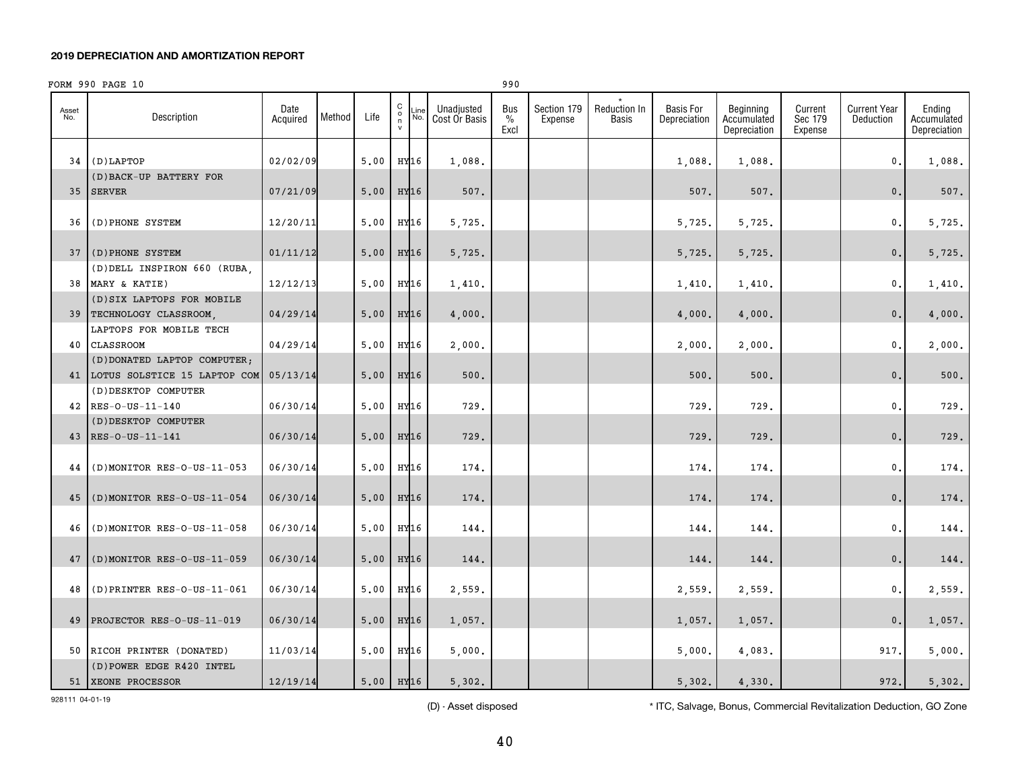|              | FORM 990 PAGE 10                                        |                  |        |           |                                                           |             |                             | 990                          |                        |                       |                                  |                                          |                               |                                  |                                       |
|--------------|---------------------------------------------------------|------------------|--------|-----------|-----------------------------------------------------------|-------------|-----------------------------|------------------------------|------------------------|-----------------------|----------------------------------|------------------------------------------|-------------------------------|----------------------------------|---------------------------------------|
| Asset<br>No. | Description                                             | Date<br>Acquired | Method | Life      | $\begin{matrix} 0 \\ 0 \\ n \end{matrix}$<br>$\mathsf{v}$ | ∟ine<br>No. | Unadjusted<br>Cost Or Basis | Bus<br>$\frac{0}{0}$<br>Excl | Section 179<br>Expense | Reduction In<br>Basis | <b>Basis For</b><br>Depreciation | Beginning<br>Accumulated<br>Depreciation | Current<br>Sec 179<br>Expense | <b>Current Year</b><br>Deduction | Ending<br>Accumulated<br>Depreciation |
| 34           | (D) LAPTOP                                              | 02/02/09         |        | 5,00      | HY16                                                      |             | 1,088.                      |                              |                        |                       | 1,088.                           | 1,088.                                   |                               | $\mathbf 0$ .                    | 1,088.                                |
|              | (D) BACK-UP BATTERY FOR<br>35 SERVER                    | 07/21/09         |        | 5,00      | HY16                                                      |             | 507.                        |                              |                        |                       | 507.                             | 507.                                     |                               | $\mathbf{0}$ .                   | 507.                                  |
| 36           | (D) PHONE SYSTEM                                        | 12/20/11         |        | 5,00      | HY16                                                      |             | 5,725.                      |                              |                        |                       | 5,725.                           | 5,725.                                   |                               | 0.                               | 5,725.                                |
|              |                                                         |                  |        |           |                                                           |             |                             |                              |                        |                       |                                  |                                          |                               |                                  |                                       |
|              | 37 (D) PHONE SYSTEM                                     | 01/11/12         |        | 5,00      | HY16                                                      |             | 5,725.                      |                              |                        |                       | 5,725.                           | 5,725.                                   |                               | $\mathbf{0}$ .                   | 5,725.                                |
|              | (D) DELL INSPIRON 660 (RUBA.<br>38 MARY & KATIE)        | 12/12/13         |        | 5,00      | HY16                                                      |             | 1,410.                      |                              |                        |                       | 1,410.                           | 1,410.                                   |                               | 0.                               | 1,410.                                |
|              | (D) SIX LAPTOPS FOR MOBILE<br>39   TECHNOLOGY CLASSROOM | 04/29/14         |        | 5,00      | HY16                                                      |             | 4,000.                      |                              |                        |                       | 4,000.                           | 4,000.                                   |                               | $\mathbf{0}$ .                   | 4,000.                                |
|              | LAPTOPS FOR MOBILE TECH                                 |                  |        |           |                                                           |             |                             |                              |                        |                       |                                  |                                          |                               |                                  |                                       |
| 40           | <b>CLASSROOM</b>                                        | 04/29/14         |        | 5,00      | HY16                                                      |             | 2,000.                      |                              |                        |                       | 2,000.                           | 2,000.                                   |                               | 0.                               | 2,000.                                |
|              | (D) DONATED LAPTOP COMPUTER;                            |                  |        |           |                                                           |             |                             |                              |                        |                       |                                  |                                          |                               |                                  |                                       |
|              | 41 LOTUS SOLSTICE 15 LAPTOP COM<br>(D) DESKTOP COMPUTER | 05/13/14         |        | 5,00      | HY16                                                      |             | 500.                        |                              |                        |                       | 500                              | 500.                                     |                               | $\mathbf{0}$ .                   | 500.                                  |
|              | 42 RES-0-US-11-140                                      | 06/30/14         |        | 5,00      | HY16                                                      |             | 729.                        |                              |                        |                       | 729.                             | 729.                                     |                               | $\mathbf{0}$ .                   | 729.                                  |
|              | (D) DESKTOP COMPUTER                                    |                  |        |           |                                                           |             |                             |                              |                        |                       |                                  |                                          |                               |                                  |                                       |
|              | 43 RES-O-US-11-141                                      | 06/30/14         |        | 5,00      | HY16                                                      |             | 729.                        |                              |                        |                       | 729                              | 729.                                     |                               | $\mathbf{0}$ .                   | 729.                                  |
| 44           | (D)MONITOR RES-O-US-11-053                              | 06/30/14         |        | 5,00      | HY16                                                      |             | 174.                        |                              |                        |                       | 174.                             | 174.                                     |                               | 0                                | 174.                                  |
| 45           | $($ D) MONITOR RES-O-US-11-054                          | 06/30/14         |        | 5,00      | HY16                                                      |             | 174.                        |                              |                        |                       | 174.                             | 174.                                     |                               | $\mathbf{0}$ .                   | 174.                                  |
| 46           | (D)MONITOR RES-O-US-11-058                              | 06/30/14         |        | 5,00      | HY16                                                      |             | 144.                        |                              |                        |                       | 144.                             | 144.                                     |                               | 0                                | 144.                                  |
|              |                                                         |                  |        |           |                                                           |             |                             |                              |                        |                       |                                  |                                          |                               |                                  |                                       |
| 47           | $($ D)MONITOR RES-O-US-11-059                           | 06/30/14         |        | 5,00      | HY16                                                      |             | 144.                        |                              |                        |                       | 144.                             | 144.                                     |                               | $\mathbf{0}$ .                   | 144.                                  |
| 48           | $(D)$ PRINTER RES-O-US-11-061                           | 06/30/14         |        | 5,00      | HY16                                                      |             | 2,559.                      |                              |                        |                       | 2,559.                           | 2,559.                                   |                               | $\mathbf{0}$ .                   | 2,559.                                |
| 49           | PROJECTOR RES-O-US-11-019                               | 06/30/14         |        | 5,00      | HY16                                                      |             | 1,057.                      |                              |                        |                       | 1,057.                           | 1,057.                                   |                               | $\mathbf{0}$ .                   | 1,057.                                |
|              | 50 RICOH PRINTER (DONATED)                              | 11/03/14         |        | 5,00      | HY16                                                      |             | 5,000.                      |                              |                        |                       | 5,000.                           | 4,083.                                   |                               | 917.                             | 5,000.                                |
|              | (D) POWER EDGE R420 INTEL<br>51 XEONE PROCESSOR         | 12/19/14         |        | 5.00 HY16 |                                                           |             | 5,302.                      |                              |                        |                       | 5,302.                           | 4,330.                                   |                               | 972.                             | 5.302.                                |

928111 04-01-19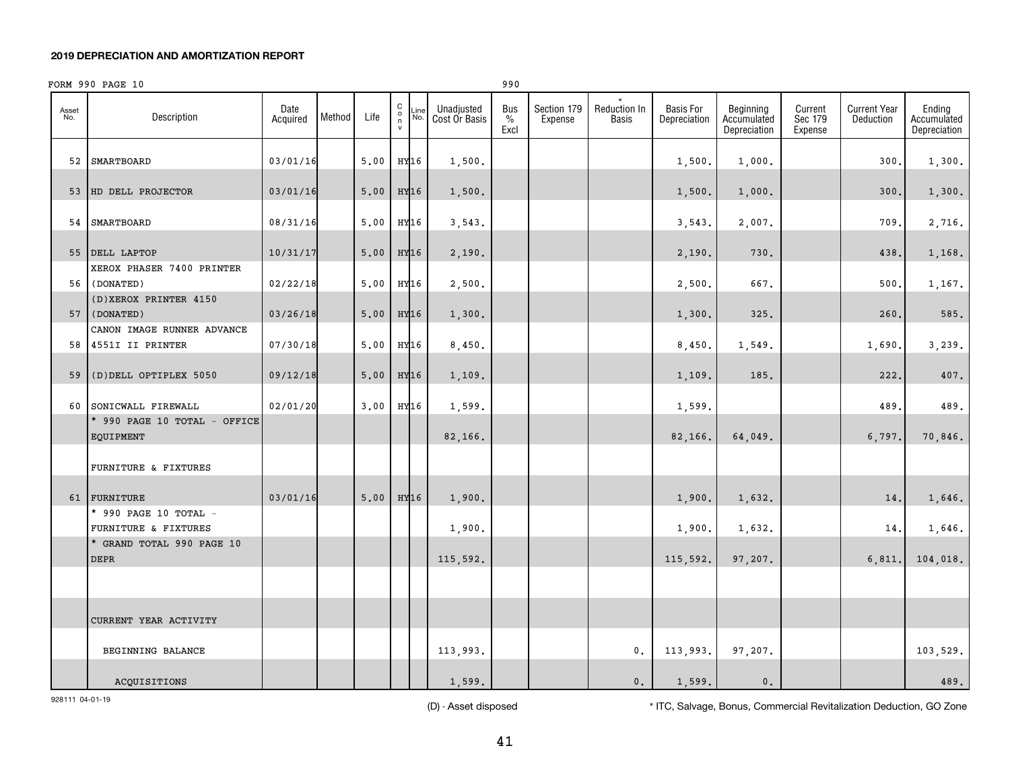|              | FORM 990 PAGE 10                                  |                  |        |        |                                                     |                                     | 990                          |                        |                       |                                  |                                          |                               |                                  |                                       |
|--------------|---------------------------------------------------|------------------|--------|--------|-----------------------------------------------------|-------------------------------------|------------------------------|------------------------|-----------------------|----------------------------------|------------------------------------------|-------------------------------|----------------------------------|---------------------------------------|
| Asset<br>No. | Description                                       | Date<br>Acquired | Method | Life   | $\begin{array}{c}\nC \\ O \\ N\n\end{array}$<br>No. | Unadjusted<br>∟ine<br>Cost Or Basis | Bus<br>$\frac{0}{0}$<br>Excl | Section 179<br>Expense | Reduction In<br>Basis | <b>Basis For</b><br>Depreciation | Beginning<br>Accumulated<br>Depreciation | Current<br>Sec 179<br>Expense | <b>Current Year</b><br>Deduction | Ending<br>Accumulated<br>Depreciation |
|              | 52 SMARTBOARD                                     | 03/01/16         |        | 5.00   | HY16                                                | 1,500.                              |                              |                        |                       | 1,500.                           | 1,000.                                   |                               | 300                              | 1,300.                                |
|              | 53 HD DELL PROJECTOR                              | 03/01/16         |        | $5.00$ | HY16                                                | 1,500.                              |                              |                        |                       | 1,500.                           | 1,000.                                   |                               | 300.                             | 1,300.                                |
|              | 54 SMARTBOARD                                     | 08/31/16         |        | 5,00   | HY16                                                | 3,543.                              |                              |                        |                       | 3,543.                           | 2,007.                                   |                               | 709                              | 2,716.                                |
|              | 55 DELL LAPTOP                                    | 10/31/17         |        | 5.00   | HY16                                                | 2,190.                              |                              |                        |                       | 2,190.                           | 730.                                     |                               | 438.                             | 1,168.                                |
|              | XEROX PHASER 7400 PRINTER<br>56 (DONATED)         | 02/22/18         |        | 5,00   | HY16                                                | 2,500.                              |                              |                        |                       | 2,500.                           | 667.                                     |                               | 500                              | 1,167.                                |
|              | (D) XEROX PRINTER 4150<br>57 (DONATED)            | 03/26/18         |        | 5,00   | HY16                                                | 1,300.                              |                              |                        |                       | 1,300.                           | 325.                                     |                               | 260                              | 585.                                  |
|              | CANON IMAGE RUNNER ADVANCE<br>58 4551I II PRINTER | 07/30/18         |        | 5,00   | HY16                                                | 8,450.                              |                              |                        |                       | 8,450.                           | 1,549.                                   |                               | 1,690.                           | 3,239.                                |
| 59           | (D) DELL OPTIPLEX 5050                            | 09/12/18         |        | 5,00   | HY16                                                | 1,109.                              |                              |                        |                       | 1,109.                           | 185.                                     |                               | 222.                             | 407.                                  |
|              | 60 SONICWALL FIREWALL                             | 02/01/20         |        | 3.00   | HY16                                                | 1,599.                              |                              |                        |                       | 1,599.                           |                                          |                               | 489                              | 489.                                  |
|              | * 990 PAGE 10 TOTAL - OFFICE<br>EQUIPMENT         |                  |        |        |                                                     | 82,166.                             |                              |                        |                       | 82,166.                          | 64,049.                                  |                               | 6,797.                           | 70,846.                               |
|              | FURNITURE & FIXTURES                              |                  |        |        |                                                     |                                     |                              |                        |                       |                                  |                                          |                               |                                  |                                       |
|              | 61 FURNITURE                                      | 03/01/16         |        | 5.00   | HY16                                                | 1,900.                              |                              |                        |                       | 1,900.                           | 1,632.                                   |                               | 14.                              | 1,646.                                |
|              | * 990 PAGE 10 TOTAL -<br>FURNITURE & FIXTURES     |                  |        |        |                                                     | 1,900.                              |                              |                        |                       | 1,900.                           | 1,632.                                   |                               | 14.                              | 1,646.                                |
|              | * GRAND TOTAL 990 PAGE 10<br>DEPR                 |                  |        |        |                                                     | 115,592.                            |                              |                        |                       | 115,592.                         | 97,207.                                  |                               | 6, 811.                          | 104,018.                              |
|              |                                                   |                  |        |        |                                                     |                                     |                              |                        |                       |                                  |                                          |                               |                                  |                                       |
|              | CURRENT YEAR ACTIVITY                             |                  |        |        |                                                     |                                     |                              |                        |                       |                                  |                                          |                               |                                  |                                       |
|              | BEGINNING BALANCE                                 |                  |        |        |                                                     | 113,993.                            |                              |                        | 0.                    | 113,993.                         | 97,207.                                  |                               |                                  | 103,529.                              |
|              | ACQUISITIONS                                      |                  |        |        |                                                     | 1,599.                              |                              |                        | 0.                    | 1,599.                           | 0.                                       |                               |                                  | 489.                                  |

928111 04-01-19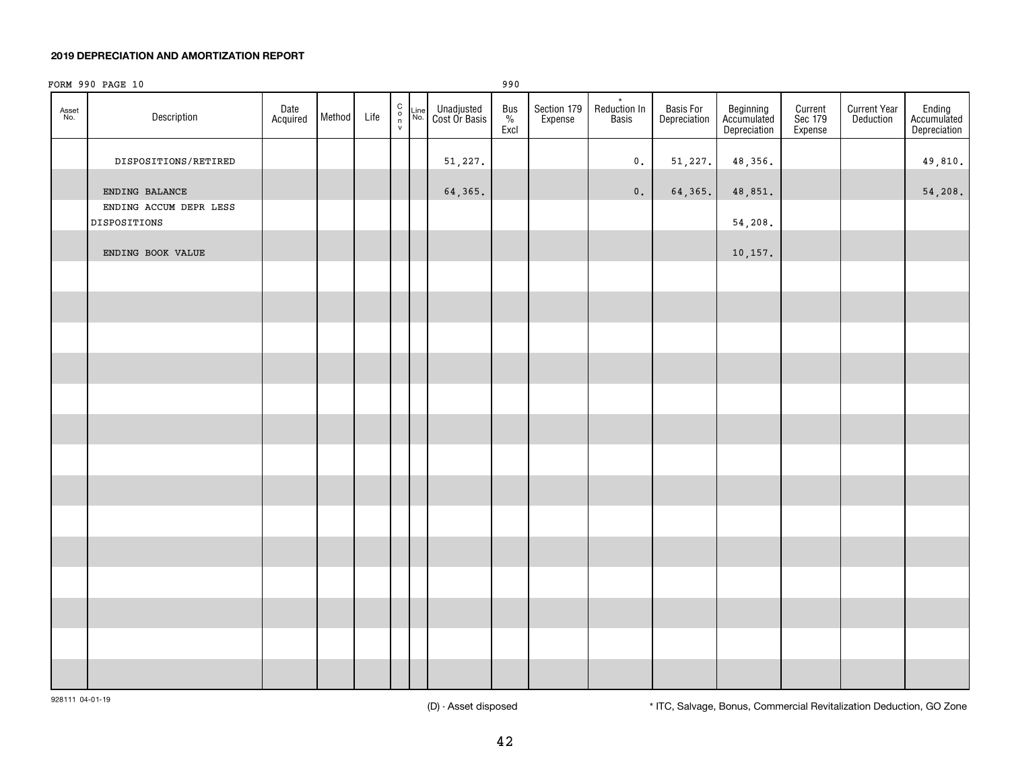|              | FORM 990 PAGE 10                       |                  |        |      |                                                                                     |             |                             | 990                              |                        |                                     |                           |                                          |                               |                                  |                                       |
|--------------|----------------------------------------|------------------|--------|------|-------------------------------------------------------------------------------------|-------------|-----------------------------|----------------------------------|------------------------|-------------------------------------|---------------------------|------------------------------------------|-------------------------------|----------------------------------|---------------------------------------|
| Asset<br>No. | Description                            | Date<br>Acquired | Method | Life | $\begin{array}{c} \mathbf{C} \\ \mathbf{O} \\ \mathbf{n} \\ \mathbf{v} \end{array}$ | Line<br>No. | Unadjusted<br>Cost Or Basis | Bus $_{\%}^{\text{DUS}}$<br>Excl | Section 179<br>Expense | $_{\star}$<br>Reduction In<br>Basis | Basis For<br>Depreciation | Beginning<br>Accumulated<br>Depreciation | Current<br>Sec 179<br>Expense | <b>Current Year</b><br>Deduction | Ending<br>Accumulated<br>Depreciation |
|              | DISPOSITIONS/RETIRED                   |                  |        |      |                                                                                     |             | 51,227.                     |                                  |                        | $\mathbf 0$ .                       | 51,227.                   | 48,356.                                  |                               |                                  | 49,810.                               |
|              | ENDING BALANCE                         |                  |        |      |                                                                                     |             | 64,365.                     |                                  |                        | $\mathbf 0$ .                       | 64,365.                   | 48,851.                                  |                               |                                  | 54,208.                               |
|              | ENDING ACCUM DEPR LESS<br>DISPOSITIONS |                  |        |      |                                                                                     |             |                             |                                  |                        |                                     |                           | 54,208.                                  |                               |                                  |                                       |
|              | ENDING BOOK VALUE                      |                  |        |      |                                                                                     |             |                             |                                  |                        |                                     |                           | 10, 157.                                 |                               |                                  |                                       |
|              |                                        |                  |        |      |                                                                                     |             |                             |                                  |                        |                                     |                           |                                          |                               |                                  |                                       |
|              |                                        |                  |        |      |                                                                                     |             |                             |                                  |                        |                                     |                           |                                          |                               |                                  |                                       |
|              |                                        |                  |        |      |                                                                                     |             |                             |                                  |                        |                                     |                           |                                          |                               |                                  |                                       |
|              |                                        |                  |        |      |                                                                                     |             |                             |                                  |                        |                                     |                           |                                          |                               |                                  |                                       |
|              |                                        |                  |        |      |                                                                                     |             |                             |                                  |                        |                                     |                           |                                          |                               |                                  |                                       |
|              |                                        |                  |        |      |                                                                                     |             |                             |                                  |                        |                                     |                           |                                          |                               |                                  |                                       |
|              |                                        |                  |        |      |                                                                                     |             |                             |                                  |                        |                                     |                           |                                          |                               |                                  |                                       |
|              |                                        |                  |        |      |                                                                                     |             |                             |                                  |                        |                                     |                           |                                          |                               |                                  |                                       |
|              |                                        |                  |        |      |                                                                                     |             |                             |                                  |                        |                                     |                           |                                          |                               |                                  |                                       |
|              |                                        |                  |        |      |                                                                                     |             |                             |                                  |                        |                                     |                           |                                          |                               |                                  |                                       |
|              |                                        |                  |        |      |                                                                                     |             |                             |                                  |                        |                                     |                           |                                          |                               |                                  |                                       |
|              |                                        |                  |        |      |                                                                                     |             |                             |                                  |                        |                                     |                           |                                          |                               |                                  |                                       |
|              |                                        |                  |        |      |                                                                                     |             |                             |                                  |                        |                                     |                           |                                          |                               |                                  |                                       |
|              |                                        |                  |        |      |                                                                                     |             |                             |                                  |                        |                                     |                           |                                          |                               |                                  |                                       |
|              |                                        |                  |        |      |                                                                                     |             |                             |                                  |                        |                                     |                           |                                          |                               |                                  |                                       |

928111 04-01-19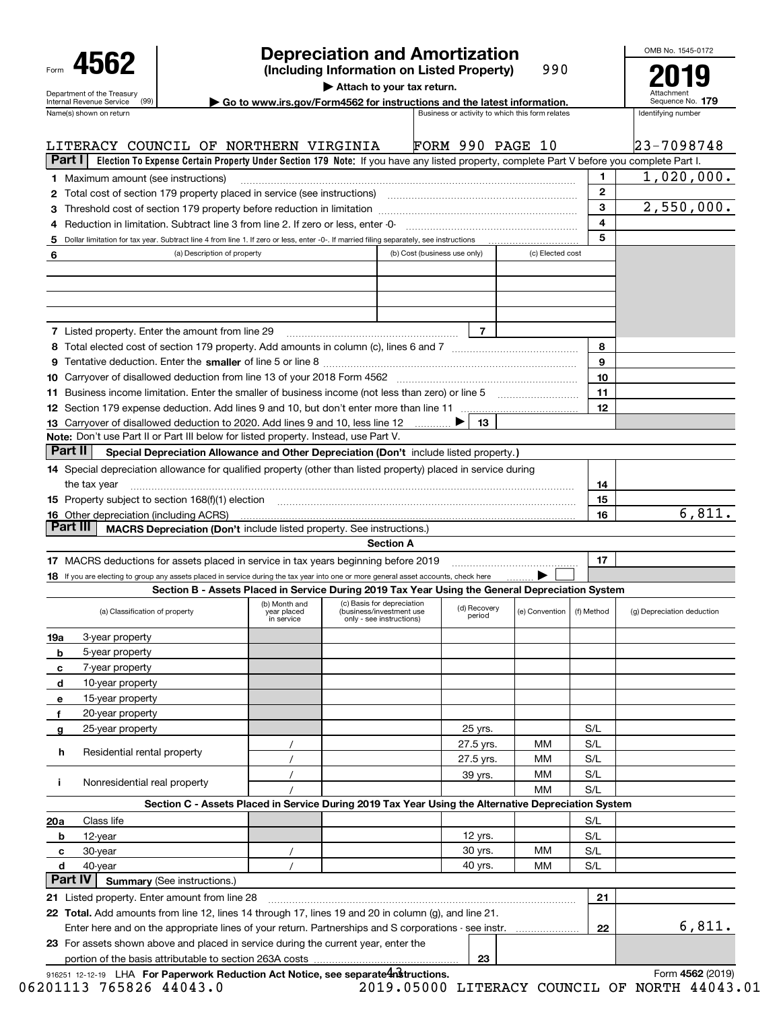|                |                                                                                                                                                                                                                                |                             |                           | <b>Depreciation and Amortization</b>                                                                                                      |                              |                                                 |              | OMB No. 1545-0172          |
|----------------|--------------------------------------------------------------------------------------------------------------------------------------------------------------------------------------------------------------------------------|-----------------------------|---------------------------|-------------------------------------------------------------------------------------------------------------------------------------------|------------------------------|-------------------------------------------------|--------------|----------------------------|
|                | 4562                                                                                                                                                                                                                           |                             |                           | (Including Information on Listed Property)<br>Attach to your tax return.                                                                  |                              | 990                                             |              |                            |
|                | Department of the Treasury<br>(99)<br>Internal Revenue Service                                                                                                                                                                 |                             |                           | Go to www.irs.gov/Form4562 for instructions and the latest information.                                                                   |                              |                                                 |              | Sequence No. 179           |
|                | Name(s) shown on return                                                                                                                                                                                                        |                             |                           |                                                                                                                                           |                              | Business or activity to which this form relates |              | Identifying number         |
|                | LITERACY COUNCIL OF NORTHERN VIRGINIA                                                                                                                                                                                          |                             |                           |                                                                                                                                           |                              | <b>FORM 990 PAGE 10</b>                         |              | 23-7098748                 |
| Part I         |                                                                                                                                                                                                                                |                             |                           | Election To Expense Certain Property Under Section 179 Note: If you have any listed property, complete Part V before you complete Part I. |                              |                                                 |              |                            |
|                | <b>1</b> Maximum amount (see instructions)                                                                                                                                                                                     |                             |                           |                                                                                                                                           |                              |                                                 | 1            | 1,020,000.                 |
|                |                                                                                                                                                                                                                                |                             |                           |                                                                                                                                           |                              |                                                 | $\mathbf{2}$ |                            |
|                |                                                                                                                                                                                                                                |                             |                           |                                                                                                                                           |                              |                                                 | 3            | 2,550,000.                 |
|                | 4 Reduction in limitation. Subtract line 3 from line 2. If zero or less, enter -0-                                                                                                                                             |                             |                           |                                                                                                                                           |                              |                                                 | 4            |                            |
| 5              | Dollar limitation for tax year. Subtract line 4 from line 1. If zero or less, enter -0-. If married filing separately, see instructions                                                                                        |                             |                           |                                                                                                                                           |                              |                                                 | 5            |                            |
| 6              |                                                                                                                                                                                                                                | (a) Description of property |                           |                                                                                                                                           | (b) Cost (business use only) | (c) Elected cost                                |              |                            |
|                |                                                                                                                                                                                                                                |                             |                           |                                                                                                                                           |                              |                                                 |              |                            |
|                |                                                                                                                                                                                                                                |                             |                           |                                                                                                                                           |                              |                                                 |              |                            |
|                |                                                                                                                                                                                                                                |                             |                           |                                                                                                                                           |                              |                                                 |              |                            |
|                |                                                                                                                                                                                                                                |                             |                           |                                                                                                                                           |                              |                                                 |              |                            |
|                | <b>7</b> Listed property. Enter the amount from line 29                                                                                                                                                                        |                             |                           |                                                                                                                                           | 7                            |                                                 |              |                            |
|                |                                                                                                                                                                                                                                |                             |                           |                                                                                                                                           |                              |                                                 | 8            |                            |
|                |                                                                                                                                                                                                                                |                             |                           |                                                                                                                                           |                              |                                                 | 9            |                            |
|                |                                                                                                                                                                                                                                |                             |                           |                                                                                                                                           |                              |                                                 | 10           |                            |
|                |                                                                                                                                                                                                                                |                             |                           |                                                                                                                                           |                              |                                                 | 11           |                            |
|                |                                                                                                                                                                                                                                |                             |                           |                                                                                                                                           |                              |                                                 | 12           |                            |
|                |                                                                                                                                                                                                                                |                             |                           |                                                                                                                                           |                              |                                                 |              |                            |
|                | 13 Carryover of disallowed deduction to 2020. Add lines 9 and 10, less line 12<br>Note: Don't use Part II or Part III below for listed property. Instead, use Part V.                                                          |                             |                           |                                                                                                                                           | 13                           |                                                 |              |                            |
| Part II        |                                                                                                                                                                                                                                |                             |                           |                                                                                                                                           |                              |                                                 |              |                            |
|                |                                                                                                                                                                                                                                |                             |                           | Special Depreciation Allowance and Other Depreciation (Don't include listed property.)                                                    |                              |                                                 |              |                            |
|                | 14 Special depreciation allowance for qualified property (other than listed property) placed in service during                                                                                                                 |                             |                           |                                                                                                                                           |                              |                                                 |              |                            |
|                | the tax year                                                                                                                                                                                                                   |                             |                           |                                                                                                                                           |                              |                                                 | 14           |                            |
|                | 15 Property subject to section 168(f)(1) election material content content content of the content of the content of the content of the content of the content of the content of the content of the content of the content of t |                             |                           |                                                                                                                                           |                              |                                                 | 15           |                            |
|                | <b>16</b> Other depreciation (including ACRS)                                                                                                                                                                                  |                             |                           |                                                                                                                                           |                              |                                                 | 16           | 6,811.                     |
|                | Part III                                                                                                                                                                                                                       |                             |                           | MACRS Depreciation (Don't include listed property. See instructions.)                                                                     |                              |                                                 |              |                            |
|                |                                                                                                                                                                                                                                |                             |                           | <b>Section A</b>                                                                                                                          |                              |                                                 |              |                            |
|                | 17 MACRS deductions for assets placed in service in tax years beginning before 2019                                                                                                                                            |                             |                           |                                                                                                                                           |                              |                                                 | 17           |                            |
|                | 18 If you are electing to group any assets placed in service during the tax year into one or more general asset accounts, check here                                                                                           |                             |                           |                                                                                                                                           |                              |                                                 |              |                            |
|                |                                                                                                                                                                                                                                |                             |                           | Section B - Assets Placed in Service During 2019 Tax Year Using the General Depreciation System                                           |                              |                                                 |              |                            |
|                | (a) Classification of property                                                                                                                                                                                                 |                             | year placed<br>in service | (b) Month and (c) Basis for depreciation (d) Recovery<br>(business/investment use<br>only - see instructions)                             | period                       | (e) Convention                                  | (f) Method   | (g) Depreciation deduction |
| 19a            | 3-year property                                                                                                                                                                                                                |                             |                           |                                                                                                                                           |                              |                                                 |              |                            |
| b              | 5-year property                                                                                                                                                                                                                |                             |                           |                                                                                                                                           |                              |                                                 |              |                            |
| с              | 7-year property                                                                                                                                                                                                                |                             |                           |                                                                                                                                           |                              |                                                 |              |                            |
| d              | 10-year property                                                                                                                                                                                                               |                             |                           |                                                                                                                                           |                              |                                                 |              |                            |
| е              | 15-year property                                                                                                                                                                                                               |                             |                           |                                                                                                                                           |                              |                                                 |              |                            |
| f              | 20-year property                                                                                                                                                                                                               |                             |                           |                                                                                                                                           |                              |                                                 |              |                            |
| g              | 25-year property                                                                                                                                                                                                               |                             |                           |                                                                                                                                           | 25 yrs.                      |                                                 | S/L          |                            |
|                |                                                                                                                                                                                                                                |                             |                           |                                                                                                                                           | 27.5 yrs.                    | мм                                              | S/L          |                            |
| h              | Residential rental property                                                                                                                                                                                                    |                             |                           |                                                                                                                                           | 27.5 yrs.                    | мм                                              | S/L          |                            |
|                |                                                                                                                                                                                                                                |                             |                           |                                                                                                                                           | 39 yrs.                      | MM                                              | S/L          |                            |
| j.             | Nonresidential real property                                                                                                                                                                                                   |                             |                           |                                                                                                                                           |                              | MM                                              | S/L          |                            |
|                |                                                                                                                                                                                                                                |                             |                           | Section C - Assets Placed in Service During 2019 Tax Year Using the Alternative Depreciation System                                       |                              |                                                 |              |                            |
| 20a            | Class life                                                                                                                                                                                                                     |                             |                           |                                                                                                                                           |                              |                                                 | S/L          |                            |
| b              | 12-year                                                                                                                                                                                                                        |                             |                           |                                                                                                                                           | 12 yrs.                      |                                                 | S/L          |                            |
| с              | 30-year                                                                                                                                                                                                                        |                             |                           |                                                                                                                                           | 30 yrs.                      | MМ                                              | S/L          |                            |
| d              | 40-year                                                                                                                                                                                                                        |                             |                           |                                                                                                                                           | 40 yrs.                      | <b>MM</b>                                       | S/L          |                            |
| <b>Part IV</b> | <b>Summary (See instructions.)</b>                                                                                                                                                                                             |                             |                           |                                                                                                                                           |                              |                                                 |              |                            |
|                |                                                                                                                                                                                                                                |                             |                           |                                                                                                                                           |                              |                                                 |              |                            |
|                | 21 Listed property. Enter amount from line 28                                                                                                                                                                                  |                             |                           |                                                                                                                                           |                              |                                                 | 21           |                            |
|                | 22 Total. Add amounts from line 12, lines 14 through 17, lines 19 and 20 in column (g), and line 21.                                                                                                                           |                             |                           |                                                                                                                                           |                              |                                                 |              |                            |
|                | Enter here and on the appropriate lines of your return. Partnerships and S corporations - see instr.                                                                                                                           |                             |                           |                                                                                                                                           |                              |                                                 | 22           | 6,811.                     |
|                |                                                                                                                                                                                                                                |                             |                           |                                                                                                                                           |                              |                                                 |              |                            |
|                | 23 For assets shown above and placed in service during the current year, enter the                                                                                                                                             |                             |                           |                                                                                                                                           | 23                           |                                                 |              |                            |

916251 12-12-19 LHA **For Paperwork Reduction Act Notice, see separate4n\$tructions. <b>And Container the See Separate4n** Structions.

06201113 765826 44043.0 2019.05000 LITERACY COUNCIL OF NORTH 44043.01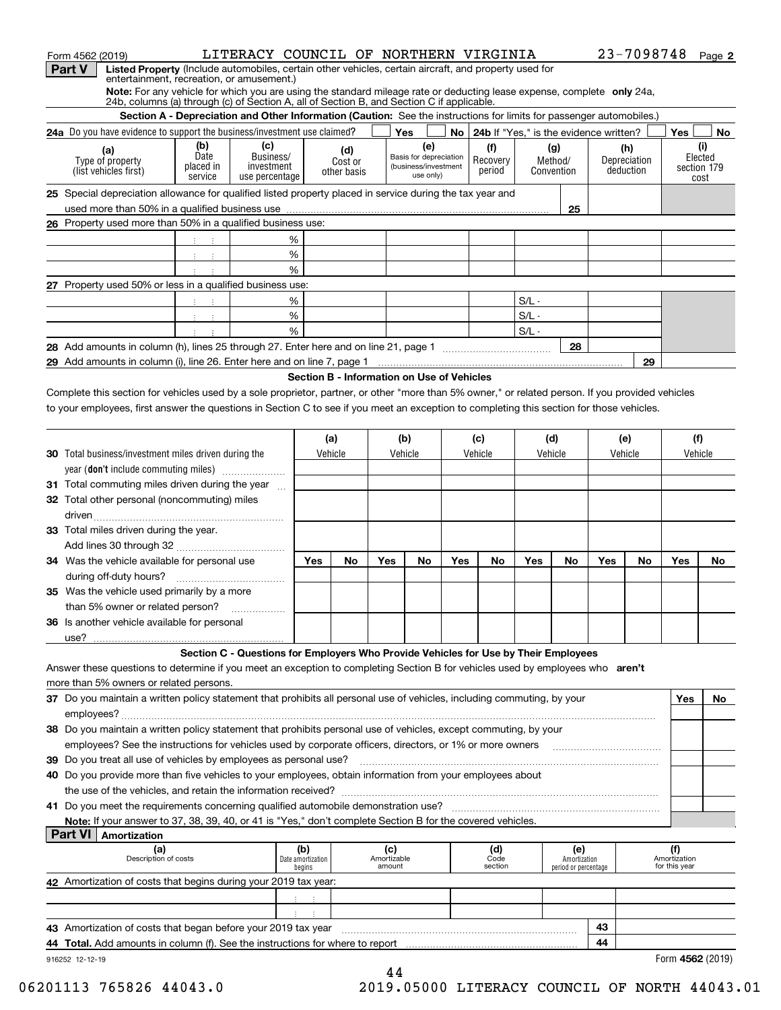| Form 4562 (2019)                                                                                                                                                                                                    |                      | LITERACY COUNCIL OF NORTHERN VIRGINIA                                                                                |                          |                |                    |                                   |     |                                             |         |                      |     |              | 23-7098748 Page 2                    |                     |
|---------------------------------------------------------------------------------------------------------------------------------------------------------------------------------------------------------------------|----------------------|----------------------------------------------------------------------------------------------------------------------|--------------------------|----------------|--------------------|-----------------------------------|-----|---------------------------------------------|---------|----------------------|-----|--------------|--------------------------------------|---------------------|
| Listed Property (Include automobiles, certain other vehicles, certain aircraft, and property used for<br><b>Part V</b>                                                                                              |                      |                                                                                                                      |                          |                |                    |                                   |     |                                             |         |                      |     |              |                                      |                     |
| entertainment, recreation, or amusement.)                                                                                                                                                                           |                      |                                                                                                                      |                          |                |                    |                                   |     |                                             |         |                      |     |              |                                      |                     |
| Note: For any vehicle for which you are using the standard mileage rate or deducting lease expense, complete only 24a,<br>24b, columns (a) through (c) of Section A, all of Section B, and Section C if applicable. |                      |                                                                                                                      |                          |                |                    |                                   |     |                                             |         |                      |     |              |                                      |                     |
|                                                                                                                                                                                                                     |                      | Section A - Depreciation and Other Information (Caution: See the instructions for limits for passenger automobiles.) |                          |                |                    |                                   |     |                                             |         |                      |     |              |                                      |                     |
| 24a Do you have evidence to support the business/investment use claimed?                                                                                                                                            |                      |                                                                                                                      |                          |                |                    | Yes                               |     | No   24b If "Yes," is the evidence written? |         |                      |     |              | Yes                                  | No                  |
|                                                                                                                                                                                                                     | (b)                  | (c)                                                                                                                  |                          |                |                    | (e)                               |     | (f)                                         |         | (g)                  |     | (h)          |                                      | (i)                 |
| (a)<br>Type of property                                                                                                                                                                                             | Date                 | Business/                                                                                                            |                          | (d)<br>Cost or |                    | Basis for depreciation            |     | Recovery                                    |         | Method/              |     | Depreciation |                                      | Elected             |
| (list vehicles first)                                                                                                                                                                                               | placed in<br>service | investment<br>use percentage                                                                                         |                          | other basis    |                    | (business/investment<br>use only) |     | period                                      |         | Convention           |     | deduction    |                                      | section 179<br>cost |
| 25 Special depreciation allowance for qualified listed property placed in service during the tax year and                                                                                                           |                      |                                                                                                                      |                          |                |                    |                                   |     |                                             |         |                      |     |              |                                      |                     |
|                                                                                                                                                                                                                     |                      |                                                                                                                      |                          |                |                    |                                   |     |                                             |         | 25                   |     |              |                                      |                     |
| 26 Property used more than 50% in a qualified business use:                                                                                                                                                         |                      |                                                                                                                      |                          |                |                    |                                   |     |                                             |         |                      |     |              |                                      |                     |
|                                                                                                                                                                                                                     | ÷                    |                                                                                                                      | %                        |                |                    |                                   |     |                                             |         |                      |     |              |                                      |                     |
|                                                                                                                                                                                                                     | $3 - 3$              |                                                                                                                      | %                        |                |                    |                                   |     |                                             |         |                      |     |              |                                      |                     |
|                                                                                                                                                                                                                     |                      |                                                                                                                      | %                        |                |                    |                                   |     |                                             |         |                      |     |              |                                      |                     |
| 27 Property used 50% or less in a qualified business use:                                                                                                                                                           |                      |                                                                                                                      |                          |                |                    |                                   |     |                                             |         |                      |     |              |                                      |                     |
|                                                                                                                                                                                                                     | $-1 - 1$             |                                                                                                                      | %                        |                |                    |                                   |     |                                             | $S/L -$ |                      |     |              |                                      |                     |
|                                                                                                                                                                                                                     | $3 - 3$              |                                                                                                                      | %                        |                |                    |                                   |     |                                             | $S/L -$ |                      |     |              |                                      |                     |
|                                                                                                                                                                                                                     | $\sim$ :             |                                                                                                                      | %                        |                |                    |                                   |     |                                             | $S/L -$ |                      |     |              |                                      |                     |
|                                                                                                                                                                                                                     |                      |                                                                                                                      |                          |                |                    |                                   |     |                                             |         | 28                   |     |              |                                      |                     |
| 29 Add amounts in column (i), line 26. Enter here and on line 7, page 1 [20] Manuseum manuscription contracts                                                                                                       |                      |                                                                                                                      |                          |                |                    |                                   |     |                                             |         |                      |     | 29           |                                      |                     |
|                                                                                                                                                                                                                     |                      |                                                                                                                      |                          |                |                    |                                   |     |                                             |         |                      |     |              |                                      |                     |
| Section B - Information on Use of Vehicles<br>Complete this section for vehicles used by a sole proprietor, partner, or other "more than 5% owner," or related person. If you provided vehicles                     |                      |                                                                                                                      |                          |                |                    |                                   |     |                                             |         |                      |     |              |                                      |                     |
| to your employees, first answer the questions in Section C to see if you meet an exception to completing this section for those vehicles.                                                                           |                      |                                                                                                                      |                          |                |                    |                                   |     |                                             |         |                      |     |              |                                      |                     |
|                                                                                                                                                                                                                     |                      |                                                                                                                      |                          |                |                    |                                   |     |                                             |         |                      |     |              |                                      |                     |
|                                                                                                                                                                                                                     |                      |                                                                                                                      |                          | (a)            |                    | (b)                               |     | (c)                                         |         | (d)                  |     | (e)          | (f)                                  |                     |
| <b>30</b> Total business/investment miles driven during the                                                                                                                                                         |                      |                                                                                                                      |                          | Vehicle        |                    | Vehicle                           |     | Vehicle                                     |         | Vehicle              |     | Vehicle      | Vehicle                              |                     |
| year (don't include commuting miles)                                                                                                                                                                                |                      |                                                                                                                      |                          |                |                    |                                   |     |                                             |         |                      |     |              |                                      |                     |
|                                                                                                                                                                                                                     |                      |                                                                                                                      |                          |                |                    |                                   |     |                                             |         |                      |     |              |                                      |                     |
| 31 Total commuting miles driven during the year                                                                                                                                                                     |                      |                                                                                                                      |                          |                |                    |                                   |     |                                             |         |                      |     |              |                                      |                     |
| 32 Total other personal (noncommuting) miles                                                                                                                                                                        |                      |                                                                                                                      |                          |                |                    |                                   |     |                                             |         |                      |     |              |                                      |                     |
|                                                                                                                                                                                                                     |                      |                                                                                                                      |                          |                |                    |                                   |     |                                             |         |                      |     |              |                                      |                     |
| 33 Total miles driven during the year.                                                                                                                                                                              |                      |                                                                                                                      |                          |                |                    |                                   |     |                                             |         |                      |     |              |                                      |                     |
|                                                                                                                                                                                                                     |                      |                                                                                                                      |                          |                |                    |                                   |     |                                             |         |                      |     |              |                                      |                     |
| 34 Was the vehicle available for personal use                                                                                                                                                                       |                      |                                                                                                                      | Yes                      | No             | Yes                | No                                | Yes | No                                          | Yes     | No                   | Yes | No           | Yes                                  | No.                 |
| during off-duty hours?                                                                                                                                                                                              |                      |                                                                                                                      |                          |                |                    |                                   |     |                                             |         |                      |     |              |                                      |                     |
| <b>35</b> Was the vehicle used primarily by a more                                                                                                                                                                  |                      |                                                                                                                      |                          |                |                    |                                   |     |                                             |         |                      |     |              |                                      |                     |
| than 5% owner or related person?                                                                                                                                                                                    |                      | .                                                                                                                    |                          |                |                    |                                   |     |                                             |         |                      |     |              |                                      |                     |
| 36 Is another vehicle available for personal                                                                                                                                                                        |                      |                                                                                                                      |                          |                |                    |                                   |     |                                             |         |                      |     |              |                                      |                     |
| use?                                                                                                                                                                                                                |                      | Section C - Questions for Employers Who Provide Vehicles for Use by Their Employees                                  |                          |                |                    |                                   |     |                                             |         |                      |     |              |                                      |                     |
|                                                                                                                                                                                                                     |                      |                                                                                                                      |                          |                |                    |                                   |     |                                             |         |                      |     |              |                                      |                     |
| Answer these questions to determine if you meet an exception to completing Section B for vehicles used by employees who aren't<br>more than 5% owners or related persons.                                           |                      |                                                                                                                      |                          |                |                    |                                   |     |                                             |         |                      |     |              |                                      |                     |
|                                                                                                                                                                                                                     |                      |                                                                                                                      |                          |                |                    |                                   |     |                                             |         |                      |     |              |                                      |                     |
| 37 Do you maintain a written policy statement that prohibits all personal use of vehicles, including commuting, by your                                                                                             |                      |                                                                                                                      |                          |                |                    |                                   |     |                                             |         |                      |     |              | Yes                                  | No                  |
|                                                                                                                                                                                                                     |                      |                                                                                                                      |                          |                |                    |                                   |     |                                             |         |                      |     |              |                                      |                     |
| 38 Do you maintain a written policy statement that prohibits personal use of vehicles, except commuting, by your                                                                                                    |                      |                                                                                                                      |                          |                |                    |                                   |     |                                             |         |                      |     |              |                                      |                     |
| employees? See the instructions for vehicles used by corporate officers, directors, or 1% or more owners                                                                                                            |                      |                                                                                                                      |                          |                |                    |                                   |     |                                             |         |                      |     |              |                                      |                     |
| 39 Do you treat all use of vehicles by employees as personal use?                                                                                                                                                   |                      |                                                                                                                      |                          |                |                    |                                   |     |                                             |         |                      |     |              |                                      |                     |
| 40 Do you provide more than five vehicles to your employees, obtain information from your employees about                                                                                                           |                      |                                                                                                                      |                          |                |                    |                                   |     |                                             |         |                      |     |              |                                      |                     |
|                                                                                                                                                                                                                     |                      |                                                                                                                      |                          |                |                    |                                   |     |                                             |         |                      |     |              |                                      |                     |
|                                                                                                                                                                                                                     |                      |                                                                                                                      |                          |                |                    |                                   |     |                                             |         |                      |     |              |                                      |                     |
| Note: If your answer to 37, 38, 39, 40, or 41 is "Yes," don't complete Section B for the covered vehicles.                                                                                                          |                      |                                                                                                                      |                          |                |                    |                                   |     |                                             |         |                      |     |              |                                      |                     |
| <b>Part VI</b><br>Amortization                                                                                                                                                                                      |                      |                                                                                                                      |                          |                |                    |                                   |     |                                             |         |                      |     |              |                                      |                     |
| (a)<br>Description of costs                                                                                                                                                                                         |                      |                                                                                                                      | (b)<br>Date amortization |                | (c)<br>Amortizable |                                   |     | (d)<br>Code                                 |         | (e)<br>Amortization  |     |              | (f)<br>Amortization<br>for this year |                     |
|                                                                                                                                                                                                                     |                      |                                                                                                                      | begins                   |                | amount             |                                   |     | section                                     |         | period or percentage |     |              |                                      |                     |
| 42 Amortization of costs that begins during your 2019 tax year:                                                                                                                                                     |                      |                                                                                                                      |                          |                |                    |                                   |     |                                             |         |                      |     |              |                                      |                     |

| $\tau$ , which a called the cooled that begins during your Editorial your.    |  |    |                  |
|-------------------------------------------------------------------------------|--|----|------------------|
|                                                                               |  |    |                  |
|                                                                               |  |    |                  |
| 43 Amortization of costs that began before your 2019 tax year                 |  | 43 |                  |
| 44 Total. Add amounts in column (f). See the instructions for where to report |  | 44 |                  |
| 916252 12-12-19                                                               |  |    | Form 4562 (2019) |

 $\overline{\phantom{0}}$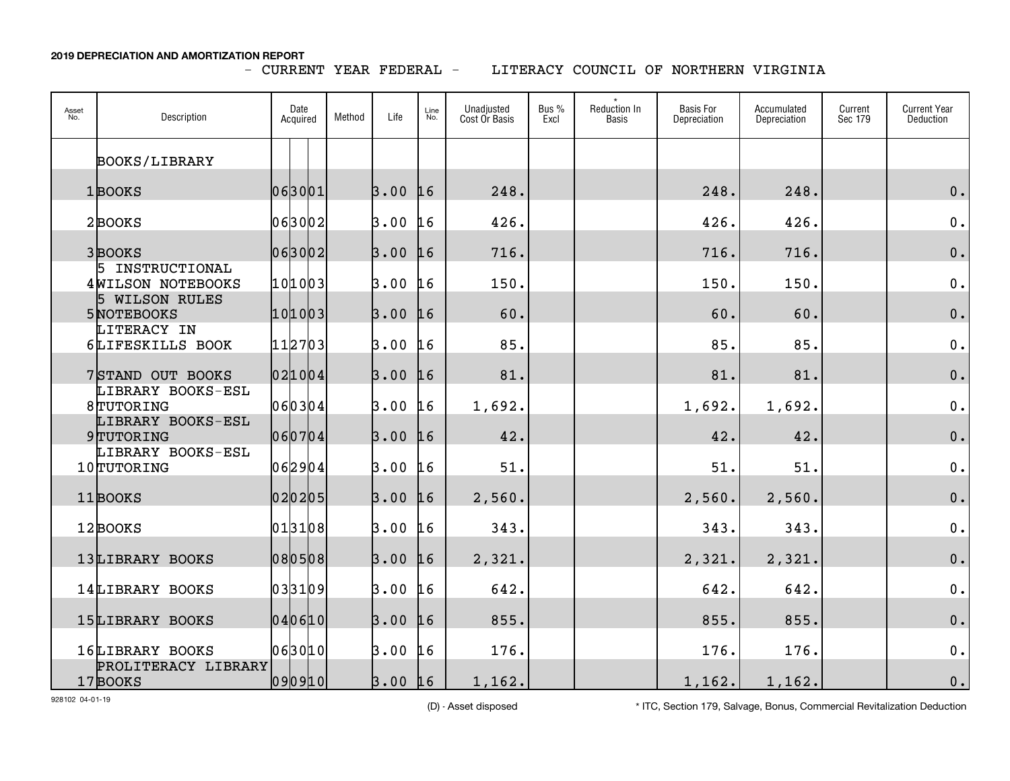- CURRENT YEAR FEDERAL -

LITERACY COUNCIL OF NORTHERN VIRGINIA

| Asset<br>No. | Description                           | Date<br>Acquired | Method | Life | Line<br>No. | Unadjusted<br>Cost Or Basis | Bus %<br>Excl | Reduction In<br><b>Basis</b> | <b>Basis For</b><br>Depreciation | Accumulated<br>Depreciation | Current<br>Sec 179 | <b>Current Year</b><br>Deduction |
|--------------|---------------------------------------|------------------|--------|------|-------------|-----------------------------|---------------|------------------------------|----------------------------------|-----------------------------|--------------------|----------------------------------|
|              | <b>BOOKS/LIBRARY</b>                  |                  |        |      |             |                             |               |                              |                                  |                             |                    |                                  |
|              | 1BOOKS                                | 063001           |        | 3.00 | 16          | 248.                        |               |                              | 248.                             | 248.                        |                    | $0$ .                            |
|              | 2BOOKS                                | 063002           |        | 3.00 | L 6         | 426.                        |               |                              | 426.                             | 426.                        |                    | $\mathfrak o$ .                  |
|              | 3BOOKS                                | 063002           |        | 3.00 | 16          | 716.                        |               |                              | 716.                             | 716.                        |                    | 0.                               |
|              | 5 INSTRUCTIONAL<br>4 WILSON NOTEBOOKS | 101003           |        | 3.00 | 11.6        | 150.                        |               |                              | 150.                             | 150.                        |                    | 0.                               |
|              | 5 WILSON RULES<br>5 NOTEBOOKS         | 101003           |        | 3.00 | 16          | 60.                         |               |                              | 60.                              | 60.                         |                    | 0.                               |
|              | LITERACY IN<br>6LIFESKILLS BOOK       | 112703           |        | 3.00 | L6          | 85.                         |               |                              | 85.                              | 85.                         |                    | 0.                               |
|              | 7 STAND OUT BOOKS                     | 021004           |        | 3.00 | 16          | 81.                         |               |                              | 81.                              | 81.                         |                    | $0$ .                            |
|              | LIBRARY BOOKS-ESL<br>8TUTORING        | 060304           |        | 3.00 | L6          | 1,692.                      |               |                              | 1,692.                           | 1,692.                      |                    | 0.                               |
|              | LIBRARY BOOKS-ESL<br>9TUTORING        | 060704           |        | 3.00 | 16          | 42.                         |               |                              | 42.                              | 42.                         |                    | 0.                               |
|              | LIBRARY BOOKS-ESL<br>10TUTORING       | 062904           |        | 3.00 | 16          | 51.                         |               |                              | 51.                              | 51.                         |                    | 0.                               |
|              | 11BOOKS                               | 020205           |        | 3.00 | 16          | 2,560.                      |               |                              | 2,560.                           | 2,560.                      |                    | $\mathbf 0$ .                    |
|              | 12BOOKS                               | 013108           |        | 3.00 | 16          | 343.                        |               |                              | 343.                             | 343.                        |                    | 0.                               |
|              | 13LIBRARY BOOKS                       | 080508           |        | 3.00 | 16          | 2,321.                      |               |                              | 2,321.                           | 2,321.                      |                    | $0$ .                            |
|              | 14LIBRARY BOOKS                       | 033109           |        | 3.00 | 16          | 642.                        |               |                              | 642.                             | 642.                        |                    | 0.                               |
|              | 15LIBRARY BOOKS                       | 040610           |        | 3.00 | 16          | 855.                        |               |                              | 855.                             | 855.                        |                    | 0.                               |
|              | 16LIBRARY BOOKS                       | 063010           |        | 3.00 | 16          | 176.                        |               |                              | 176.                             | 176.                        |                    | $\mathbf 0$ .                    |
|              | PROLITERACY LIBRARY<br>17BOOKS        | 0 9 0 9 1 0      |        | 3.00 | 16          | 1,162.                      |               |                              | 1,162.                           | 1,162.                      |                    | $\mathbf 0$ .                    |

928102 04-01-19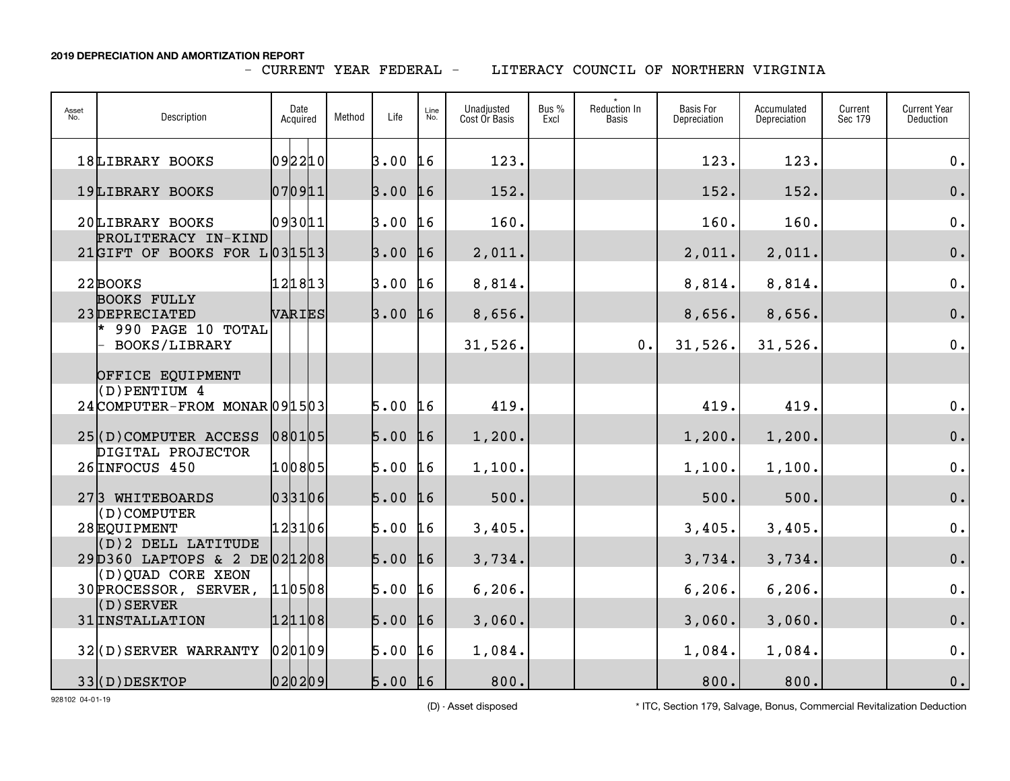## - CURRENT YEAR FEDERAL -

LITERACY COUNCIL OF NORTHERN VIRGINIA

| Asset<br>No. | Description                                         | Date<br>Acquired | Method | Life          | Line<br>No. | Unadjusted<br>Cost Or Basis | Bus %<br>Excl | <b>Reduction In</b><br>Basis | <b>Basis For</b><br>Depreciation | Accumulated<br>Depreciation | Current<br>Sec 179 | <b>Current Year</b><br>Deduction |
|--------------|-----------------------------------------------------|------------------|--------|---------------|-------------|-----------------------------|---------------|------------------------------|----------------------------------|-----------------------------|--------------------|----------------------------------|
|              | 18LIBRARY BOOKS                                     | 092210           |        | 3.00          | 16          | 123.                        |               |                              | 123.                             | 123.                        |                    | 0.                               |
|              | 19LIBRARY BOOKS                                     | 070911           |        | 3.00          | 16          | 152.                        |               |                              | 152.                             | 152.                        |                    | 0.                               |
|              | 20LIBRARY BOOKS                                     | 093011           |        | 3.00          | L6          | 160.                        |               |                              | 160.                             | 160.                        |                    | 0.                               |
|              | PROLITERACY IN-KIND<br>21GIFT OF BOOKS FOR L031513  |                  |        | 3.00          | 16          | 2,011.                      |               |                              | 2,011.                           | 2,011.                      |                    | 0.                               |
|              | 22 BOOKS                                            | 121813           |        | 3.00          | L6          | 8,814.                      |               |                              | 8,814.                           | 8,814.                      |                    | 0.                               |
|              | <b>BOOKS FULLY</b><br>23DEPRECIATED                 | VARIES           |        | 3.00          | 16          | 8,656.                      |               |                              | 8,656.                           | 8,656.                      |                    | 0.                               |
|              | $*$ 990 PAGE 10 TOTAL<br>BOOKS/LIBRARY              |                  |        |               |             | 31,526.                     |               | 0.                           | 31,526.                          | 31,526.                     |                    | 0.                               |
|              | OFFICE EQUIPMENT                                    |                  |        |               |             |                             |               |                              |                                  |                             |                    |                                  |
|              | $($ D) PENTIUM 4<br>24 COMPUTER-FROM MONAR 09 15 03 |                  |        | 5.00          | <b>16</b>   | 419.                        |               |                              | 419.                             | 419.                        |                    | $0$ .                            |
|              | 25(D) COMPUTER ACCESS                               | 080105           |        | $5.00$ 16     |             | 1,200.                      |               |                              | 1,200.                           | 1,200.                      |                    | $0$ .                            |
|              | DIGITAL PROJECTOR<br>26 INFOCUS 450                 | 100805           |        | 5.00          | L6          | 1,100.                      |               |                              | 1,100.                           | 1,100.                      |                    | $\mathbf 0$ .                    |
|              | 273 WHITEBOARDS<br>(D) COMPUTER                     | 033106           |        | 5.00          | 16          | 500.                        |               |                              | 500.                             | 500.                        |                    | $\mathbf 0$ .                    |
|              | 28EQUIPMENT<br>(D) 2 DELL LATITUDE                  | 123106           |        | 5.00          | L6          | 3,405.                      |               |                              | 3,405.                           | 3,405.                      |                    | 0.                               |
|              | 29D360 LAPTOPS & 2 DE021208                         |                  |        | 5.00          | 16          | 3,734.                      |               |                              | 3,734.                           | 3,734.                      |                    | $0$ .                            |
|              | (D) QUAD CORE XEON<br>30 PROCESSOR, SERVER,         | 110508           |        | 5.00          | 16          | 6, 206.                     |               |                              | 6, 206.                          | 6, 206.                     |                    | $\mathbf 0$ .                    |
|              | $($ D $)$ SERVER<br>31 INSTALLATION                 | 121108           |        | $5.00 \; \mu$ |             | 3,060.                      |               |                              | 3,060.                           | 3,060.                      |                    | $\mathbf 0$ .                    |
|              | $32($ D) SERVER WARRANTY                            | 020109           |        | 5.00          | 16          | 1,084.                      |               |                              | 1,084.                           | 1,084.                      |                    | 0.                               |
|              | 33(D) DESKTOP                                       | 020209           |        | $5.00$ 16     |             | 800.                        |               |                              | 800.                             | 800.                        |                    | $0$ .                            |

928102 04-01-19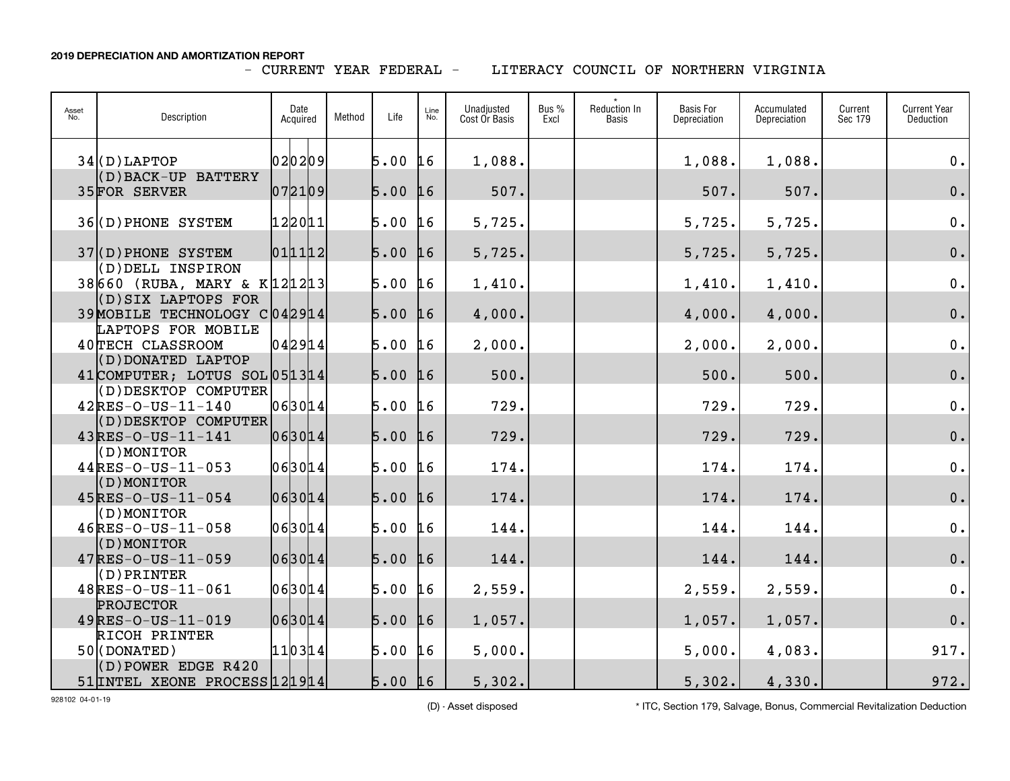## - CURRENT YEAR FEDERAL -

LITERACY COUNCIL OF NORTHERN VIRGINIA

| Asset<br>No. | Description                                           | Date<br>Acquired | Method | Life      | Line<br>No. | Unadjusted<br>Cost Or Basis | Bus %<br>Excl | Reduction In<br>Basis | <b>Basis For</b><br>Depreciation | Accumulated<br>Depreciation | Current<br>Sec 179 | <b>Current Year</b><br>Deduction |
|--------------|-------------------------------------------------------|------------------|--------|-----------|-------------|-----------------------------|---------------|-----------------------|----------------------------------|-----------------------------|--------------------|----------------------------------|
|              | $34($ D) LAPTOP                                       | 020209           |        | 5.00      | 16          | 1,088.                      |               |                       | 1,088.                           | 1,088.                      |                    | $0$ .                            |
|              | (D) BACK-UP BATTERY<br>35FOR SERVER                   | 072109           |        | 5.00      | 16          | 507.                        |               |                       | 507.                             | 507.                        |                    | $0$ .                            |
|              | 36(D) PHONE SYSTEM                                    | 122011           |        | 5.00      | 16          | 5,725.                      |               |                       | 5,725.                           | 5,725.                      |                    | $0$ .                            |
|              | $37($ D) PHONE SYSTEM                                 | 011112           |        | 5.00      | 16          | 5,725.                      |               |                       | 5,725.                           | 5,725.                      |                    | 0.                               |
|              | (D) DELL INSPIRON<br>38660 (RUBA, MARY & K121213)     |                  |        | 5.00      | 16          | 1,410.                      |               |                       | 1,410.                           | 1,410.                      |                    | 0.                               |
|              | (D) SIX LAPTOPS FOR<br>39 MOBILE TECHNOLOGY C 042914  |                  |        | 5.00      | 16          | 4,000.                      |               |                       | 4,000.                           | 4,000.                      |                    | 0.                               |
|              | LAPTOPS FOR MOBILE<br>40TECH CLASSROOM                | 042914           |        | 5.00      | 16          | 2,000.                      |               |                       | 2,000.                           | 2,000.                      |                    | $\mathbf 0$ .                    |
|              | (D) DONATED LAPTOP<br>41 COMPUTER; LOTUS SOL 05 13 14 |                  |        | 5.00      | 16          | 500.                        |               |                       | 500.                             | 500.                        |                    | $\mathbf 0$ .                    |
|              | (D) DESKTOP COMPUTER<br>$42$ RES-O-US-11-140          | 063014           |        | 5.00      | 16          | 729.                        |               |                       | 729.                             | 729.                        |                    | $0$ .                            |
|              | (D) DESKTOP COMPUTER<br>$43$ RES-O-US-11-141          | 06 30 14         |        | $5.00$ 16 |             | 729.                        |               |                       | 729.                             | 729.                        |                    | $\mathbf 0$ .                    |
|              | (D) MONITOR<br>$44$ RES-O-US-11-053                   | 063014           |        | 5.00      | 16          | 174.                        |               |                       | 174.                             | 174.                        |                    | $0$ .                            |
|              | (D) MONITOR<br>$45$ <sub>RES-O-US-11-054</sub>        | 06 30 14         |        | 5.00      | 16          | 174.                        |               |                       | 174.                             | 174.                        |                    | $\mathbf 0$ .                    |
|              | (D) MONITOR<br>$46$ RES-O-US-11-058                   | 063014           |        | 5.00      | 16          | 144.                        |               |                       | 144.                             | 144.                        |                    | $\mathbf 0$ .                    |
|              | (D) MONITOR<br>$47$ RES-O-US-11-059                   | 063014           |        | 5.00      | 16          | 144.                        |               |                       | 144.                             | 144.                        |                    | $\mathbf 0$ .                    |
|              | (D) PRINTER<br>48RES-0-US-11-061                      | 063014           |        | 5.00      | 16          | 2,559.                      |               |                       | 2,559.                           | 2,559.                      |                    | $0$ .                            |
|              | <b>PROJECTOR</b><br>$49$ RES-O-US-11-019              | 063014           |        | 5.00      | 16          | 1,057.                      |               |                       | 1,057.                           | 1,057.                      |                    | $0$ .                            |
|              | RICOH PRINTER<br>$50$ (DONATED)                       | 110314           |        | 5.00      | 16          | 5,000.                      |               |                       | 5,000.                           | 4,083.                      |                    | 917.                             |
|              | (D) POWER EDGE R420<br>51 INTEL XEONE PROCESS 121914  |                  |        | $5.00$ 16 |             | 5,302.                      |               |                       | 5,302.                           | 4,330.                      |                    | 972.                             |

928102 04-01-19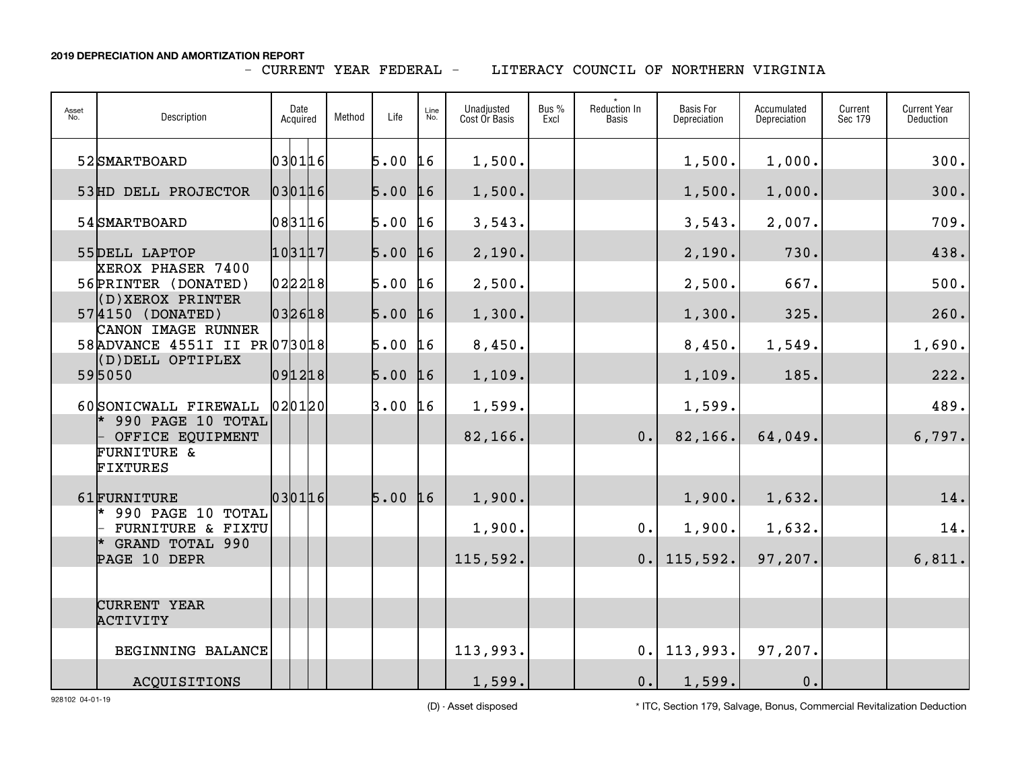## - CURRENT YEAR FEDERAL -

LITERACY COUNCIL OF NORTHERN VIRGINIA

| Asset<br>No. | Description                                         | Date<br>Acquired |  |        | Method | Life | Line<br>No.    | Unadjusted<br>Cost Or Basis | Bus %<br>Excl | <b>Reduction In</b><br><b>Basis</b> | <b>Basis For</b><br>Depreciation | Accumulated<br>Depreciation | Current<br>Sec 179 | <b>Current Year</b><br>Deduction |
|--------------|-----------------------------------------------------|------------------|--|--------|--------|------|----------------|-----------------------------|---------------|-------------------------------------|----------------------------------|-----------------------------|--------------------|----------------------------------|
|              | 52 SMARTBOARD                                       |                  |  | 030116 |        | 5.00 | 16             | 1,500.                      |               |                                     | 1,500.                           | 1,000.                      |                    | 300.                             |
|              | 53HD DELL PROJECTOR                                 |                  |  | 030116 |        | 5.00 | 16             | 1,500.                      |               |                                     | 1,500.                           | 1,000.                      |                    | 300.                             |
|              | 54 SMARTBOARD                                       |                  |  | 083116 |        | 5.00 | L <sub>6</sub> | 3,543.                      |               |                                     | 3,543.                           | 2,007.                      |                    | 709.                             |
|              | 55DELL LAPTOP                                       | 103117           |  |        |        | 5.00 | 16             | 2,190.                      |               |                                     | 2,190.                           | 730.                        |                    | 438.                             |
|              | XEROX PHASER 7400<br>56 PRINTER (DONATED)           | 022218           |  |        |        | 5.00 | 16             | 2,500.                      |               |                                     | 2,500.                           | 667.                        |                    | 500.                             |
|              | (D)XEROX PRINTER<br>574150 (DONATED)                |                  |  | 032618 |        | 5.00 | 16             | 1,300.                      |               |                                     | 1,300.                           | 325.                        |                    | 260.                             |
|              | CANON IMAGE RUNNER<br>58 ADVANCE 4551I II PR 073018 |                  |  |        |        | 5.00 | 16             | 8,450.                      |               |                                     | 8,450.                           | 1,549.                      |                    | 1,690.                           |
|              | (D) DELL OPTIPLEX<br>595050                         |                  |  | 091218 |        | 5.00 | 16             | 1,109.                      |               |                                     | 1,109.                           | 185.                        |                    | 222.                             |
|              | 60 SONICWALL FIREWALL<br>990 PAGE 10 TOTAL          |                  |  | 020120 |        | 3.00 | L6             | 1,599.                      |               |                                     | 1,599.                           |                             |                    | 489.                             |
|              | OFFICE EQUIPMENT<br><b>FURNITURE &amp;</b>          |                  |  |        |        |      |                | 82,166.                     |               | 0.                                  | 82,166.                          | 64,049.                     |                    | 6,797.                           |
|              | <b>FIXTURES</b>                                     |                  |  |        |        |      |                |                             |               |                                     |                                  |                             |                    |                                  |
|              | 61FURNITURE<br>$*$ 990 PAGE 10 TOTAL                |                  |  | 030116 |        | 5.00 | 16             | 1,900.                      |               |                                     | 1,900.                           | 1,632.                      |                    | 14.                              |
|              | FURNITURE & FIXTU                                   |                  |  |        |        |      |                | 1,900.                      |               | $0$ .                               | 1,900.                           | 1,632.                      |                    | 14.                              |
|              | * GRAND TOTAL 990<br>PAGE 10 DEPR                   |                  |  |        |        |      |                | 115,592.                    |               | 0.                                  | 115,592.                         | 97,207.                     |                    | 6,811.                           |
|              |                                                     |                  |  |        |        |      |                |                             |               |                                     |                                  |                             |                    |                                  |
|              | <b>CURRENT YEAR</b><br>ACTIVITY                     |                  |  |        |        |      |                |                             |               |                                     |                                  |                             |                    |                                  |
|              | BEGINNING BALANCE                                   |                  |  |        |        |      |                | 113,993.                    |               | 0.                                  | 113,993.                         | 97,207.                     |                    |                                  |
|              | ACQUISITIONS                                        |                  |  |        |        |      |                | 1,599.                      |               | 0.                                  | 1,599.                           | 0.                          |                    |                                  |

928102 04-01-19